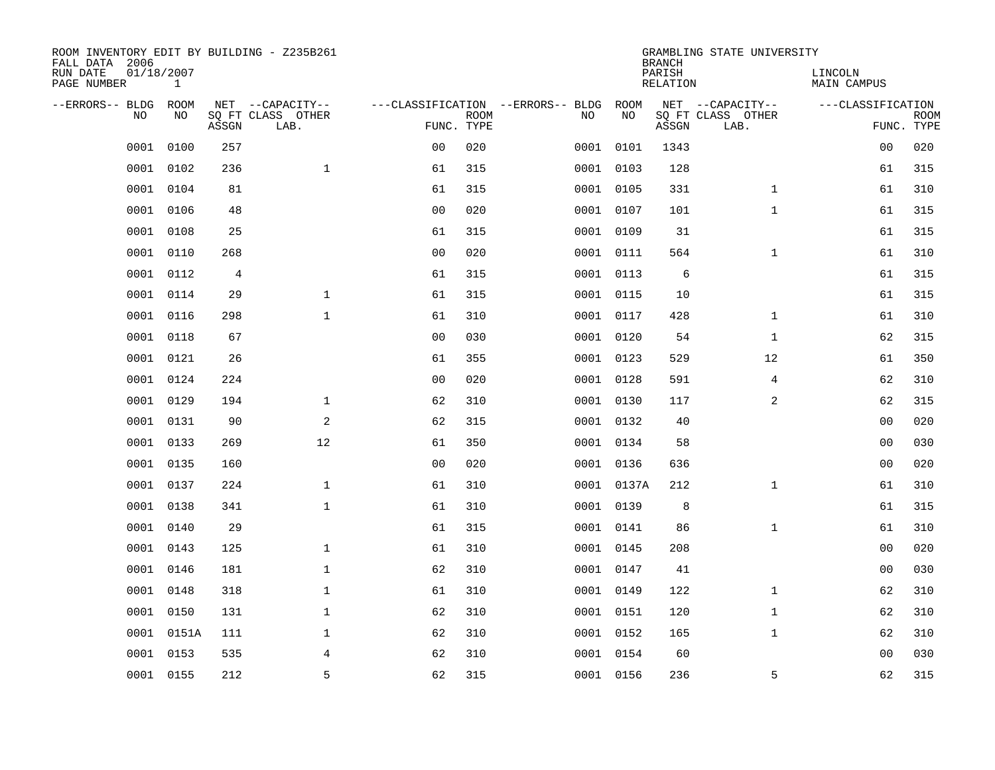| ROOM INVENTORY EDIT BY BUILDING - Z235B261<br>FALL DATA 2006 |                            |       |                           |                |             |                                   |            | <b>BRANCH</b>             | GRAMBLING STATE UNIVERSITY |                               |                           |
|--------------------------------------------------------------|----------------------------|-------|---------------------------|----------------|-------------|-----------------------------------|------------|---------------------------|----------------------------|-------------------------------|---------------------------|
| RUN DATE<br>PAGE NUMBER                                      | 01/18/2007<br>$\mathbf{1}$ |       |                           |                |             |                                   |            | PARISH<br><b>RELATION</b> |                            | LINCOLN<br><b>MAIN CAMPUS</b> |                           |
| --ERRORS-- BLDG                                              | ROOM                       |       | NET --CAPACITY--          |                |             | ---CLASSIFICATION --ERRORS-- BLDG | ROOM       |                           | NET --CAPACITY--           | ---CLASSIFICATION             |                           |
| NO                                                           | NO                         | ASSGN | SQ FT CLASS OTHER<br>LAB. | FUNC. TYPE     | <b>ROOM</b> | NO                                | NO         | ASSGN                     | SQ FT CLASS OTHER<br>LAB.  |                               | <b>ROOM</b><br>FUNC. TYPE |
| 0001                                                         | 0100                       | 257   |                           | 0 <sub>0</sub> | 020         | 0001                              | 0101       | 1343                      |                            | 0 <sub>0</sub>                | 020                       |
| 0001                                                         | 0102                       | 236   | $\mathbf{1}$              | 61             | 315         |                                   | 0001 0103  | 128                       |                            | 61                            | 315                       |
| 0001                                                         | 0104                       | 81    |                           | 61             | 315         |                                   | 0001 0105  | 331                       | $\mathbf{1}$               | 61                            | 310                       |
| 0001                                                         | 0106                       | 48    |                           | 0 <sub>0</sub> | 020         |                                   | 0001 0107  | 101                       | $\mathbf{1}$               | 61                            | 315                       |
| 0001                                                         | 0108                       | 25    |                           | 61             | 315         |                                   | 0001 0109  | 31                        |                            | 61                            | 315                       |
| 0001                                                         | 0110                       | 268   |                           | 0 <sub>0</sub> | 020         |                                   | 0001 0111  | 564                       | $\mathbf{1}$               | 61                            | 310                       |
| 0001                                                         | 0112                       | 4     |                           | 61             | 315         |                                   | 0001 0113  | 6                         |                            | 61                            | 315                       |
| 0001                                                         | 0114                       | 29    | $\mathbf{1}$              | 61             | 315         |                                   | 0001 0115  | 10                        |                            | 61                            | 315                       |
| 0001                                                         | 0116                       | 298   | $\mathbf{1}$              | 61             | 310         |                                   | 0001 0117  | 428                       | $\mathbf{1}$               | 61                            | 310                       |
| 0001                                                         | 0118                       | 67    |                           | 0 <sub>0</sub> | 030         |                                   | 0001 0120  | 54                        | $\mathbf{1}$               | 62                            | 315                       |
| 0001                                                         | 0121                       | 26    |                           | 61             | 355         |                                   | 0001 0123  | 529                       | 12                         | 61                            | 350                       |
| 0001                                                         | 0124                       | 224   |                           | 0 <sub>0</sub> | 020         |                                   | 0001 0128  | 591                       | 4                          | 62                            | 310                       |
| 0001                                                         | 0129                       | 194   | $\mathbf 1$               | 62             | 310         |                                   | 0001 0130  | 117                       | 2                          | 62                            | 315                       |
| 0001                                                         | 0131                       | 90    | $\overline{a}$            | 62             | 315         |                                   | 0001 0132  | 40                        |                            | 00                            | 020                       |
| 0001                                                         | 0133                       | 269   | 12                        | 61             | 350         |                                   | 0001 0134  | 58                        |                            | 00                            | 030                       |
| 0001                                                         | 0135                       | 160   |                           | 0 <sub>0</sub> | 020         |                                   | 0001 0136  | 636                       |                            | 0 <sub>0</sub>                | 020                       |
| 0001                                                         | 0137                       | 224   | $\mathbf{1}$              | 61             | 310         |                                   | 0001 0137A | 212                       | $\mathbf{1}$               | 61                            | 310                       |
| 0001                                                         | 0138                       | 341   | $\mathbf{1}$              | 61             | 310         |                                   | 0001 0139  | $\,8\,$                   |                            | 61                            | 315                       |
| 0001                                                         | 0140                       | 29    |                           | 61             | 315         |                                   | 0001 0141  | 86                        | $\mathbf{1}$               | 61                            | 310                       |
| 0001                                                         | 0143                       | 125   | $\mathbf 1$               | 61             | 310         |                                   | 0001 0145  | 208                       |                            | 00                            | 020                       |
| 0001                                                         | 0146                       | 181   | $\mathbf 1$               | 62             | 310         |                                   | 0001 0147  | 41                        |                            | 00                            | 030                       |
| 0001                                                         | 0148                       | 318   | $\mathbf 1$               | 61             | 310         |                                   | 0001 0149  | 122                       | $\mathbf{1}$               | 62                            | 310                       |
| 0001                                                         | 0150                       | 131   | $\mathbf 1$               | 62             | 310         |                                   | 0001 0151  | 120                       | $\mathbf{1}$               | 62                            | 310                       |
| 0001                                                         | 0151A                      | 111   | $\mathbf 1$               | 62             | 310         |                                   | 0001 0152  | 165                       | $\mathbf{1}$               | 62                            | 310                       |
| 0001                                                         | 0153                       | 535   | 4                         | 62             | 310         |                                   | 0001 0154  | 60                        |                            | 00                            | 030                       |
|                                                              | 0001 0155                  | 212   | 5                         | 62             | 315         |                                   | 0001 0156  | 236                       | 5                          | 62                            | 315                       |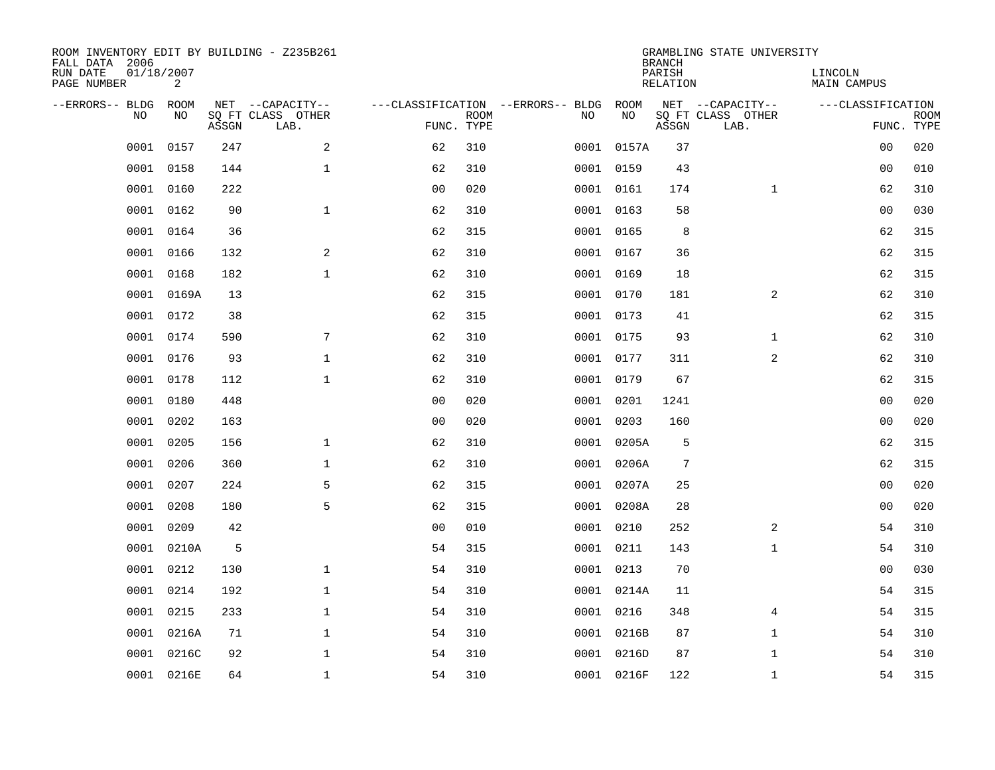| ROOM INVENTORY EDIT BY BUILDING - Z235B261<br>FALL DATA 2006 |                 |       |                           |                |             |                                   |            | <b>BRANCH</b>             | GRAMBLING STATE UNIVERSITY |                               |                           |
|--------------------------------------------------------------|-----------------|-------|---------------------------|----------------|-------------|-----------------------------------|------------|---------------------------|----------------------------|-------------------------------|---------------------------|
| RUN DATE<br>PAGE NUMBER                                      | 01/18/2007<br>2 |       |                           |                |             |                                   |            | PARISH<br><b>RELATION</b> |                            | LINCOLN<br><b>MAIN CAMPUS</b> |                           |
| --ERRORS-- BLDG                                              | ROOM            |       | NET --CAPACITY--          |                |             | ---CLASSIFICATION --ERRORS-- BLDG | ROOM       |                           | NET --CAPACITY--           | ---CLASSIFICATION             |                           |
| NO.                                                          | NO              | ASSGN | SQ FT CLASS OTHER<br>LAB. | FUNC. TYPE     | <b>ROOM</b> | NO                                | NO         | ASSGN                     | SQ FT CLASS OTHER<br>LAB.  |                               | <b>ROOM</b><br>FUNC. TYPE |
| 0001                                                         | 0157            | 247   | 2                         | 62             | 310         |                                   | 0001 0157A | 37                        |                            | 00                            | 020                       |
| 0001                                                         | 0158            | 144   | $\mathbf 1$               | 62             | 310         |                                   | 0001 0159  | 43                        |                            | 00                            | 010                       |
| 0001                                                         | 0160            | 222   |                           | 0 <sub>0</sub> | 020         |                                   | 0001 0161  | 174                       | $\mathbf{1}$               | 62                            | 310                       |
| 0001                                                         | 0162            | 90    | $\mathbf{1}$              | 62             | 310         |                                   | 0001 0163  | 58                        |                            | 0 <sub>0</sub>                | 030                       |
| 0001                                                         | 0164            | 36    |                           | 62             | 315         |                                   | 0001 0165  | 8                         |                            | 62                            | 315                       |
| 0001                                                         | 0166            | 132   | 2                         | 62             | 310         |                                   | 0001 0167  | 36                        |                            | 62                            | 315                       |
| 0001                                                         | 0168            | 182   | $\mathbf{1}$              | 62             | 310         |                                   | 0001 0169  | 18                        |                            | 62                            | 315                       |
| 0001                                                         | 0169A           | 13    |                           | 62             | 315         |                                   | 0001 0170  | 181                       | 2                          | 62                            | 310                       |
| 0001                                                         | 0172            | 38    |                           | 62             | 315         |                                   | 0001 0173  | 41                        |                            | 62                            | 315                       |
| 0001                                                         | 0174            | 590   | 7                         | 62             | 310         |                                   | 0001 0175  | 93                        | $\mathbf{1}$               | 62                            | 310                       |
| 0001                                                         | 0176            | 93    | $\mathbf{1}$              | 62             | 310         |                                   | 0001 0177  | 311                       | 2                          | 62                            | 310                       |
| 0001                                                         | 0178            | 112   | $\mathbf{1}$              | 62             | 310         |                                   | 0001 0179  | 67                        |                            | 62                            | 315                       |
| 0001                                                         | 0180            | 448   |                           | 0 <sub>0</sub> | 020         | 0001                              | 0201       | 1241                      |                            | 0 <sub>0</sub>                | 020                       |
| 0001                                                         | 0202            | 163   |                           | 0 <sub>0</sub> | 020         | 0001                              | 0203       | 160                       |                            | 00                            | 020                       |
| 0001                                                         | 0205            | 156   | $\mathbf 1$               | 62             | 310         | 0001                              | 0205A      | 5                         |                            | 62                            | 315                       |
| 0001                                                         | 0206            | 360   | $\mathbf{1}$              | 62             | 310         |                                   | 0001 0206A | $\overline{7}$            |                            | 62                            | 315                       |
| 0001                                                         | 0207            | 224   | 5                         | 62             | 315         | 0001                              | 0207A      | 25                        |                            | 0 <sub>0</sub>                | 020                       |
| 0001                                                         | 0208            | 180   | 5                         | 62             | 315         |                                   | 0001 0208A | 28                        |                            | 0 <sub>0</sub>                | 020                       |
| 0001                                                         | 0209            | 42    |                           | 0 <sub>0</sub> | 010         |                                   | 0001 0210  | 252                       | 2                          | 54                            | 310                       |
| 0001                                                         | 0210A           | 5     |                           | 54             | 315         |                                   | 0001 0211  | 143                       | $\mathbf{1}$               | 54                            | 310                       |
| 0001                                                         | 0212            | 130   | $\mathbf 1$               | 54             | 310         |                                   | 0001 0213  | 70                        |                            | 00                            | 030                       |
| 0001                                                         | 0214            | 192   | $\mathbf 1$               | 54             | 310         |                                   | 0001 0214A | 11                        |                            | 54                            | 315                       |
| 0001                                                         | 0215            | 233   | $\mathbf 1$               | 54             | 310         |                                   | 0001 0216  | 348                       | 4                          | 54                            | 315                       |
| 0001                                                         | 0216A           | 71    | $\mathbf 1$               | 54             | 310         |                                   | 0001 0216B | 87                        | $\mathbf{1}$               | 54                            | 310                       |
| 0001                                                         | 0216C           | 92    | $\mathbf 1$               | 54             | 310         |                                   | 0001 0216D | 87                        | $\mathbf{1}$               | 54                            | 310                       |
|                                                              | 0001 0216E      | 64    | $\mathbf{1}$              | 54             | 310         |                                   | 0001 0216F | 122                       | $\mathbf{1}$               | 54                            | 315                       |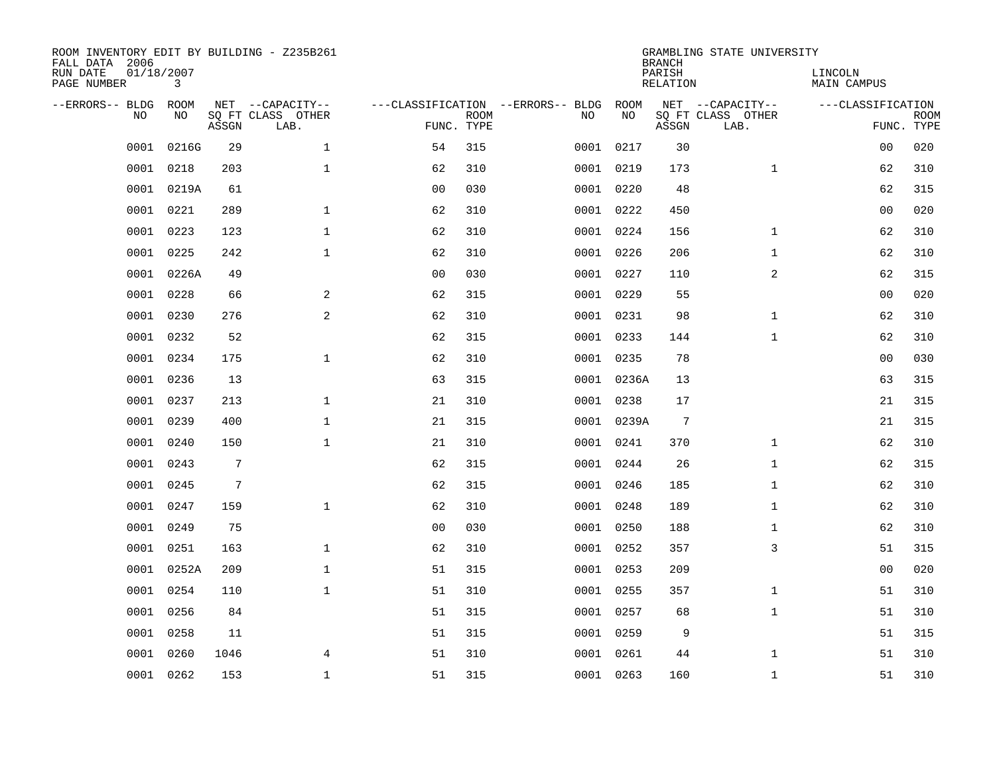| ROOM INVENTORY EDIT BY BUILDING - Z235B261<br>FALL DATA 2006 |                 |                |                           |                |             |                                   |            | <b>BRANCH</b>             | GRAMBLING STATE UNIVERSITY |                               |             |
|--------------------------------------------------------------|-----------------|----------------|---------------------------|----------------|-------------|-----------------------------------|------------|---------------------------|----------------------------|-------------------------------|-------------|
| RUN DATE<br>PAGE NUMBER                                      | 01/18/2007<br>3 |                |                           |                |             |                                   |            | PARISH<br><b>RELATION</b> |                            | LINCOLN<br><b>MAIN CAMPUS</b> |             |
| --ERRORS-- BLDG                                              | ROOM            |                | NET --CAPACITY--          |                |             | ---CLASSIFICATION --ERRORS-- BLDG | ROOM       |                           | NET --CAPACITY--           | ---CLASSIFICATION             |             |
| NO.                                                          | NO              | ASSGN          | SQ FT CLASS OTHER<br>LAB. | FUNC. TYPE     | <b>ROOM</b> | NO                                | NO         | ASSGN                     | SQ FT CLASS OTHER<br>LAB.  | FUNC. TYPE                    | <b>ROOM</b> |
| 0001                                                         | 0216G           | 29             | $\mathbf{1}$              | 54             | 315         |                                   | 0001 0217  | 30                        |                            | 0 <sub>0</sub>                | 020         |
| 0001                                                         | 0218            | 203            | $\mathbf 1$               | 62             | 310         |                                   | 0001 0219  | 173                       | $\mathbf{1}$               | 62                            | 310         |
| 0001                                                         | 0219A           | 61             |                           | 0 <sub>0</sub> | 030         |                                   | 0001 0220  | 48                        |                            | 62                            | 315         |
| 0001                                                         | 0221            | 289            | $\mathbf 1$               | 62             | 310         |                                   | 0001 0222  | 450                       |                            | 0 <sub>0</sub>                | 020         |
| 0001                                                         | 0223            | 123            | $\mathbf{1}$              | 62             | 310         |                                   | 0001 0224  | 156                       | $\mathbf{1}$               | 62                            | 310         |
| 0001                                                         | 0225            | 242            | $\mathbf{1}$              | 62             | 310         |                                   | 0001 0226  | 206                       | $\mathbf{1}$               | 62                            | 310         |
| 0001                                                         | 0226A           | 49             |                           | 0 <sub>0</sub> | 030         |                                   | 0001 0227  | 110                       | 2                          | 62                            | 315         |
| 0001                                                         | 0228            | 66             | $\overline{a}$            | 62             | 315         |                                   | 0001 0229  | 55                        |                            | 0 <sub>0</sub>                | 020         |
| 0001                                                         | 0230            | 276            | 2                         | 62             | 310         |                                   | 0001 0231  | 98                        | $\mathbf{1}$               | 62                            | 310         |
| 0001                                                         | 0232            | 52             |                           | 62             | 315         |                                   | 0001 0233  | 144                       | $\mathbf{1}$               | 62                            | 310         |
| 0001                                                         | 0234            | 175            | $\mathbf{1}$              | 62             | 310         |                                   | 0001 0235  | 78                        |                            | 00                            | 030         |
|                                                              | 0001 0236       | 13             |                           | 63             | 315         |                                   | 0001 0236A | 13                        |                            | 63                            | 315         |
| 0001                                                         | 0237            | 213            | $\mathbf{1}$              | 21             | 310         |                                   | 0001 0238  | 17                        |                            | 21                            | 315         |
| 0001                                                         | 0239            | 400            | $\mathbf 1$               | 21             | 315         |                                   | 0001 0239A | $7\phantom{.0}$           |                            | 21                            | 315         |
| 0001                                                         | 0240            | 150            | $\mathbf{1}$              | 21             | 310         |                                   | 0001 0241  | 370                       | $\mathbf{1}$               | 62                            | 310         |
| 0001                                                         | 0243            | 7              |                           | 62             | 315         |                                   | 0001 0244  | 26                        | $\mathbf{1}$               | 62                            | 315         |
| 0001                                                         | 0245            | $\overline{7}$ |                           | 62             | 315         |                                   | 0001 0246  | 185                       | $\mathbf{1}$               | 62                            | 310         |
| 0001                                                         | 0247            | 159            | $\mathbf 1$               | 62             | 310         |                                   | 0001 0248  | 189                       | $\mathbf{1}$               | 62                            | 310         |
| 0001                                                         | 0249            | 75             |                           | 0 <sub>0</sub> | 030         |                                   | 0001 0250  | 188                       | $\mathbf{1}$               | 62                            | 310         |
| 0001                                                         | 0251            | 163            | $\mathbf{1}$              | 62             | 310         |                                   | 0001 0252  | 357                       | 3                          | 51                            | 315         |
| 0001                                                         | 0252A           | 209            | $\mathbf{1}$              | 51             | 315         |                                   | 0001 0253  | 209                       |                            | 0 <sub>0</sub>                | 020         |
| 0001                                                         | 0254            | 110            | $\mathbf{1}$              | 51             | 310         |                                   | 0001 0255  | 357                       | $\mathbf{1}$               | 51                            | 310         |
| 0001                                                         | 0256            | 84             |                           | 51             | 315         |                                   | 0001 0257  | 68                        | $\mathbf{1}$               | 51                            | 310         |
| 0001                                                         | 0258            | 11             |                           | 51             | 315         |                                   | 0001 0259  | 9                         |                            | 51                            | 315         |
| 0001                                                         | 0260            | 1046           | $\overline{4}$            | 51             | 310         |                                   | 0001 0261  | 44                        | $\mathbf{1}$               | 51                            | 310         |
|                                                              | 0001 0262       | 153            | $\mathbf 1$               | 51             | 315         |                                   | 0001 0263  | 160                       | $\mathbf{1}$               | 51                            | 310         |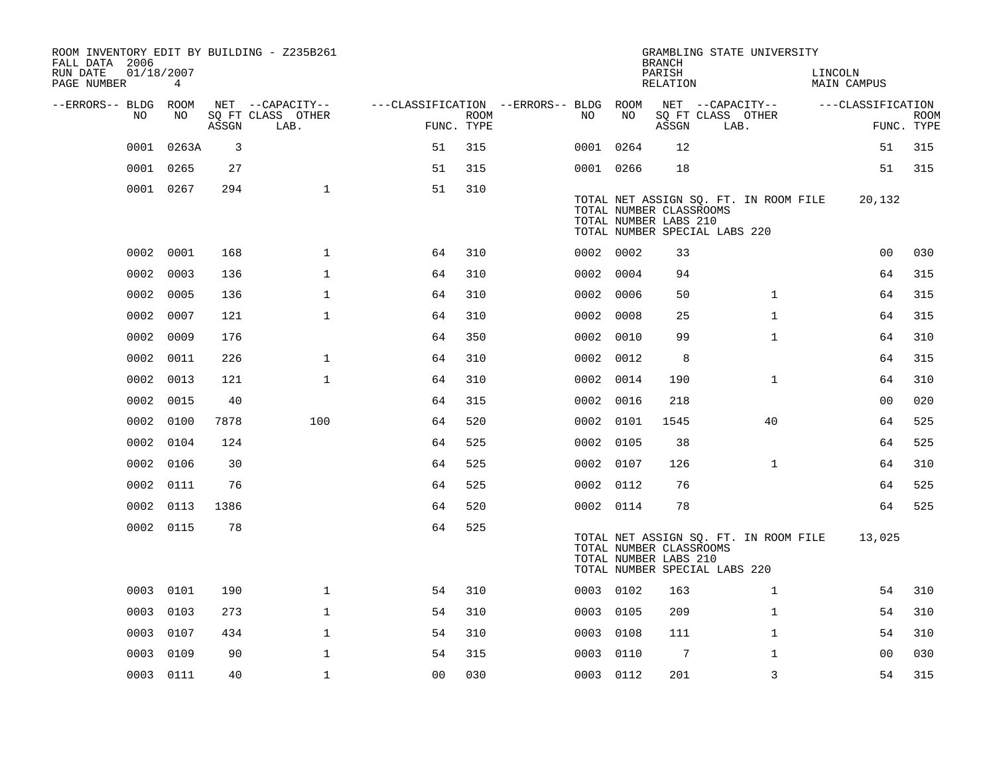| ROOM INVENTORY EDIT BY BUILDING - Z235B261<br>FALL DATA 2006 |                               |       |                           |                                        |             |           |      | <b>BRANCH</b>                                                                     |      | GRAMBLING STATE UNIVERSITY            |         |                   |                           |
|--------------------------------------------------------------|-------------------------------|-------|---------------------------|----------------------------------------|-------------|-----------|------|-----------------------------------------------------------------------------------|------|---------------------------------------|---------|-------------------|---------------------------|
| RUN DATE<br>PAGE NUMBER                                      | 01/18/2007<br>$4\overline{ }$ |       |                           |                                        |             |           |      | PARISH<br>RELATION                                                                |      |                                       | LINCOLN | MAIN CAMPUS       |                           |
| --ERRORS-- BLDG ROOM<br>NO.                                  | NO                            |       | NET --CAPACITY--          | ---CLASSIFICATION --ERRORS-- BLDG ROOM |             | NO.       | NO   |                                                                                   |      | NET --CAPACITY--                      |         | ---CLASSIFICATION |                           |
|                                                              |                               | ASSGN | SQ FT CLASS OTHER<br>LAB. | FUNC. TYPE                             | <b>ROOM</b> |           |      | ASSGN                                                                             | LAB. | SQ FT CLASS OTHER                     |         |                   | <b>ROOM</b><br>FUNC. TYPE |
| 0001                                                         | 0263A                         | 3     |                           | 51                                     | 315         | 0001 0264 |      | 12                                                                                |      |                                       |         | 51                | 315                       |
| 0001                                                         | 0265                          | 27    |                           | 51                                     | 315         | 0001 0266 |      | 18                                                                                |      |                                       |         | 51                | 315                       |
|                                                              | 0001 0267                     | 294   | $\mathbf{1}$              | 51                                     | 310         |           |      | TOTAL NUMBER CLASSROOMS<br>TOTAL NUMBER LABS 210<br>TOTAL NUMBER SPECIAL LABS 220 |      | TOTAL NET ASSIGN SQ. FT. IN ROOM FILE |         | 20,132            |                           |
| 0002                                                         | 0001                          | 168   | $\mathbf 1$               | 64                                     | 310         | 0002 0002 |      | 33                                                                                |      |                                       |         | 00                | 030                       |
| 0002                                                         | 0003                          | 136   | $\mathbf 1$               | 64                                     | 310         | 0002      | 0004 | 94                                                                                |      |                                       |         | 64                | 315                       |
| 0002                                                         | 0005                          | 136   | $\mathbf 1$               | 64                                     | 310         | 0002      | 0006 | 50                                                                                |      | $\mathbf{1}$                          |         | 64                | 315                       |
| 0002                                                         | 0007                          | 121   | $\mathbf{1}$              | 64                                     | 310         | 0002      | 0008 | 25                                                                                |      | $\mathbf{1}$                          |         | 64                | 315                       |
| 0002                                                         | 0009                          | 176   |                           | 64                                     | 350         | 0002      | 0010 | 99                                                                                |      | $\mathbf{1}$                          |         | 64                | 310                       |
| 0002                                                         | 0011                          | 226   | $\mathbf{1}$              | 64                                     | 310         | 0002      | 0012 | 8                                                                                 |      |                                       |         | 64                | 315                       |
| 0002                                                         | 0013                          | 121   | $\mathbf{1}$              | 64                                     | 310         | 0002 0014 |      | 190                                                                               |      | $\mathbf{1}$                          |         | 64                | 310                       |
| 0002                                                         | 0015                          | 40    |                           | 64                                     | 315         | 0002      | 0016 | 218                                                                               |      |                                       |         | 0 <sub>0</sub>    | 020                       |
| 0002                                                         | 0100                          | 7878  | 100                       | 64                                     | 520         | 0002 0101 |      | 1545                                                                              |      | 40                                    |         | 64                | 525                       |
| 0002                                                         | 0104                          | 124   |                           | 64                                     | 525         | 0002 0105 |      | 38                                                                                |      |                                       |         | 64                | 525                       |
|                                                              | 0002 0106                     | 30    |                           | 64                                     | 525         | 0002 0107 |      | 126                                                                               |      | $\mathbf{1}$                          |         | 64                | 310                       |
|                                                              | 0002 0111                     | 76    |                           | 64                                     | 525         | 0002 0112 |      | 76                                                                                |      |                                       |         | 64                | 525                       |
|                                                              | 0002 0113                     | 1386  |                           | 64                                     | 520         | 0002 0114 |      | 78                                                                                |      |                                       |         | 64                | 525                       |
|                                                              | 0002 0115                     | 78    |                           | 64                                     | 525         |           |      | TOTAL NUMBER CLASSROOMS<br>TOTAL NUMBER LABS 210<br>TOTAL NUMBER SPECIAL LABS 220 |      | TOTAL NET ASSIGN SQ. FT. IN ROOM FILE |         | 13,025            |                           |
| 0003                                                         | 0101                          | 190   | $\mathbf{1}$              | 54                                     | 310         | 0003 0102 |      | 163                                                                               |      | $\mathbf{1}$                          |         | 54                | 310                       |
| 0003                                                         | 0103                          | 273   | $\mathbf{1}$              | 54                                     | 310         | 0003      | 0105 | 209                                                                               |      | $\mathbf{1}$                          |         | 54                | 310                       |
| 0003                                                         | 0107                          | 434   | $\mathbf{1}$              | 54                                     | 310         | 0003      | 0108 | 111                                                                               |      | $\mathbf{1}$                          |         | 54                | 310                       |
| 0003                                                         | 0109                          | 90    | $\mathbf{1}$              | 54                                     | 315         | 0003      | 0110 | 7                                                                                 |      | $\mathbf{1}$                          |         | 0 <sub>0</sub>    | 030                       |
|                                                              | 0003 0111                     | 40    | $\mathbf{1}$              | 0 <sub>0</sub>                         | 030         | 0003 0112 |      | 201                                                                               |      | 3                                     |         | 54                | 315                       |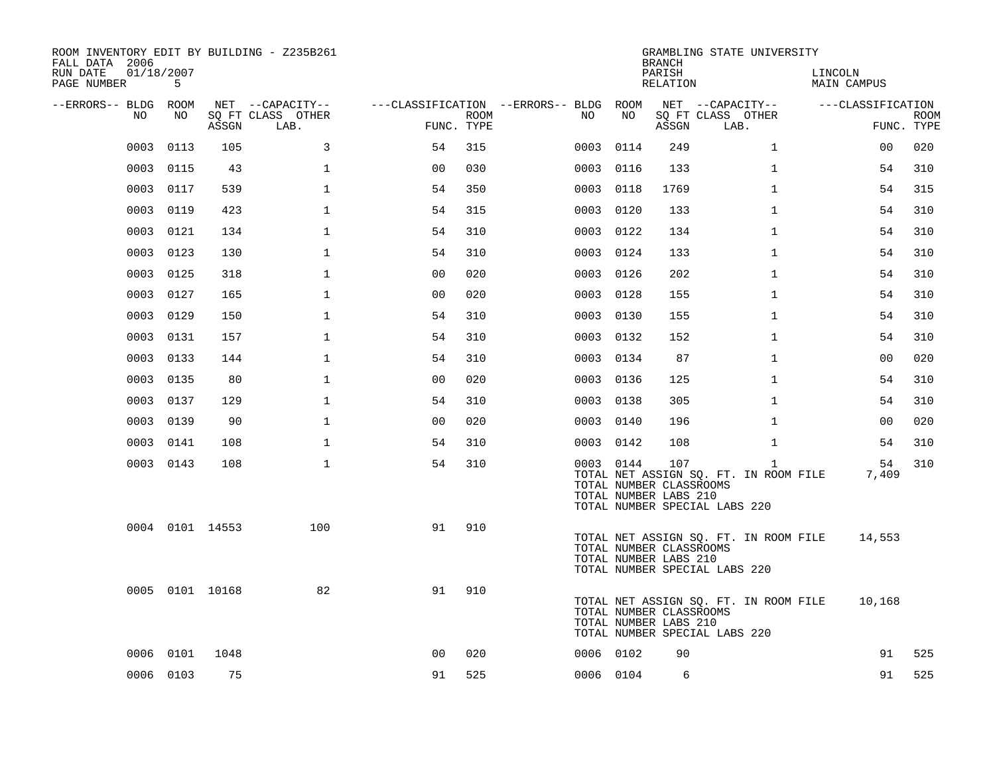| ROOM INVENTORY EDIT BY BUILDING - Z235B261<br>FALL DATA 2006<br>RUN DATE<br>PAGE NUMBER | 01/18/2007<br>5 |                 |                                               |                                        |                           |           |      | <b>BRANCH</b><br>PARISH<br>RELATION                     | GRAMBLING STATE UNIVERSITY                                                             | LINCOLN<br><b>MAIN CAMPUS</b> |                           |
|-----------------------------------------------------------------------------------------|-----------------|-----------------|-----------------------------------------------|----------------------------------------|---------------------------|-----------|------|---------------------------------------------------------|----------------------------------------------------------------------------------------|-------------------------------|---------------------------|
| --ERRORS-- BLDG ROOM<br>NO                                                              | NO              | ASSGN           | NET --CAPACITY--<br>SQ FT CLASS OTHER<br>LAB. | ---CLASSIFICATION --ERRORS-- BLDG ROOM | <b>ROOM</b><br>FUNC. TYPE | NO        | NO   | ASSGN                                                   | NET --CAPACITY--<br>SQ FT CLASS OTHER<br>LAB.                                          | ---CLASSIFICATION             | <b>ROOM</b><br>FUNC. TYPE |
| 0003                                                                                    | 0113            | 105             | 3                                             | 54                                     | 315                       | 0003      | 0114 | 249                                                     | $\mathbf{1}$                                                                           | 00                            | 020                       |
| 0003                                                                                    | 0115            | 43              | $\mathbf 1$                                   | 0 <sub>0</sub>                         | 030                       | 0003      | 0116 | 133                                                     | $\mathbf{1}$                                                                           | 54                            | 310                       |
| 0003                                                                                    | 0117            | 539             | $\mathbf{1}$                                  | 54                                     | 350                       | 0003      | 0118 | 1769                                                    | $\mathbf{1}$                                                                           | 54                            | 315                       |
| 0003                                                                                    | 0119            | 423             | $\mathbf{1}$                                  | 54                                     | 315                       | 0003      | 0120 | 133                                                     | $\mathbf{1}$                                                                           | 54                            | 310                       |
| 0003                                                                                    | 0121            | 134             | $\mathbf{1}$                                  | 54                                     | 310                       | 0003      | 0122 | 134                                                     | $\mathbf{1}$                                                                           | 54                            | 310                       |
| 0003                                                                                    | 0123            | 130             | $\mathbf 1$                                   | 54                                     | 310                       | 0003 0124 |      | 133                                                     | $\mathbf{1}$                                                                           | 54                            | 310                       |
| 0003                                                                                    | 0125            | 318             | $\mathbf{1}$                                  | 0 <sub>0</sub>                         | 020                       | 0003      | 0126 | 202                                                     | $\mathbf{1}$                                                                           | 54                            | 310                       |
| 0003                                                                                    | 0127            | 165             | $\mathbf 1$                                   | 0 <sub>0</sub>                         | 020                       | 0003 0128 |      | 155                                                     | $\mathbf{1}$                                                                           | 54                            | 310                       |
| 0003                                                                                    | 0129            | 150             | $\mathbf{1}$                                  | 54                                     | 310                       | 0003      | 0130 | 155                                                     | $\mathbf{1}$                                                                           | 54                            | 310                       |
| 0003                                                                                    | 0131            | 157             | $\mathbf{1}$                                  | 54                                     | 310                       | 0003 0132 |      | 152                                                     | $\mathbf{1}$                                                                           | 54                            | 310                       |
| 0003                                                                                    | 0133            | 144             | 1                                             | 54                                     | 310                       | 0003      | 0134 | 87                                                      | $\mathbf{1}$                                                                           | 00                            | 020                       |
| 0003                                                                                    | 0135            | 80              | $\mathbf 1$                                   | 0 <sub>0</sub>                         | 020                       | 0003 0136 |      | 125                                                     | $\mathbf{1}$                                                                           | 54                            | 310                       |
| 0003                                                                                    | 0137            | 129             | $\mathbf{1}$                                  | 54                                     | 310                       | 0003      | 0138 | 305                                                     | $\mathbf{1}$                                                                           | 54                            | 310                       |
|                                                                                         | 0003 0139       | 90              | $\mathbf{1}$                                  | 0 <sub>0</sub>                         | 020                       | 0003 0140 |      | 196                                                     | $\mathbf{1}$                                                                           | 00                            | 020                       |
|                                                                                         | 0003 0141       | 108             | $\mathbf{1}$                                  | 54                                     | 310                       | 0003 0142 |      | 108                                                     | $\mathbf{1}$                                                                           | 54                            | 310                       |
|                                                                                         | 0003 0143       | 108             | $\mathbf{1}$                                  | 54                                     | 310                       | 0003 0144 |      | 107<br>TOTAL NUMBER CLASSROOMS<br>TOTAL NUMBER LABS 210 | $\mathbf{1}$<br>TOTAL NET ASSIGN SQ. FT. IN ROOM FILE<br>TOTAL NUMBER SPECIAL LABS 220 | 54<br>7,409                   | 310                       |
|                                                                                         |                 | 0004 0101 14553 | 100                                           | 91                                     | 910                       |           |      | TOTAL NUMBER CLASSROOMS<br>TOTAL NUMBER LABS 210        | TOTAL NET ASSIGN SQ. FT. IN ROOM FILE<br>TOTAL NUMBER SPECIAL LABS 220                 | 14,553                        |                           |
|                                                                                         |                 | 0005 0101 10168 | 82                                            | 91                                     | 910                       |           |      | TOTAL NUMBER CLASSROOMS<br>TOTAL NUMBER LABS 210        | TOTAL NET ASSIGN SQ. FT. IN ROOM FILE<br>TOTAL NUMBER SPECIAL LABS 220                 | 10,168                        |                           |
| 0006                                                                                    | 0101            | 1048            |                                               | 0 <sub>0</sub>                         | 020                       | 0006 0102 |      | 90                                                      |                                                                                        | 91                            | 525                       |
|                                                                                         | 0006 0103       | 75              |                                               | 91                                     | 525                       | 0006 0104 |      | 6                                                       |                                                                                        | 91                            | 525                       |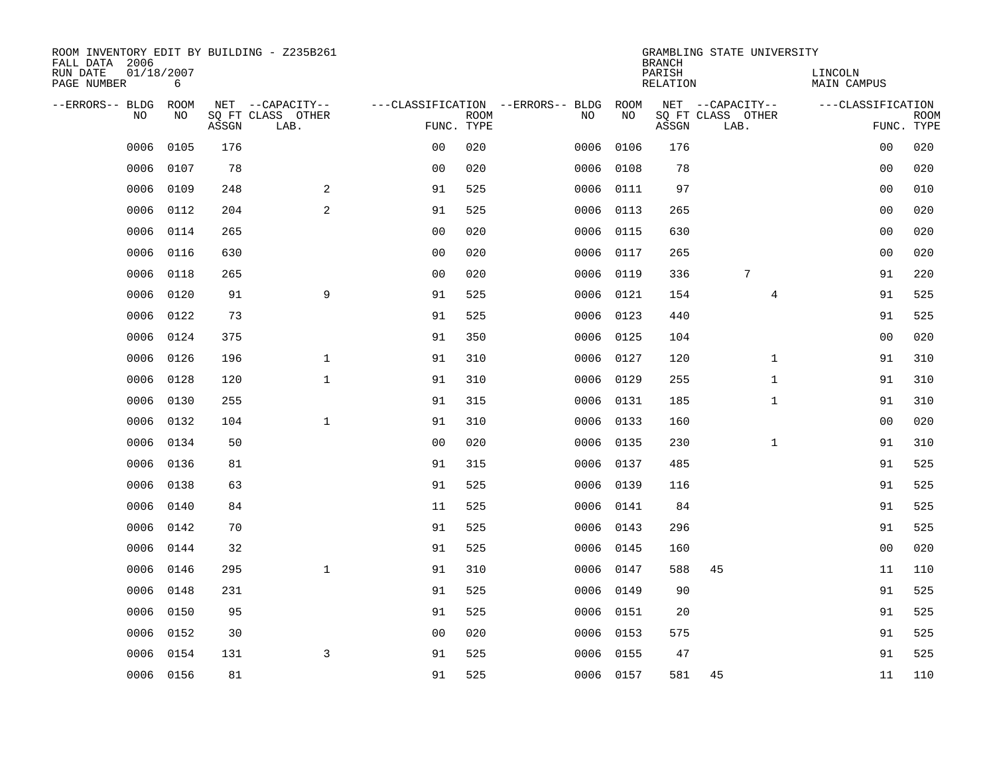| ROOM INVENTORY EDIT BY BUILDING - Z235B261<br>FALL DATA 2006 |                 |       |                           |                |             |                                   |           | <b>BRANCH</b>             | GRAMBLING STATE UNIVERSITY |                               |                           |
|--------------------------------------------------------------|-----------------|-------|---------------------------|----------------|-------------|-----------------------------------|-----------|---------------------------|----------------------------|-------------------------------|---------------------------|
| RUN DATE<br>PAGE NUMBER                                      | 01/18/2007<br>6 |       |                           |                |             |                                   |           | PARISH<br><b>RELATION</b> |                            | LINCOLN<br><b>MAIN CAMPUS</b> |                           |
| --ERRORS-- BLDG                                              | ROOM            |       | NET --CAPACITY--          |                |             | ---CLASSIFICATION --ERRORS-- BLDG | ROOM      |                           | NET --CAPACITY--           | ---CLASSIFICATION             |                           |
| NO                                                           | NO              | ASSGN | SQ FT CLASS OTHER<br>LAB. | FUNC. TYPE     | <b>ROOM</b> | NO                                | NO        | ASSGN                     | SQ FT CLASS OTHER<br>LAB.  |                               | <b>ROOM</b><br>FUNC. TYPE |
| 0006                                                         | 0105            | 176   |                           | 0 <sub>0</sub> | 020         | 0006                              | 0106      | 176                       |                            | 00                            | 020                       |
| 0006                                                         | 0107            | 78    |                           | 0 <sub>0</sub> | 020         | 0006                              | 0108      | 78                        |                            | 00                            | 020                       |
| 0006                                                         | 0109            | 248   | 2                         | 91             | 525         | 0006                              | 0111      | 97                        |                            | 00                            | 010                       |
| 0006                                                         | 0112            | 204   | 2                         | 91             | 525         |                                   | 0006 0113 | 265                       |                            | 0 <sub>0</sub>                | 020                       |
| 0006                                                         | 0114            | 265   |                           | 0 <sub>0</sub> | 020         | 0006                              | 0115      | 630                       |                            | 0 <sub>0</sub>                | 020                       |
| 0006                                                         | 0116            | 630   |                           | 0 <sub>0</sub> | 020         |                                   | 0006 0117 | 265                       |                            | 0 <sub>0</sub>                | 020                       |
| 0006                                                         | 0118            | 265   |                           | 0 <sub>0</sub> | 020         | 0006                              | 0119      | 336                       | $7\phantom{.0}$            | 91                            | 220                       |
| 0006                                                         | 0120            | 91    | 9                         | 91             | 525         |                                   | 0006 0121 | 154                       | $\overline{4}$             | 91                            | 525                       |
| 0006                                                         | 0122            | 73    |                           | 91             | 525         | 0006                              | 0123      | 440                       |                            | 91                            | 525                       |
| 0006                                                         | 0124            | 375   |                           | 91             | 350         |                                   | 0006 0125 | 104                       |                            | 0 <sub>0</sub>                | 020                       |
| 0006                                                         | 0126            | 196   | $\mathbf{1}$              | 91             | 310         | 0006                              | 0127      | 120                       | $\mathbf{1}$               | 91                            | 310                       |
| 0006                                                         | 0128            | 120   | $\mathbf{1}$              | 91             | 310         | 0006                              | 0129      | 255                       | $\mathbf{1}$               | 91                            | 310                       |
| 0006                                                         | 0130            | 255   |                           | 91             | 315         | 0006                              | 0131      | 185                       | $\mathbf{1}$               | 91                            | 310                       |
| 0006                                                         | 0132            | 104   | $\mathbf 1$               | 91             | 310         | 0006                              | 0133      | 160                       |                            | 00                            | 020                       |
| 0006                                                         | 0134            | 50    |                           | 0 <sub>0</sub> | 020         | 0006                              | 0135      | 230                       | $\mathbf{1}$               | 91                            | 310                       |
| 0006                                                         | 0136            | 81    |                           | 91             | 315         | 0006                              | 0137      | 485                       |                            | 91                            | 525                       |
| 0006                                                         | 0138            | 63    |                           | 91             | 525         | 0006                              | 0139      | 116                       |                            | 91                            | 525                       |
| 0006                                                         | 0140            | 84    |                           | 11             | 525         |                                   | 0006 0141 | 84                        |                            | 91                            | 525                       |
| 0006                                                         | 0142            | 70    |                           | 91             | 525         |                                   | 0006 0143 | 296                       |                            | 91                            | 525                       |
| 0006                                                         | 0144            | 32    |                           | 91             | 525         | 0006                              | 0145      | 160                       |                            | 0 <sub>0</sub>                | 020                       |
| 0006                                                         | 0146            | 295   | $\mathbf{1}$              | 91             | 310         |                                   | 0006 0147 | 588                       | 45                         | 11                            | 110                       |
| 0006                                                         | 0148            | 231   |                           | 91             | 525         | 0006                              | 0149      | 90                        |                            | 91                            | 525                       |
| 0006                                                         | 0150            | 95    |                           | 91             | 525         |                                   | 0006 0151 | 20                        |                            | 91                            | 525                       |
| 0006                                                         | 0152            | 30    |                           | 0 <sub>0</sub> | 020         | 0006                              | 0153      | 575                       |                            | 91                            | 525                       |
| 0006                                                         | 0154            | 131   | 3                         | 91             | 525         | 0006                              | 0155      | 47                        |                            | 91                            | 525                       |
|                                                              | 0006 0156       | 81    |                           | 91             | 525         |                                   | 0006 0157 | 581                       | 45                         | 11                            | 110                       |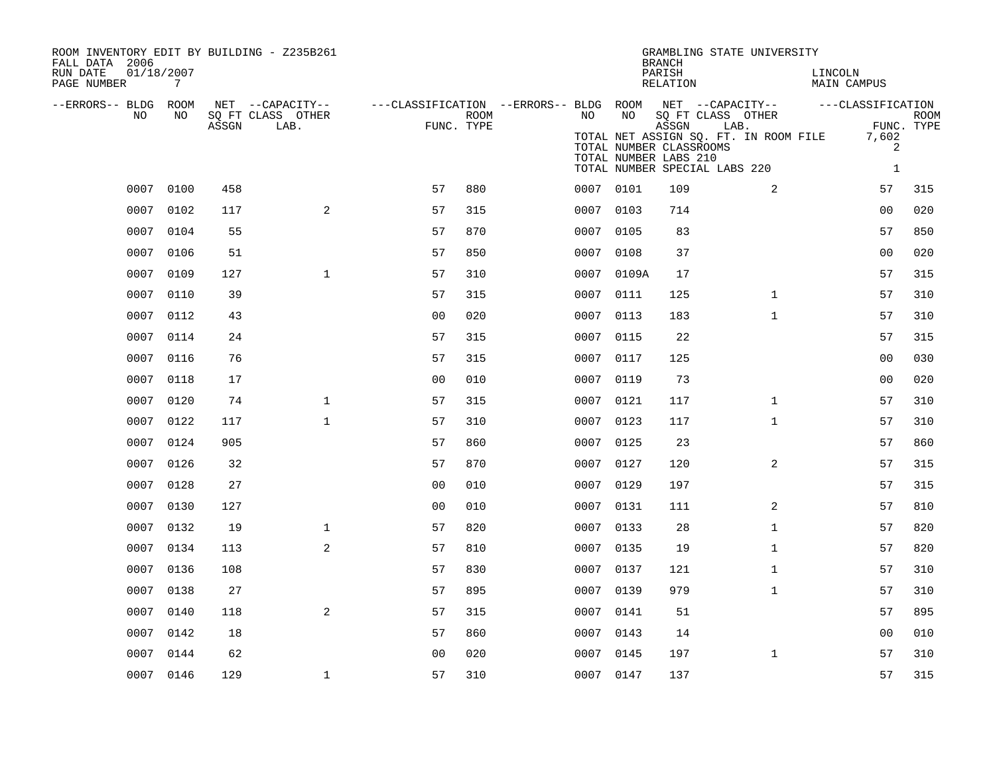| ROOM INVENTORY EDIT BY BUILDING - Z235B261<br>FALL DATA 2006<br>RUN DATE<br>PAGE NUMBER | 01/18/2007<br>$7\overline{ }$ |       |                           |                                        |      |           |       | <b>BRANCH</b><br>PARISH<br>RELATION                                                                             |      | GRAMBLING STATE UNIVERSITY            | LINCOLN<br>MAIN CAMPUS |                            |                           |
|-----------------------------------------------------------------------------------------|-------------------------------|-------|---------------------------|----------------------------------------|------|-----------|-------|-----------------------------------------------------------------------------------------------------------------|------|---------------------------------------|------------------------|----------------------------|---------------------------|
| --ERRORS-- BLDG ROOM                                                                    |                               |       | NET --CAPACITY--          | ---CLASSIFICATION --ERRORS-- BLDG ROOM |      |           |       |                                                                                                                 |      | NET --CAPACITY--                      | ---CLASSIFICATION      |                            |                           |
| NO.                                                                                     | NO.                           | ASSGN | SO FT CLASS OTHER<br>LAB. | FUNC. TYPE                             | ROOM | NO.       | NO    | SO FT CLASS OTHER<br>ASSGN<br>TOTAL NUMBER CLASSROOMS<br>TOTAL NUMBER LABS 210<br>TOTAL NUMBER SPECIAL LABS 220 | LAB. | TOTAL NET ASSIGN SQ. FT. IN ROOM FILE |                        | 7,602<br>2<br>$\mathbf{1}$ | <b>ROOM</b><br>FUNC. TYPE |
| 0007                                                                                    | 0100                          | 458   |                           | 57                                     | 880  | 0007 0101 |       | 109                                                                                                             |      | 2                                     |                        | 57                         | 315                       |
| 0007                                                                                    | 0102                          | 117   | 2                         | 57                                     | 315  | 0007 0103 |       | 714                                                                                                             |      |                                       |                        | 0 <sub>0</sub>             | 020                       |
| 0007                                                                                    | 0104                          | 55    |                           | 57                                     | 870  | 0007      | 0105  | 83                                                                                                              |      |                                       |                        | 57                         | 850                       |
| 0007                                                                                    | 0106                          | 51    |                           | 57                                     | 850  | 0007 0108 |       | 37                                                                                                              |      |                                       |                        | 0 <sub>0</sub>             | 020                       |
| 0007                                                                                    | 0109                          | 127   | $\mathbf{1}$              | 57                                     | 310  | 0007      | 0109A | 17                                                                                                              |      |                                       |                        | 57                         | 315                       |
| 0007                                                                                    | 0110                          | 39    |                           | 57                                     | 315  | 0007 0111 |       | 125                                                                                                             |      | $\mathbf{1}$                          |                        | 57                         | 310                       |
| 0007                                                                                    | 0112                          | 43    |                           | 0 <sub>0</sub>                         | 020  | 0007      | 0113  | 183                                                                                                             |      | $\mathbf{1}$                          |                        | 57                         | 310                       |
| 0007                                                                                    | 0114                          | 24    |                           | 57                                     | 315  | 0007 0115 |       | 22                                                                                                              |      |                                       |                        | 57                         | 315                       |
| 0007                                                                                    | 0116                          | 76    |                           | 57                                     | 315  | 0007      | 0117  | 125                                                                                                             |      |                                       |                        | 0 <sub>0</sub>             | 030                       |
| 0007                                                                                    | 0118                          | 17    |                           | 0 <sub>0</sub>                         | 010  | 0007 0119 |       | 73                                                                                                              |      |                                       |                        | 0 <sub>0</sub>             | 020                       |
| 0007                                                                                    | 0120                          | 74    | $\mathbf 1$               | 57                                     | 315  | 0007      | 0121  | 117                                                                                                             |      | $\mathbf{1}$                          |                        | 57                         | 310                       |
| 0007                                                                                    | 0122                          | 117   | $\mathbf{1}$              | 57                                     | 310  | 0007 0123 |       | 117                                                                                                             |      | $\mathbf{1}$                          |                        | 57                         | 310                       |
| 0007                                                                                    | 0124                          | 905   |                           | 57                                     | 860  | 0007      | 0125  | 23                                                                                                              |      |                                       |                        | 57                         | 860                       |
| 0007                                                                                    | 0126                          | 32    |                           | 57                                     | 870  | 0007      | 0127  | 120                                                                                                             |      | 2                                     |                        | 57                         | 315                       |
| 0007                                                                                    | 0128                          | 27    |                           | 0 <sub>0</sub>                         | 010  | 0007      | 0129  | 197                                                                                                             |      |                                       |                        | 57                         | 315                       |
| 0007                                                                                    | 0130                          | 127   |                           | 0 <sub>0</sub>                         | 010  | 0007      | 0131  | 111                                                                                                             |      | 2                                     |                        | 57                         | 810                       |
| 0007                                                                                    | 0132                          | 19    | $\mathbf 1$               | 57                                     | 820  | 0007 0133 |       | 28                                                                                                              |      | $\mathbf{1}$                          |                        | 57                         | 820                       |
| 0007                                                                                    | 0134                          | 113   | 2                         | 57                                     | 810  | 0007 0135 |       | 19                                                                                                              |      | $\mathbf{1}$                          |                        | 57                         | 820                       |
| 0007                                                                                    | 0136                          | 108   |                           | 57                                     | 830  | 0007 0137 |       | 121                                                                                                             |      | $\mathbf{1}$                          |                        | 57                         | 310                       |
| 0007                                                                                    | 0138                          | 27    |                           | 57                                     | 895  | 0007      | 0139  | 979                                                                                                             |      | $\mathbf{1}$                          |                        | 57                         | 310                       |
| 0007                                                                                    | 0140                          | 118   | 2                         | 57                                     | 315  | 0007 0141 |       | 51                                                                                                              |      |                                       |                        | 57                         | 895                       |
| 0007                                                                                    | 0142                          | 18    |                           | 57                                     | 860  | 0007      | 0143  | 14                                                                                                              |      |                                       |                        | 00                         | 010                       |
| 0007                                                                                    | 0144                          | 62    |                           | 0 <sub>0</sub>                         | 020  | 0007 0145 |       | 197                                                                                                             |      | $\mathbf{1}$                          |                        | 57                         | 310                       |
|                                                                                         | 0007 0146                     | 129   | $\mathbf{1}$              | 57                                     | 310  | 0007 0147 |       | 137                                                                                                             |      |                                       |                        | 57                         | 315                       |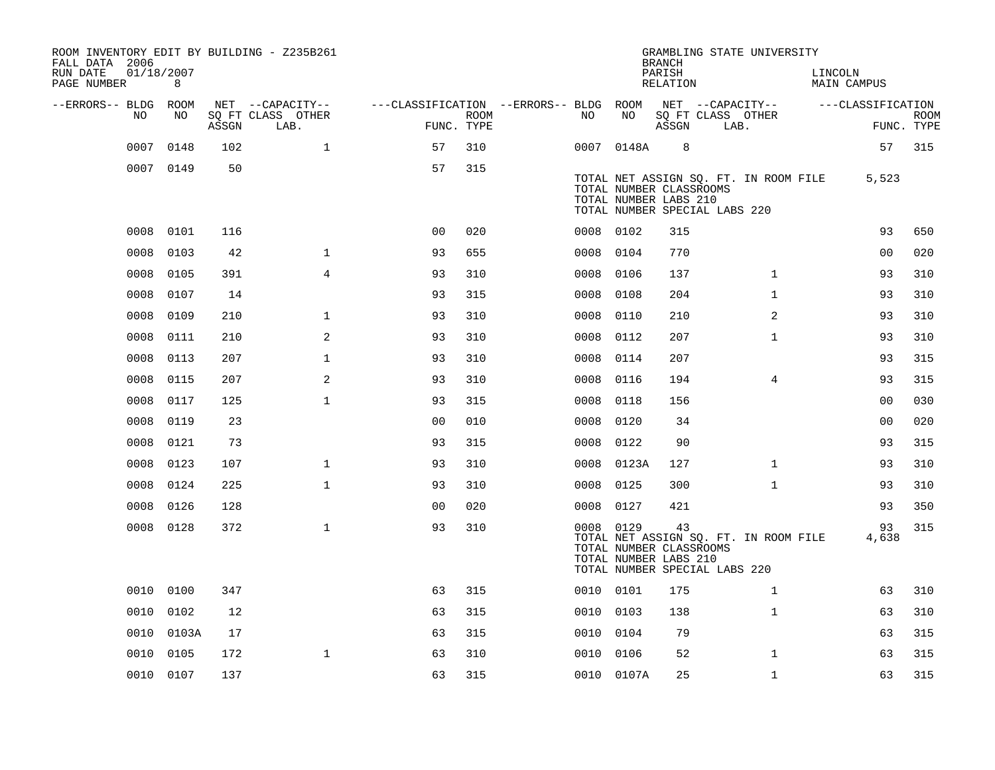| ROOM INVENTORY EDIT BY BUILDING - Z235B261<br>FALL DATA 2006 |                 |       |                           |                                        |      |           |            | <b>BRANCH</b>                                                                           |                           | GRAMBLING STATE UNIVERSITY            |         |                   |             |
|--------------------------------------------------------------|-----------------|-------|---------------------------|----------------------------------------|------|-----------|------------|-----------------------------------------------------------------------------------------|---------------------------|---------------------------------------|---------|-------------------|-------------|
| RUN DATE<br>PAGE NUMBER                                      | 01/18/2007<br>8 |       |                           |                                        |      |           |            | PARISH<br>RELATION                                                                      |                           |                                       | LINCOLN | MAIN CAMPUS       |             |
| --ERRORS-- BLDG ROOM                                         |                 |       | NET --CAPACITY--          | ---CLASSIFICATION --ERRORS-- BLDG ROOM |      |           |            | NET --CAPACITY--                                                                        |                           |                                       |         | ---CLASSIFICATION |             |
| NO                                                           | NO              | ASSGN | SQ FT CLASS OTHER<br>LAB. | FUNC. TYPE                             | ROOM | NO.       | NO         | ASSGN                                                                                   | SQ FT CLASS OTHER<br>LAB. |                                       |         | FUNC. TYPE        | <b>ROOM</b> |
| 0007                                                         | 0148            | 102   | $\mathbf{1}$              | 57                                     | 310  |           | 0007 0148A | 8                                                                                       |                           |                                       |         | 57                | 315         |
|                                                              | 0007 0149       | 50    |                           | 57                                     | 315  |           |            | TOTAL NUMBER CLASSROOMS<br>TOTAL NUMBER LABS 210<br>TOTAL NUMBER SPECIAL LABS 220       |                           | TOTAL NET ASSIGN SQ. FT. IN ROOM FILE |         | 5,523             |             |
| 0008                                                         | 0101            | 116   |                           | 0 <sub>0</sub>                         | 020  | 0008 0102 |            | 315                                                                                     |                           |                                       |         | 93                | 650         |
| 0008                                                         | 0103            | 42    | $\mathbf{1}$              | 93                                     | 655  | 0008      | 0104       | 770                                                                                     |                           |                                       |         | 00                | 020         |
| 0008                                                         | 0105            | 391   | $\overline{4}$            | 93                                     | 310  | 0008      | 0106       | 137                                                                                     |                           | $\mathbf{1}$                          |         | 93                | 310         |
| 0008                                                         | 0107            | 14    |                           | 93                                     | 315  | 0008      | 0108       | 204                                                                                     |                           | $\mathbf{1}$                          |         | 93                | 310         |
| 0008                                                         | 0109            | 210   | $\mathbf 1$               | 93                                     | 310  | 0008      | 0110       | 210                                                                                     |                           | $\overline{a}$                        |         | 93                | 310         |
| 0008                                                         | 0111            | 210   | 2                         | 93                                     | 310  | 0008      | 0112       | 207                                                                                     |                           | $\mathbf{1}$                          |         | 93                | 310         |
| 0008                                                         | 0113            | 207   | $\mathbf{1}$              | 93                                     | 310  | 0008      | 0114       | 207                                                                                     |                           |                                       |         | 93                | 315         |
| 0008                                                         | 0115            | 207   | 2                         | 93                                     | 310  | 0008      | 0116       | 194                                                                                     |                           | 4                                     |         | 93                | 315         |
| 0008                                                         | 0117            | 125   | $\mathbf 1$               | 93                                     | 315  | 0008      | 0118       | 156                                                                                     |                           |                                       |         | 00                | 030         |
| 0008                                                         | 0119            | 23    |                           | 0 <sub>0</sub>                         | 010  | 0008      | 0120       | 34                                                                                      |                           |                                       |         | 00                | 020         |
| 0008                                                         | 0121            | 73    |                           | 93                                     | 315  | 0008      | 0122       | 90                                                                                      |                           |                                       |         | 93                | 315         |
| 0008                                                         | 0123            | 107   | $\mathbf 1$               | 93                                     | 310  | 0008      | 0123A      | 127                                                                                     |                           | $\mathbf{1}$                          |         | 93                | 310         |
| 0008                                                         | 0124            | 225   | $\mathbf{1}$              | 93                                     | 310  | 0008 0125 |            | 300                                                                                     |                           | $\mathbf{1}$                          |         | 93                | 310         |
| 0008                                                         | 0126            | 128   |                           | 0 <sub>0</sub>                         | 020  | 0008      | 0127       | 421                                                                                     |                           |                                       |         | 93                | 350         |
|                                                              | 0008 0128       | 372   | $\mathbf{1}$              | 93                                     | 310  | 0008 0129 |            | 43<br>TOTAL NUMBER CLASSROOMS<br>TOTAL NUMBER LABS 210<br>TOTAL NUMBER SPECIAL LABS 220 |                           | TOTAL NET ASSIGN SQ. FT. IN ROOM FILE |         | 93<br>4,638       | 315         |
|                                                              | 0010 0100       | 347   |                           | 63                                     | 315  | 0010 0101 |            | 175                                                                                     |                           | $\mathbf{1}$                          |         | 63                | 310         |
| 0010                                                         | 0102            | 12    |                           | 63                                     | 315  | 0010 0103 |            | 138                                                                                     |                           | $\mathbf{1}$                          |         | 63                | 310         |
| 0010                                                         | 0103A           | 17    |                           | 63                                     | 315  | 0010      | 0104       | 79                                                                                      |                           |                                       |         | 63                | 315         |
| 0010                                                         | 0105            | 172   | $\mathbf{1}$              | 63                                     | 310  | 0010 0106 |            | 52                                                                                      |                           | $\mathbf{1}$                          |         | 63                | 315         |
|                                                              | 0010 0107       | 137   |                           | 63                                     | 315  |           | 0010 0107A | 25                                                                                      |                           | $\mathbf{1}$                          |         | 63                | 315         |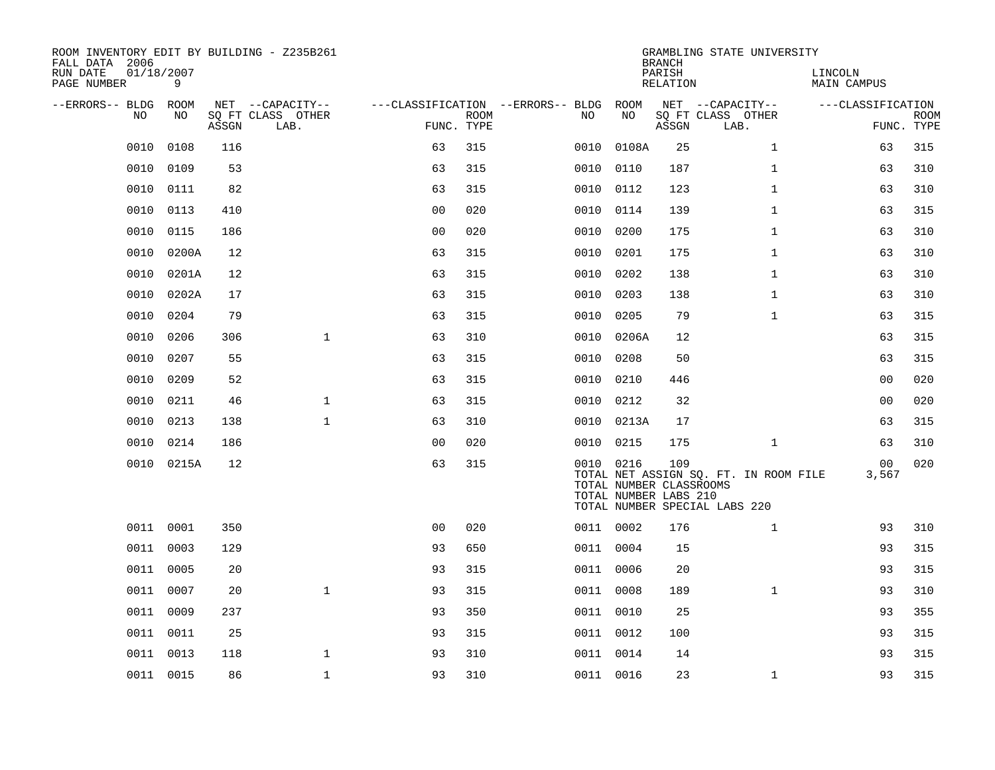| ROOM INVENTORY EDIT BY BUILDING - Z235B261<br>FALL DATA 2006 |            |       |                           |                |             |                                        |            | <b>BRANCH</b>                                           | GRAMBLING STATE UNIVERSITY                                             |                        |                           |
|--------------------------------------------------------------|------------|-------|---------------------------|----------------|-------------|----------------------------------------|------------|---------------------------------------------------------|------------------------------------------------------------------------|------------------------|---------------------------|
| RUN DATE<br>01/18/2007<br>PAGE NUMBER                        | 9          |       |                           |                |             |                                        |            | PARISH<br>RELATION                                      |                                                                        | LINCOLN<br>MAIN CAMPUS |                           |
| --ERRORS-- BLDG ROOM                                         |            |       | NET --CAPACITY--          |                |             | ---CLASSIFICATION --ERRORS-- BLDG ROOM |            |                                                         | NET --CAPACITY--                                                       | ---CLASSIFICATION      |                           |
| NO                                                           | NO         | ASSGN | SQ FT CLASS OTHER<br>LAB. | FUNC. TYPE     | <b>ROOM</b> | NO                                     | NO         | ASSGN                                                   | SQ FT CLASS OTHER<br>LAB.                                              |                        | <b>ROOM</b><br>FUNC. TYPE |
| 0010                                                         | 0108       | 116   |                           | 63             | 315         | 0010                                   | 0108A      | 25                                                      | $\mathbf{1}$                                                           | 63                     | 315                       |
| 0010                                                         | 0109       | 53    |                           | 63             | 315         | 0010                                   | 0110       | 187                                                     | $\mathbf{1}$                                                           | 63                     | 310                       |
| 0010                                                         | 0111       | 82    |                           | 63             | 315         | 0010                                   | 0112       | 123                                                     | $\mathbf{1}$                                                           | 63                     | 310                       |
| 0010                                                         | 0113       | 410   |                           | 0 <sub>0</sub> | 020         | 0010                                   | 0114       | 139                                                     | $\mathbf{1}$                                                           | 63                     | 315                       |
| 0010                                                         | 0115       | 186   |                           | 00             | 020         | 0010                                   | 0200       | 175                                                     | $\mathbf{1}$                                                           | 63                     | 310                       |
| 0010                                                         | 0200A      | 12    |                           | 63             | 315         | 0010                                   | 0201       | 175                                                     | $\mathbf{1}$                                                           | 63                     | 310                       |
| 0010                                                         | 0201A      | 12    |                           | 63             | 315         | 0010                                   | 0202       | 138                                                     | $\mathbf{1}$                                                           | 63                     | 310                       |
| 0010                                                         | 0202A      | 17    |                           | 63             | 315         |                                        | 0010 0203  | 138                                                     | $\mathbf{1}$                                                           | 63                     | 310                       |
| 0010                                                         | 0204       | 79    |                           | 63             | 315         | 0010                                   | 0205       | 79                                                      | $\mathbf{1}$                                                           | 63                     | 315                       |
| 0010                                                         | 0206       | 306   | $\mathbf 1$               | 63             | 310         |                                        | 0010 0206A | 12                                                      |                                                                        | 63                     | 315                       |
| 0010                                                         | 0207       | 55    |                           | 63             | 315         | 0010                                   | 0208       | 50                                                      |                                                                        | 63                     | 315                       |
| 0010                                                         | 0209       | 52    |                           | 63             | 315         | 0010                                   | 0210       | 446                                                     |                                                                        | 0 <sub>0</sub>         | 020                       |
| 0010                                                         | 0211       | 46    | $\mathbf 1$               | 63             | 315         | 0010                                   | 0212       | 32                                                      |                                                                        | 00                     | 020                       |
| 0010                                                         | 0213       | 138   | $\mathbf{1}$              | 63             | 310         | 0010                                   | 0213A      | 17                                                      |                                                                        | 63                     | 315                       |
| 0010                                                         | 0214       | 186   |                           | 0 <sub>0</sub> | 020         |                                        | 0010 0215  | 175                                                     | $\mathbf{1}$                                                           | 63                     | 310                       |
|                                                              | 0010 0215A | 12    |                           | 63             | 315         |                                        | 0010 0216  | 109<br>TOTAL NUMBER CLASSROOMS<br>TOTAL NUMBER LABS 210 | TOTAL NET ASSIGN SQ. FT. IN ROOM FILE<br>TOTAL NUMBER SPECIAL LABS 220 | 00<br>3,567            | 020                       |
|                                                              | 0011 0001  | 350   |                           | 0 <sub>0</sub> | 020         |                                        | 0011 0002  | 176                                                     | $\mathbf{1}$                                                           | 93                     | 310                       |
| 0011                                                         | 0003       | 129   |                           | 93             | 650         |                                        | 0011 0004  | 15                                                      |                                                                        | 93                     | 315                       |
|                                                              | 0011 0005  | 20    |                           | 93             | 315         |                                        | 0011 0006  | 20                                                      |                                                                        | 93                     | 315                       |
|                                                              | 0011 0007  | 20    | $\mathbf{1}$              | 93             | 315         |                                        | 0011 0008  | 189                                                     | $\mathbf{1}$                                                           | 93                     | 310                       |
|                                                              | 0011 0009  | 237   |                           | 93             | 350         |                                        | 0011 0010  | 25                                                      |                                                                        | 93                     | 355                       |
| 0011                                                         | 0011       | 25    |                           | 93             | 315         |                                        | 0011 0012  | 100                                                     |                                                                        | 93                     | 315                       |
|                                                              | 0011 0013  | 118   | $\mathbf 1$               | 93             | 310         |                                        | 0011 0014  | 14                                                      |                                                                        | 93                     | 315                       |
|                                                              | 0011 0015  | 86    | $\mathbf{1}$              | 93             | 310         |                                        | 0011 0016  | 23                                                      | $\mathbf{1}$                                                           | 93                     | 315                       |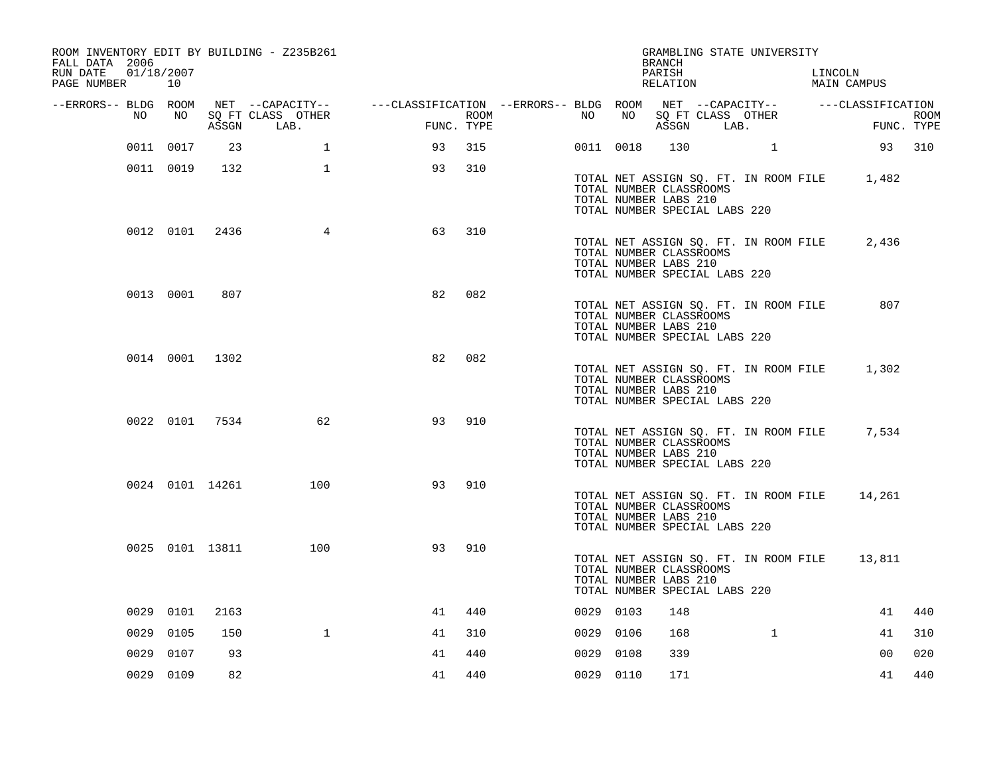| ROOM INVENTORY EDIT BY BUILDING - Z235B261<br>FALL DATA 2006<br>RUN DATE<br>01/18/2007 |           |                 |                   |                                                                                                |            |      |           |           | BRANCH<br>PARISH                                                                  | GRAMBLING STATE UNIVERSITY            | LINCOLN                                      |                    |
|----------------------------------------------------------------------------------------|-----------|-----------------|-------------------|------------------------------------------------------------------------------------------------|------------|------|-----------|-----------|-----------------------------------------------------------------------------------|---------------------------------------|----------------------------------------------|--------------------|
| PAGE NUMBER 10                                                                         |           |                 |                   |                                                                                                |            |      |           |           | RELATION                                                                          |                                       | MAIN CAMPUS                                  |                    |
| --ERRORS-- BLDG ROOM<br>NO                                                             | NO        |                 | SQ FT CLASS OTHER | NET --CAPACITY-- - ---CLASSIFICATION --ERRORS-- BLDG ROOM NET --CAPACITY-- - ---CLASSIFICATION |            |      | NO        | NO        |                                                                                   | SQ FT CLASS OTHER                     |                                              |                    |
|                                                                                        |           |                 | ASSGN LAB.        |                                                                                                | FUNC. TYPE | ROOM |           |           |                                                                                   | ASSGN LAB.                            |                                              | ROOM<br>FUNC. TYPE |
|                                                                                        | 0011 0017 | 23              | 1                 | 93                                                                                             | 315        |      |           | 0011 0018 |                                                                                   | 130 1                                 |                                              | 93 310             |
|                                                                                        | 0011 0019 | 132             | $\mathbf{1}$      | 93                                                                                             | 310        |      |           |           | TOTAL NUMBER CLASSROOMS<br>TOTAL NUMBER LABS 210<br>TOTAL NUMBER SPECIAL LABS 220 |                                       | TOTAL NET ASSIGN SQ. FT. IN ROOM FILE 1,482  |                    |
|                                                                                        |           | 0012 0101 2436  | 4                 | 63                                                                                             | 310        |      |           |           | TOTAL NUMBER CLASSROOMS<br>TOTAL NUMBER LABS 210<br>TOTAL NUMBER SPECIAL LABS 220 | TOTAL NET ASSIGN SQ. FT. IN ROOM FILE | 2,436                                        |                    |
|                                                                                        | 0013 0001 | 807             |                   | 82                                                                                             | 082        |      |           |           | TOTAL NUMBER CLASSROOMS<br>TOTAL NUMBER LABS 210<br>TOTAL NUMBER SPECIAL LABS 220 | TOTAL NET ASSIGN SQ. FT. IN ROOM FILE | 807                                          |                    |
|                                                                                        |           | 0014 0001 1302  |                   | 82                                                                                             | 082        |      |           |           | TOTAL NUMBER CLASSROOMS<br>TOTAL NUMBER LABS 210<br>TOTAL NUMBER SPECIAL LABS 220 | TOTAL NET ASSIGN SQ. FT. IN ROOM FILE | 1,302                                        |                    |
|                                                                                        |           | 0022 0101 7534  | 62                | 93                                                                                             | 910        |      |           |           | TOTAL NUMBER CLASSROOMS<br>TOTAL NUMBER LABS 210<br>TOTAL NUMBER SPECIAL LABS 220 |                                       | TOTAL NET ASSIGN SQ. FT. IN ROOM FILE 7,534  |                    |
|                                                                                        |           | 0024 0101 14261 | 100               | 93                                                                                             | 910        |      |           |           | TOTAL NUMBER CLASSROOMS<br>TOTAL NUMBER LABS 210<br>TOTAL NUMBER SPECIAL LABS 220 |                                       | TOTAL NET ASSIGN SQ. FT. IN ROOM FILE 14,261 |                    |
|                                                                                        |           | 0025 0101 13811 | 100               | 93                                                                                             | 910        |      |           |           | TOTAL NUMBER CLASSROOMS<br>TOTAL NUMBER LABS 210<br>TOTAL NUMBER SPECIAL LABS 220 |                                       | TOTAL NET ASSIGN SQ. FT. IN ROOM FILE 13,811 |                    |
|                                                                                        | 0029 0101 | 2163            |                   | 41                                                                                             | 440        |      | 0029 0103 |           | 148                                                                               |                                       | 41                                           | 440                |
|                                                                                        | 0029 0105 | 150             | $\mathbf{1}$      | 41                                                                                             | 310        |      | 0029 0106 |           | 168                                                                               | $\mathbf{1}$                          | 41                                           | 310                |
| 0029                                                                                   | 0107      | 93              |                   | 41                                                                                             | 440        |      | 0029 0108 |           | 339                                                                               |                                       | 0 <sub>0</sub>                               | 020                |
|                                                                                        | 0029 0109 | 82              |                   | 41                                                                                             | 440        |      | 0029 0110 |           | 171                                                                               |                                       | 41                                           | 440                |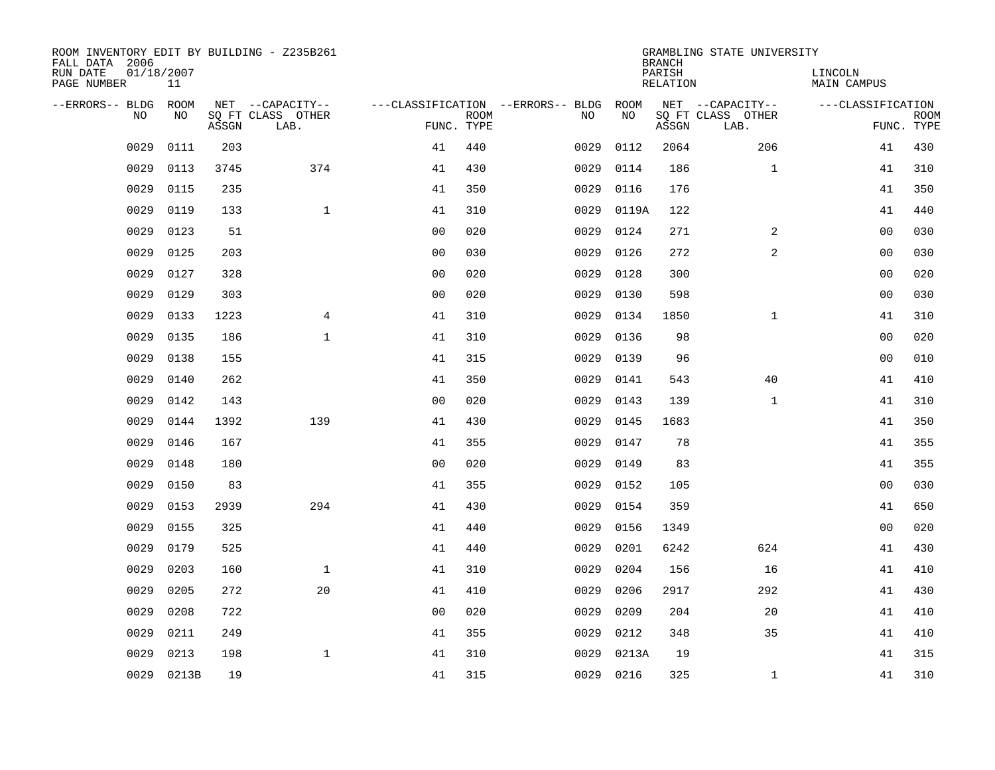| ROOM INVENTORY EDIT BY BUILDING - Z235B261<br>FALL DATA 2006 |                  |       |                           |                                   |             |      |           | <b>BRANCH</b>             | GRAMBLING STATE UNIVERSITY |                               |                           |
|--------------------------------------------------------------|------------------|-------|---------------------------|-----------------------------------|-------------|------|-----------|---------------------------|----------------------------|-------------------------------|---------------------------|
| RUN DATE<br>PAGE NUMBER                                      | 01/18/2007<br>11 |       |                           |                                   |             |      |           | PARISH<br><b>RELATION</b> |                            | LINCOLN<br><b>MAIN CAMPUS</b> |                           |
| --ERRORS-- BLDG                                              | ROOM             |       | NET --CAPACITY--          | ---CLASSIFICATION --ERRORS-- BLDG |             |      | ROOM      |                           | NET --CAPACITY--           | ---CLASSIFICATION             |                           |
| NO                                                           | NO               | ASSGN | SQ FT CLASS OTHER<br>LAB. | FUNC. TYPE                        | <b>ROOM</b> | NO   | NO        | ASSGN                     | SQ FT CLASS OTHER<br>LAB.  |                               | <b>ROOM</b><br>FUNC. TYPE |
| 0029                                                         | 0111             | 203   |                           | 41                                | 440         | 0029 | 0112      | 2064                      | 206                        | 41                            | 430                       |
| 0029                                                         | 0113             | 3745  | 374                       | 41                                | 430         | 0029 | 0114      | 186                       | $\mathbf{1}$               | 41                            | 310                       |
| 0029                                                         | 0115             | 235   |                           | 41                                | 350         | 0029 | 0116      | 176                       |                            | 41                            | 350                       |
| 0029                                                         | 0119             | 133   | $\mathbf 1$               | 41                                | 310         | 0029 | 0119A     | 122                       |                            | 41                            | 440                       |
| 0029                                                         | 0123             | 51    |                           | 0 <sub>0</sub>                    | 020         | 0029 | 0124      | 271                       | $\overline{a}$             | 0 <sub>0</sub>                | 030                       |
| 0029                                                         | 0125             | 203   |                           | 0 <sub>0</sub>                    | 030         | 0029 | 0126      | 272                       | 2                          | 0 <sub>0</sub>                | 030                       |
| 0029                                                         | 0127             | 328   |                           | 0 <sub>0</sub>                    | 020         | 0029 | 0128      | 300                       |                            | 00                            | 020                       |
| 0029                                                         | 0129             | 303   |                           | 0 <sub>0</sub>                    | 020         | 0029 | 0130      | 598                       |                            | 0 <sub>0</sub>                | 030                       |
| 0029                                                         | 0133             | 1223  | $\overline{4}$            | 41                                | 310         | 0029 | 0134      | 1850                      | $\mathbf{1}$               | 41                            | 310                       |
| 0029                                                         | 0135             | 186   | $\mathbf{1}$              | 41                                | 310         | 0029 | 0136      | 98                        |                            | 0 <sub>0</sub>                | 020                       |
| 0029                                                         | 0138             | 155   |                           | 41                                | 315         | 0029 | 0139      | 96                        |                            | 0 <sub>0</sub>                | 010                       |
| 0029                                                         | 0140             | 262   |                           | 41                                | 350         | 0029 | 0141      | 543                       | 40                         | 41                            | 410                       |
| 0029                                                         | 0142             | 143   |                           | 0 <sub>0</sub>                    | 020         | 0029 | 0143      | 139                       | $\mathbf{1}$               | 41                            | 310                       |
| 0029                                                         | 0144             | 1392  | 139                       | 41                                | 430         | 0029 | 0145      | 1683                      |                            | 41                            | 350                       |
| 0029                                                         | 0146             | 167   |                           | 41                                | 355         | 0029 | 0147      | 78                        |                            | 41                            | 355                       |
| 0029                                                         | 0148             | 180   |                           | 0 <sub>0</sub>                    | 020         | 0029 | 0149      | 83                        |                            | 41                            | 355                       |
| 0029                                                         | 0150             | 83    |                           | 41                                | 355         | 0029 | 0152      | 105                       |                            | 0 <sub>0</sub>                | 030                       |
| 0029                                                         | 0153             | 2939  | 294                       | 41                                | 430         | 0029 | 0154      | 359                       |                            | 41                            | 650                       |
| 0029                                                         | 0155             | 325   |                           | 41                                | 440         | 0029 | 0156      | 1349                      |                            | 0 <sub>0</sub>                | 020                       |
| 0029                                                         | 0179             | 525   |                           | 41                                | 440         | 0029 | 0201      | 6242                      | 624                        | 41                            | 430                       |
| 0029                                                         | 0203             | 160   | $\mathbf 1$               | 41                                | 310         | 0029 | 0204      | 156                       | 16                         | 41                            | 410                       |
| 0029                                                         | 0205             | 272   | 20                        | 41                                | 410         | 0029 | 0206      | 2917                      | 292                        | 41                            | 430                       |
| 0029                                                         | 0208             | 722   |                           | 0 <sub>0</sub>                    | 020         | 0029 | 0209      | 204                       | 20                         | 41                            | 410                       |
| 0029                                                         | 0211             | 249   |                           | 41                                | 355         | 0029 | 0212      | 348                       | 35                         | 41                            | 410                       |
| 0029                                                         | 0213             | 198   | $\mathbf 1$               | 41                                | 310         | 0029 | 0213A     | 19                        |                            | 41                            | 315                       |
|                                                              | 0029 0213B       | 19    |                           | 41                                | 315         |      | 0029 0216 | 325                       | $\mathbf{1}$               | 41                            | 310                       |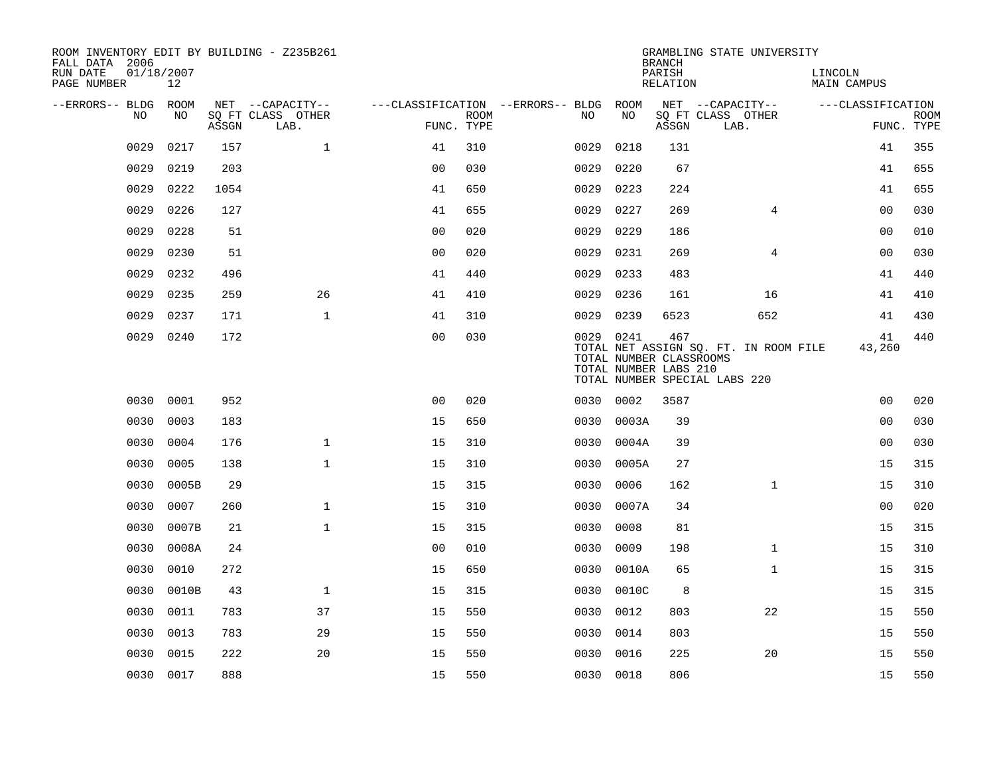| ROOM INVENTORY EDIT BY BUILDING - Z235B261<br>FALL DATA 2006 |                  |       |                           |                                        |             |           |       | <b>BRANCH</b>                                           | GRAMBLING STATE UNIVERSITY                                             |                        |                           |
|--------------------------------------------------------------|------------------|-------|---------------------------|----------------------------------------|-------------|-----------|-------|---------------------------------------------------------|------------------------------------------------------------------------|------------------------|---------------------------|
| RUN DATE<br>PAGE NUMBER                                      | 01/18/2007<br>12 |       |                           |                                        |             |           |       | PARISH<br>RELATION                                      |                                                                        | LINCOLN<br>MAIN CAMPUS |                           |
| --ERRORS-- BLDG ROOM                                         |                  |       | NET --CAPACITY--          | ---CLASSIFICATION --ERRORS-- BLDG ROOM |             |           |       |                                                         | NET --CAPACITY--                                                       | ---CLASSIFICATION      |                           |
| NO.                                                          | NO.              | ASSGN | SQ FT CLASS OTHER<br>LAB. | FUNC. TYPE                             | <b>ROOM</b> | NO.       | NO    | ASSGN                                                   | SQ FT CLASS OTHER<br>LAB.                                              |                        | <b>ROOM</b><br>FUNC. TYPE |
| 0029                                                         | 0217             | 157   | $\mathbf{1}$              | 41                                     | 310         | 0029      | 0218  | 131                                                     |                                                                        | 41                     | 355                       |
| 0029                                                         | 0219             | 203   |                           | 0 <sub>0</sub>                         | 030         | 0029      | 0220  | 67                                                      |                                                                        | 41                     | 655                       |
| 0029                                                         | 0222             | 1054  |                           | 41                                     | 650         | 0029      | 0223  | 224                                                     |                                                                        | 41                     | 655                       |
| 0029                                                         | 0226             | 127   |                           | 41                                     | 655         | 0029      | 0227  | 269                                                     | 4                                                                      | 00                     | 030                       |
| 0029                                                         | 0228             | 51    |                           | 00                                     | 020         | 0029      | 0229  | 186                                                     |                                                                        | 0 <sub>0</sub>         | 010                       |
| 0029                                                         | 0230             | 51    |                           | 0 <sub>0</sub>                         | 020         | 0029      | 0231  | 269                                                     | $\overline{4}$                                                         | 00                     | 030                       |
| 0029                                                         | 0232             | 496   |                           | 41                                     | 440         | 0029      | 0233  | 483                                                     |                                                                        | 41                     | 440                       |
| 0029                                                         | 0235             | 259   | 26                        | 41                                     | 410         | 0029      | 0236  | 161                                                     | 16                                                                     | 41                     | 410                       |
| 0029                                                         | 0237             | 171   | $\mathbf{1}$              | 41                                     | 310         | 0029      | 0239  | 6523                                                    | 652                                                                    | 41                     | 430                       |
| 0029                                                         | 0240             | 172   |                           | 0 <sub>0</sub>                         | 030         | 0029 0241 |       | 467<br>TOTAL NUMBER CLASSROOMS<br>TOTAL NUMBER LABS 210 | TOTAL NET ASSIGN SQ. FT. IN ROOM FILE<br>TOTAL NUMBER SPECIAL LABS 220 | 41<br>43,260           | 440                       |
| 0030                                                         | 0001             | 952   |                           | 0 <sub>0</sub>                         | 020         | 0030 0002 |       | 3587                                                    |                                                                        | 0 <sub>0</sub>         | 020                       |
| 0030                                                         | 0003             | 183   |                           | 15                                     | 650         | 0030      | 0003A | 39                                                      |                                                                        | 00                     | 030                       |
| 0030                                                         | 0004             | 176   | $\mathbf{1}$              | 15                                     | 310         | 0030      | 0004A | 39                                                      |                                                                        | 0 <sub>0</sub>         | 030                       |
| 0030                                                         | 0005             | 138   | $\mathbf{1}$              | 15                                     | 310         | 0030      | 0005A | 27                                                      |                                                                        | 15                     | 315                       |
| 0030                                                         | 0005B            | 29    |                           | 15                                     | 315         | 0030      | 0006  | 162                                                     | $\mathbf{1}$                                                           | 15                     | 310                       |
| 0030                                                         | 0007             | 260   | $\mathbf 1$               | 15                                     | 310         | 0030      | 0007A | 34                                                      |                                                                        | 00                     | 020                       |
| 0030                                                         | 0007B            | 21    | $\mathbf{1}$              | 15                                     | 315         | 0030      | 0008  | 81                                                      |                                                                        | 15                     | 315                       |
| 0030                                                         | 0008A            | 24    |                           | 0 <sub>0</sub>                         | 010         | 0030      | 0009  | 198                                                     | $\mathbf{1}$                                                           | 15                     | 310                       |
| 0030                                                         | 0010             | 272   |                           | 15                                     | 650         | 0030      | 0010A | 65                                                      | $\mathbf{1}$                                                           | 15                     | 315                       |
| 0030                                                         | 0010B            | 43    | $\mathbf 1$               | 15                                     | 315         | 0030      | 0010C | 8                                                       |                                                                        | 15                     | 315                       |
| 0030                                                         | 0011             | 783   | 37                        | 15                                     | 550         | 0030      | 0012  | 803                                                     | 22                                                                     | 15                     | 550                       |
| 0030                                                         | 0013             | 783   | 29                        | 15                                     | 550         | 0030      | 0014  | 803                                                     |                                                                        | 15                     | 550                       |
| 0030                                                         | 0015             | 222   | 20                        | 15                                     | 550         | 0030      | 0016  | 225                                                     | 20                                                                     | 15                     | 550                       |
|                                                              | 0030 0017        | 888   |                           | 15                                     | 550         | 0030 0018 |       | 806                                                     |                                                                        | 15                     | 550                       |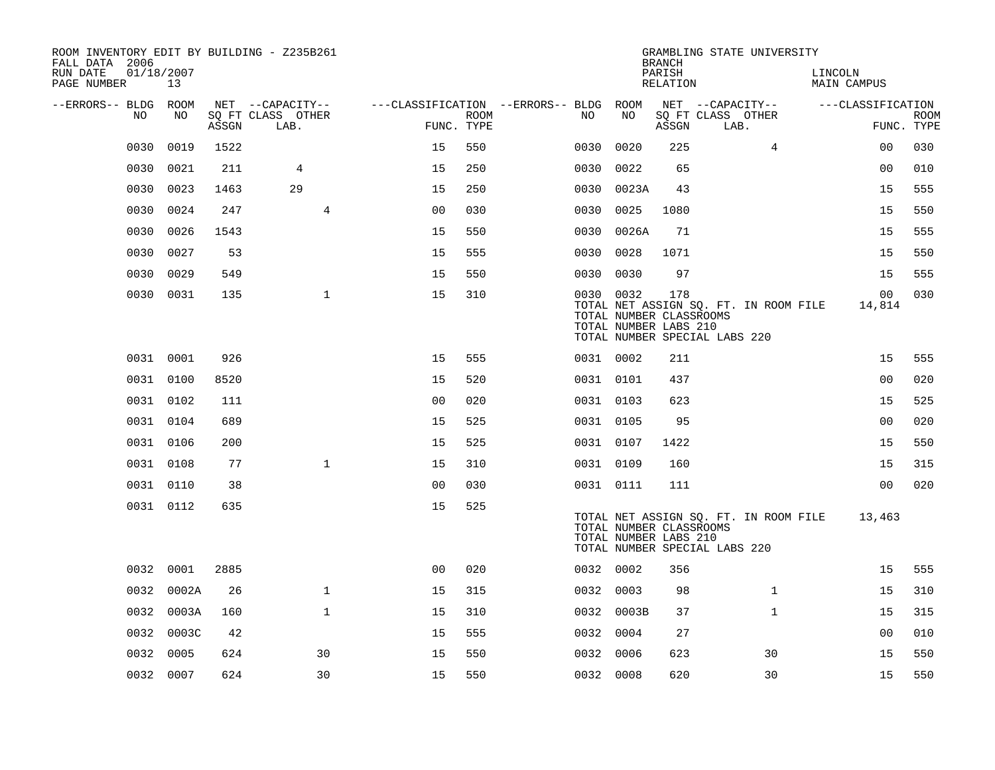| ROOM INVENTORY EDIT BY BUILDING - Z235B261<br>FALL DATA 2006 |                  |       |                           |                |             |                                        |                                                               | <b>BRANCH</b>      | GRAMBLING STATE UNIVERSITY                                             |                        |                           |
|--------------------------------------------------------------|------------------|-------|---------------------------|----------------|-------------|----------------------------------------|---------------------------------------------------------------|--------------------|------------------------------------------------------------------------|------------------------|---------------------------|
| RUN DATE<br>PAGE NUMBER                                      | 01/18/2007<br>13 |       |                           |                |             |                                        |                                                               | PARISH<br>RELATION |                                                                        | LINCOLN<br>MAIN CAMPUS |                           |
| --ERRORS-- BLDG ROOM                                         |                  |       | NET --CAPACITY--          |                |             | ---CLASSIFICATION --ERRORS-- BLDG ROOM |                                                               |                    | NET --CAPACITY--                                                       | ---CLASSIFICATION      |                           |
| NO.                                                          | NO               | ASSGN | SQ FT CLASS OTHER<br>LAB. | FUNC. TYPE     | <b>ROOM</b> | NO.                                    | NO                                                            | ASSGN              | SQ FT CLASS OTHER<br>LAB.                                              |                        | <b>ROOM</b><br>FUNC. TYPE |
| 0030                                                         | 0019             | 1522  |                           | 15             | 550         | 0030                                   | 0020                                                          | 225                | 4                                                                      | 0 <sub>0</sub>         | 030                       |
| 0030                                                         | 0021             | 211   | 4                         | 15             | 250         | 0030                                   | 0022                                                          | 65                 |                                                                        | 0 <sub>0</sub>         | 010                       |
| 0030                                                         | 0023             | 1463  | 29                        | 15             | 250         | 0030                                   | 0023A                                                         | 43                 |                                                                        | 15                     | 555                       |
| 0030                                                         | 0024             | 247   | 4                         | 0 <sub>0</sub> | 030         | 0030                                   | 0025                                                          | 1080               |                                                                        | 15                     | 550                       |
| 0030                                                         | 0026             | 1543  |                           | 15             | 550         | 0030                                   | 0026A                                                         | 71                 |                                                                        | 15                     | 555                       |
| 0030                                                         | 0027             | 53    |                           | 15             | 555         | 0030                                   | 0028                                                          | 1071               |                                                                        | 15                     | 550                       |
| 0030                                                         | 0029             | 549   |                           | 15             | 550         |                                        | 0030 0030                                                     | 97                 |                                                                        | 15                     | 555                       |
|                                                              | 0030 0031        | 135   | $\mathbf{1}$              | 15             | 310         |                                        | 0030 0032<br>TOTAL NUMBER CLASSROOMS<br>TOTAL NUMBER LABS 210 | 178                | TOTAL NET ASSIGN SQ. FT. IN ROOM FILE<br>TOTAL NUMBER SPECIAL LABS 220 | 00<br>14,814           | 030                       |
|                                                              | 0031 0001        | 926   |                           | 15             | 555         |                                        | 0031 0002                                                     | 211                |                                                                        | 15                     | 555                       |
|                                                              | 0031 0100        | 8520  |                           | 15             | 520         |                                        | 0031 0101                                                     | 437                |                                                                        | 0 <sub>0</sub>         | 020                       |
|                                                              | 0031 0102        | 111   |                           | 0 <sub>0</sub> | 020         |                                        | 0031 0103                                                     | 623                |                                                                        | 15                     | 525                       |
|                                                              | 0031 0104        | 689   |                           | 15             | 525         |                                        | 0031 0105                                                     | 95                 |                                                                        | 0 <sub>0</sub>         | 020                       |
|                                                              | 0031 0106        | 200   |                           | 15             | 525         |                                        | 0031 0107                                                     | 1422               |                                                                        | 15                     | 550                       |
|                                                              | 0031 0108        | 77    | $\mathbf{1}$              | 15             | 310         |                                        | 0031 0109                                                     | 160                |                                                                        | 15                     | 315                       |
|                                                              | 0031 0110        | 38    |                           | 0 <sub>0</sub> | 030         |                                        | 0031 0111                                                     | 111                |                                                                        | 0 <sub>0</sub>         | 020                       |
|                                                              | 0031 0112        | 635   |                           | 15             | 525         |                                        | TOTAL NUMBER CLASSROOMS<br>TOTAL NUMBER LABS 210              |                    | TOTAL NET ASSIGN SQ. FT. IN ROOM FILE<br>TOTAL NUMBER SPECIAL LABS 220 | 13,463                 |                           |
|                                                              | 0032 0001        | 2885  |                           | 0 <sub>0</sub> | 020         |                                        | 0032 0002                                                     | 356                |                                                                        | 15                     | 555                       |
| 0032                                                         | 0002A            | 26    | $\mathbf{1}$              | 15             | 315         |                                        | 0032 0003                                                     | 98                 | $\mathbf{1}$                                                           | 15                     | 310                       |
| 0032                                                         | 0003A            | 160   | $\mathbf{1}$              | 15             | 310         |                                        | 0032 0003B                                                    | 37                 | $\mathbf{1}$                                                           | 15                     | 315                       |
|                                                              | 0032 0003C       | 42    |                           | 15             | 555         | 0032                                   | 0004                                                          | 27                 |                                                                        | 0 <sub>0</sub>         | 010                       |
| 0032                                                         | 0005             | 624   | 30                        | 15             | 550         | 0032                                   | 0006                                                          | 623                | 30                                                                     | 15                     | 550                       |
|                                                              | 0032 0007        | 624   | 30                        | 15             | 550         |                                        | 0032 0008                                                     | 620                | 30                                                                     | 15                     | 550                       |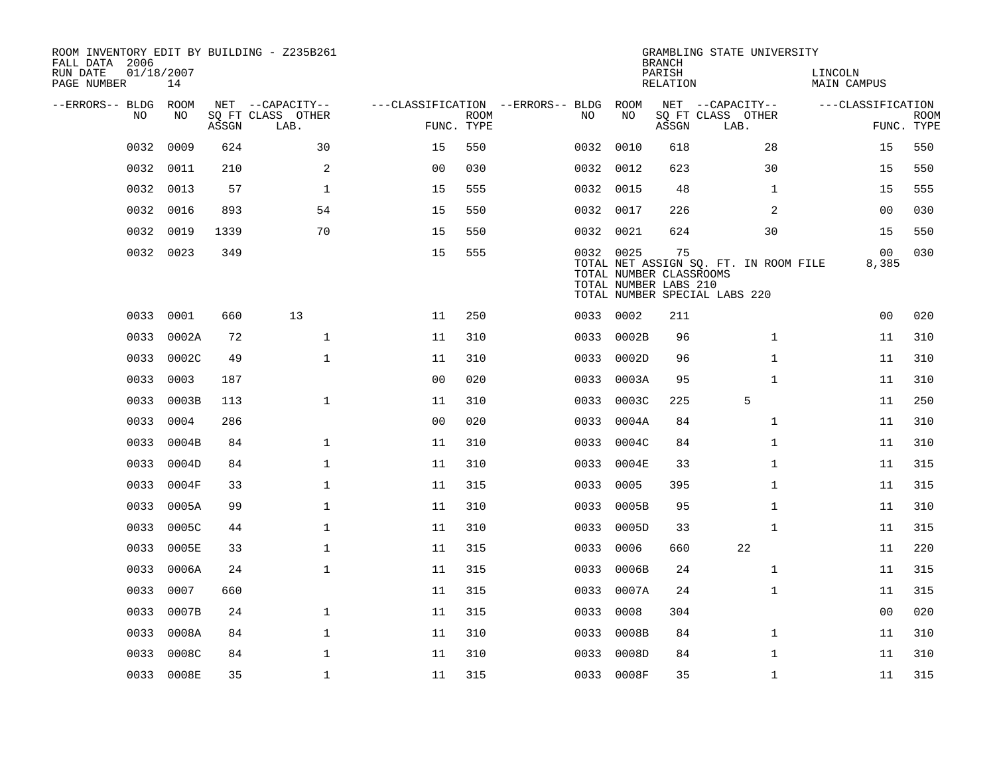| ROOM INVENTORY EDIT BY BUILDING - Z235B261<br>FALL DATA 2006<br>RUN DATE | 01/18/2007  |       |                                       |                                   |             |           |            | <b>BRANCH</b><br>PARISH                                | GRAMBLING STATE UNIVERSITY                                             | LINCOLN            |             |
|--------------------------------------------------------------------------|-------------|-------|---------------------------------------|-----------------------------------|-------------|-----------|------------|--------------------------------------------------------|------------------------------------------------------------------------|--------------------|-------------|
| PAGE NUMBER                                                              | 14          |       |                                       |                                   |             |           |            | <b>RELATION</b>                                        |                                                                        | <b>MAIN CAMPUS</b> |             |
| --ERRORS-- BLDG<br>N <sub>O</sub>                                        | ROOM<br>NO. |       | NET --CAPACITY--<br>SO FT CLASS OTHER | ---CLASSIFICATION --ERRORS-- BLDG | <b>ROOM</b> | NO.       | ROOM<br>NO |                                                        | NET --CAPACITY--<br>SQ FT CLASS OTHER                                  | ---CLASSIFICATION  | <b>ROOM</b> |
|                                                                          |             | ASSGN | LAB.                                  | FUNC. TYPE                        |             |           |            | ASSGN                                                  | LAB.                                                                   |                    | FUNC. TYPE  |
| 0032                                                                     | 0009        | 624   | 30                                    | 15                                | 550         | 0032      | 0010       | 618                                                    | 28                                                                     | 15                 | 550         |
| 0032                                                                     | 0011        | 210   | 2                                     | 0 <sub>0</sub>                    | 030         | 0032 0012 |            | 623                                                    | 30                                                                     | 15                 | 550         |
| 0032                                                                     | 0013        | 57    | $\mathbf{1}$                          | 15                                | 555         |           | 0032 0015  | 48                                                     | $\mathbf{1}$                                                           | 15                 | 555         |
| 0032                                                                     | 0016        | 893   | 54                                    | 15                                | 550         |           | 0032 0017  | 226                                                    | 2                                                                      | 0 <sub>0</sub>     | 030         |
| 0032                                                                     | 0019        | 1339  | 70                                    | 15                                | 550         | 0032      | 0021       | 624                                                    | 30                                                                     | 15                 | 550         |
| 0032                                                                     | 0023        | 349   |                                       | 15                                | 555         |           | 0032 0025  | 75<br>TOTAL NUMBER CLASSROOMS<br>TOTAL NUMBER LABS 210 | TOTAL NET ASSIGN SQ. FT. IN ROOM FILE<br>TOTAL NUMBER SPECIAL LABS 220 | 00<br>8,385        | 030         |
| 0033                                                                     | 0001        | 660   | 13                                    | 11                                | 250         |           | 0033 0002  | 211                                                    |                                                                        | 0 <sub>0</sub>     | 020         |
| 0033                                                                     | 0002A       | 72    | $\mathbf{1}$                          | 11                                | 310         | 0033      | 0002B      | 96                                                     | $\mathbf{1}$                                                           | 11                 | 310         |
| 0033                                                                     | 0002C       | 49    | $\mathbf{1}$                          | 11                                | 310         | 0033      | 0002D      | 96                                                     | $\mathbf{1}$                                                           | 11                 | 310         |
| 0033                                                                     | 0003        | 187   |                                       | 0 <sub>0</sub>                    | 020         | 0033      | 0003A      | 95                                                     | $\mathbf{1}$                                                           | 11                 | 310         |
| 0033                                                                     | 0003B       | 113   | $\mathbf{1}$                          | 11                                | 310         | 0033      | 0003C      | 225                                                    | 5                                                                      | 11                 | 250         |
| 0033                                                                     | 0004        | 286   |                                       | 0 <sub>0</sub>                    | 020         | 0033      | 0004A      | 84                                                     | $\mathbf{1}$                                                           | 11                 | 310         |
| 0033                                                                     | 0004B       | 84    | $\mathbf 1$                           | 11                                | 310         | 0033      | 0004C      | 84                                                     | $\mathbf{1}$                                                           | 11                 | 310         |
| 0033                                                                     | 0004D       | 84    | $\mathbf 1$                           | 11                                | 310         | 0033      | 0004E      | 33                                                     | $\mathbf{1}$                                                           | 11                 | 315         |
| 0033                                                                     | 0004F       | 33    | $\mathbf{1}$                          | 11                                | 315         | 0033      | 0005       | 395                                                    | $\mathbf{1}$                                                           | 11                 | 315         |
| 0033                                                                     | 0005A       | 99    | $\mathbf{1}$                          | 11                                | 310         | 0033      | 0005B      | 95                                                     | $\mathbf{1}$                                                           | 11                 | 310         |
| 0033                                                                     | 0005C       | 44    | $\mathbf{1}$                          | 11                                | 310         | 0033      | 0005D      | 33                                                     | $\mathbf{1}$                                                           | 11                 | 315         |
| 0033                                                                     | 0005E       | 33    | $\mathbf 1$                           | 11                                | 315         | 0033      | 0006       | 660                                                    | 22                                                                     | 11                 | 220         |
| 0033                                                                     | 0006A       | 24    | $\mathbf{1}$                          | 11                                | 315         | 0033      | 0006B      | 24                                                     | $\mathbf{1}$                                                           | 11                 | 315         |
| 0033                                                                     | 0007        | 660   |                                       | 11                                | 315         | 0033      | 0007A      | 24                                                     | $\mathbf{1}$                                                           | 11                 | 315         |
| 0033                                                                     | 0007B       | 24    | $\mathbf{1}$                          | 11                                | 315         | 0033      | 0008       | 304                                                    |                                                                        | 0 <sub>0</sub>     | 020         |
| 0033                                                                     | 0008A       | 84    | $\mathbf{1}$                          | 11                                | 310         | 0033      | 0008B      | 84                                                     | $\mathbf{1}$                                                           | 11                 | 310         |
| 0033                                                                     | 0008C       | 84    | $\mathbf{1}$                          | 11                                | 310         | 0033      | 0008D      | 84                                                     | $\mathbf{1}$                                                           | 11                 | 310         |
|                                                                          | 0033 0008E  | 35    | $\mathbf 1$                           | 11                                | 315         |           | 0033 0008F | 35                                                     | $\mathbf{1}$                                                           | 11                 | 315         |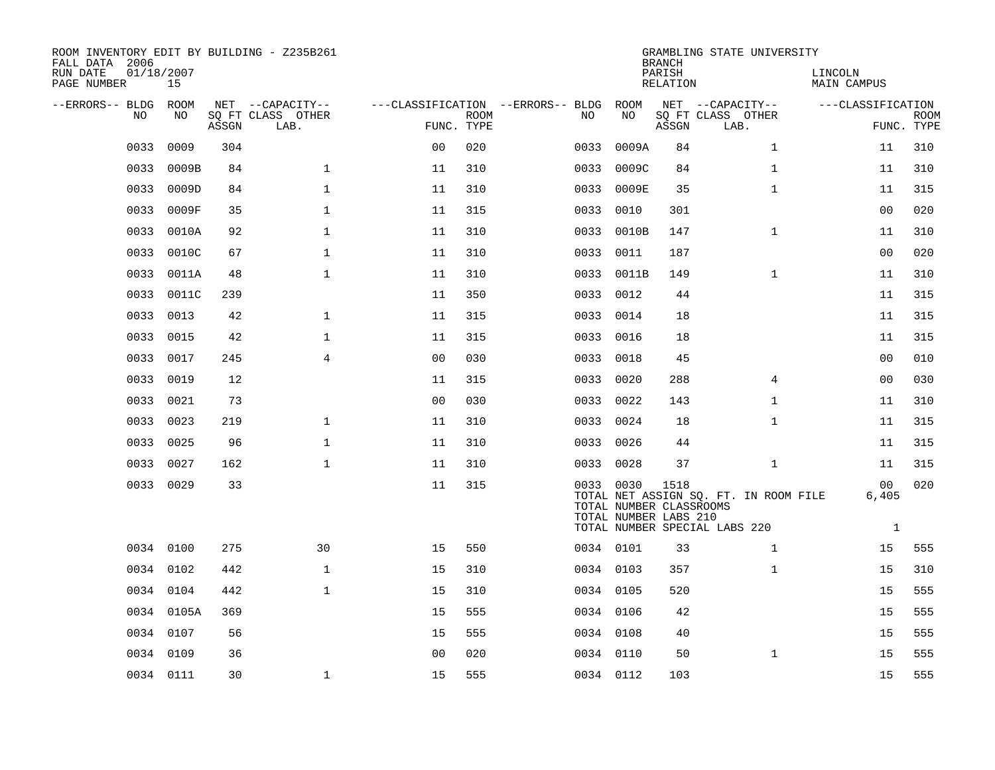| ROOM INVENTORY EDIT BY BUILDING - Z235B261<br>FALL DATA 2006<br>RUN DATE<br>PAGE NUMBER | 01/18/2007<br>15 |       |                                       |                |             |                                          |                                                               | <b>BRANCH</b><br>PARISH<br>RELATION | GRAMBLING STATE UNIVERSITY                                             | LINCOLN<br>MAIN CAMPUS                  |             |
|-----------------------------------------------------------------------------------------|------------------|-------|---------------------------------------|----------------|-------------|------------------------------------------|---------------------------------------------------------------|-------------------------------------|------------------------------------------------------------------------|-----------------------------------------|-------------|
| --ERRORS-- BLDG<br>NO.                                                                  | ROOM<br>NO.      |       | NET --CAPACITY--<br>SO FT CLASS OTHER |                | <b>ROOM</b> | ---CLASSIFICATION --ERRORS-- BLDG<br>NO. | ROOM<br>NO                                                    |                                     | NET --CAPACITY--<br>SQ FT CLASS OTHER                                  | ---CLASSIFICATION                       | <b>ROOM</b> |
|                                                                                         |                  | ASSGN | LAB.                                  | FUNC. TYPE     |             |                                          |                                                               | ASSGN                               | LAB.                                                                   |                                         | FUNC. TYPE  |
| 0033                                                                                    | 0009             | 304   |                                       | 0 <sub>0</sub> | 020         | 0033                                     | 0009A                                                         | 84                                  | $\mathbf{1}$                                                           | 11                                      | 310         |
| 0033                                                                                    | 0009B            | 84    | $\mathbf{1}$                          | 11             | 310         | 0033                                     | 0009C                                                         | 84                                  | $\mathbf{1}$                                                           | 11                                      | 310         |
| 0033                                                                                    | 0009D            | 84    | $\mathbf 1$                           | 11             | 310         | 0033                                     | 0009E                                                         | 35                                  | $\mathbf{1}$                                                           | 11                                      | 315         |
| 0033                                                                                    | 0009F            | 35    | $\mathbf 1$                           | 11             | 315         | 0033                                     | 0010                                                          | 301                                 |                                                                        | 00                                      | 020         |
| 0033                                                                                    | 0010A            | 92    | $\mathbf 1$                           | 11             | 310         | 0033                                     | 0010B                                                         | 147                                 | $\mathbf{1}$                                                           | 11                                      | 310         |
| 0033                                                                                    | 0010C            | 67    | $\mathbf{1}$                          | 11             | 310         | 0033                                     | 0011                                                          | 187                                 |                                                                        | 0 <sub>0</sub>                          | 020         |
| 0033                                                                                    | 0011A            | 48    | $\mathbf{1}$                          | 11             | 310         | 0033                                     | 0011B                                                         | 149                                 | $\mathbf{1}$                                                           | 11                                      | 310         |
| 0033                                                                                    | 0011C            | 239   |                                       | 11             | 350         | 0033                                     | 0012                                                          | 44                                  |                                                                        | 11                                      | 315         |
| 0033                                                                                    | 0013             | 42    | $\mathbf 1$                           | 11             | 315         | 0033                                     | 0014                                                          | 18                                  |                                                                        | 11                                      | 315         |
| 0033                                                                                    | 0015             | 42    | $\mathbf 1$                           | 11             | 315         | 0033                                     | 0016                                                          | 18                                  |                                                                        | 11                                      | 315         |
| 0033                                                                                    | 0017             | 245   | $\overline{4}$                        | 0 <sub>0</sub> | 030         | 0033                                     | 0018                                                          | 45                                  |                                                                        | 0 <sub>0</sub>                          | 010         |
| 0033                                                                                    | 0019             | 12    |                                       | 11             | 315         | 0033                                     | 0020                                                          | 288                                 | $\overline{4}$                                                         | 0 <sub>0</sub>                          | 030         |
| 0033                                                                                    | 0021             | 73    |                                       | 0 <sub>0</sub> | 030         | 0033                                     | 0022                                                          | 143                                 | $\mathbf{1}$                                                           | 11                                      | 310         |
| 0033                                                                                    | 0023             | 219   | $\mathbf 1$                           | 11             | 310         | 0033                                     | 0024                                                          | 18                                  | $\mathbf{1}$                                                           | 11                                      | 315         |
| 0033                                                                                    | 0025             | 96    | $\mathbf 1$                           | 11             | 310         | 0033                                     | 0026                                                          | 44                                  |                                                                        | 11                                      | 315         |
| 0033                                                                                    | 0027             | 162   | $\mathbf{1}$                          | 11             | 310         |                                          | 0033 0028                                                     | 37                                  | $\mathbf{1}$                                                           | 11                                      | 315         |
|                                                                                         | 0033 0029        | 33    |                                       | 11             | 315         |                                          | 0033 0030<br>TOTAL NUMBER CLASSROOMS<br>TOTAL NUMBER LABS 210 | 1518                                | TOTAL NET ASSIGN SQ. FT. IN ROOM FILE<br>TOTAL NUMBER SPECIAL LABS 220 | 0 <sub>0</sub><br>6,405<br>$\mathbf{1}$ | 020         |
|                                                                                         | 0034 0100        | 275   | 30                                    | 15             | 550         |                                          | 0034 0101                                                     | 33                                  | $\mathbf{1}$                                                           | 15                                      | 555         |
|                                                                                         | 0034 0102        | 442   | $\mathbf{1}$                          | 15             | 310         |                                          | 0034 0103                                                     | 357                                 | $\mathbf{1}$                                                           | 15                                      | 310         |
|                                                                                         | 0034 0104        | 442   | $\mathbf 1$                           | 15             | 310         |                                          | 0034 0105                                                     | 520                                 |                                                                        | 15                                      | 555         |
|                                                                                         | 0034 0105A       | 369   |                                       | 15             | 555         |                                          | 0034 0106                                                     | 42                                  |                                                                        | 15                                      | 555         |
| 0034                                                                                    | 0107             | 56    |                                       | 15             | 555         |                                          | 0034 0108                                                     | 40                                  |                                                                        | 15                                      | 555         |
| 0034                                                                                    | 0109             | 36    |                                       | 0 <sub>0</sub> | 020         |                                          | 0034 0110                                                     | 50                                  | $\mathbf{1}$                                                           | 15                                      | 555         |
|                                                                                         | 0034 0111        | 30    | $\mathbf{1}$                          | 15             | 555         |                                          | 0034 0112                                                     | 103                                 |                                                                        | 15                                      | 555         |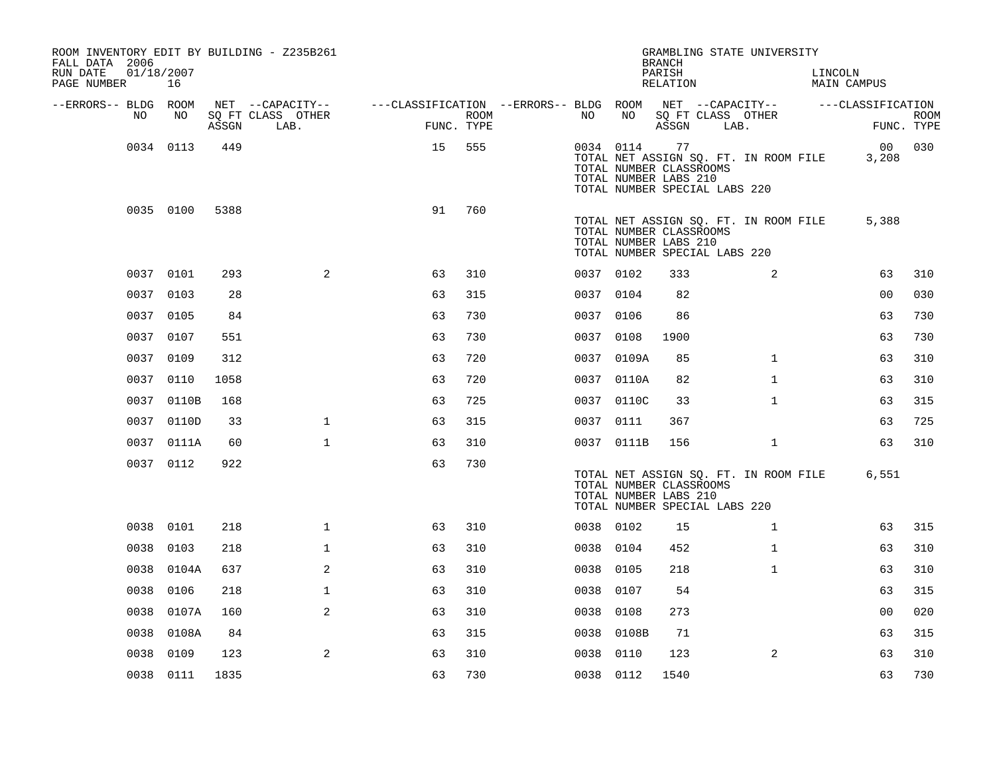| ROOM INVENTORY EDIT BY BUILDING - Z235B261<br>FALL DATA 2006<br>RUN DATE<br>PAGE NUMBER | 01/18/2007<br>16 |       |                                       |                                        |            |           |            | <b>BRANCH</b><br>PARISH<br>RELATION                                                     | GRAMBLING STATE UNIVERSITY            | LINCOLN<br>MAIN CAMPUS |                       |
|-----------------------------------------------------------------------------------------|------------------|-------|---------------------------------------|----------------------------------------|------------|-----------|------------|-----------------------------------------------------------------------------------------|---------------------------------------|------------------------|-----------------------|
| --ERRORS-- BLDG ROOM<br>NO.                                                             | NO               |       | NET --CAPACITY--<br>SO FT CLASS OTHER | ---CLASSIFICATION --ERRORS-- BLDG ROOM | ROOM       | NO        | NO         | SQ FT CLASS OTHER                                                                       | NET --CAPACITY--                      | ---CLASSIFICATION      | <b>ROOM</b>           |
|                                                                                         |                  | ASSGN | LAB.                                  |                                        | FUNC. TYPE |           |            | ASSGN                                                                                   | LAB.                                  |                        | FUNC. TYPE            |
|                                                                                         | 0034 0113        | 449   |                                       | 15                                     | 555        |           | 0034 0114  | 77<br>TOTAL NUMBER CLASSROOMS<br>TOTAL NUMBER LABS 210<br>TOTAL NUMBER SPECIAL LABS 220 | TOTAL NET ASSIGN SQ. FT. IN ROOM FILE |                        | 00 030<br>3,208       |
|                                                                                         | 0035 0100        | 5388  |                                       | 91                                     | 760        |           |            | TOTAL NUMBER CLASSROOMS<br>TOTAL NUMBER LABS 210<br>TOTAL NUMBER SPECIAL LABS 220       | TOTAL NET ASSIGN SQ. FT. IN ROOM FILE |                        | 5,388                 |
|                                                                                         | 0037 0101        | 293   | 2                                     | 63                                     | 310        | 0037 0102 |            | 333                                                                                     | 2                                     |                        | 63<br>310             |
|                                                                                         | 0037 0103        | 28    |                                       | 63                                     | 315        | 0037 0104 |            | 82                                                                                      |                                       |                        | 0 <sub>0</sub><br>030 |
|                                                                                         | 0037 0105        | 84    |                                       | 63                                     | 730        | 0037      | 0106       | 86                                                                                      |                                       |                        | 730<br>63             |
|                                                                                         | 0037 0107        | 551   |                                       | 63                                     | 730        | 0037 0108 |            | 1900                                                                                    |                                       |                        | 63<br>730             |
|                                                                                         | 0037 0109        | 312   |                                       | 63                                     | 720        |           | 0037 0109A | 85                                                                                      | $\mathbf{1}$                          |                        | 63<br>310             |
|                                                                                         | 0037 0110        | 1058  |                                       | 63                                     | 720        |           | 0037 0110A | 82                                                                                      | $\mathbf{1}$                          |                        | 63<br>310             |
|                                                                                         | 0037 0110B       | 168   |                                       | 63                                     | 725        |           | 0037 0110C | 33                                                                                      | $\mathbf{1}$                          |                        | 315<br>63             |
|                                                                                         | 0037 0110D       | 33    | $\mathbf 1$                           | 63                                     | 315        | 0037 0111 |            | 367                                                                                     |                                       |                        | 725<br>63             |
|                                                                                         | 0037 0111A       | 60    | $\mathbf{1}$                          | 63                                     | 310        |           | 0037 0111B | 156                                                                                     | $\mathbf{1}$                          |                        | 310<br>63             |
|                                                                                         | 0037 0112        | 922   |                                       | 63                                     | 730        |           |            | TOTAL NUMBER CLASSROOMS<br>TOTAL NUMBER LABS 210<br>TOTAL NUMBER SPECIAL LABS 220       | TOTAL NET ASSIGN SQ. FT. IN ROOM FILE |                        | 6,551                 |
| 0038                                                                                    | 0101             | 218   | $\mathbf 1$                           | 63                                     | 310        | 0038 0102 |            | 15                                                                                      | $\mathbf{1}$                          |                        | 63<br>315             |
| 0038                                                                                    | 0103             | 218   | $\mathbf{1}$                          | 63                                     | 310        | 0038 0104 |            | 452                                                                                     | $\mathbf{1}$                          |                        | 63<br>310             |
| 0038                                                                                    | 0104A            | 637   | 2                                     | 63                                     | 310        | 0038 0105 |            | 218                                                                                     | $\mathbf{1}$                          |                        | 63<br>310             |
| 0038                                                                                    | 0106             | 218   | $\mathbf{1}$                          | 63                                     | 310        | 0038      | 0107       | 54                                                                                      |                                       |                        | 63<br>315             |
| 0038                                                                                    | 0107A            | 160   | 2                                     | 63                                     | 310        | 0038 0108 |            | 273                                                                                     |                                       |                        | 020<br>00             |
| 0038                                                                                    | 0108A            | 84    |                                       | 63                                     | 315        | 0038      | 0108B      | 71                                                                                      |                                       |                        | 63<br>315             |
| 0038                                                                                    | 0109             | 123   | 2                                     | 63                                     | 310        | 0038      | 0110       | 123                                                                                     | 2                                     |                        | 63<br>310             |
|                                                                                         | 0038 0111        | 1835  |                                       | 63                                     | 730        | 0038 0112 |            | 1540                                                                                    |                                       |                        | 63<br>730             |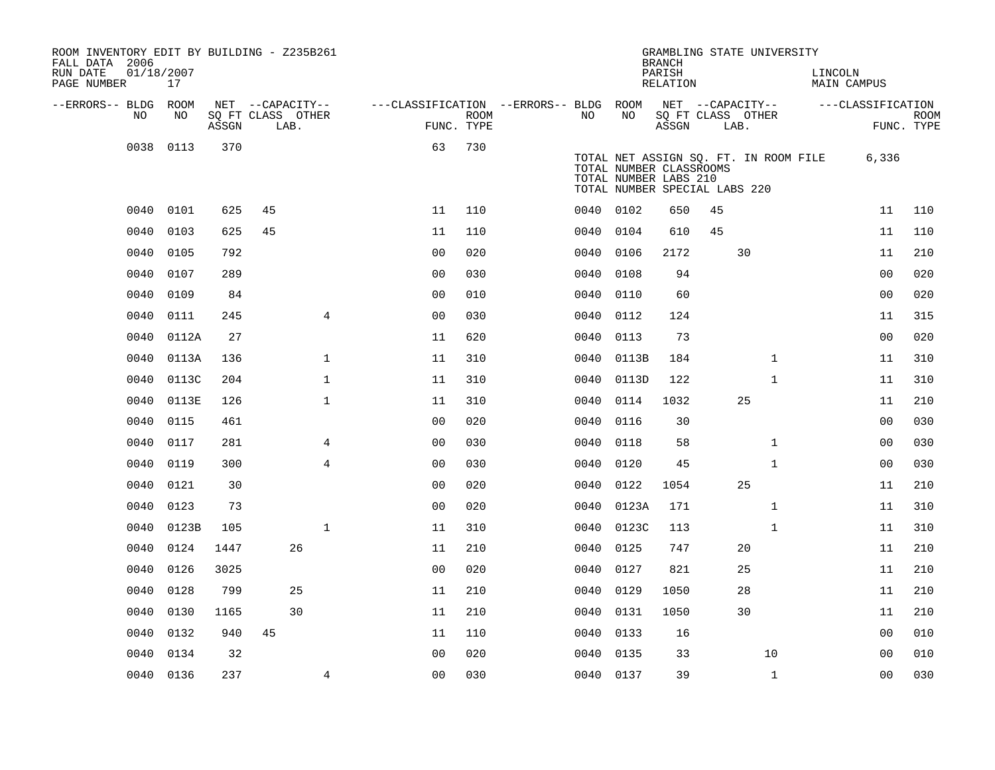| ROOM INVENTORY EDIT BY BUILDING - Z235B261<br>FALL DATA 2006 |                  |       |    |                           |                                        |             |           |                                                                                   | <b>BRANCH</b>      |      | GRAMBLING STATE UNIVERSITY            |         |                   |                           |
|--------------------------------------------------------------|------------------|-------|----|---------------------------|----------------------------------------|-------------|-----------|-----------------------------------------------------------------------------------|--------------------|------|---------------------------------------|---------|-------------------|---------------------------|
| RUN DATE<br>PAGE NUMBER                                      | 01/18/2007<br>17 |       |    |                           |                                        |             |           |                                                                                   | PARISH<br>RELATION |      |                                       | LINCOLN | MAIN CAMPUS       |                           |
| --ERRORS-- BLDG ROOM                                         |                  |       |    | NET --CAPACITY--          | ---CLASSIFICATION --ERRORS-- BLDG ROOM |             |           |                                                                                   |                    |      | NET --CAPACITY--                      |         | ---CLASSIFICATION |                           |
| NO.                                                          | NO               | ASSGN |    | SQ FT CLASS OTHER<br>LAB. | FUNC. TYPE                             | <b>ROOM</b> | NO.       | NO                                                                                | ASSGN              | LAB. | SQ FT CLASS OTHER                     |         |                   | <b>ROOM</b><br>FUNC. TYPE |
| 0038                                                         | 0113             | 370   |    |                           | 63                                     | 730         |           |                                                                                   |                    |      |                                       |         |                   |                           |
|                                                              |                  |       |    |                           |                                        |             |           | TOTAL NUMBER CLASSROOMS<br>TOTAL NUMBER LABS 210<br>TOTAL NUMBER SPECIAL LABS 220 |                    |      | TOTAL NET ASSIGN SQ. FT. IN ROOM FILE |         | 6,336             |                           |
| 0040                                                         | 0101             | 625   | 45 |                           | 11                                     | 110         | 0040 0102 |                                                                                   | 650                | 45   |                                       |         | 11                | 110                       |
| 0040                                                         | 0103             | 625   | 45 |                           | 11                                     | 110         | 0040      | 0104                                                                              | 610                | 45   |                                       |         | 11                | 110                       |
| 0040                                                         | 0105             | 792   |    |                           | 0 <sub>0</sub>                         | 020         | 0040      | 0106                                                                              | 2172               |      | 30                                    |         | 11                | 210                       |
| 0040                                                         | 0107             | 289   |    |                           | 0 <sub>0</sub>                         | 030         | 0040      | 0108                                                                              | 94                 |      |                                       |         | 00                | 020                       |
| 0040                                                         | 0109             | 84    |    |                           | 0 <sub>0</sub>                         | 010         | 0040      | 0110                                                                              | 60                 |      |                                       |         | 0 <sub>0</sub>    | 020                       |
| 0040                                                         | 0111             | 245   |    | $\overline{4}$            | 0 <sub>0</sub>                         | 030         | 0040      | 0112                                                                              | 124                |      |                                       |         | 11                | 315                       |
| 0040                                                         | 0112A            | 27    |    |                           | 11                                     | 620         | 0040      | 0113                                                                              | 73                 |      |                                       |         | 0 <sub>0</sub>    | 020                       |
| 0040                                                         | 0113A            | 136   |    | $\mathbf{1}$              | 11                                     | 310         | 0040      | 0113B                                                                             | 184                |      | $\mathbf{1}$                          |         | 11                | 310                       |
| 0040                                                         | 0113C            | 204   |    | $\mathbf{1}$              | 11                                     | 310         | 0040      | 0113D                                                                             | 122                |      | $\mathbf{1}$                          |         | 11                | 310                       |
| 0040                                                         | 0113E            | 126   |    | $\mathbf{1}$              | 11                                     | 310         | 0040      | 0114                                                                              | 1032               |      | 25                                    |         | 11                | 210                       |
| 0040                                                         | 0115             | 461   |    |                           | 0 <sub>0</sub>                         | 020         | 0040      | 0116                                                                              | 30                 |      |                                       |         | 00                | 030                       |
| 0040                                                         | 0117             | 281   |    | 4                         | 0 <sub>0</sub>                         | 030         | 0040      | 0118                                                                              | 58                 |      | $\mathbf{1}$                          |         | 0 <sub>0</sub>    | 030                       |
| 0040                                                         | 0119             | 300   |    | $\overline{4}$            | 0 <sub>0</sub>                         | 030         | 0040      | 0120                                                                              | 45                 |      | $\mathbf{1}$                          |         | 0 <sub>0</sub>    | 030                       |
| 0040                                                         | 0121             | 30    |    |                           | 0 <sub>0</sub>                         | 020         | 0040      | 0122                                                                              | 1054               |      | 25                                    |         | 11                | 210                       |
| 0040                                                         | 0123             | 73    |    |                           | 0 <sub>0</sub>                         | 020         | 0040      | 0123A                                                                             | 171                |      | $\mathbf{1}$                          |         | 11                | 310                       |
| 0040                                                         | 0123B            | 105   |    | $\mathbf{1}$              | 11                                     | 310         | 0040      | 0123C                                                                             | 113                |      | $\mathbf{1}$                          |         | 11                | 310                       |
| 0040                                                         | 0124             | 1447  |    | 26                        | 11                                     | 210         | 0040      | 0125                                                                              | 747                |      | 20                                    |         | 11                | 210                       |
| 0040                                                         | 0126             | 3025  |    |                           | 0 <sub>0</sub>                         | 020         | 0040      | 0127                                                                              | 821                |      | 25                                    |         | 11                | 210                       |
| 0040                                                         | 0128             | 799   |    | 25                        | 11                                     | 210         | 0040      | 0129                                                                              | 1050               |      | 28                                    |         | 11                | 210                       |
| 0040                                                         | 0130             | 1165  |    | 30                        | 11                                     | 210         | 0040      | 0131                                                                              | 1050               |      | 30                                    |         | 11                | 210                       |
| 0040                                                         | 0132             | 940   | 45 |                           | 11                                     | 110         | 0040      | 0133                                                                              | 16                 |      |                                       |         | 0 <sub>0</sub>    | 010                       |
| 0040                                                         | 0134             | 32    |    |                           | 0 <sub>0</sub>                         | 020         | 0040      | 0135                                                                              | 33                 |      | 10                                    |         | 00                | 010                       |
|                                                              | 0040 0136        | 237   |    | $\overline{4}$            | 0 <sub>0</sub>                         | 030         | 0040 0137 |                                                                                   | 39                 |      | $\mathbf{1}$                          |         | 0 <sub>0</sub>    | 030                       |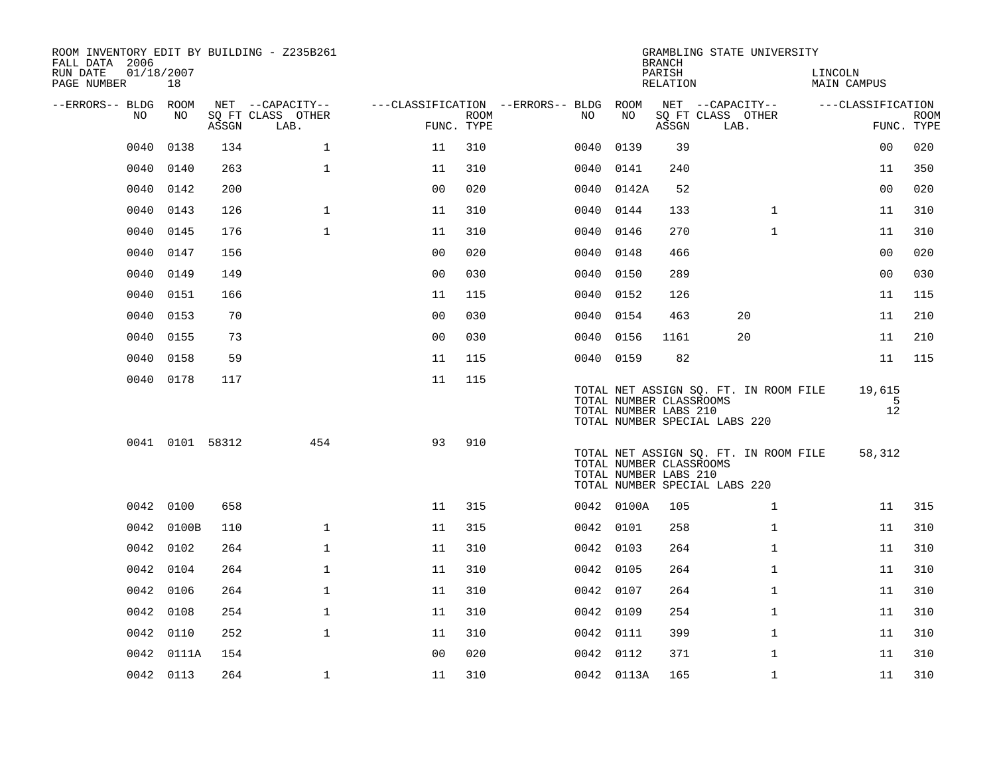| ROOM INVENTORY EDIT BY BUILDING - Z235B261<br>FALL DATA 2006 |                  |       |                           |                                        |                    |           |            | <b>BRANCH</b>                                    | GRAMBLING STATE UNIVERSITY                                             |              |                        |                   |             |
|--------------------------------------------------------------|------------------|-------|---------------------------|----------------------------------------|--------------------|-----------|------------|--------------------------------------------------|------------------------------------------------------------------------|--------------|------------------------|-------------------|-------------|
| RUN DATE<br>PAGE NUMBER                                      | 01/18/2007<br>18 |       |                           |                                        |                    |           |            | PARISH<br>RELATION                               |                                                                        |              | LINCOLN<br>MAIN CAMPUS |                   |             |
| --ERRORS-- BLDG ROOM                                         |                  |       | NET --CAPACITY--          | ---CLASSIFICATION --ERRORS-- BLDG ROOM |                    |           |            |                                                  | NET --CAPACITY--                                                       |              | ---CLASSIFICATION      |                   |             |
| NO                                                           | NO               | ASSGN | SQ FT CLASS OTHER<br>LAB. |                                        | ROOM<br>FUNC. TYPE | NO.       | NO         | ASSGN                                            | SQ FT CLASS OTHER<br>LAB.                                              |              |                        | FUNC. TYPE        | <b>ROOM</b> |
| 0040                                                         | 0138             | 134   | $\mathbf 1$               | 11                                     | 310                | 0040      | 0139       | 39                                               |                                                                        |              |                        | 0 <sub>0</sub>    | 020         |
| 0040                                                         | 0140             | 263   | $\mathbf 1$               | 11                                     | 310                | 0040      | 0141       | 240                                              |                                                                        |              |                        | 11                | 350         |
| 0040                                                         | 0142             | 200   |                           | 0 <sub>0</sub>                         | 020                |           | 0040 0142A | 52                                               |                                                                        |              |                        | 0 <sub>0</sub>    | 020         |
| 0040                                                         | 0143             | 126   | $\mathbf 1$               | 11                                     | 310                | 0040 0144 |            | 133                                              |                                                                        | $\mathbf{1}$ |                        | 11                | 310         |
| 0040                                                         | 0145             | 176   | $\mathbf{1}$              | 11                                     | 310                | 0040      | 0146       | 270                                              |                                                                        | $\mathbf{1}$ |                        | 11                | 310         |
| 0040                                                         | 0147             | 156   |                           | 0 <sub>0</sub>                         | 020                | 0040 0148 |            | 466                                              |                                                                        |              |                        | 0 <sub>0</sub>    | 020         |
| 0040                                                         | 0149             | 149   |                           | 0 <sub>0</sub>                         | 030                | 0040      | 0150       | 289                                              |                                                                        |              |                        | 0 <sub>0</sub>    | 030         |
| 0040                                                         | 0151             | 166   |                           | 11                                     | 115                | 0040 0152 |            | 126                                              |                                                                        |              |                        | 11                | 115         |
| 0040                                                         | 0153             | 70    |                           | 0 <sub>0</sub>                         | 030                | 0040      | 0154       | 463                                              | 20                                                                     |              |                        | 11                | 210         |
| 0040                                                         | 0155             | 73    |                           | 0 <sub>0</sub>                         | 030                | 0040 0156 |            | 1161                                             | 20                                                                     |              |                        | 11                | 210         |
| 0040                                                         | 0158             | 59    |                           | 11                                     | 115                | 0040 0159 |            | 82                                               |                                                                        |              |                        | 11                | 115         |
|                                                              | 0040 0178        | 117   |                           | 11                                     | 115                |           |            | TOTAL NUMBER CLASSROOMS<br>TOTAL NUMBER LABS 210 | TOTAL NET ASSIGN SQ. FT. IN ROOM FILE<br>TOTAL NUMBER SPECIAL LABS 220 |              |                        | 19,615<br>5<br>12 |             |
|                                                              | 0041 0101 58312  |       | 454                       | 93                                     | 910                |           |            | TOTAL NUMBER CLASSROOMS<br>TOTAL NUMBER LABS 210 | TOTAL NET ASSIGN SQ. FT. IN ROOM FILE<br>TOTAL NUMBER SPECIAL LABS 220 |              |                        | 58,312            |             |
|                                                              | 0042 0100        | 658   |                           | 11                                     | 315                |           | 0042 0100A | 105                                              |                                                                        | $\mathbf{1}$ |                        | 11                | 315         |
| 0042                                                         | 0100B            | 110   | $\mathbf 1$               | 11                                     | 315                | 0042 0101 |            | 258                                              |                                                                        | $\mathbf{1}$ |                        | 11                | 310         |
|                                                              | 0042 0102        | 264   | $\mathbf{1}$              | 11                                     | 310                | 0042 0103 |            | 264                                              |                                                                        | $\mathbf{1}$ |                        | 11                | 310         |
|                                                              | 0042 0104        | 264   | $\mathbf{1}$              | 11                                     | 310                | 0042 0105 |            | 264                                              |                                                                        | $\mathbf{1}$ |                        | 11                | 310         |
|                                                              | 0042 0106        | 264   | $\mathbf{1}$              | 11                                     | 310                | 0042 0107 |            | 264                                              |                                                                        | $\mathbf{1}$ |                        | 11                | 310         |
|                                                              | 0042 0108        | 254   | $\mathbf 1$               | 11                                     | 310                | 0042 0109 |            | 254                                              |                                                                        | $\mathbf{1}$ |                        | 11                | 310         |
| 0042                                                         | 0110             | 252   | $\mathbf{1}$              | 11                                     | 310                | 0042 0111 |            | 399                                              |                                                                        | $\mathbf{1}$ |                        | 11                | 310         |
|                                                              | 0042 0111A       | 154   |                           | 0 <sub>0</sub>                         | 020                | 0042 0112 |            | 371                                              |                                                                        | $\mathbf{1}$ |                        | 11                | 310         |
|                                                              | 0042 0113        | 264   | $\mathbf 1$               | 11                                     | 310                |           | 0042 0113A | 165                                              |                                                                        | $\mathbf{1}$ |                        | 11                | 310         |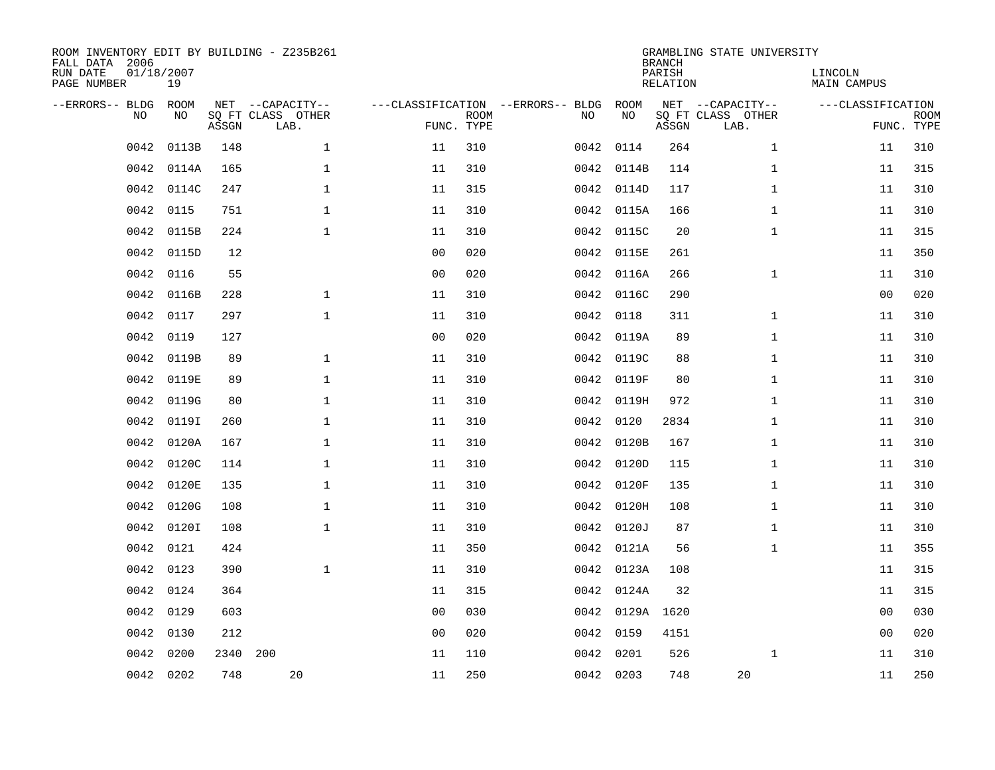| FALL DATA 2006<br>RUN DATE<br>PAGE NUMBER | 01/18/2007 | 19          |       | ROOM INVENTORY EDIT BY BUILDING - Z235B261    |                                   |                           |      |                 | <b>BRANCH</b><br>PARISH<br>RELATION | GRAMBLING STATE UNIVERSITY                    | LINCOLN<br><b>MAIN CAMPUS</b> |                           |
|-------------------------------------------|------------|-------------|-------|-----------------------------------------------|-----------------------------------|---------------------------|------|-----------------|-------------------------------------|-----------------------------------------------|-------------------------------|---------------------------|
| --ERRORS-- BLDG                           | <b>NO</b>  | ROOM<br>NO. | ASSGN | NET --CAPACITY--<br>SO FT CLASS OTHER<br>LAB. | ---CLASSIFICATION --ERRORS-- BLDG | <b>ROOM</b><br>FUNC. TYPE | NO   | ROOM<br>NO      | ASSGN                               | NET --CAPACITY--<br>SQ FT CLASS OTHER<br>LAB. | ---CLASSIFICATION             | <b>ROOM</b><br>FUNC. TYPE |
|                                           | 0042       | 0113B       | 148   | $\mathbf{1}$                                  | 11                                | 310                       | 0042 | 0114            | 264                                 | $\mathbf{1}$                                  | 11                            | 310                       |
|                                           | 0042       | 0114A       | 165   | $\mathbf 1$                                   | 11                                | 310                       |      | 0042 0114B      | 114                                 | $\mathbf{1}$                                  | 11                            | 315                       |
|                                           | 0042       | 0114C       | 247   | $\mathbf 1$                                   | 11                                | 315                       |      | 0042 0114D      | 117                                 | $\mathbf{1}$                                  | 11                            | 310                       |
|                                           | 0042       | 0115        | 751   | $\mathbf{1}$                                  | 11                                | 310                       |      | 0042 0115A      | 166                                 | $\mathbf{1}$                                  | 11                            | 310                       |
|                                           | 0042       | 0115B       | 224   | $\mathbf{1}$                                  | 11                                | 310                       |      | 0042 0115C      | 20                                  | $\mathbf{1}$                                  | 11                            | 315                       |
|                                           | 0042       | 0115D       | 12    |                                               | 0 <sub>0</sub>                    | 020                       |      | 0042 0115E      | 261                                 |                                               | 11                            | 350                       |
|                                           | 0042       | 0116        | 55    |                                               | 0 <sub>0</sub>                    | 020                       | 0042 | 0116A           | 266                                 | $\mathbf{1}$                                  | 11                            | 310                       |
|                                           | 0042       | 0116B       | 228   | $\mathbf{1}$                                  | 11                                | 310                       | 0042 | 0116C           | 290                                 |                                               | 0 <sub>0</sub>                | 020                       |
|                                           | 0042       | 0117        | 297   | $\mathbf{1}$                                  | 11                                | 310                       | 0042 | 0118            | 311                                 | $\mathbf{1}$                                  | 11                            | 310                       |
|                                           | 0042       | 0119        | 127   |                                               | 0 <sub>0</sub>                    | 020                       |      | 0042 0119A      | 89                                  | $\mathbf{1}$                                  | 11                            | 310                       |
|                                           | 0042       | 0119B       | 89    | $\mathbf 1$                                   | 11                                | 310                       | 0042 | 0119C           | 88                                  | $\mathbf{1}$                                  | 11                            | 310                       |
|                                           | 0042       | 0119E       | 89    | $\mathbf 1$                                   | 11                                | 310                       |      | 0042 0119F      | 80                                  | $\mathbf{1}$                                  | 11                            | 310                       |
|                                           | 0042       | 0119G       | 80    | $\mathbf 1$                                   | 11                                | 310                       | 0042 | 0119H           | 972                                 | $\mathbf{1}$                                  | 11                            | 310                       |
|                                           | 0042       | 0119I       | 260   | $\mathbf 1$                                   | 11                                | 310                       |      | 0042 0120       | 2834                                | $\mathbf{1}$                                  | 11                            | 310                       |
|                                           | 0042       | 0120A       | 167   | $\mathbf 1$                                   | 11                                | 310                       |      | 0042 0120B      | 167                                 | $\mathbf{1}$                                  | 11                            | 310                       |
|                                           | 0042       | 0120C       | 114   | $\mathbf 1$                                   | 11                                | 310                       |      | 0042 0120D      | 115                                 | $\mathbf{1}$                                  | 11                            | 310                       |
|                                           | 0042       | 0120E       | 135   | $\mathbf 1$                                   | 11                                | 310                       | 0042 | 0120F           | 135                                 | $\mathbf{1}$                                  | 11                            | 310                       |
|                                           | 0042       | 0120G       | 108   | $\mathbf{1}$                                  | 11                                | 310                       |      | 0042 0120H      | 108                                 | $\mathbf{1}$                                  | 11                            | 310                       |
|                                           |            | 0042 0120I  | 108   | $\mathbf{1}$                                  | 11                                | 310                       |      | 0042 0120J      | 87                                  | $\mathbf{1}$                                  | 11                            | 310                       |
|                                           | 0042       | 0121        | 424   |                                               | 11                                | 350                       |      | 0042 0121A      | 56                                  | $\mathbf{1}$                                  | 11                            | 355                       |
|                                           | 0042       | 0123        | 390   | $\mathbf{1}$                                  | 11                                | 310                       |      | 0042 0123A      | 108                                 |                                               | 11                            | 315                       |
|                                           | 0042       | 0124        | 364   |                                               | 11                                | 315                       |      | 0042 0124A      | 32                                  |                                               | 11                            | 315                       |
|                                           | 0042       | 0129        | 603   |                                               | 0 <sup>0</sup>                    | 030                       |      | 0042 0129A 1620 |                                     |                                               | 0 <sub>0</sub>                | 030                       |
|                                           | 0042       | 0130        | 212   |                                               | 0 <sub>0</sub>                    | 020                       |      | 0042 0159       | 4151                                |                                               | 0 <sub>0</sub>                | 020                       |
|                                           | 0042       | 0200        | 2340  | 200                                           | 11                                | 110                       |      | 0042 0201       | 526                                 | $\mathbf{1}$                                  | 11                            | 310                       |
|                                           | 0042 0202  |             | 748   | 20                                            | 11                                | 250                       |      | 0042 0203       | 748                                 | 20                                            | 11                            | 250                       |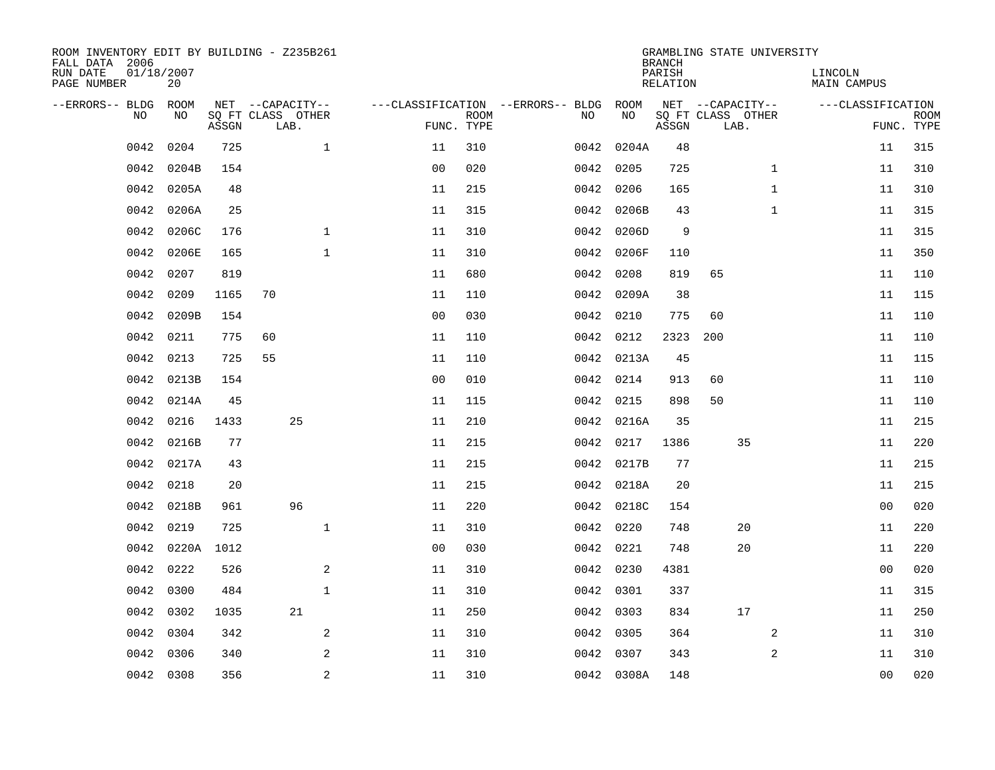| ROOM INVENTORY EDIT BY BUILDING - Z235B261<br>FALL DATA 2006 |                  |       |                           |              |                |             |                                        |      |            | <b>BRANCH</b>      | GRAMBLING STATE UNIVERSITY |    |              |                        |                |                           |
|--------------------------------------------------------------|------------------|-------|---------------------------|--------------|----------------|-------------|----------------------------------------|------|------------|--------------------|----------------------------|----|--------------|------------------------|----------------|---------------------------|
| RUN DATE<br>PAGE NUMBER                                      | 01/18/2007<br>20 |       |                           |              |                |             |                                        |      |            | PARISH<br>RELATION |                            |    |              | LINCOLN<br>MAIN CAMPUS |                |                           |
| --ERRORS-- BLDG ROOM                                         |                  |       | NET --CAPACITY--          |              |                |             | ---CLASSIFICATION --ERRORS-- BLDG ROOM |      |            |                    | NET --CAPACITY--           |    |              | ---CLASSIFICATION      |                |                           |
| NO.                                                          | NO.              | ASSGN | SQ FT CLASS OTHER<br>LAB. |              | FUNC. TYPE     | <b>ROOM</b> |                                        | NO.  | NO         | ASSGN              | SQ FT CLASS OTHER<br>LAB.  |    |              |                        |                | <b>ROOM</b><br>FUNC. TYPE |
| 0042                                                         | 0204             | 725   |                           | $\mathbf{1}$ | 11             | 310         |                                        |      | 0042 0204A | 48                 |                            |    |              |                        | 11             | 315                       |
| 0042                                                         | 0204B            | 154   |                           |              | 0 <sub>0</sub> | 020         |                                        | 0042 | 0205       | 725                |                            |    | $\mathbf{1}$ |                        | 11             | 310                       |
| 0042                                                         | 0205A            | 48    |                           |              | 11             | 215         |                                        |      | 0042 0206  | 165                |                            |    | $\mathbf{1}$ |                        | 11             | 310                       |
| 0042                                                         | 0206A            | 25    |                           |              | 11             | 315         |                                        |      | 0042 0206B | 43                 |                            |    | $\mathbf{1}$ |                        | 11             | 315                       |
| 0042                                                         | 0206C            | 176   |                           | $\mathbf{1}$ | 11             | 310         |                                        |      | 0042 0206D | 9                  |                            |    |              |                        | 11             | 315                       |
| 0042                                                         | 0206E            | 165   |                           | $\mathbf{1}$ | 11             | 310         |                                        | 0042 | 0206F      | 110                |                            |    |              |                        | 11             | 350                       |
| 0042                                                         | 0207             | 819   |                           |              | 11             | 680         |                                        | 0042 | 0208       | 819                | 65                         |    |              |                        | 11             | 110                       |
| 0042                                                         | 0209             | 1165  | 70                        |              | 11             | 110         |                                        |      | 0042 0209A | 38                 |                            |    |              |                        | 11             | 115                       |
| 0042                                                         | 0209B            | 154   |                           |              | 0 <sub>0</sub> | 030         |                                        | 0042 | 0210       | 775                | 60                         |    |              |                        | 11             | 110                       |
| 0042                                                         | 0211             | 775   | 60                        |              | 11             | 110         |                                        | 0042 | 0212       | 2323               | 200                        |    |              |                        | 11             | 110                       |
| 0042                                                         | 0213             | 725   | 55                        |              | 11             | 110         |                                        |      | 0042 0213A | 45                 |                            |    |              |                        | 11             | 115                       |
| 0042                                                         | 0213B            | 154   |                           |              | 0 <sub>0</sub> | 010         |                                        |      | 0042 0214  | 913                | 60                         |    |              |                        | 11             | 110                       |
| 0042                                                         | 0214A            | 45    |                           |              | 11             | 115         |                                        | 0042 | 0215       | 898                | 50                         |    |              |                        | 11             | 110                       |
| 0042                                                         | 0216             | 1433  | 25                        |              | 11             | 210         |                                        | 0042 | 0216A      | 35                 |                            |    |              |                        | 11             | 215                       |
| 0042                                                         | 0216B            | 77    |                           |              | 11             | 215         |                                        | 0042 | 0217       | 1386               |                            | 35 |              |                        | 11             | 220                       |
| 0042                                                         | 0217A            | 43    |                           |              | 11             | 215         |                                        |      | 0042 0217B | 77                 |                            |    |              |                        | 11             | 215                       |
| 0042                                                         | 0218             | 20    |                           |              | 11             | 215         |                                        |      | 0042 0218A | 20                 |                            |    |              |                        | 11             | 215                       |
| 0042                                                         | 0218B            | 961   | 96                        |              | 11             | 220         |                                        |      | 0042 0218C | 154                |                            |    |              |                        | 0 <sub>0</sub> | 020                       |
| 0042                                                         | 0219             | 725   |                           | $\mathbf 1$  | 11             | 310         |                                        |      | 0042 0220  | 748                |                            | 20 |              |                        | 11             | 220                       |
| 0042                                                         | 0220A            | 1012  |                           |              | 0 <sub>0</sub> | 030         |                                        |      | 0042 0221  | 748                |                            | 20 |              |                        | 11             | 220                       |
| 0042                                                         | 0222             | 526   |                           | 2            | 11             | 310         |                                        |      | 0042 0230  | 4381               |                            |    |              |                        | 0 <sub>0</sub> | 020                       |
| 0042                                                         | 0300             | 484   |                           | $\mathbf{1}$ | 11             | 310         |                                        |      | 0042 0301  | 337                |                            |    |              |                        | 11             | 315                       |
| 0042                                                         | 0302             | 1035  | 21                        |              | 11             | 250         |                                        |      | 0042 0303  | 834                |                            | 17 |              |                        | 11             | 250                       |
| 0042                                                         | 0304             | 342   |                           | 2            | 11             | 310         |                                        |      | 0042 0305  | 364                |                            |    | 2            |                        | 11             | 310                       |
| 0042                                                         | 0306             | 340   |                           | 2            | 11             | 310         |                                        |      | 0042 0307  | 343                |                            |    | 2            |                        | 11             | 310                       |
|                                                              | 0042 0308        | 356   |                           | 2            | 11             | 310         |                                        |      | 0042 0308A | 148                |                            |    |              |                        | 0 <sub>0</sub> | 020                       |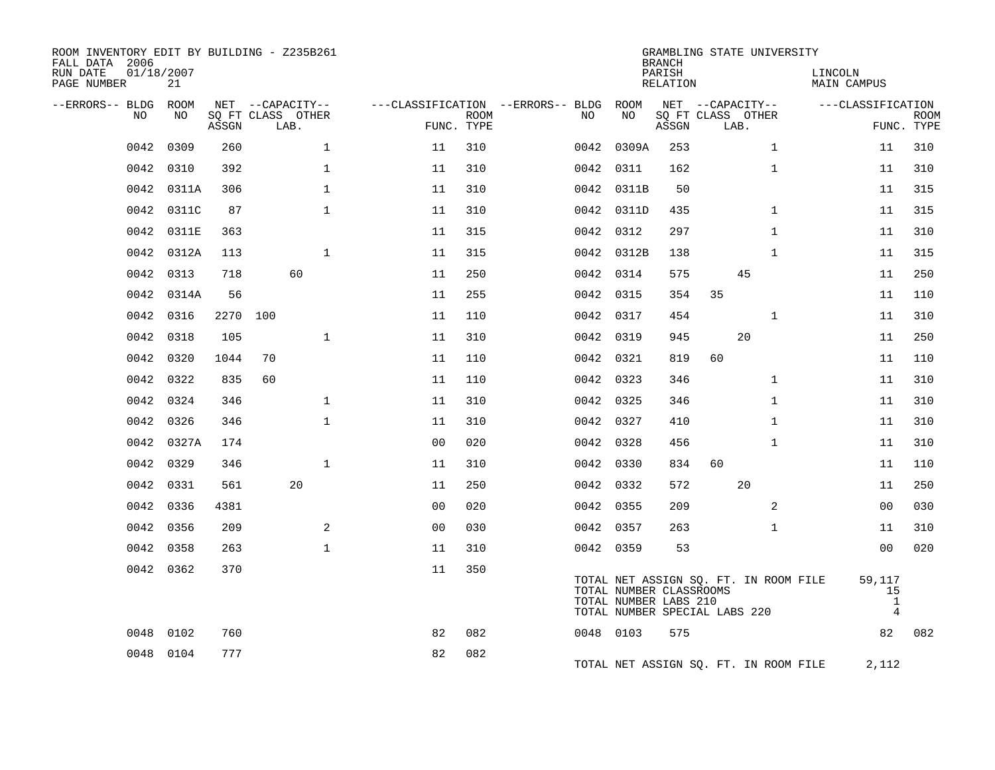| ROOM INVENTORY EDIT BY BUILDING - Z235B261<br>FALL DATA 2006 |           |       |                           |              |                |                           |                                   |                                                                                   | <b>BRANCH</b>      |      | GRAMBLING STATE UNIVERSITY            |                        |                                                |             |
|--------------------------------------------------------------|-----------|-------|---------------------------|--------------|----------------|---------------------------|-----------------------------------|-----------------------------------------------------------------------------------|--------------------|------|---------------------------------------|------------------------|------------------------------------------------|-------------|
| RUN DATE<br>01/18/2007<br>PAGE NUMBER                        | 21        |       |                           |              |                |                           |                                   |                                                                                   | PARISH<br>RELATION |      |                                       | LINCOLN<br>MAIN CAMPUS |                                                |             |
| --ERRORS-- BLDG ROOM                                         |           |       | NET --CAPACITY--          |              |                |                           | ---CLASSIFICATION --ERRORS-- BLDG | ROOM                                                                              |                    |      | NET --CAPACITY--                      |                        | ---CLASSIFICATION                              |             |
| NO                                                           | NO.       | ASSGN | SO FT CLASS OTHER<br>LAB. |              |                | <b>ROOM</b><br>FUNC. TYPE | NO.                               | NO                                                                                | ASSGN              | LAB. | SQ FT CLASS OTHER                     |                        | FUNC. TYPE                                     | <b>ROOM</b> |
| 0042                                                         | 0309      | 260   |                           | $\mathbf{1}$ | 11             | 310                       | 0042                              | 0309A                                                                             | 253                |      | $\mathbf{1}$                          |                        | 11                                             | 310         |
| 0042                                                         | 0310      | 392   |                           | $\mathbf{1}$ | 11             | 310                       |                                   | 0042 0311                                                                         | 162                |      | $\mathbf{1}$                          |                        | 11                                             | 310         |
| 0042                                                         | 0311A     | 306   |                           | $\mathbf{1}$ | 11             | 310                       |                                   | 0042 0311B                                                                        | 50                 |      |                                       |                        | 11                                             | 315         |
| 0042                                                         | 0311C     | 87    |                           | $\mathbf{1}$ | 11             | 310                       |                                   | 0042 0311D                                                                        | 435                |      | $\mathbf{1}$                          |                        | 11                                             | 315         |
| 0042                                                         | 0311E     | 363   |                           |              | 11             | 315                       |                                   | 0042 0312                                                                         | 297                |      | $\mathbf{1}$                          |                        | 11                                             | 310         |
| 0042                                                         | 0312A     | 113   |                           | $\mathbf{1}$ | 11             | 315                       |                                   | 0042 0312B                                                                        | 138                |      | $\mathbf{1}$                          |                        | 11                                             | 315         |
| 0042                                                         | 0313      | 718   | 60                        |              | 11             | 250                       |                                   | 0042 0314                                                                         | 575                |      | 45                                    |                        | 11                                             | 250         |
| 0042                                                         | 0314A     | 56    |                           |              | 11             | 255                       |                                   | 0042 0315                                                                         | 354                | 35   |                                       |                        | 11                                             | 110         |
| 0042                                                         | 0316      | 2270  | 100                       |              | 11             | 110                       |                                   | 0042 0317                                                                         | 454                |      | $\mathbf{1}$                          |                        | 11                                             | 310         |
| 0042                                                         | 0318      | 105   |                           | $\mathbf{1}$ | 11             | 310                       |                                   | 0042 0319                                                                         | 945                |      | 20                                    |                        | 11                                             | 250         |
| 0042                                                         | 0320      | 1044  | 70                        |              | 11             | 110                       |                                   | 0042 0321                                                                         | 819                | 60   |                                       |                        | 11                                             | 110         |
| 0042                                                         | 0322      | 835   | 60                        |              | 11             | 110                       |                                   | 0042 0323                                                                         | 346                |      | $\mathbf{1}$                          |                        | 11                                             | 310         |
| 0042                                                         | 0324      | 346   |                           | $\mathbf{1}$ | 11             | 310                       |                                   | 0042 0325                                                                         | 346                |      | $\mathbf{1}$                          |                        | 11                                             | 310         |
| 0042                                                         | 0326      | 346   |                           | $\mathbf{1}$ | 11             | 310                       |                                   | 0042 0327                                                                         | 410                |      | $\mathbf{1}$                          |                        | 11                                             | 310         |
| 0042                                                         | 0327A     | 174   |                           |              | 0 <sub>0</sub> | 020                       |                                   | 0042 0328                                                                         | 456                |      | $\mathbf{1}$                          |                        | 11                                             | 310         |
| 0042                                                         | 0329      | 346   |                           | $\mathbf{1}$ | 11             | 310                       |                                   | 0042 0330                                                                         | 834                | 60   |                                       |                        | 11                                             | 110         |
| 0042                                                         | 0331      | 561   | 20                        |              | 11             | 250                       |                                   | 0042 0332                                                                         | 572                |      | 20                                    |                        | 11                                             | 250         |
| 0042                                                         | 0336      | 4381  |                           |              | 0 <sub>0</sub> | 020                       |                                   | 0042 0355                                                                         | 209                |      | 2                                     |                        | 0 <sub>0</sub>                                 | 030         |
| 0042                                                         | 0356      | 209   |                           | 2            | 0 <sub>0</sub> | 030                       |                                   | 0042 0357                                                                         | 263                |      | $\mathbf{1}$                          |                        | 11                                             | 310         |
| 0042                                                         | 0358      | 263   |                           | $\mathbf{1}$ | 11             | 310                       |                                   | 0042 0359                                                                         | 53                 |      |                                       |                        | 0 <sub>0</sub>                                 | 020         |
|                                                              | 0042 0362 | 370   |                           |              | 11             | 350                       |                                   | TOTAL NUMBER CLASSROOMS<br>TOTAL NUMBER LABS 210<br>TOTAL NUMBER SPECIAL LABS 220 |                    |      | TOTAL NET ASSIGN SQ. FT. IN ROOM FILE |                        | 59,117<br>15<br>$\mathbf{1}$<br>$\overline{4}$ |             |
| 0048                                                         | 0102      | 760   |                           |              | 82             | 082                       |                                   | 0048 0103                                                                         | 575                |      |                                       |                        | 82                                             | 082         |
|                                                              | 0048 0104 | 777   |                           |              | 82             | 082                       |                                   |                                                                                   |                    |      | TOTAL NET ASSIGN SQ. FT. IN ROOM FILE |                        | 2,112                                          |             |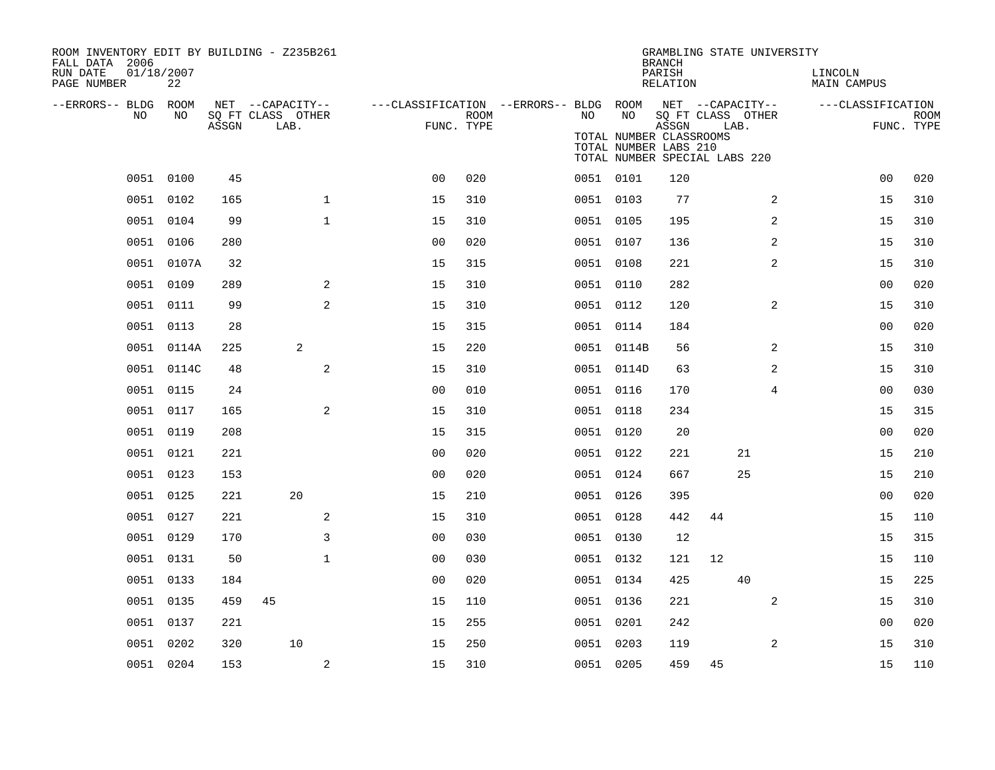| ROOM INVENTORY EDIT BY BUILDING - Z235B261<br>FALL DATA 2006 |                  |       |                           |              |                |             |                                                         |            | GRAMBLING STATE UNIVERSITY<br><b>BRANCH</b>                                                |                           |                |                        |                |                    |
|--------------------------------------------------------------|------------------|-------|---------------------------|--------------|----------------|-------------|---------------------------------------------------------|------------|--------------------------------------------------------------------------------------------|---------------------------|----------------|------------------------|----------------|--------------------|
| RUN DATE<br>PAGE NUMBER                                      | 01/18/2007<br>22 |       |                           |              |                |             |                                                         |            | PARISH<br>RELATION                                                                         |                           |                | LINCOLN<br>MAIN CAMPUS |                |                    |
| --ERRORS-- BLDG ROOM                                         |                  |       | NET --CAPACITY--          |              |                |             | ---CLASSIFICATION --ERRORS-- BLDG ROOM NET --CAPACITY-- |            |                                                                                            |                           |                | ---CLASSIFICATION      |                |                    |
| NO                                                           | NO               | ASSGN | SQ FT CLASS OTHER<br>LAB. |              | FUNC. TYPE     | <b>ROOM</b> | NO                                                      | NO         | ASSGN<br>TOTAL NUMBER CLASSROOMS<br>TOTAL NUMBER LABS 210<br>TOTAL NUMBER SPECIAL LABS 220 | SQ FT CLASS OTHER<br>LAB. |                |                        |                | ROOM<br>FUNC. TYPE |
|                                                              | 0051 0100        | 45    |                           |              | 0 <sub>0</sub> | 020         |                                                         | 0051 0101  | 120                                                                                        |                           |                |                        | 0 <sub>0</sub> | 020                |
|                                                              | 0051 0102        | 165   |                           | $\mathbf{1}$ | 15             | 310         |                                                         | 0051 0103  | 77                                                                                         |                           | 2              |                        | 15             | 310                |
|                                                              | 0051 0104        | 99    |                           | $\mathbf{1}$ | 15             | 310         |                                                         | 0051 0105  | 195                                                                                        |                           | 2              |                        | 15             | 310                |
|                                                              | 0051 0106        | 280   |                           |              | 0 <sub>0</sub> | 020         |                                                         | 0051 0107  | 136                                                                                        |                           | 2              |                        | 15             | 310                |
|                                                              | 0051 0107A       | 32    |                           |              | 15             | 315         |                                                         | 0051 0108  | 221                                                                                        |                           | 2              |                        | 15             | 310                |
|                                                              | 0051 0109        | 289   |                           | 2            | 15             | 310         |                                                         | 0051 0110  | 282                                                                                        |                           |                |                        | 0 <sub>0</sub> | 020                |
|                                                              | 0051 0111        | 99    |                           | 2            | 15             | 310         |                                                         | 0051 0112  | 120                                                                                        |                           | 2              |                        | 15             | 310                |
|                                                              | 0051 0113        | 28    |                           |              | 15             | 315         |                                                         | 0051 0114  | 184                                                                                        |                           |                |                        | 0 <sub>0</sub> | 020                |
|                                                              | 0051 0114A       | 225   | 2                         |              | 15             | 220         |                                                         | 0051 0114B | 56                                                                                         |                           | 2              |                        | 15             | 310                |
|                                                              | 0051 0114C       | 48    |                           | 2            | 15             | 310         |                                                         | 0051 0114D | 63                                                                                         |                           | $\overline{a}$ |                        | 15             | 310                |
|                                                              | 0051 0115        | 24    |                           |              | 0 <sub>0</sub> | 010         |                                                         | 0051 0116  | 170                                                                                        |                           | 4              |                        | 0 <sub>0</sub> | 030                |
|                                                              | 0051 0117        | 165   |                           | 2            | 15             | 310         |                                                         | 0051 0118  | 234                                                                                        |                           |                |                        | 15             | 315                |
|                                                              | 0051 0119        | 208   |                           |              | 15             | 315         |                                                         | 0051 0120  | 20                                                                                         |                           |                |                        | 0 <sub>0</sub> | 020                |
|                                                              | 0051 0121        | 221   |                           |              | 0 <sub>0</sub> | 020         |                                                         | 0051 0122  | 221                                                                                        |                           | 21             |                        | 15             | 210                |
|                                                              | 0051 0123        | 153   |                           |              | 0 <sub>0</sub> | 020         |                                                         | 0051 0124  | 667                                                                                        |                           | 25             |                        | 15             | 210                |
|                                                              | 0051 0125        | 221   | 20                        |              | 15             | 210         |                                                         | 0051 0126  | 395                                                                                        |                           |                |                        | 0 <sub>0</sub> | 020                |
|                                                              | 0051 0127        | 221   |                           | 2            | 15             | 310         |                                                         | 0051 0128  | 442                                                                                        | 44                        |                |                        | 15             | 110                |
|                                                              | 0051 0129        | 170   |                           | 3            | 0 <sub>0</sub> | 030         |                                                         | 0051 0130  | 12                                                                                         |                           |                |                        | 15             | 315                |
|                                                              | 0051 0131        | 50    |                           | $\mathbf{1}$ | 0 <sub>0</sub> | 030         |                                                         | 0051 0132  | 121                                                                                        | 12                        |                |                        | 15             | 110                |
|                                                              | 0051 0133        | 184   |                           |              | 0 <sub>0</sub> | 020         |                                                         | 0051 0134  | 425                                                                                        |                           | 40             |                        | 15             | 225                |
|                                                              | 0051 0135        | 459   | 45                        |              | 15             | 110         |                                                         | 0051 0136  | 221                                                                                        |                           | 2              |                        | 15             | 310                |
|                                                              | 0051 0137        | 221   |                           |              | 15             | 255         |                                                         | 0051 0201  | 242                                                                                        |                           |                |                        | 0 <sub>0</sub> | 020                |
|                                                              | 0051 0202        | 320   | 10                        |              | 15             | 250         |                                                         | 0051 0203  | 119                                                                                        |                           | 2              |                        | 15             | 310                |
|                                                              | 0051 0204        | 153   |                           | 2            | 15             | 310         |                                                         | 0051 0205  | 459                                                                                        | 45                        |                |                        | 15             | 110                |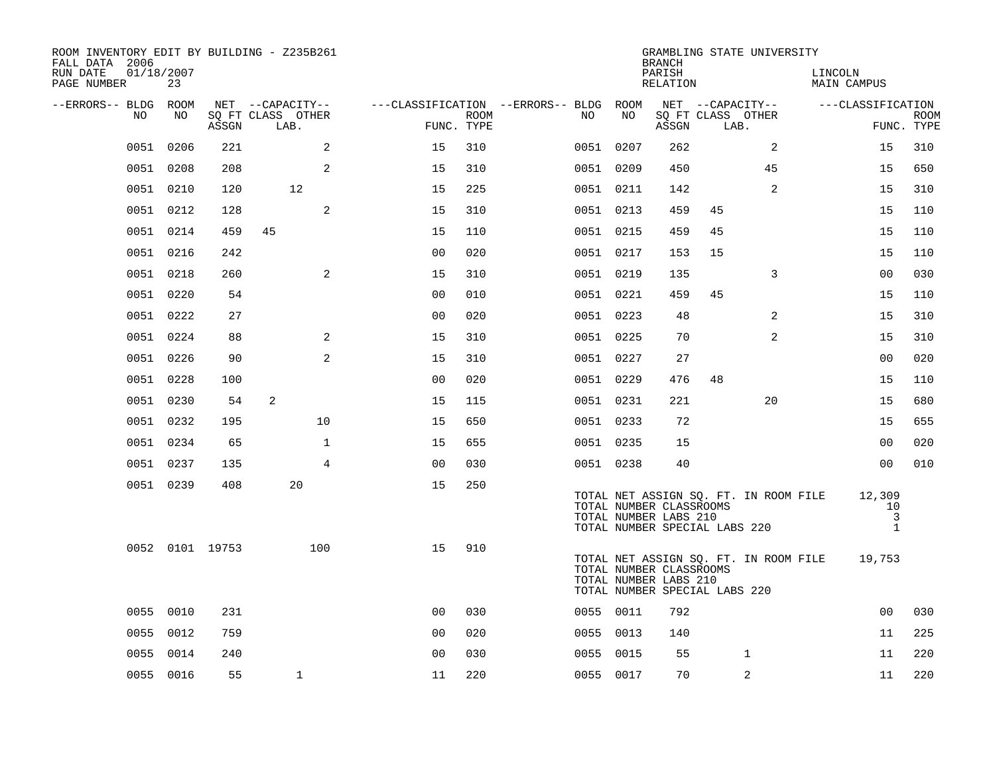| ROOM INVENTORY EDIT BY BUILDING - Z235B261<br>FALL DATA 2006 |                  |                 |                           |                |      |                                        |           | <b>BRANCH</b>                                                                     |                  | GRAMBLING STATE UNIVERSITY            |                        |                                |
|--------------------------------------------------------------|------------------|-----------------|---------------------------|----------------|------|----------------------------------------|-----------|-----------------------------------------------------------------------------------|------------------|---------------------------------------|------------------------|--------------------------------|
| RUN DATE<br>PAGE NUMBER                                      | 01/18/2007<br>23 |                 |                           |                |      |                                        |           | PARISH<br>RELATION                                                                |                  |                                       | LINCOLN<br>MAIN CAMPUS |                                |
| --ERRORS-- BLDG ROOM                                         |                  |                 | NET --CAPACITY--          |                |      | ---CLASSIFICATION --ERRORS-- BLDG ROOM |           |                                                                                   | NET --CAPACITY-- |                                       | ---CLASSIFICATION      |                                |
| NO                                                           | NO.              | ASSGN           | SQ FT CLASS OTHER<br>LAB. | FUNC. TYPE     | ROOM | NO.                                    | NO        | ASSGN                                                                             | LAB.             | SQ FT CLASS OTHER                     |                        | <b>ROOM</b><br>FUNC. TYPE      |
| 0051                                                         | 0206             | 221             | 2                         | 15             | 310  |                                        | 0051 0207 | 262                                                                               |                  | 2                                     | 15                     | 310                            |
|                                                              | 0051 0208        | 208             | 2                         | 15             | 310  |                                        | 0051 0209 | 450                                                                               |                  | 45                                    | 15                     | 650                            |
|                                                              | 0051 0210        | 120             | 12                        | 15             | 225  |                                        | 0051 0211 | 142                                                                               |                  | $\overline{2}$                        | 15                     | 310                            |
|                                                              | 0051 0212        | 128             | 2                         | 15             | 310  |                                        | 0051 0213 | 459                                                                               | 45               |                                       | 15                     | 110                            |
|                                                              | 0051 0214        | 459             | 45                        | 15             | 110  |                                        | 0051 0215 | 459                                                                               | 45               |                                       | 15                     | 110                            |
|                                                              | 0051 0216        | 242             |                           | 0 <sub>0</sub> | 020  |                                        | 0051 0217 | 153                                                                               | 15               |                                       | 15                     | 110                            |
|                                                              | 0051 0218        | 260             | 2                         | 15             | 310  |                                        | 0051 0219 | 135                                                                               |                  | 3                                     | 0 <sub>0</sub>         | 030                            |
|                                                              | 0051 0220        | 54              |                           | 0 <sub>0</sub> | 010  |                                        | 0051 0221 | 459                                                                               | 45               |                                       | 15                     | 110                            |
|                                                              | 0051 0222        | 27              |                           | 0 <sub>0</sub> | 020  |                                        | 0051 0223 | 48                                                                                |                  | 2                                     | 15                     | 310                            |
|                                                              | 0051 0224        | 88              | 2                         | 15             | 310  |                                        | 0051 0225 | 70                                                                                |                  | 2                                     | 15                     | 310                            |
|                                                              | 0051 0226        | 90              | 2                         | 15             | 310  |                                        | 0051 0227 | 27                                                                                |                  |                                       | 0 <sub>0</sub>         | 020                            |
|                                                              | 0051 0228        | 100             |                           | 0 <sub>0</sub> | 020  |                                        | 0051 0229 | 476                                                                               | 48               |                                       | 15                     | 110                            |
|                                                              | 0051 0230        | 54              | 2                         | 15             | 115  |                                        | 0051 0231 | 221                                                                               |                  | 20                                    | 15                     | 680                            |
|                                                              | 0051 0232        | 195             | 10                        | 15             | 650  |                                        | 0051 0233 | 72                                                                                |                  |                                       | 15                     | 655                            |
|                                                              | 0051 0234        | 65              | $\mathbf 1$               | 15             | 655  |                                        | 0051 0235 | 15                                                                                |                  |                                       | 0 <sub>0</sub>         | 020                            |
|                                                              | 0051 0237        | 135             | $\overline{4}$            | 0 <sup>0</sup> | 030  |                                        | 0051 0238 | 40                                                                                |                  |                                       | 0 <sub>0</sub>         | 010                            |
|                                                              | 0051 0239        | 408             | 20                        | 15             | 250  |                                        |           | TOTAL NUMBER CLASSROOMS<br>TOTAL NUMBER LABS 210<br>TOTAL NUMBER SPECIAL LABS 220 |                  | TOTAL NET ASSIGN SQ. FT. IN ROOM FILE | 12,309<br>10           | $\overline{3}$<br>$\mathbf{1}$ |
|                                                              |                  | 0052 0101 19753 | 100                       | 15             | 910  |                                        |           | TOTAL NUMBER CLASSROOMS<br>TOTAL NUMBER LABS 210<br>TOTAL NUMBER SPECIAL LABS 220 |                  | TOTAL NET ASSIGN SQ. FT. IN ROOM FILE | 19,753                 |                                |
|                                                              | 0055 0010        | 231             |                           | 0 <sub>0</sub> | 030  |                                        | 0055 0011 | 792                                                                               |                  |                                       | 0 <sub>0</sub>         | 030                            |
|                                                              | 0055 0012        | 759             |                           | 0 <sub>0</sub> | 020  |                                        | 0055 0013 | 140                                                                               |                  |                                       | 11                     | 225                            |
|                                                              | 0055 0014        | 240             |                           | 0 <sub>0</sub> | 030  |                                        | 0055 0015 | 55                                                                                |                  | $\mathbf 1$                           | 11                     | 220                            |
|                                                              | 0055 0016        | 55              | $\mathbf{1}$              | 11             | 220  |                                        | 0055 0017 | 70                                                                                |                  | 2                                     | 11                     | 220                            |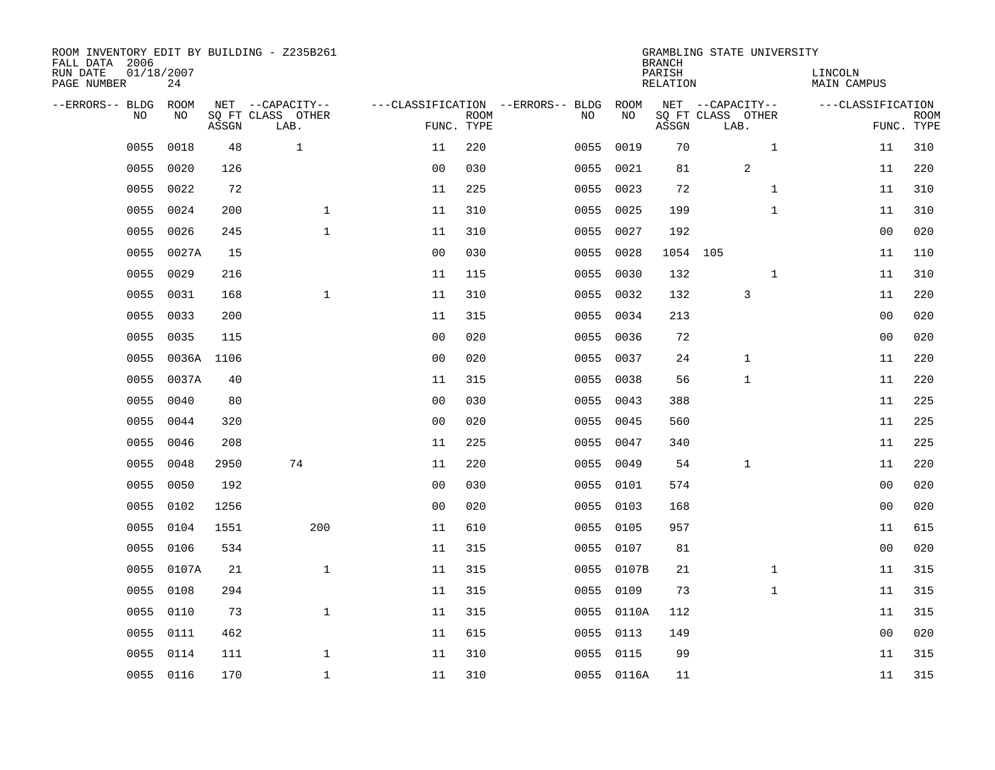| ROOM INVENTORY EDIT BY BUILDING - Z235B261<br>FALL DATA 2006 |                  |       |                           |                |             |                                   |            | <b>BRANCH</b>      | GRAMBLING STATE UNIVERSITY |                        |                           |
|--------------------------------------------------------------|------------------|-------|---------------------------|----------------|-------------|-----------------------------------|------------|--------------------|----------------------------|------------------------|---------------------------|
| RUN DATE<br>PAGE NUMBER                                      | 01/18/2007<br>24 |       |                           |                |             |                                   |            | PARISH<br>RELATION |                            | LINCOLN<br>MAIN CAMPUS |                           |
| --ERRORS-- BLDG                                              | ROOM             |       | NET --CAPACITY--          |                |             | ---CLASSIFICATION --ERRORS-- BLDG | ROOM       |                    | NET --CAPACITY--           | ---CLASSIFICATION      |                           |
| N <sub>O</sub>                                               | NO.              | ASSGN | SO FT CLASS OTHER<br>LAB. | FUNC. TYPE     | <b>ROOM</b> | NO.                               | NO         | ASSGN              | SQ FT CLASS OTHER<br>LAB.  |                        | <b>ROOM</b><br>FUNC. TYPE |
| 0055                                                         | 0018             | 48    | $\mathbf{1}$              | 11             | 220         | 0055                              | 0019       | 70                 | $\mathbf{1}$               | 11                     | 310                       |
| 0055                                                         | 0020             | 126   |                           | 0 <sub>0</sub> | 030         | 0055                              | 0021       | 81                 | $\overline{a}$             | 11                     | 220                       |
| 0055                                                         | 0022             | 72    |                           | 11             | 225         | 0055                              | 0023       | 72                 | $\mathbf{1}$               | 11                     | 310                       |
| 0055                                                         | 0024             | 200   | $\mathbf 1$               | 11             | 310         | 0055                              | 0025       | 199                | $\mathbf{1}$               | 11                     | 310                       |
| 0055                                                         | 0026             | 245   | $\mathbf{1}$              | 11             | 310         | 0055                              | 0027       | 192                |                            | 0 <sub>0</sub>         | 020                       |
| 0055                                                         | 0027A            | 15    |                           | 0 <sub>0</sub> | 030         |                                   | 0055 0028  |                    | 1054 105                   | 11                     | 110                       |
| 0055                                                         | 0029             | 216   |                           | 11             | 115         | 0055                              | 0030       | 132                | $\mathbf{1}$               | 11                     | 310                       |
| 0055                                                         | 0031             | 168   | $\mathbf{1}$              | 11             | 310         |                                   | 0055 0032  | 132                | 3                          | 11                     | 220                       |
| 0055                                                         | 0033             | 200   |                           | 11             | 315         | 0055                              | 0034       | 213                |                            | 0 <sub>0</sub>         | 020                       |
| 0055                                                         | 0035             | 115   |                           | 0 <sub>0</sub> | 020         |                                   | 0055 0036  | 72                 |                            | 0 <sub>0</sub>         | 020                       |
| 0055                                                         | 0036A            | 1106  |                           | 0 <sub>0</sub> | 020         | 0055                              | 0037       | 24                 | $\mathbf 1$                | 11                     | 220                       |
| 0055                                                         | 0037A            | 40    |                           | 11             | 315         |                                   | 0055 0038  | 56                 | 1                          | 11                     | 220                       |
| 0055                                                         | 0040             | 80    |                           | 0 <sub>0</sub> | 030         | 0055                              | 0043       | 388                |                            | 11                     | 225                       |
| 0055                                                         | 0044             | 320   |                           | 0 <sub>0</sub> | 020         | 0055                              | 0045       | 560                |                            | 11                     | 225                       |
| 0055                                                         | 0046             | 208   |                           | 11             | 225         | 0055                              | 0047       | 340                |                            | 11                     | 225                       |
| 0055                                                         | 0048             | 2950  | 74                        | 11             | 220         | 0055                              | 0049       | 54                 | 1                          | 11                     | 220                       |
| 0055                                                         | 0050             | 192   |                           | 0 <sub>0</sub> | 030         |                                   | 0055 0101  | 574                |                            | 0 <sub>0</sub>         | 020                       |
| 0055                                                         | 0102             | 1256  |                           | 0 <sub>0</sub> | 020         | 0055                              | 0103       | 168                |                            | 0 <sub>0</sub>         | 020                       |
| 0055                                                         | 0104             | 1551  | 200                       | 11             | 610         |                                   | 0055 0105  | 957                |                            | 11                     | 615                       |
| 0055                                                         | 0106             | 534   |                           | 11             | 315         | 0055                              | 0107       | 81                 |                            | 00                     | 020                       |
| 0055                                                         | 0107A            | 21    | $\mathbf{1}$              | 11             | 315         |                                   | 0055 0107B | 21                 | $\mathbf{1}$               | 11                     | 315                       |
| 0055                                                         | 0108             | 294   |                           | 11             | 315         | 0055                              | 0109       | 73                 | $\mathbf{1}$               | 11                     | 315                       |
| 0055                                                         | 0110             | 73    | $\mathbf{1}$              | 11             | 315         |                                   | 0055 0110A | 112                |                            | 11                     | 315                       |
| 0055                                                         | 0111             | 462   |                           | 11             | 615         | 0055                              | 0113       | 149                |                            | 00                     | 020                       |
| 0055                                                         | 0114             | 111   | $\mathbf{1}$              | 11             | 310         |                                   | 0055 0115  | 99                 |                            | 11                     | 315                       |
|                                                              | 0055 0116        | 170   | $\mathbf{1}$              | 11             | 310         |                                   | 0055 0116A | 11                 |                            | 11                     | 315                       |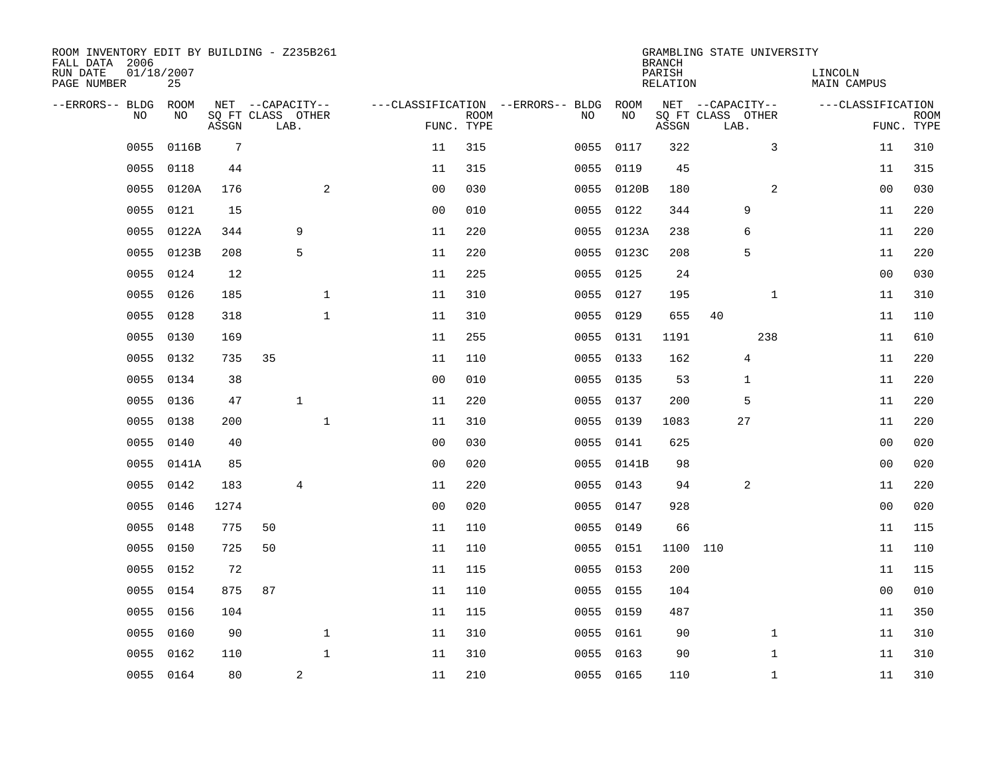| ROOM INVENTORY EDIT BY BUILDING - Z235B261<br>FALL DATA 2006<br>RUN DATE | 01/18/2007 |       |                                       |                         |              |                |             |                                   |      |            | <b>BRANCH</b><br>PARISH | GRAMBLING STATE UNIVERSITY            |              | LINCOLN     |                   |             |
|--------------------------------------------------------------------------|------------|-------|---------------------------------------|-------------------------|--------------|----------------|-------------|-----------------------------------|------|------------|-------------------------|---------------------------------------|--------------|-------------|-------------------|-------------|
| PAGE NUMBER                                                              | 25         |       |                                       |                         |              |                |             |                                   |      |            | RELATION                |                                       |              | MAIN CAMPUS |                   |             |
| --ERRORS-- BLDG ROOM<br>NO                                               | NO         |       | NET --CAPACITY--<br>SQ FT CLASS OTHER |                         |              |                | <b>ROOM</b> | ---CLASSIFICATION --ERRORS-- BLDG | NO.  | ROOM<br>NO |                         | NET --CAPACITY--<br>SQ FT CLASS OTHER |              |             | ---CLASSIFICATION | <b>ROOM</b> |
|                                                                          |            | ASSGN |                                       | LAB.                    |              |                | FUNC. TYPE  |                                   |      |            | ASSGN                   | LAB.                                  |              |             | FUNC. TYPE        |             |
| 0055                                                                     | 0116B      | 7     |                                       |                         |              | 11             | 315         |                                   | 0055 | 0117       | 322                     |                                       | 3            |             | 11                | 310         |
| 0055                                                                     | 0118       | 44    |                                       |                         |              | 11             | 315         |                                   | 0055 | 0119       | 45                      |                                       |              |             | 11                | 315         |
| 0055                                                                     | 0120A      | 176   |                                       |                         | 2            | 0 <sub>0</sub> | 030         |                                   |      | 0055 0120B | 180                     |                                       | 2            |             | 0 <sub>0</sub>    | 030         |
| 0055                                                                     | 0121       | 15    |                                       |                         |              | 00             | 010         |                                   |      | 0055 0122  | 344                     |                                       | 9            |             | 11                | 220         |
| 0055                                                                     | 0122A      | 344   |                                       | 9                       |              | 11             | 220         |                                   |      | 0055 0123A | 238                     |                                       | 6            |             | 11                | 220         |
| 0055                                                                     | 0123B      | 208   |                                       | 5                       |              | 11             | 220         |                                   |      | 0055 0123C | 208                     |                                       | 5            |             | 11                | 220         |
| 0055                                                                     | 0124       | 12    |                                       |                         |              | 11             | 225         |                                   |      | 0055 0125  | 24                      |                                       |              |             | 0 <sub>0</sub>    | 030         |
| 0055                                                                     | 0126       | 185   |                                       |                         | $\mathbf 1$  | 11             | 310         |                                   |      | 0055 0127  | 195                     |                                       | $\mathbf{1}$ |             | 11                | 310         |
| 0055                                                                     | 0128       | 318   |                                       |                         | $\mathbf{1}$ | 11             | 310         |                                   | 0055 | 0129       | 655                     | 40                                    |              |             | 11                | 110         |
| 0055                                                                     | 0130       | 169   |                                       |                         |              | 11             | 255         |                                   |      | 0055 0131  | 1191                    |                                       | 238          |             | 11                | 610         |
| 0055                                                                     | 0132       | 735   | 35                                    |                         |              | 11             | 110         |                                   |      | 0055 0133  | 162                     |                                       | 4            |             | 11                | 220         |
| 0055                                                                     | 0134       | 38    |                                       |                         |              | 0 <sub>0</sub> | 010         |                                   |      | 0055 0135  | 53                      |                                       | 1            |             | 11                | 220         |
| 0055                                                                     | 0136       | 47    |                                       | $\mathbf{1}$            |              | 11             | 220         |                                   | 0055 | 0137       | 200                     |                                       | 5            |             | 11                | 220         |
| 0055                                                                     | 0138       | 200   |                                       |                         | $\mathbf 1$  | 11             | 310         |                                   |      | 0055 0139  | 1083                    |                                       | 27           |             | 11                | 220         |
| 0055                                                                     | 0140       | 40    |                                       |                         |              | 0 <sub>0</sub> | 030         |                                   | 0055 | 0141       | 625                     |                                       |              |             | 0 <sub>0</sub>    | 020         |
| 0055                                                                     | 0141A      | 85    |                                       |                         |              | 0 <sub>0</sub> | 020         |                                   |      | 0055 0141B | 98                      |                                       |              |             | 00                | 020         |
| 0055                                                                     | 0142       | 183   |                                       | 4                       |              | 11             | 220         |                                   | 0055 | 0143       | 94                      |                                       | 2            |             | 11                | 220         |
| 0055                                                                     | 0146       | 1274  |                                       |                         |              | 0 <sub>0</sub> | 020         |                                   |      | 0055 0147  | 928                     |                                       |              |             | 0 <sub>0</sub>    | 020         |
| 0055                                                                     | 0148       | 775   | 50                                    |                         |              | 11             | 110         |                                   |      | 0055 0149  | 66                      |                                       |              |             | 11                | 115         |
| 0055                                                                     | 0150       | 725   | 50                                    |                         |              | 11             | 110         |                                   |      | 0055 0151  | 1100                    | 110                                   |              |             | 11                | 110         |
| 0055                                                                     | 0152       | 72    |                                       |                         |              | 11             | 115         |                                   |      | 0055 0153  | 200                     |                                       |              |             | 11                | 115         |
| 0055                                                                     | 0154       | 875   | 87                                    |                         |              | 11             | 110         |                                   |      | 0055 0155  | 104                     |                                       |              |             | 00                | 010         |
| 0055                                                                     | 0156       | 104   |                                       |                         |              | 11             | 115         |                                   |      | 0055 0159  | 487                     |                                       |              |             | 11                | 350         |
| 0055                                                                     | 0160       | 90    |                                       |                         | $\mathbf 1$  | 11             | 310         |                                   |      | 0055 0161  | 90                      |                                       | $\mathbf{1}$ |             | 11                | 310         |
| 0055                                                                     | 0162       | 110   |                                       |                         | $\mathbf{1}$ | 11             | 310         |                                   |      | 0055 0163  | 90                      |                                       | $\mathbf{1}$ |             | 11                | 310         |
|                                                                          | 0055 0164  | 80    |                                       | $\overline{\mathbf{c}}$ |              | 11             | 210         |                                   |      | 0055 0165  | 110                     |                                       | $\mathbf{1}$ |             | 11                | 310         |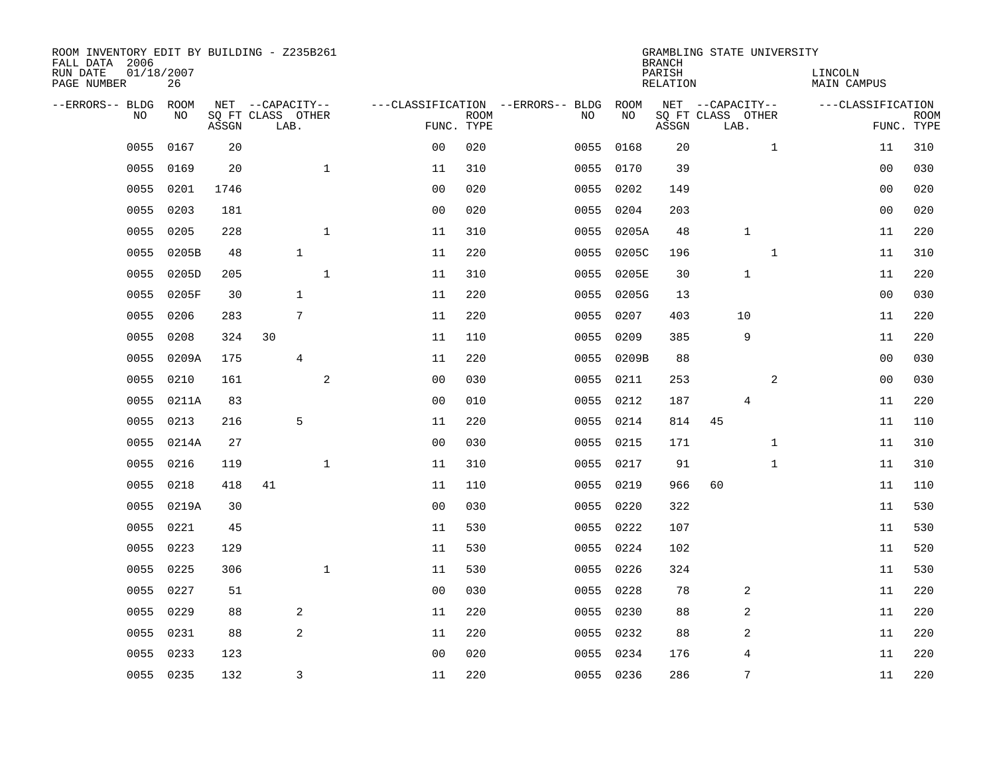| ROOM INVENTORY EDIT BY BUILDING - Z235B261<br>FALL DATA 2006 |                  |       |                           |              |                |             |                                        |            | <b>BRANCH</b>      | GRAMBLING STATE UNIVERSITY |              |                        |             |
|--------------------------------------------------------------|------------------|-------|---------------------------|--------------|----------------|-------------|----------------------------------------|------------|--------------------|----------------------------|--------------|------------------------|-------------|
| RUN DATE<br>PAGE NUMBER                                      | 01/18/2007<br>26 |       |                           |              |                |             |                                        |            | PARISH<br>RELATION |                            |              | LINCOLN<br>MAIN CAMPUS |             |
| --ERRORS-- BLDG ROOM                                         |                  |       | NET --CAPACITY--          |              |                |             | ---CLASSIFICATION --ERRORS-- BLDG ROOM |            |                    | NET --CAPACITY--           |              | ---CLASSIFICATION      |             |
| NO.                                                          | NO.              | ASSGN | SQ FT CLASS OTHER<br>LAB. |              | FUNC. TYPE     | <b>ROOM</b> | NO.                                    | NO         | ASSGN              | SQ FT CLASS OTHER<br>LAB.  |              | FUNC. TYPE             | <b>ROOM</b> |
| 0055                                                         | 0167             | 20    |                           |              | 0 <sub>0</sub> | 020         | 0055                                   | 0168       | 20                 |                            | $\mathbf{1}$ | 11                     | 310         |
| 0055                                                         | 0169             | 20    |                           | $\mathbf{1}$ | 11             | 310         | 0055                                   | 0170       | 39                 |                            |              | 00                     | 030         |
| 0055                                                         | 0201             | 1746  |                           |              | 0 <sub>0</sub> | 020         | 0055                                   | 0202       | 149                |                            |              | 00                     | 020         |
| 0055                                                         | 0203             | 181   |                           |              | 0 <sub>0</sub> | 020         | 0055                                   | 0204       | 203                |                            |              | 00                     | 020         |
| 0055                                                         | 0205             | 228   |                           | $\mathbf{1}$ | 11             | 310         | 0055                                   | 0205A      | 48                 | $\mathbf{1}$               |              | 11                     | 220         |
| 0055                                                         | 0205B            | 48    | $\mathbf{1}$              |              | 11             | 220         | 0055                                   | 0205C      | 196                |                            | $\mathbf 1$  | 11                     | 310         |
| 0055                                                         | 0205D            | 205   |                           | $\mathbf 1$  | 11             | 310         | 0055                                   | 0205E      | 30                 | 1                          |              | 11                     | 220         |
| 0055                                                         | 0205F            | 30    | $\mathbf{1}$              |              | 11             | 220         |                                        | 0055 0205G | 13                 |                            |              | 0 <sub>0</sub>         | 030         |
| 0055                                                         | 0206             | 283   | 7                         |              | 11             | 220         | 0055                                   | 0207       | 403                | 10                         |              | 11                     | 220         |
| 0055                                                         | 0208             | 324   | 30                        |              | 11             | 110         | 0055                                   | 0209       | 385                | 9                          |              | 11                     | 220         |
| 0055                                                         | 0209A            | 175   | $\overline{4}$            |              | 11             | 220         | 0055                                   | 0209B      | 88                 |                            |              | 0 <sub>0</sub>         | 030         |
| 0055                                                         | 0210             | 161   |                           | 2            | 0 <sub>0</sub> | 030         |                                        | 0055 0211  | 253                |                            | 2            | 00                     | 030         |
| 0055                                                         | 0211A            | 83    |                           |              | 0 <sub>0</sub> | 010         | 0055                                   | 0212       | 187                | 4                          |              | 11                     | 220         |
| 0055                                                         | 0213             | 216   | 5                         |              | 11             | 220         | 0055                                   | 0214       | 814                | 45                         |              | 11                     | 110         |
| 0055                                                         | 0214A            | 27    |                           |              | 0 <sub>0</sub> | 030         | 0055                                   | 0215       | 171                |                            | $\mathbf{1}$ | 11                     | 310         |
| 0055                                                         | 0216             | 119   |                           | $\mathbf 1$  | 11             | 310         | 0055                                   | 0217       | 91                 |                            | $\mathbf{1}$ | 11                     | 310         |
| 0055                                                         | 0218             | 418   | 41                        |              | 11             | 110         | 0055                                   | 0219       | 966                | 60                         |              | 11                     | 110         |
| 0055                                                         | 0219A            | 30    |                           |              | 0 <sub>0</sub> | 030         | 0055                                   | 0220       | 322                |                            |              | 11                     | 530         |
| 0055                                                         | 0221             | 45    |                           |              | 11             | 530         |                                        | 0055 0222  | 107                |                            |              | 11                     | 530         |
| 0055                                                         | 0223             | 129   |                           |              | 11             | 530         |                                        | 0055 0224  | 102                |                            |              | 11                     | 520         |
| 0055                                                         | 0225             | 306   |                           | $\mathbf{1}$ | 11             | 530         |                                        | 0055 0226  | 324                |                            |              | 11                     | 530         |
| 0055                                                         | 0227             | 51    |                           |              | 0 <sub>0</sub> | 030         | 0055                                   | 0228       | 78                 | 2                          |              | 11                     | 220         |
| 0055                                                         | 0229             | 88    | 2                         |              | 11             | 220         |                                        | 0055 0230  | 88                 | 2                          |              | 11                     | 220         |
| 0055                                                         | 0231             | 88    | 2                         |              | 11             | 220         | 0055                                   | 0232       | 88                 | $\overline{2}$             |              | 11                     | 220         |
| 0055                                                         | 0233             | 123   |                           |              | 0 <sub>0</sub> | 020         |                                        | 0055 0234  | 176                | $\overline{4}$             |              | 11                     | 220         |
|                                                              | 0055 0235        | 132   | 3                         |              | 11             | 220         |                                        | 0055 0236  | 286                | 7                          |              | 11                     | 220         |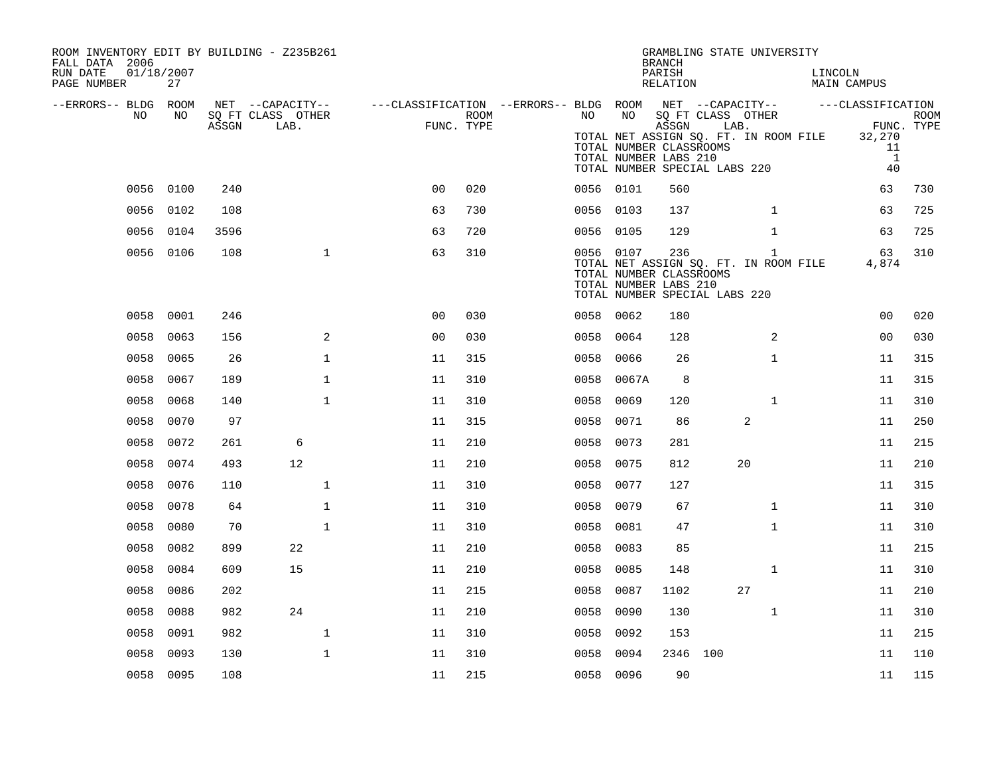| ROOM INVENTORY EDIT BY BUILDING - Z235B261<br>FALL DATA 2006<br>RUN DATE<br>01/18/2007<br>PAGE NUMBER | 27        |       |                                               |                                                                              |                    |           |           | <b>BRANCH</b><br>PARISH<br>RELATION                                                        |      | GRAMBLING STATE UNIVERSITY                            | LINCOLN | MAIN CAMPUS                                                                                      |     |
|-------------------------------------------------------------------------------------------------------|-----------|-------|-----------------------------------------------|------------------------------------------------------------------------------|--------------------|-----------|-----------|--------------------------------------------------------------------------------------------|------|-------------------------------------------------------|---------|--------------------------------------------------------------------------------------------------|-----|
| --ERRORS-- BLDG ROOM<br>NO                                                                            | NO        | ASSGN | NET --CAPACITY--<br>SQ FT CLASS OTHER<br>LAB. | ---CLASSIFICATION --ERRORS-- BLDG ROOM NET --CAPACITY--    ---CLASSIFICATION | ROOM<br>FUNC. TYPE | NO        | NO        | ASSGN<br>TOTAL NUMBER CLASSROOMS<br>TOTAL NUMBER LABS 210<br>TOTAL NUMBER SPECIAL LABS 220 | LAB. | SQ FT CLASS OTHER                                     |         | ROOM<br>FUNC. TYPE<br>TOTAL NET ASSIGN SQ. FT. IN ROOM FILE 32,270<br>- 11<br>$\mathbf{1}$<br>40 |     |
|                                                                                                       | 0056 0100 | 240   |                                               | 0 <sub>0</sub>                                                               | 020                | 0056 0101 |           | 560                                                                                        |      |                                                       |         | 63                                                                                               | 730 |
|                                                                                                       | 0056 0102 | 108   |                                               | 63                                                                           | 730                | 0056 0103 |           | 137                                                                                        |      | $\mathbf{1}$                                          |         | 63                                                                                               | 725 |
|                                                                                                       | 0056 0104 | 3596  |                                               | 63                                                                           | 720                | 0056 0105 |           | 129                                                                                        |      | $\mathbf{1}$                                          |         | 63                                                                                               | 725 |
|                                                                                                       | 0056 0106 | 108   | $\mathbf{1}$                                  | 63                                                                           | 310                |           | 0056 0107 | 236<br>TOTAL NUMBER CLASSROOMS<br>TOTAL NUMBER LABS 210<br>TOTAL NUMBER SPECIAL LABS 220   |      | $\mathbf{1}$<br>TOTAL NET ASSIGN SQ. FT. IN ROOM FILE |         | 63<br>4,874                                                                                      | 310 |
| 0058                                                                                                  | 0001      | 246   |                                               | 0 <sub>0</sub>                                                               | 030                | 0058 0062 |           | 180                                                                                        |      |                                                       |         | 0 <sub>0</sub>                                                                                   | 020 |
| 0058                                                                                                  | 0063      | 156   | 2                                             | 0 <sub>0</sub>                                                               | 030                | 0058      | 0064      | 128                                                                                        |      | 2                                                     |         | 00                                                                                               | 030 |
| 0058                                                                                                  | 0065      | 26    | $\mathbf{1}$                                  | 11                                                                           | 315                | 0058      | 0066      | 26                                                                                         |      | $\mathbf{1}$                                          |         | 11                                                                                               | 315 |
| 0058                                                                                                  | 0067      | 189   | $\mathbf{1}$                                  | 11                                                                           | 310                | 0058      | 0067A     | 8                                                                                          |      |                                                       |         | 11                                                                                               | 315 |
| 0058                                                                                                  | 0068      | 140   | $\mathbf{1}$                                  | 11                                                                           | 310                | 0058      | 0069      | 120                                                                                        |      | $\mathbf{1}$                                          |         | 11                                                                                               | 310 |
| 0058                                                                                                  | 0070      | 97    |                                               | 11                                                                           | 315                | 0058      | 0071      | 86                                                                                         |      | 2                                                     |         | 11                                                                                               | 250 |
| 0058                                                                                                  | 0072      | 261   | 6                                             | 11                                                                           | 210                | 0058      | 0073      | 281                                                                                        |      |                                                       |         | 11                                                                                               | 215 |
| 0058                                                                                                  | 0074      | 493   | 12                                            | 11                                                                           | 210                | 0058      | 0075      | 812                                                                                        |      | 20                                                    |         | 11                                                                                               | 210 |
| 0058                                                                                                  | 0076      | 110   | $\mathbf{1}$                                  | 11                                                                           | 310                | 0058      | 0077      | 127                                                                                        |      |                                                       |         | 11                                                                                               | 315 |
| 0058                                                                                                  | 0078      | 64    | $\mathbf 1$                                   | 11                                                                           | 310                | 0058      | 0079      | 67                                                                                         |      | $\mathbf{1}$                                          |         | 11                                                                                               | 310 |
| 0058                                                                                                  | 0080      | 70    | $\mathbf{1}$                                  | 11                                                                           | 310                | 0058      | 0081      | 47                                                                                         |      | $\mathbf{1}$                                          |         | 11                                                                                               | 310 |
| 0058                                                                                                  | 0082      | 899   | 22                                            | 11                                                                           | 210                | 0058      | 0083      | 85                                                                                         |      |                                                       |         | 11                                                                                               | 215 |
| 0058                                                                                                  | 0084      | 609   | 15                                            | 11                                                                           | 210                | 0058      | 0085      | 148                                                                                        |      | $\mathbf{1}$                                          |         | 11                                                                                               | 310 |
| 0058                                                                                                  | 0086      | 202   |                                               | 11                                                                           | 215                | 0058      | 0087      | 1102                                                                                       |      | 27                                                    |         | 11                                                                                               | 210 |
| 0058                                                                                                  | 0088      | 982   | 24                                            | 11                                                                           | 210                | 0058      | 0090      | 130                                                                                        |      | $\mathbf{1}$                                          |         | 11                                                                                               | 310 |
| 0058                                                                                                  | 0091      | 982   | $\mathbf 1$                                   | 11                                                                           | 310                | 0058      | 0092      | 153                                                                                        |      |                                                       |         | 11                                                                                               | 215 |
| 0058                                                                                                  | 0093      | 130   | $\mathbf{1}$                                  | 11                                                                           | 310                | 0058      | 0094      | 2346 100                                                                                   |      |                                                       |         | 11                                                                                               | 110 |
|                                                                                                       | 0058 0095 | 108   |                                               | 11                                                                           | 215                | 0058 0096 |           | 90                                                                                         |      |                                                       |         | 11                                                                                               | 115 |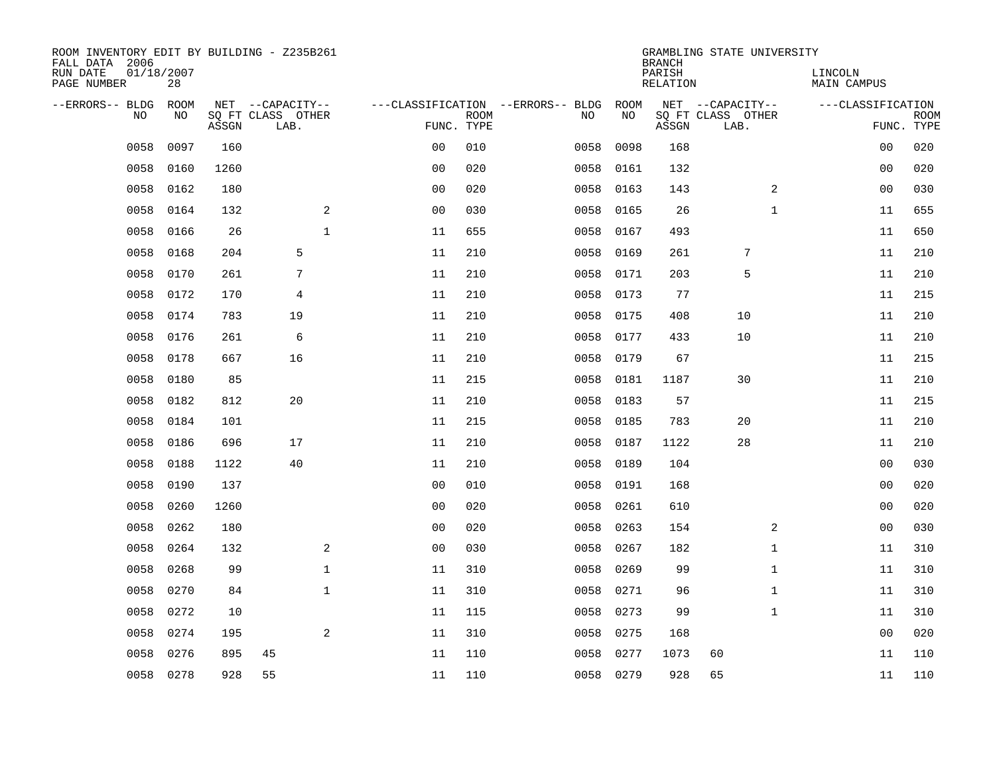| ROOM INVENTORY EDIT BY BUILDING - Z235B261<br>FALL DATA 2006 |                  |       |                           |             |                |             |                                   |           | <b>BRANCH</b>      | GRAMBLING STATE UNIVERSITY |                        |                           |
|--------------------------------------------------------------|------------------|-------|---------------------------|-------------|----------------|-------------|-----------------------------------|-----------|--------------------|----------------------------|------------------------|---------------------------|
| RUN DATE<br>PAGE NUMBER                                      | 01/18/2007<br>28 |       |                           |             |                |             |                                   |           | PARISH<br>RELATION |                            | LINCOLN<br>MAIN CAMPUS |                           |
| --ERRORS-- BLDG                                              | ROOM             |       | NET --CAPACITY--          |             |                |             | ---CLASSIFICATION --ERRORS-- BLDG | ROOM      |                    | NET --CAPACITY--           | ---CLASSIFICATION      |                           |
| N <sub>O</sub>                                               | NO.              | ASSGN | SO FT CLASS OTHER<br>LAB. |             | FUNC. TYPE     | <b>ROOM</b> | NO.                               | NO        | ASSGN              | SQ FT CLASS OTHER<br>LAB.  |                        | <b>ROOM</b><br>FUNC. TYPE |
| 0058                                                         | 0097             | 160   |                           |             | 0 <sub>0</sub> | 010         | 0058                              | 0098      | 168                |                            | 00                     | 020                       |
| 0058                                                         | 0160             | 1260  |                           |             | 0 <sub>0</sub> | 020         | 0058                              | 0161      | 132                |                            | 0 <sub>0</sub>         | 020                       |
| 0058                                                         | 0162             | 180   |                           |             | 0 <sub>0</sub> | 020         | 0058                              | 0163      | 143                | 2                          | 0 <sub>0</sub>         | 030                       |
| 0058                                                         | 0164             | 132   |                           | 2           | 0 <sub>0</sub> | 030         | 0058                              | 0165      | 26                 | $\mathbf{1}$               | 11                     | 655                       |
| 0058                                                         | 0166             | 26    |                           | $\mathbf 1$ | 11             | 655         | 0058                              | 0167      | 493                |                            | 11                     | 650                       |
| 0058                                                         | 0168             | 204   | 5                         |             | 11             | 210         | 0058                              | 0169      | 261                | 7                          | 11                     | 210                       |
| 0058                                                         | 0170             | 261   | 7                         |             | 11             | 210         | 0058                              | 0171      | 203                | 5                          | 11                     | 210                       |
| 0058                                                         | 0172             | 170   | 4                         |             | 11             | 210         | 0058                              | 0173      | 77                 |                            | 11                     | 215                       |
| 0058                                                         | 0174             | 783   | 19                        |             | 11             | 210         | 0058                              | 0175      | 408                | 10                         | 11                     | 210                       |
| 0058                                                         | 0176             | 261   | 6                         |             | 11             | 210         | 0058                              | 0177      | 433                | 10                         | 11                     | 210                       |
| 0058                                                         | 0178             | 667   | 16                        |             | 11             | 210         | 0058                              | 0179      | 67                 |                            | 11                     | 215                       |
| 0058                                                         | 0180             | 85    |                           |             | 11             | 215         | 0058                              | 0181      | 1187               | 30                         | 11                     | 210                       |
| 0058                                                         | 0182             | 812   | 20                        |             | 11             | 210         | 0058                              | 0183      | 57                 |                            | 11                     | 215                       |
| 0058                                                         | 0184             | 101   |                           |             | 11             | 215         | 0058                              | 0185      | 783                | 20                         | 11                     | 210                       |
| 0058                                                         | 0186             | 696   | 17                        |             | 11             | 210         | 0058                              | 0187      | 1122               | 28                         | 11                     | 210                       |
| 0058                                                         | 0188             | 1122  | 40                        |             | 11             | 210         | 0058                              | 0189      | 104                |                            | 0 <sub>0</sub>         | 030                       |
| 0058                                                         | 0190             | 137   |                           |             | 0 <sub>0</sub> | 010         | 0058                              | 0191      | 168                |                            | 0 <sub>0</sub>         | 020                       |
| 0058                                                         | 0260             | 1260  |                           |             | 0 <sub>0</sub> | 020         | 0058                              | 0261      | 610                |                            | 00                     | 020                       |
| 0058                                                         | 0262             | 180   |                           |             | 0 <sub>0</sub> | 020         | 0058                              | 0263      | 154                | 2                          | 00                     | 030                       |
| 0058                                                         | 0264             | 132   |                           | 2           | 0 <sub>0</sub> | 030         | 0058                              | 0267      | 182                | $\mathbf{1}$               | 11                     | 310                       |
| 0058                                                         | 0268             | 99    |                           | $\mathbf 1$ | 11             | 310         | 0058                              | 0269      | 99                 | $\mathbf{1}$               | 11                     | 310                       |
| 0058                                                         | 0270             | 84    |                           | $\mathbf 1$ | 11             | 310         | 0058                              | 0271      | 96                 | $\mathbf{1}$               | 11                     | 310                       |
| 0058                                                         | 0272             | 10    |                           |             | 11             | 115         | 0058                              | 0273      | 99                 | $\mathbf{1}$               | 11                     | 310                       |
| 0058                                                         | 0274             | 195   |                           | 2           | 11             | 310         | 0058                              | 0275      | 168                |                            | 00                     | 020                       |
| 0058                                                         | 0276             | 895   | 45                        |             | 11             | 110         | 0058                              | 0277      | 1073               | 60                         | 11                     | 110                       |
| 0058                                                         | 0278             | 928   | 55                        |             | 11             | 110         |                                   | 0058 0279 | 928                | 65                         | 11                     | 110                       |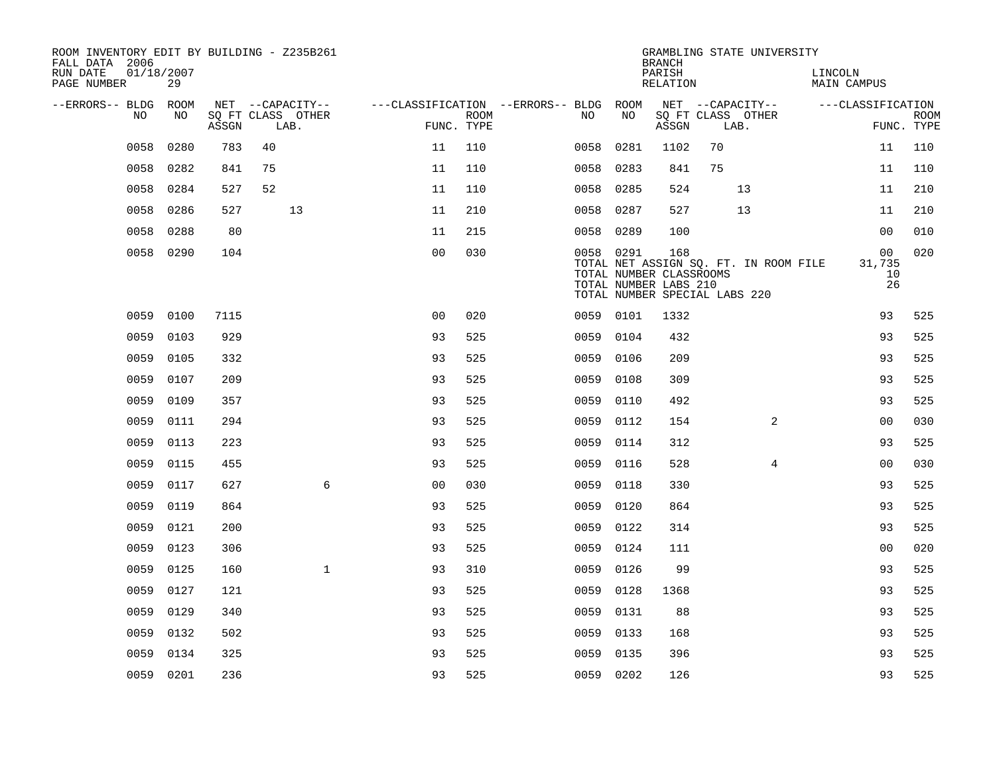| ROOM INVENTORY EDIT BY BUILDING - Z235B261<br>FALL DATA 2006 |                  |       |                           |                  |                                        |                    |           |      | <b>BRANCH</b>                                           | GRAMBLING STATE UNIVERSITY                                             |                        |                          |             |
|--------------------------------------------------------------|------------------|-------|---------------------------|------------------|----------------------------------------|--------------------|-----------|------|---------------------------------------------------------|------------------------------------------------------------------------|------------------------|--------------------------|-------------|
| RUN DATE<br>PAGE NUMBER                                      | 01/18/2007<br>29 |       |                           |                  |                                        |                    |           |      | PARISH<br>RELATION                                      |                                                                        | LINCOLN<br>MAIN CAMPUS |                          |             |
| --ERRORS-- BLDG ROOM                                         |                  |       |                           | NET --CAPACITY-- | ---CLASSIFICATION --ERRORS-- BLDG ROOM |                    |           |      |                                                         | NET --CAPACITY--                                                       | ---CLASSIFICATION      |                          |             |
| NO.                                                          | NO.              | ASSGN | SO FT CLASS OTHER<br>LAB. |                  |                                        | ROOM<br>FUNC. TYPE | NO.       | NO   | ASSGN                                                   | SQ FT CLASS OTHER<br>LAB.                                              |                        | FUNC. TYPE               | <b>ROOM</b> |
| 0058                                                         | 0280             | 783   | 40                        |                  | 11                                     | 110                | 0058      | 0281 | 1102                                                    | 70                                                                     |                        | 11                       | 110         |
| 0058                                                         | 0282             | 841   | 75                        |                  | 11                                     | 110                | 0058      | 0283 | 841                                                     | 75                                                                     |                        | 11                       | 110         |
| 0058                                                         | 0284             | 527   | 52                        |                  | 11                                     | 110                | 0058      | 0285 | 524                                                     | 13                                                                     |                        | 11                       | 210         |
| 0058                                                         | 0286             | 527   |                           | 13               | 11                                     | 210                | 0058      | 0287 | 527                                                     | 13                                                                     |                        | 11                       | 210         |
| 0058                                                         | 0288             | 80    |                           |                  | 11                                     | 215                | 0058      | 0289 | 100                                                     |                                                                        |                        | 0 <sub>0</sub>           | 010         |
|                                                              | 0058 0290        | 104   |                           |                  | 0 <sub>0</sub>                         | 030                | 0058 0291 |      | 168<br>TOTAL NUMBER CLASSROOMS<br>TOTAL NUMBER LABS 210 | TOTAL NET ASSIGN SQ. FT. IN ROOM FILE<br>TOTAL NUMBER SPECIAL LABS 220 |                        | 00<br>31,735<br>10<br>26 | 020         |
| 0059                                                         | 0100             | 7115  |                           |                  | 0 <sub>0</sub>                         | 020                | 0059 0101 |      | 1332                                                    |                                                                        |                        | 93                       | 525         |
| 0059                                                         | 0103             | 929   |                           |                  | 93                                     | 525                | 0059      | 0104 | 432                                                     |                                                                        |                        | 93                       | 525         |
| 0059                                                         | 0105             | 332   |                           |                  | 93                                     | 525                | 0059      | 0106 | 209                                                     |                                                                        |                        | 93                       | 525         |
| 0059                                                         | 0107             | 209   |                           |                  | 93                                     | 525                | 0059      | 0108 | 309                                                     |                                                                        |                        | 93                       | 525         |
| 0059                                                         | 0109             | 357   |                           |                  | 93                                     | 525                | 0059      | 0110 | 492                                                     |                                                                        |                        | 93                       | 525         |
| 0059                                                         | 0111             | 294   |                           |                  | 93                                     | 525                | 0059      | 0112 | 154                                                     | 2                                                                      |                        | 00                       | 030         |
| 0059                                                         | 0113             | 223   |                           |                  | 93                                     | 525                | 0059      | 0114 | 312                                                     |                                                                        |                        | 93                       | 525         |
| 0059                                                         | 0115             | 455   |                           |                  | 93                                     | 525                | 0059      | 0116 | 528                                                     | 4                                                                      |                        | 0 <sub>0</sub>           | 030         |
| 0059                                                         | 0117             | 627   |                           | 6                | 0 <sub>0</sub>                         | 030                | 0059      | 0118 | 330                                                     |                                                                        |                        | 93                       | 525         |
| 0059                                                         | 0119             | 864   |                           |                  | 93                                     | 525                | 0059      | 0120 | 864                                                     |                                                                        |                        | 93                       | 525         |
| 0059                                                         | 0121             | 200   |                           |                  | 93                                     | 525                | 0059      | 0122 | 314                                                     |                                                                        |                        | 93                       | 525         |
| 0059                                                         | 0123             | 306   |                           |                  | 93                                     | 525                | 0059      | 0124 | 111                                                     |                                                                        |                        | 0 <sub>0</sub>           | 020         |
| 0059                                                         | 0125             | 160   |                           | $\mathbf{1}$     | 93                                     | 310                | 0059      | 0126 | 99                                                      |                                                                        |                        | 93                       | 525         |
| 0059                                                         | 0127             | 121   |                           |                  | 93                                     | 525                | 0059      | 0128 | 1368                                                    |                                                                        |                        | 93                       | 525         |
| 0059                                                         | 0129             | 340   |                           |                  | 93                                     | 525                | 0059      | 0131 | 88                                                      |                                                                        |                        | 93                       | 525         |
| 0059                                                         | 0132             | 502   |                           |                  | 93                                     | 525                | 0059      | 0133 | 168                                                     |                                                                        |                        | 93                       | 525         |
| 0059                                                         | 0134             | 325   |                           |                  | 93                                     | 525                | 0059      | 0135 | 396                                                     |                                                                        |                        | 93                       | 525         |
|                                                              | 0059 0201        | 236   |                           |                  | 93                                     | 525                | 0059 0202 |      | 126                                                     |                                                                        |                        | 93                       | 525         |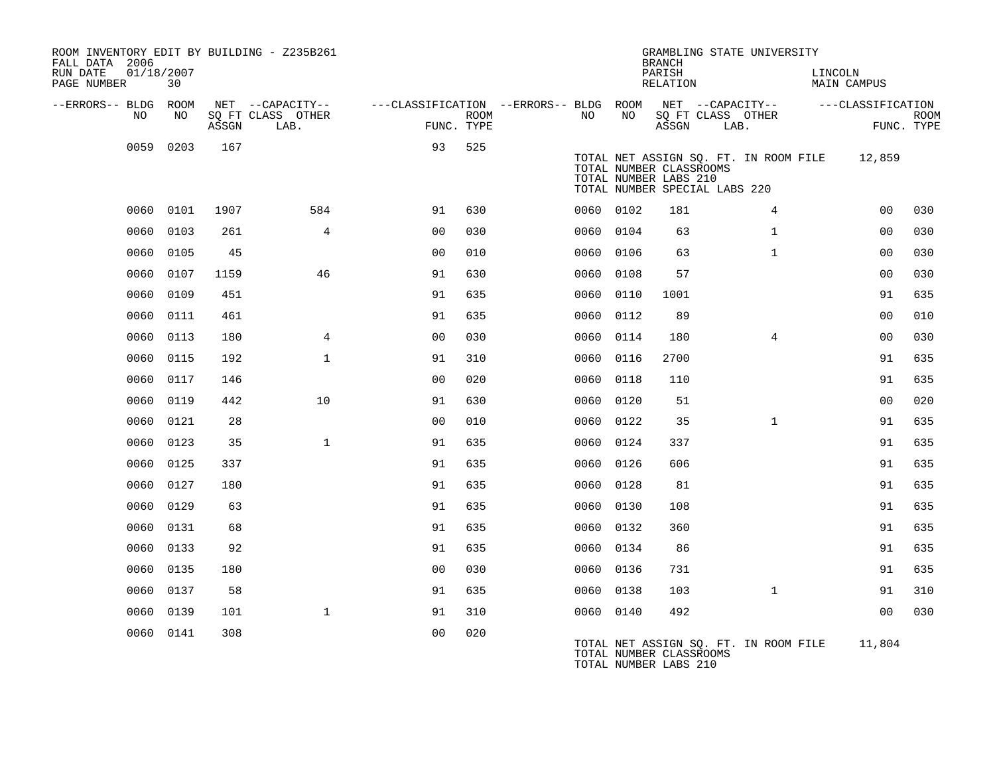| ROOM INVENTORY EDIT BY BUILDING - Z235B261<br>FALL DATA 2006 |           |       |                           |                                                         |             |           |      | <b>BRANCH</b>                                                                     | GRAMBLING STATE UNIVERSITY            |                        |                           |
|--------------------------------------------------------------|-----------|-------|---------------------------|---------------------------------------------------------|-------------|-----------|------|-----------------------------------------------------------------------------------|---------------------------------------|------------------------|---------------------------|
| 01/18/2007<br>RUN DATE<br>PAGE NUMBER                        | 30        |       |                           |                                                         |             |           |      | PARISH<br>RELATION                                                                |                                       | LINCOLN<br>MAIN CAMPUS |                           |
| --ERRORS-- BLDG ROOM                                         |           |       | NET --CAPACITY--          | ---CLASSIFICATION --ERRORS-- BLDG ROOM NET --CAPACITY-- |             |           |      |                                                                                   |                                       | ---CLASSIFICATION      |                           |
| NO                                                           | NO.       | ASSGN | SO FT CLASS OTHER<br>LAB. | FUNC. TYPE                                              | <b>ROOM</b> | NO.       | NO   | SQ FT CLASS OTHER<br>ASSGN                                                        | LAB.                                  |                        | <b>ROOM</b><br>FUNC. TYPE |
|                                                              | 0059 0203 | 167   |                           | 93                                                      | 525         |           |      | TOTAL NUMBER CLASSROOMS<br>TOTAL NUMBER LABS 210<br>TOTAL NUMBER SPECIAL LABS 220 | TOTAL NET ASSIGN SQ. FT. IN ROOM FILE | 12,859                 |                           |
|                                                              | 0060 0101 | 1907  | 584                       | 91                                                      | 630         | 0060 0102 |      | 181                                                                               | $\overline{4}$                        | 00                     | 030                       |
| 0060                                                         | 0103      | 261   | $\overline{4}$            | 0 <sub>0</sub>                                          | 030         | 0060 0104 |      | 63                                                                                | $\mathbf{1}$                          | 0 <sub>0</sub>         | 030                       |
| 0060                                                         | 0105      | 45    |                           | 0 <sub>0</sub>                                          | 010         | 0060 0106 |      | 63                                                                                | $\mathbf{1}$                          | 00                     | 030                       |
| 0060                                                         | 0107      | 1159  | 46                        | 91                                                      | 630         | 0060 0108 |      | 57                                                                                |                                       | 0 <sub>0</sub>         | 030                       |
| 0060                                                         | 0109      | 451   |                           | 91                                                      | 635         | 0060      | 0110 | 1001                                                                              |                                       | 91                     | 635                       |
| 0060                                                         | 0111      | 461   |                           | 91                                                      | 635         | 0060 0112 |      | 89                                                                                |                                       | 0 <sub>0</sub>         | 010                       |
| 0060                                                         | 0113      | 180   | 4                         | 0 <sub>0</sub>                                          | 030         | 0060 0114 |      | 180                                                                               | $\overline{4}$                        | 00                     | 030                       |
| 0060                                                         | 0115      | 192   | $\mathbf{1}$              | 91                                                      | 310         | 0060      | 0116 | 2700                                                                              |                                       | 91                     | 635                       |
| 0060                                                         | 0117      | 146   |                           | 0 <sub>0</sub>                                          | 020         | 0060      | 0118 | 110                                                                               |                                       | 91                     | 635                       |
| 0060                                                         | 0119      | 442   | 10                        | 91                                                      | 630         | 0060      | 0120 | 51                                                                                |                                       | 0 <sub>0</sub>         | 020                       |
| 0060                                                         | 0121      | 28    |                           | 0 <sub>0</sub>                                          | 010         | 0060 0122 |      | 35                                                                                | $\mathbf{1}$                          | 91                     | 635                       |
| 0060                                                         | 0123      | 35    | $\mathbf{1}$              | 91                                                      | 635         | 0060      | 0124 | 337                                                                               |                                       | 91                     | 635                       |
|                                                              | 0060 0125 | 337   |                           | 91                                                      | 635         | 0060 0126 |      | 606                                                                               |                                       | 91                     | 635                       |
|                                                              | 0060 0127 | 180   |                           | 91                                                      | 635         | 0060 0128 |      | 81                                                                                |                                       | 91                     | 635                       |
|                                                              | 0060 0129 | 63    |                           | 91                                                      | 635         | 0060 0130 |      | 108                                                                               |                                       | 91                     | 635                       |
| 0060                                                         | 0131      | 68    |                           | 91                                                      | 635         | 0060      | 0132 | 360                                                                               |                                       | 91                     | 635                       |
|                                                              | 0060 0133 | 92    |                           | 91                                                      | 635         | 0060 0134 |      | 86                                                                                |                                       | 91                     | 635                       |
| 0060                                                         | 0135      | 180   |                           | 0 <sub>0</sub>                                          | 030         | 0060 0136 |      | 731                                                                               |                                       | 91                     | 635                       |
| 0060                                                         | 0137      | 58    |                           | 91                                                      | 635         | 0060 0138 |      | 103                                                                               | $\mathbf{1}$                          | 91                     | 310                       |
| 0060                                                         | 0139      | 101   | $\mathbf{1}$              | 91                                                      | 310         | 0060 0140 |      | 492                                                                               |                                       | 0 <sub>0</sub>         | 030                       |
|                                                              | 0060 0141 | 308   |                           | 0 <sub>0</sub>                                          | 020         |           |      | TOTAL NUMBER CLASSROOMS<br>TOTAL NUMBER LABS 210                                  | TOTAL NET ASSIGN SQ. FT. IN ROOM FILE | 11,804                 |                           |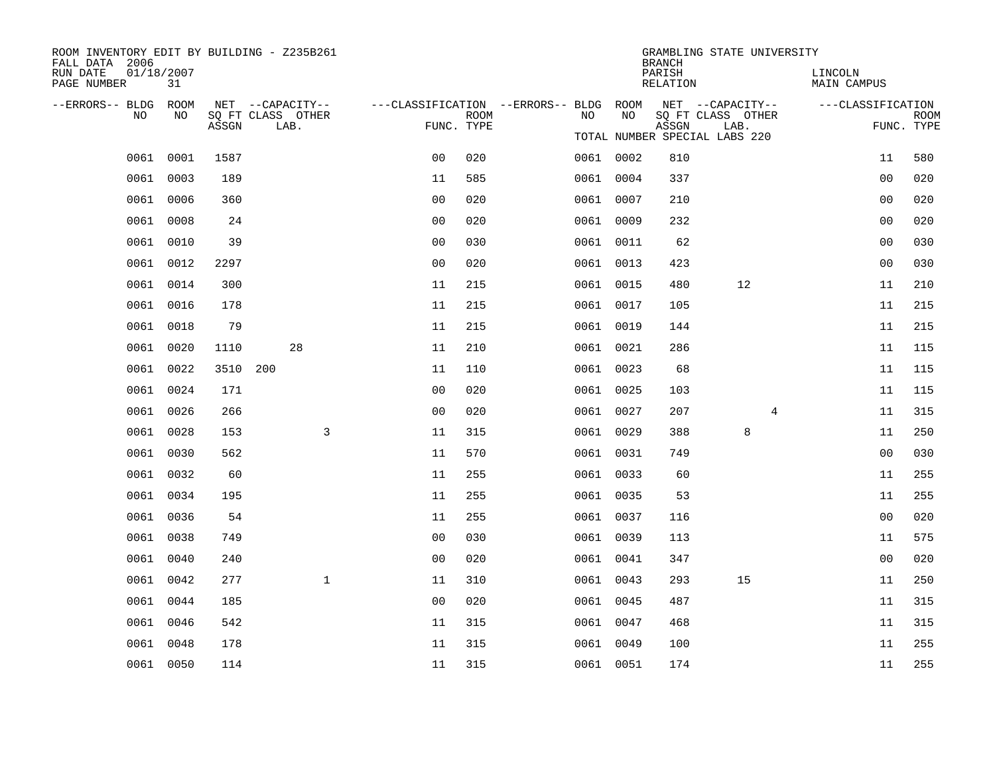| ROOM INVENTORY EDIT BY BUILDING - Z235B261<br>FALL DATA 2006 |                  |       |                           |                                        |                           |           |    | <b>BRANCH</b>      | GRAMBLING STATE UNIVERSITY    |   |                        |                           |
|--------------------------------------------------------------|------------------|-------|---------------------------|----------------------------------------|---------------------------|-----------|----|--------------------|-------------------------------|---|------------------------|---------------------------|
| RUN DATE<br>PAGE NUMBER                                      | 01/18/2007<br>31 |       |                           |                                        |                           |           |    | PARISH<br>RELATION |                               |   | LINCOLN<br>MAIN CAMPUS |                           |
| --ERRORS-- BLDG ROOM                                         |                  |       | NET --CAPACITY--          | ---CLASSIFICATION --ERRORS-- BLDG ROOM |                           |           |    |                    | NET --CAPACITY--              |   | ---CLASSIFICATION      |                           |
| NO                                                           | NO               | ASSGN | SQ FT CLASS OTHER<br>LAB. |                                        | <b>ROOM</b><br>FUNC. TYPE | NO        | NO | ASSGN              | SQ FT CLASS OTHER<br>LAB.     |   |                        | <b>ROOM</b><br>FUNC. TYPE |
|                                                              |                  |       |                           |                                        |                           |           |    |                    | TOTAL NUMBER SPECIAL LABS 220 |   |                        |                           |
|                                                              | 0061 0001        | 1587  |                           | 0 <sub>0</sub>                         | 020                       | 0061 0002 |    | 810                |                               |   | 11                     | 580                       |
| 0061                                                         | 0003             | 189   |                           | 11                                     | 585                       | 0061 0004 |    | 337                |                               |   | 00                     | 020                       |
|                                                              | 0061 0006        | 360   |                           | 0 <sub>0</sub>                         | 020                       | 0061 0007 |    | 210                |                               |   | 0 <sub>0</sub>         | 020                       |
|                                                              | 0061 0008        | 24    |                           | 0 <sub>0</sub>                         | 020                       | 0061 0009 |    | 232                |                               |   | 0 <sub>0</sub>         | 020                       |
|                                                              | 0061 0010        | 39    |                           | 0 <sub>0</sub>                         | 030                       | 0061 0011 |    | 62                 |                               |   | 0 <sub>0</sub>         | 030                       |
|                                                              | 0061 0012        | 2297  |                           | 0 <sub>0</sub>                         | 020                       | 0061 0013 |    | 423                |                               |   | 00                     | 030                       |
|                                                              | 0061 0014        | 300   |                           | 11                                     | 215                       | 0061 0015 |    | 480                | 12                            |   | 11                     | 210                       |
|                                                              | 0061 0016        | 178   |                           | 11                                     | 215                       | 0061 0017 |    | 105                |                               |   | 11                     | 215                       |
| 0061                                                         | 0018             | 79    |                           | 11                                     | 215                       | 0061 0019 |    | 144                |                               |   | 11                     | 215                       |
|                                                              | 0061 0020        | 1110  | 28                        | 11                                     | 210                       | 0061 0021 |    | 286                |                               |   | 11                     | 115                       |
| 0061                                                         | 0022             | 3510  | 200                       | 11                                     | 110                       | 0061 0023 |    | 68                 |                               |   | 11                     | 115                       |
|                                                              | 0061 0024        | 171   |                           | 0 <sub>0</sub>                         | 020                       | 0061 0025 |    | 103                |                               |   | 11                     | 115                       |
|                                                              | 0061 0026        | 266   |                           | 0 <sub>0</sub>                         | 020                       | 0061 0027 |    | 207                |                               | 4 | 11                     | 315                       |
|                                                              | 0061 0028        | 153   |                           | 3<br>11                                | 315                       | 0061 0029 |    | 388                | 8                             |   | 11                     | 250                       |
|                                                              | 0061 0030        | 562   |                           | 11                                     | 570                       | 0061 0031 |    | 749                |                               |   | 0 <sub>0</sub>         | 030                       |
|                                                              | 0061 0032        | 60    |                           | 11                                     | 255                       | 0061 0033 |    | 60                 |                               |   | 11                     | 255                       |
|                                                              | 0061 0034        | 195   |                           | 11                                     | 255                       | 0061 0035 |    | 53                 |                               |   | 11                     | 255                       |
|                                                              | 0061 0036        | 54    |                           | 11                                     | 255                       | 0061 0037 |    | 116                |                               |   | 0 <sub>0</sub>         | 020                       |
|                                                              | 0061 0038        | 749   |                           | 0 <sub>0</sub>                         | 030                       | 0061 0039 |    | 113                |                               |   | 11                     | 575                       |
|                                                              | 0061 0040        | 240   |                           | 0 <sub>0</sub>                         | 020                       | 0061 0041 |    | 347                |                               |   | 0 <sub>0</sub>         | 020                       |
|                                                              | 0061 0042        | 277   |                           | $\mathbf{1}$<br>11                     | 310                       | 0061 0043 |    | 293                | 15                            |   | 11                     | 250                       |
|                                                              | 0061 0044        | 185   |                           | 0 <sub>0</sub>                         | 020                       | 0061 0045 |    | 487                |                               |   | 11                     | 315                       |
|                                                              | 0061 0046        | 542   |                           | 11                                     | 315                       | 0061 0047 |    | 468                |                               |   | 11                     | 315                       |
| 0061                                                         | 0048             | 178   |                           | 11                                     | 315                       | 0061 0049 |    | 100                |                               |   | 11                     | 255                       |
|                                                              | 0061 0050        | 114   |                           | 11                                     | 315                       | 0061 0051 |    | 174                |                               |   | 11                     | 255                       |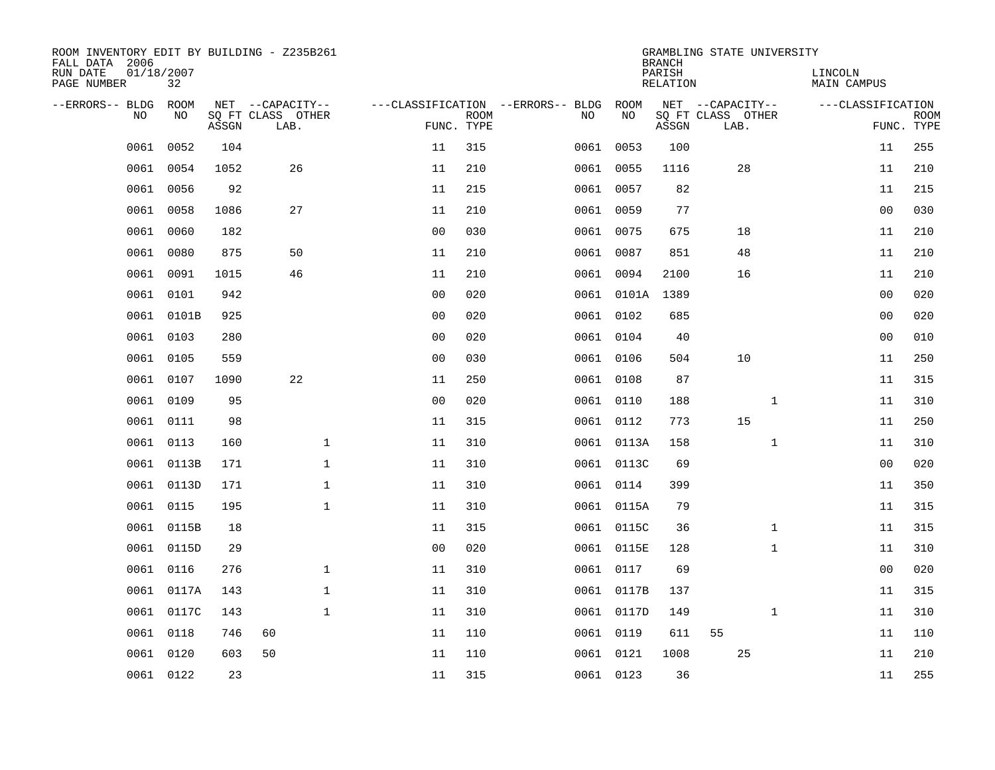| ROOM INVENTORY EDIT BY BUILDING - Z235B261<br>FALL DATA 2006 |                  |       |                           |                |             |                                   |            | <b>BRANCH</b>      | GRAMBLING STATE UNIVERSITY |                        |                |                           |
|--------------------------------------------------------------|------------------|-------|---------------------------|----------------|-------------|-----------------------------------|------------|--------------------|----------------------------|------------------------|----------------|---------------------------|
| RUN DATE<br>PAGE NUMBER                                      | 01/18/2007<br>32 |       |                           |                |             |                                   |            | PARISH<br>RELATION |                            | LINCOLN<br>MAIN CAMPUS |                |                           |
| --ERRORS-- BLDG                                              | ROOM             |       | NET --CAPACITY--          |                |             | ---CLASSIFICATION --ERRORS-- BLDG | ROOM       |                    | NET --CAPACITY--           | ---CLASSIFICATION      |                |                           |
| N <sub>O</sub>                                               | NO.              | ASSGN | SO FT CLASS OTHER<br>LAB. | FUNC. TYPE     | <b>ROOM</b> | NO.                               | NO         | ASSGN              | SQ FT CLASS OTHER<br>LAB.  |                        |                | <b>ROOM</b><br>FUNC. TYPE |
| 0061                                                         | 0052             | 104   |                           | 11             | 315         |                                   | 0061 0053  | 100                |                            |                        | 11             | 255                       |
| 0061                                                         | 0054             | 1052  | 26                        | 11             | 210         |                                   | 0061 0055  | 1116               | 28                         |                        | 11             | 210                       |
| 0061                                                         | 0056             | 92    |                           | 11             | 215         |                                   | 0061 0057  | 82                 |                            |                        | 11             | 215                       |
| 0061                                                         | 0058             | 1086  | 27                        | 11             | 210         |                                   | 0061 0059  | 77                 |                            |                        | 00             | 030                       |
| 0061                                                         | 0060             | 182   |                           | 0 <sub>0</sub> | 030         |                                   | 0061 0075  | 675                | 18                         |                        | 11             | 210                       |
| 0061                                                         | 0080             | 875   | 50                        | 11             | 210         |                                   | 0061 0087  | 851                | 48                         |                        | 11             | 210                       |
| 0061                                                         | 0091             | 1015  | 46                        | 11             | 210         |                                   | 0061 0094  | 2100               | 16                         |                        | 11             | 210                       |
| 0061                                                         | 0101             | 942   |                           | 0 <sub>0</sub> | 020         |                                   | 0061 0101A | 1389               |                            |                        | 0 <sub>0</sub> | 020                       |
| 0061                                                         | 0101B            | 925   |                           | 0 <sub>0</sub> | 020         |                                   | 0061 0102  | 685                |                            |                        | 00             | 020                       |
|                                                              | 0061 0103        | 280   |                           | 0 <sub>0</sub> | 020         |                                   | 0061 0104  | 40                 |                            |                        | 0 <sub>0</sub> | 010                       |
| 0061                                                         | 0105             | 559   |                           | 0 <sub>0</sub> | 030         |                                   | 0061 0106  | 504                | 10                         |                        | 11             | 250                       |
| 0061                                                         | 0107             | 1090  | 22                        | 11             | 250         |                                   | 0061 0108  | 87                 |                            |                        | 11             | 315                       |
| 0061                                                         | 0109             | 95    |                           | 0 <sub>0</sub> | 020         | 0061                              | 0110       | 188                | $\mathbf{1}$               |                        | 11             | 310                       |
| 0061                                                         | 0111             | 98    |                           | 11             | 315         |                                   | 0061 0112  | 773                | 15                         |                        | 11             | 250                       |
| 0061                                                         | 0113             | 160   | $\mathbf 1$               | 11             | 310         |                                   | 0061 0113A | 158                | $\mathbf{1}$               |                        | 11             | 310                       |
| 0061                                                         | 0113B            | 171   | $\mathbf{1}$              | 11             | 310         |                                   | 0061 0113C | 69                 |                            |                        | 0 <sub>0</sub> | 020                       |
| 0061                                                         | 0113D            | 171   | $\mathbf{1}$              | 11             | 310         |                                   | 0061 0114  | 399                |                            |                        | 11             | 350                       |
| 0061                                                         | 0115             | 195   | $\mathbf{1}$              | 11             | 310         |                                   | 0061 0115A | 79                 |                            |                        | 11             | 315                       |
| 0061                                                         | 0115B            | 18    |                           | 11             | 315         |                                   | 0061 0115C | 36                 | $\mathbf{1}$               |                        | 11             | 315                       |
|                                                              | 0061 0115D       | 29    |                           | 0 <sub>0</sub> | 020         |                                   | 0061 0115E | 128                | $\mathbf{1}$               |                        | 11             | 310                       |
| 0061                                                         | 0116             | 276   | $\mathbf 1$               | 11             | 310         |                                   | 0061 0117  | 69                 |                            |                        | 0 <sub>0</sub> | 020                       |
| 0061                                                         | 0117A            | 143   | $\mathbf 1$               | 11             | 310         |                                   | 0061 0117B | 137                |                            |                        | 11             | 315                       |
| 0061                                                         | 0117C            | 143   | 1                         | 11             | 310         |                                   | 0061 0117D | 149                | $\mathbf{1}$               |                        | 11             | 310                       |
| 0061                                                         | 0118             | 746   | 60                        | 11             | 110         |                                   | 0061 0119  | 611                | 55                         |                        | 11             | 110                       |
| 0061                                                         | 0120             | 603   | 50                        | 11             | 110         |                                   | 0061 0121  | 1008               | 25                         |                        | 11             | 210                       |
|                                                              | 0061 0122        | 23    |                           | 11             | 315         |                                   | 0061 0123  | 36                 |                            |                        | 11             | 255                       |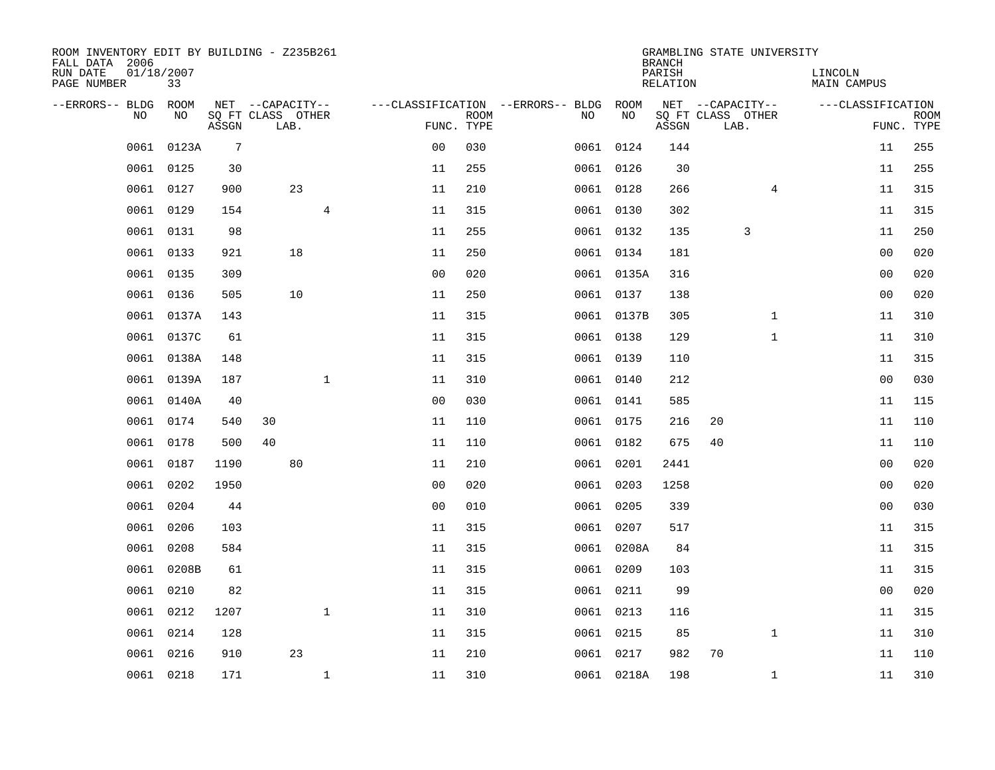| ROOM INVENTORY EDIT BY BUILDING - Z235B261<br>FALL DATA 2006 |                  |                            |                  |      |                |                                   |             |           |            | <b>BRANCH</b>      | GRAMBLING STATE UNIVERSITY |                        |                           |
|--------------------------------------------------------------|------------------|----------------------------|------------------|------|----------------|-----------------------------------|-------------|-----------|------------|--------------------|----------------------------|------------------------|---------------------------|
| RUN DATE<br>PAGE NUMBER                                      | 01/18/2007<br>33 |                            |                  |      |                |                                   |             |           |            | PARISH<br>RELATION |                            | LINCOLN<br>MAIN CAMPUS |                           |
| --ERRORS-- BLDG                                              | ROOM             |                            | NET --CAPACITY-- |      |                | ---CLASSIFICATION --ERRORS-- BLDG |             |           | ROOM       |                    | NET --CAPACITY--           | ---CLASSIFICATION      |                           |
| N <sub>O</sub>                                               | NO.              | SO FT CLASS OTHER<br>ASSGN |                  | LAB. |                | FUNC. TYPE                        | <b>ROOM</b> | NO.       | NO         | ASSGN              | SQ FT CLASS OTHER<br>LAB.  |                        | <b>ROOM</b><br>FUNC. TYPE |
| 0061                                                         | 0123A            | $7\phantom{.0}$            |                  |      |                | 0 <sub>0</sub>                    | 030         |           | 0061 0124  | 144                |                            | 11                     | 255                       |
| 0061                                                         | 0125             | 30                         |                  |      |                | 11                                | 255         | 0061 0126 |            | 30                 |                            | 11                     | 255                       |
| 0061                                                         | 0127             | 900                        |                  | 23   |                | 11                                | 210         |           | 0061 0128  | 266                | 4                          | 11                     | 315                       |
| 0061                                                         | 0129             | 154                        |                  |      | $\overline{4}$ | 11                                | 315         |           | 0061 0130  | 302                |                            | 11                     | 315                       |
| 0061                                                         | 0131             | 98                         |                  |      |                | 11                                | 255         |           | 0061 0132  | 135                | 3                          | 11                     | 250                       |
| 0061                                                         | 0133             | 921                        |                  | 18   |                | 11                                | 250         |           | 0061 0134  | 181                |                            | 0 <sub>0</sub>         | 020                       |
| 0061                                                         | 0135             | 309                        |                  |      |                | 0 <sub>0</sub>                    | 020         |           | 0061 0135A | 316                |                            | 0 <sub>0</sub>         | 020                       |
|                                                              | 0061 0136        | 505                        |                  | 10   |                | 11                                | 250         |           | 0061 0137  | 138                |                            | 0 <sub>0</sub>         | 020                       |
| 0061                                                         | 0137A            | 143                        |                  |      |                | 11                                | 315         |           | 0061 0137B | 305                | $\mathbf{1}$               | 11                     | 310                       |
|                                                              | 0061 0137C       | 61                         |                  |      |                | 11                                | 315         |           | 0061 0138  | 129                | $\mathbf{1}$               | 11                     | 310                       |
| 0061                                                         | 0138A            | 148                        |                  |      |                | 11                                | 315         |           | 0061 0139  | 110                |                            | 11                     | 315                       |
|                                                              | 0061 0139A       | 187                        |                  |      | $\mathbf{1}$   | 11                                | 310         |           | 0061 0140  | 212                |                            | 0 <sub>0</sub>         | 030                       |
| 0061                                                         | 0140A            | 40                         |                  |      |                | 0 <sub>0</sub>                    | 030         |           | 0061 0141  | 585                |                            | 11                     | 115                       |
| 0061                                                         | 0174             | 540                        | 30               |      |                | 11                                | 110         |           | 0061 0175  | 216                | 20                         | 11                     | 110                       |
| 0061                                                         | 0178             | 500                        | 40               |      |                | 11                                | 110         |           | 0061 0182  | 675                | 40                         | 11                     | 110                       |
| 0061                                                         | 0187             | 1190                       |                  | 80   |                | 11                                | 210         |           | 0061 0201  | 2441               |                            | 0 <sub>0</sub>         | 020                       |
| 0061                                                         | 0202             | 1950                       |                  |      |                | 0 <sub>0</sub>                    | 020         | 0061 0203 |            | 1258               |                            | 0 <sub>0</sub>         | 020                       |
| 0061                                                         | 0204             | 44                         |                  |      |                | 0 <sub>0</sub>                    | 010         |           | 0061 0205  | 339                |                            | 00                     | 030                       |
| 0061                                                         | 0206             | 103                        |                  |      |                | 11                                | 315         | 0061 0207 |            | 517                |                            | 11                     | 315                       |
| 0061                                                         | 0208             | 584                        |                  |      |                | 11                                | 315         |           | 0061 0208A | 84                 |                            | 11                     | 315                       |
| 0061                                                         | 0208B            | 61                         |                  |      |                | 11                                | 315         |           | 0061 0209  | 103                |                            | 11                     | 315                       |
| 0061                                                         | 0210             | 82                         |                  |      |                | 11                                | 315         |           | 0061 0211  | 99                 |                            | 00                     | 020                       |
| 0061                                                         | 0212             | 1207                       |                  |      | $\mathbf{1}$   | 11                                | 310         | 0061 0213 |            | 116                |                            | 11                     | 315                       |
| 0061                                                         | 0214             | 128                        |                  |      |                | 11                                | 315         | 0061 0215 |            | 85                 | $\mathbf{1}$               | 11                     | 310                       |
| 0061                                                         | 0216             | 910                        |                  | 23   |                | 11                                | 210         |           | 0061 0217  | 982                | 70                         | 11                     | 110                       |
|                                                              | 0061 0218        | 171                        |                  |      | $\mathbf{1}$   | 11                                | 310         |           | 0061 0218A | 198                | $\mathbf{1}$               | 11                     | 310                       |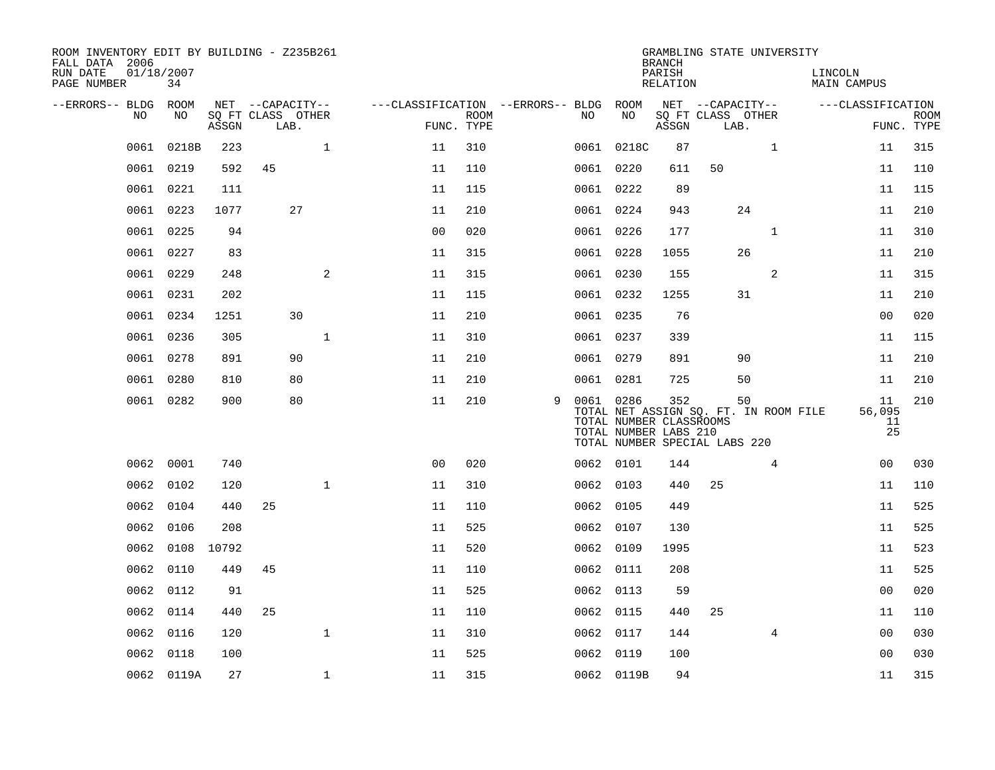| ROOM INVENTORY EDIT BY BUILDING - Z235B261<br>FALL DATA 2006 |                  |       |                           |              |                                        |             |   |    |                                                               | <b>BRANCH</b>      | GRAMBLING STATE UNIVERSITY                                             |              |                        |                          |                           |
|--------------------------------------------------------------|------------------|-------|---------------------------|--------------|----------------------------------------|-------------|---|----|---------------------------------------------------------------|--------------------|------------------------------------------------------------------------|--------------|------------------------|--------------------------|---------------------------|
| RUN DATE<br>PAGE NUMBER                                      | 01/18/2007<br>34 |       |                           |              |                                        |             |   |    |                                                               | PARISH<br>RELATION |                                                                        |              | LINCOLN<br>MAIN CAMPUS |                          |                           |
| --ERRORS-- BLDG ROOM<br>NO                                   | NO               |       | NET --CAPACITY--          |              | ---CLASSIFICATION --ERRORS-- BLDG ROOM |             |   | NO | NO                                                            |                    | NET --CAPACITY--<br>SQ FT CLASS OTHER                                  |              | ---CLASSIFICATION      |                          |                           |
|                                                              |                  | ASSGN | SQ FT CLASS OTHER<br>LAB. |              | FUNC. TYPE                             | <b>ROOM</b> |   |    |                                                               | ASSGN              | LAB.                                                                   |              |                        |                          | <b>ROOM</b><br>FUNC. TYPE |
| 0061                                                         | 0218B            | 223   |                           | $\mathbf{1}$ | 11                                     | 310         |   |    | 0061 0218C                                                    | 87                 |                                                                        | $\mathbf{1}$ |                        | 11                       | 315                       |
|                                                              | 0061 0219        | 592   | 45                        |              | 11                                     | 110         |   |    | 0061 0220                                                     | 611                | 50                                                                     |              |                        | 11                       | 110                       |
|                                                              | 0061 0221        | 111   |                           |              | 11                                     | 115         |   |    | 0061 0222                                                     | 89                 |                                                                        |              |                        | 11                       | 115                       |
|                                                              | 0061 0223        | 1077  | 27                        |              | 11                                     | 210         |   |    | 0061 0224                                                     | 943                |                                                                        | 24           |                        | 11                       | 210                       |
|                                                              | 0061 0225        | 94    |                           |              | 0 <sub>0</sub>                         | 020         |   |    | 0061 0226                                                     | 177                |                                                                        | $\mathbf{1}$ |                        | 11                       | 310                       |
|                                                              | 0061 0227        | 83    |                           |              | 11                                     | 315         |   |    | 0061 0228                                                     | 1055               |                                                                        | 26           |                        | 11                       | 210                       |
| 0061                                                         | 0229             | 248   |                           | $\mathbf{2}$ | 11                                     | 315         |   |    | 0061 0230                                                     | 155                |                                                                        | 2            |                        | 11                       | 315                       |
|                                                              | 0061 0231        | 202   |                           |              | 11                                     | 115         |   |    | 0061 0232                                                     | 1255               |                                                                        | 31           |                        | 11                       | 210                       |
|                                                              | 0061 0234        | 1251  | 30                        |              | 11                                     | 210         |   |    | 0061 0235                                                     | 76                 |                                                                        |              |                        | 0 <sub>0</sub>           | 020                       |
|                                                              | 0061 0236        | 305   |                           | $\mathbf{1}$ | 11                                     | 310         |   |    | 0061 0237                                                     | 339                |                                                                        |              |                        | 11                       | 115                       |
|                                                              | 0061 0278        | 891   | 90                        |              | 11                                     | 210         |   |    | 0061 0279                                                     | 891                |                                                                        | 90           |                        | 11                       | 210                       |
|                                                              | 0061 0280        | 810   | 80                        |              | 11                                     | 210         |   |    | 0061 0281                                                     | 725                |                                                                        | 50           |                        | 11                       | 210                       |
|                                                              | 0061 0282        | 900   | 80                        |              | 11                                     | 210         | 9 |    | 0061 0286<br>TOTAL NUMBER CLASSROOMS<br>TOTAL NUMBER LABS 210 | 352                | TOTAL NET ASSIGN SQ. FT. IN ROOM FILE<br>TOTAL NUMBER SPECIAL LABS 220 | 50           |                        | 11<br>56,095<br>11<br>25 | 210                       |
|                                                              | 0062 0001        | 740   |                           |              | 0 <sup>0</sup>                         | 020         |   |    | 0062 0101                                                     | 144                |                                                                        | 4            |                        | 0 <sub>0</sub>           | 030                       |
|                                                              | 0062 0102        | 120   |                           | $\mathbf{1}$ | 11                                     | 310         |   |    | 0062 0103                                                     | 440                | 25                                                                     |              |                        | 11                       | 110                       |
|                                                              | 0062 0104        | 440   | 25                        |              | 11                                     | 110         |   |    | 0062 0105                                                     | 449                |                                                                        |              |                        | 11                       | 525                       |
|                                                              | 0062 0106        | 208   |                           |              | 11                                     | 525         |   |    | 0062 0107                                                     | 130                |                                                                        |              |                        | 11                       | 525                       |
| 0062                                                         | 0108 10792       |       |                           |              | 11                                     | 520         |   |    | 0062 0109                                                     | 1995               |                                                                        |              |                        | 11                       | 523                       |
|                                                              | 0062 0110        | 449   | 45                        |              | 11                                     | 110         |   |    | 0062 0111                                                     | 208                |                                                                        |              |                        | 11                       | 525                       |
| 0062                                                         | 0112             | 91    |                           |              | 11                                     | 525         |   |    | 0062 0113                                                     | 59                 |                                                                        |              |                        | 0 <sub>0</sub>           | 020                       |
| 0062                                                         | 0114             | 440   | 25                        |              | 11                                     | 110         |   |    | 0062 0115                                                     | 440                | 25                                                                     |              |                        | 11                       | 110                       |
| 0062                                                         | 0116             | 120   |                           | $\mathbf{1}$ | 11                                     | 310         |   |    | 0062 0117                                                     | 144                |                                                                        | 4            |                        | 00                       | 030                       |
| 0062                                                         | 0118             | 100   |                           |              | 11                                     | 525         |   |    | 0062 0119                                                     | 100                |                                                                        |              |                        | 0 <sub>0</sub>           | 030                       |
|                                                              | 0062 0119A       | 27    |                           | $\mathbf{1}$ | 11                                     | 315         |   |    | 0062 0119B                                                    | 94                 |                                                                        |              |                        | 11                       | 315                       |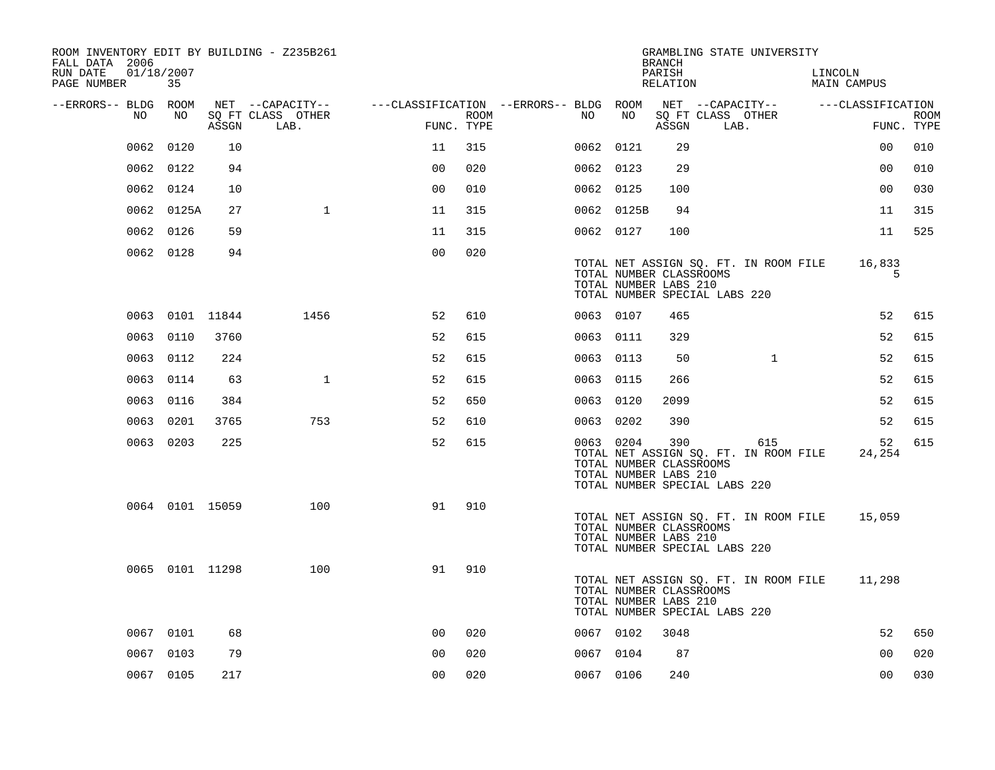| ROOM INVENTORY EDIT BY BUILDING - Z235B261<br>FALL DATA 2006 |                 |       |                           |                                        |      |           |            | <b>BRANCH</b>                                                                            |      | GRAMBLING STATE UNIVERSITY                   |         |                   |             |
|--------------------------------------------------------------|-----------------|-------|---------------------------|----------------------------------------|------|-----------|------------|------------------------------------------------------------------------------------------|------|----------------------------------------------|---------|-------------------|-------------|
| 01/18/2007<br>RUN DATE<br>PAGE NUMBER                        | 35              |       |                           |                                        |      |           |            | PARISH<br>RELATION                                                                       |      |                                              | LINCOLN | MAIN CAMPUS       |             |
| --ERRORS-- BLDG ROOM                                         |                 |       | NET --CAPACITY--          | ---CLASSIFICATION --ERRORS-- BLDG ROOM |      |           |            |                                                                                          |      | NET --CAPACITY--                             |         | ---CLASSIFICATION |             |
| NO                                                           | NO              | ASSGN | SQ FT CLASS OTHER<br>LAB. | FUNC. TYPE                             | ROOM | NO        | NO         | ASSGN                                                                                    | LAB. | SQ FT CLASS OTHER                            |         | FUNC. TYPE        | <b>ROOM</b> |
| 0062                                                         | 0120            | 10    |                           | 11                                     | 315  | 0062 0121 |            | 29                                                                                       |      |                                              |         | 0 <sub>0</sub>    | 010         |
|                                                              | 0062 0122       | 94    |                           | 0 <sub>0</sub>                         | 020  | 0062 0123 |            | 29                                                                                       |      |                                              |         | 00                | 010         |
|                                                              | 0062 0124       | 10    |                           | 0 <sub>0</sub>                         | 010  | 0062 0125 |            | 100                                                                                      |      |                                              |         | 0 <sub>0</sub>    | 030         |
|                                                              | 0062 0125A      | 27    | $\mathbf{1}$              | 11                                     | 315  |           | 0062 0125B | 94                                                                                       |      |                                              |         | 11                | 315         |
|                                                              | 0062 0126       | 59    |                           | 11                                     | 315  | 0062 0127 |            | 100                                                                                      |      |                                              |         | 11                | 525         |
|                                                              | 0062 0128       | 94    |                           | 0 <sub>0</sub>                         | 020  |           |            | TOTAL NUMBER CLASSROOMS<br>TOTAL NUMBER LABS 210<br>TOTAL NUMBER SPECIAL LABS 220        |      | TOTAL NET ASSIGN SQ. FT. IN ROOM FILE        |         | 16,833<br>5       |             |
|                                                              | 0063 0101 11844 |       | 1456                      | 52                                     | 610  | 0063 0107 |            | 465                                                                                      |      |                                              |         | 52                | 615         |
|                                                              | 0063 0110       | 3760  |                           | 52                                     | 615  | 0063 0111 |            | 329                                                                                      |      |                                              |         | 52                | 615         |
|                                                              | 0063 0112       | 224   |                           | 52                                     | 615  | 0063 0113 |            | 50                                                                                       |      | $\mathbf{1}$                                 |         | 52                | 615         |
|                                                              | 0063 0114       | 63    | $\mathbf{1}$              | 52                                     | 615  | 0063 0115 |            | 266                                                                                      |      |                                              |         | 52                | 615         |
|                                                              | 0063 0116       | 384   |                           | 52                                     | 650  | 0063 0120 |            | 2099                                                                                     |      |                                              |         | 52                | 615         |
|                                                              | 0063 0201       | 3765  | 753                       | 52                                     | 610  | 0063 0202 |            | 390                                                                                      |      |                                              |         | 52                | 615         |
|                                                              | 0063 0203       | 225   |                           | 52                                     | 615  | 0063 0204 |            | 390<br>TOTAL NUMBER CLASSROOMS<br>TOTAL NUMBER LABS 210<br>TOTAL NUMBER SPECIAL LABS 220 |      | 615<br>TOTAL NET ASSIGN SQ. FT. IN ROOM FILE |         | 52<br>24,254      | 615         |
|                                                              | 0064 0101 15059 |       | 100                       | 91                                     | 910  |           |            | TOTAL NUMBER CLASSROOMS<br>TOTAL NUMBER LABS 210<br>TOTAL NUMBER SPECIAL LABS 220        |      | TOTAL NET ASSIGN SQ. FT. IN ROOM FILE        |         | 15,059            |             |
|                                                              | 0065 0101 11298 |       | 100                       | 91                                     | 910  |           |            | TOTAL NUMBER CLASSROOMS<br>TOTAL NUMBER LABS 210<br>TOTAL NUMBER SPECIAL LABS 220        |      | TOTAL NET ASSIGN SQ. FT. IN ROOM FILE        |         | 11,298            |             |
|                                                              | 0067 0101       | 68    |                           | 0 <sub>0</sub>                         | 020  | 0067 0102 |            | 3048                                                                                     |      |                                              |         | 52                | 650         |
|                                                              | 0067 0103       | 79    |                           | 0 <sub>0</sub>                         | 020  | 0067 0104 |            | 87                                                                                       |      |                                              |         | 0 <sub>0</sub>    | 020         |
|                                                              | 0067 0105       | 217   |                           | 0 <sub>0</sub>                         | 020  | 0067 0106 |            | 240                                                                                      |      |                                              |         | 0 <sub>0</sub>    | 030         |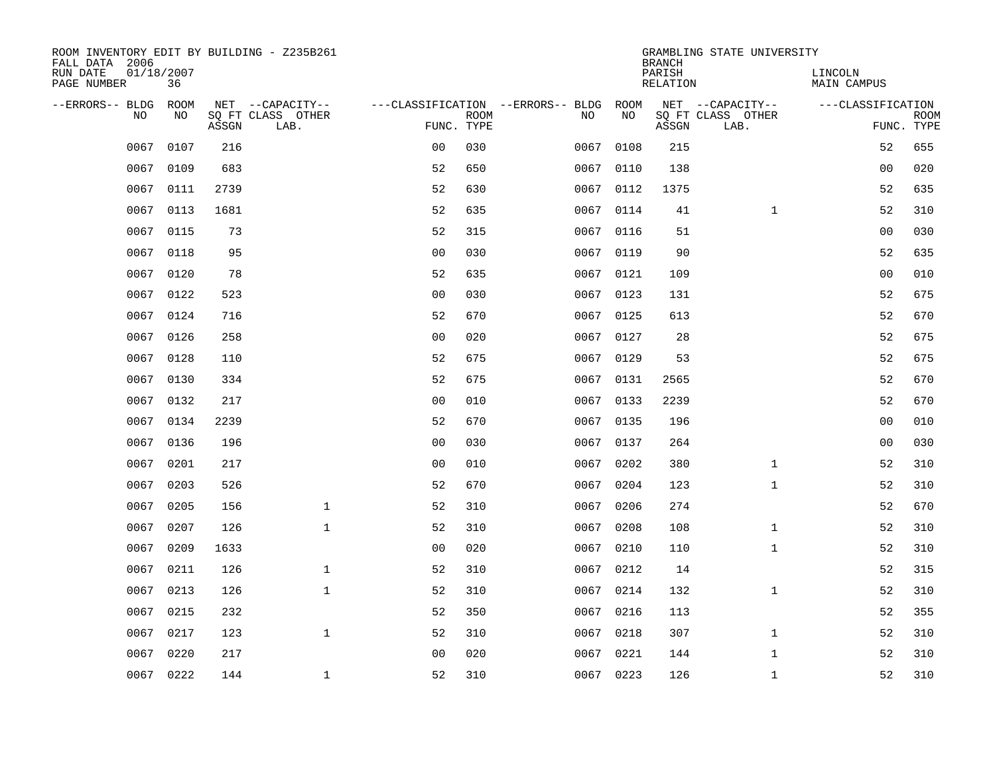| ROOM INVENTORY EDIT BY BUILDING - Z235B261<br>FALL DATA 2006 |                  |       |                           |                |             |                                        |           | <b>BRANCH</b>             | GRAMBLING STATE UNIVERSITY |                               |                           |
|--------------------------------------------------------------|------------------|-------|---------------------------|----------------|-------------|----------------------------------------|-----------|---------------------------|----------------------------|-------------------------------|---------------------------|
| RUN DATE<br>PAGE NUMBER                                      | 01/18/2007<br>36 |       |                           |                |             |                                        |           | PARISH<br><b>RELATION</b> |                            | LINCOLN<br><b>MAIN CAMPUS</b> |                           |
| --ERRORS-- BLDG                                              | ROOM             |       | NET --CAPACITY--          |                |             | ---CLASSIFICATION --ERRORS-- BLDG ROOM |           |                           | NET --CAPACITY--           | ---CLASSIFICATION             |                           |
| NO                                                           | NO               | ASSGN | SQ FT CLASS OTHER<br>LAB. | FUNC. TYPE     | <b>ROOM</b> | NO                                     | NO        | ASSGN                     | SQ FT CLASS OTHER<br>LAB.  |                               | <b>ROOM</b><br>FUNC. TYPE |
| 0067                                                         | 0107             | 216   |                           | 0 <sub>0</sub> | 030         | 0067                                   | 0108      | 215                       |                            | 52                            | 655                       |
| 0067                                                         | 0109             | 683   |                           | 52             | 650         | 0067                                   | 0110      | 138                       |                            | 0 <sub>0</sub>                | 020                       |
| 0067                                                         | 0111             | 2739  |                           | 52             | 630         | 0067                                   | 0112      | 1375                      |                            | 52                            | 635                       |
| 0067                                                         | 0113             | 1681  |                           | 52             | 635         |                                        | 0067 0114 | 41                        | $\mathbf{1}$               | 52                            | 310                       |
| 0067                                                         | 0115             | 73    |                           | 52             | 315         | 0067                                   | 0116      | 51                        |                            | 0 <sub>0</sub>                | 030                       |
| 0067                                                         | 0118             | 95    |                           | 0 <sub>0</sub> | 030         |                                        | 0067 0119 | 90                        |                            | 52                            | 635                       |
| 0067                                                         | 0120             | 78    |                           | 52             | 635         | 0067                                   | 0121      | 109                       |                            | 0 <sub>0</sub>                | 010                       |
|                                                              | 0067 0122        | 523   |                           | 0 <sub>0</sub> | 030         |                                        | 0067 0123 | 131                       |                            | 52                            | 675                       |
| 0067                                                         | 0124             | 716   |                           | 52             | 670         | 0067                                   | 0125      | 613                       |                            | 52                            | 670                       |
|                                                              | 0067 0126        | 258   |                           | 0 <sub>0</sub> | 020         |                                        | 0067 0127 | 28                        |                            | 52                            | 675                       |
| 0067                                                         | 0128             | 110   |                           | 52             | 675         |                                        | 0067 0129 | 53                        |                            | 52                            | 675                       |
|                                                              | 0067 0130        | 334   |                           | 52             | 675         |                                        | 0067 0131 | 2565                      |                            | 52                            | 670                       |
| 0067                                                         | 0132             | 217   |                           | 0 <sub>0</sub> | 010         | 0067                                   | 0133      | 2239                      |                            | 52                            | 670                       |
| 0067                                                         | 0134             | 2239  |                           | 52             | 670         | 0067                                   | 0135      | 196                       |                            | 00                            | 010                       |
| 0067                                                         | 0136             | 196   |                           | 0 <sub>0</sub> | 030         |                                        | 0067 0137 | 264                       |                            | 0 <sub>0</sub>                | 030                       |
| 0067                                                         | 0201             | 217   |                           | 0 <sub>0</sub> | 010         |                                        | 0067 0202 | 380                       | $\mathbf{1}$               | 52                            | 310                       |
| 0067                                                         | 0203             | 526   |                           | 52             | 670         | 0067                                   | 0204      | 123                       | $\mathbf{1}$               | 52                            | 310                       |
| 0067                                                         | 0205             | 156   | $\mathbf 1$               | 52             | 310         | 0067                                   | 0206      | 274                       |                            | 52                            | 670                       |
| 0067                                                         | 0207             | 126   | $\mathbf{1}$              | 52             | 310         |                                        | 0067 0208 | 108                       | $\mathbf{1}$               | 52                            | 310                       |
| 0067                                                         | 0209             | 1633  |                           | 0 <sub>0</sub> | 020         | 0067                                   | 0210      | 110                       | $\mathbf{1}$               | 52                            | 310                       |
| 0067                                                         | 0211             | 126   | $\mathbf{1}$              | 52             | 310         |                                        | 0067 0212 | 14                        |                            | 52                            | 315                       |
| 0067                                                         | 0213             | 126   | $\mathbf 1$               | 52             | 310         | 0067                                   | 0214      | 132                       | $\mathbf{1}$               | 52                            | 310                       |
| 0067                                                         | 0215             | 232   |                           | 52             | 350         |                                        | 0067 0216 | 113                       |                            | 52                            | 355                       |
| 0067                                                         | 0217             | 123   | $\mathbf{1}$              | 52             | 310         | 0067                                   | 0218      | 307                       | $\mathbf{1}$               | 52                            | 310                       |
| 0067                                                         | 0220             | 217   |                           | 0 <sub>0</sub> | 020         | 0067                                   | 0221      | 144                       | $\mathbf{1}$               | 52                            | 310                       |
|                                                              | 0067 0222        | 144   | $\mathbf{1}$              | 52             | 310         |                                        | 0067 0223 | 126                       | $\mathbf{1}$               | 52                            | 310                       |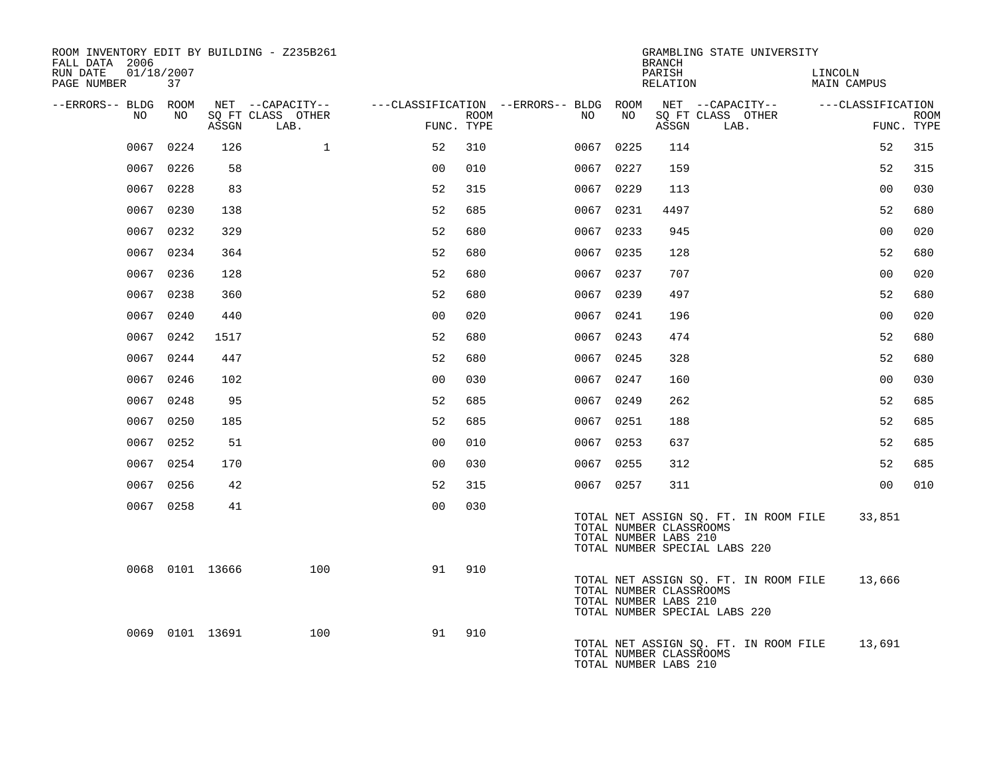| ROOM INVENTORY EDIT BY BUILDING - Z235B261<br>FALL DATA 2006 |           |                 |                           |                |      |                                        |      | <b>BRANCH</b>                                    | GRAMBLING STATE UNIVERSITY                                             |                        |                |             |
|--------------------------------------------------------------|-----------|-----------------|---------------------------|----------------|------|----------------------------------------|------|--------------------------------------------------|------------------------------------------------------------------------|------------------------|----------------|-------------|
| RUN DATE<br>01/18/2007<br>PAGE NUMBER                        | 37        |                 |                           |                |      |                                        |      | PARISH<br>RELATION                               |                                                                        | LINCOLN<br>MAIN CAMPUS |                |             |
| --ERRORS-- BLDG ROOM                                         |           |                 | NET --CAPACITY--          |                |      | ---CLASSIFICATION --ERRORS-- BLDG ROOM |      |                                                  | NET --CAPACITY--                                                       | ---CLASSIFICATION      |                |             |
| NO.                                                          | NO.       | ASSGN           | SQ FT CLASS OTHER<br>LAB. | FUNC. TYPE     | ROOM | NO                                     | NO   | ASSGN                                            | SQ FT CLASS OTHER<br>LAB.                                              |                        | FUNC. TYPE     | <b>ROOM</b> |
| 0067                                                         | 0224      | 126             | $\mathbf{1}$              | 52             | 310  | 0067 0225                              |      | 114                                              |                                                                        |                        | 52             | 315         |
|                                                              | 0067 0226 | 58              |                           | 0 <sub>0</sub> | 010  | 0067 0227                              |      | 159                                              |                                                                        |                        | 52             | 315         |
|                                                              | 0067 0228 | 83              |                           | 52             | 315  | 0067 0229                              |      | 113                                              |                                                                        |                        | 0 <sub>0</sub> | 030         |
|                                                              | 0067 0230 | 138             |                           | 52             | 685  | 0067 0231                              |      | 4497                                             |                                                                        |                        | 52             | 680         |
|                                                              | 0067 0232 | 329             |                           | 52             | 680  | 0067 0233                              |      | 945                                              |                                                                        |                        | 0 <sub>0</sub> | 020         |
|                                                              | 0067 0234 | 364             |                           | 52             | 680  | 0067 0235                              |      | 128                                              |                                                                        |                        | 52             | 680         |
|                                                              | 0067 0236 | 128             |                           | 52             | 680  | 0067 0237                              |      | 707                                              |                                                                        |                        | 0 <sub>0</sub> | 020         |
|                                                              | 0067 0238 | 360             |                           | 52             | 680  | 0067                                   | 0239 | 497                                              |                                                                        |                        | 52             | 680         |
|                                                              | 0067 0240 | 440             |                           | 0 <sub>0</sub> | 020  | 0067 0241                              |      | 196                                              |                                                                        |                        | 0 <sub>0</sub> | 020         |
|                                                              | 0067 0242 | 1517            |                           | 52             | 680  | 0067 0243                              |      | 474                                              |                                                                        |                        | 52             | 680         |
|                                                              | 0067 0244 | 447             |                           | 52             | 680  | 0067 0245                              |      | 328                                              |                                                                        |                        | 52             | 680         |
| 0067                                                         | 0246      | 102             |                           | 0 <sub>0</sub> | 030  | 0067 0247                              |      | 160                                              |                                                                        |                        | 0 <sub>0</sub> | 030         |
|                                                              | 0067 0248 | 95              |                           | 52             | 685  | 0067 0249                              |      | 262                                              |                                                                        |                        | 52             | 685         |
|                                                              | 0067 0250 | 185             |                           | 52             | 685  | 0067 0251                              |      | 188                                              |                                                                        |                        | 52             | 685         |
|                                                              | 0067 0252 | 51              |                           | 00             | 010  | 0067 0253                              |      | 637                                              |                                                                        |                        | 52             | 685         |
|                                                              | 0067 0254 | 170             |                           | 0 <sub>0</sub> | 030  | 0067 0255                              |      | 312                                              |                                                                        |                        | 52             | 685         |
|                                                              | 0067 0256 | 42              |                           | 52             | 315  | 0067 0257                              |      | 311                                              |                                                                        |                        | 0 <sub>0</sub> | 010         |
|                                                              | 0067 0258 | 41              |                           | 0 <sub>0</sub> | 030  |                                        |      | TOTAL NUMBER CLASSROOMS<br>TOTAL NUMBER LABS 210 | TOTAL NET ASSIGN SO. FT. IN ROOM FILE<br>TOTAL NUMBER SPECIAL LABS 220 |                        | 33,851         |             |
|                                                              |           | 0068 0101 13666 | 100                       | 91             | 910  |                                        |      | TOTAL NUMBER CLASSROOMS<br>TOTAL NUMBER LABS 210 | TOTAL NET ASSIGN SQ. FT. IN ROOM FILE<br>TOTAL NUMBER SPECIAL LABS 220 |                        | 13,666         |             |
|                                                              |           | 0069 0101 13691 | 100                       | 91             | 910  |                                        |      | TOTAL NUMBER CLASSROOMS<br>TOTAL NUMBER LABS 210 | TOTAL NET ASSIGN SQ. FT. IN ROOM FILE                                  |                        | 13,691         |             |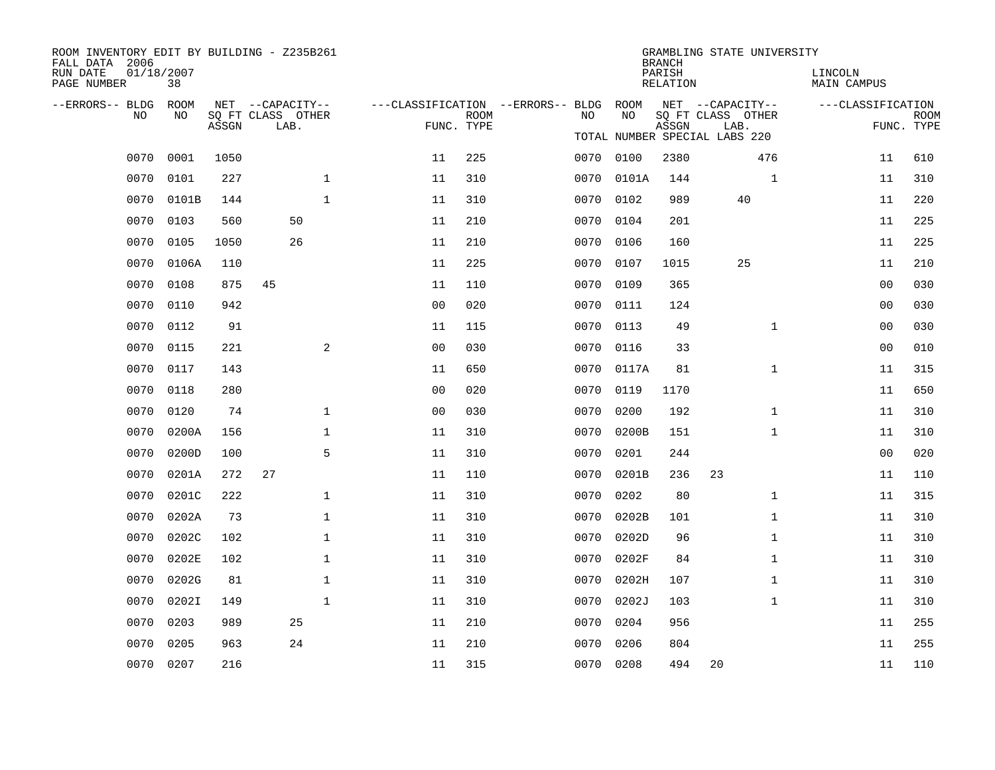| ROOM INVENTORY EDIT BY BUILDING - Z235B261<br>FALL DATA 2006 |                  |       |                           |              |                                        |             |      |            | <b>BRANCH</b>      | GRAMBLING STATE UNIVERSITY                                 |                               |                           |
|--------------------------------------------------------------|------------------|-------|---------------------------|--------------|----------------------------------------|-------------|------|------------|--------------------|------------------------------------------------------------|-------------------------------|---------------------------|
| RUN DATE<br>PAGE NUMBER                                      | 01/18/2007<br>38 |       |                           |              |                                        |             |      |            | PARISH<br>RELATION |                                                            | LINCOLN<br><b>MAIN CAMPUS</b> |                           |
| --ERRORS-- BLDG ROOM                                         | NO.              |       | NET --CAPACITY--          |              | ---CLASSIFICATION --ERRORS-- BLDG ROOM |             | NO   | NO         |                    | NET --CAPACITY--                                           | ---CLASSIFICATION             |                           |
| NO.                                                          |                  | ASSGN | SO FT CLASS OTHER<br>LAB. |              | FUNC. TYPE                             | <b>ROOM</b> |      |            | ASSGN              | SQ FT CLASS OTHER<br>LAB.<br>TOTAL NUMBER SPECIAL LABS 220 |                               | <b>ROOM</b><br>FUNC. TYPE |
| 0070                                                         | 0001             | 1050  |                           |              | 11                                     | 225         |      | 0070 0100  | 2380               | 476                                                        | 11                            | 610                       |
| 0070                                                         | 0101             | 227   |                           | $\mathbf{1}$ | 11                                     | 310         | 0070 | 0101A      | 144                | $\mathbf{1}$                                               | 11                            | 310                       |
| 0070                                                         | 0101B            | 144   |                           | $\mathbf{1}$ | 11                                     | 310         |      | 0070 0102  | 989                | 40                                                         | 11                            | 220                       |
| 0070                                                         | 0103             | 560   | 50                        |              | 11                                     | 210         | 0070 | 0104       | 201                |                                                            | 11                            | 225                       |
| 0070                                                         | 0105             | 1050  | 26                        |              | 11                                     | 210         | 0070 | 0106       | 160                |                                                            | 11                            | 225                       |
| 0070                                                         | 0106A            | 110   |                           |              | 11                                     | 225         | 0070 | 0107       | 1015               | 25                                                         | 11                            | 210                       |
| 0070                                                         | 0108             | 875   | 45                        |              | 11                                     | 110         |      | 0070 0109  | 365                |                                                            | 0 <sub>0</sub>                | 030                       |
| 0070                                                         | 0110             | 942   |                           |              | 0 <sub>0</sub>                         | 020         | 0070 | 0111       | 124                |                                                            | 00                            | 030                       |
| 0070                                                         | 0112             | 91    |                           |              | 11                                     | 115         | 0070 | 0113       | 49                 | $\mathbf{1}$                                               | 0 <sub>0</sub>                | 030                       |
| 0070                                                         | 0115             | 221   |                           | 2            | 0 <sub>0</sub>                         | 030         | 0070 | 0116       | 33                 |                                                            | 0 <sub>0</sub>                | 010                       |
| 0070                                                         | 0117             | 143   |                           |              | 11                                     | 650         |      | 0070 0117A | 81                 | $\mathbf{1}$                                               | 11                            | 315                       |
| 0070                                                         | 0118             | 280   |                           |              | 0 <sub>0</sub>                         | 020         | 0070 | 0119       | 1170               |                                                            | 11                            | 650                       |
| 0070                                                         | 0120             | 74    |                           | $\mathbf{1}$ | 0 <sub>0</sub>                         | 030         | 0070 | 0200       | 192                | $\mathbf{1}$                                               | 11                            | 310                       |
| 0070                                                         | 0200A            | 156   |                           | $\mathbf 1$  | 11                                     | 310         | 0070 | 0200B      | 151                | $\mathbf{1}$                                               | 11                            | 310                       |
| 0070                                                         | 0200D            | 100   |                           | 5            | 11                                     | 310         | 0070 | 0201       | 244                |                                                            | 00                            | 020                       |
| 0070                                                         | 0201A            | 272   | 27                        |              | 11                                     | 110         | 0070 | 0201B      | 236                | 23                                                         | 11                            | 110                       |
| 0070                                                         | 0201C            | 222   |                           | $\mathbf{1}$ | 11                                     | 310         | 0070 | 0202       | 80                 | $\mathbf{1}$                                               | 11                            | 315                       |
| 0070                                                         | 0202A            | 73    |                           | $\mathbf{1}$ | 11                                     | 310         | 0070 | 0202B      | 101                | $\mathbf{1}$                                               | 11                            | 310                       |
| 0070                                                         | 0202C            | 102   |                           | $\mathbf 1$  | 11                                     | 310         | 0070 | 0202D      | 96                 | $\mathbf{1}$                                               | 11                            | 310                       |
| 0070                                                         | 0202E            | 102   |                           | $\mathbf 1$  | 11                                     | 310         | 0070 | 0202F      | 84                 | $\mathbf{1}$                                               | 11                            | 310                       |
| 0070                                                         | 0202G            | 81    |                           | $\mathbf 1$  | 11                                     | 310         | 0070 | 0202H      | 107                | $\mathbf{1}$                                               | 11                            | 310                       |
| 0070                                                         | 0202I            | 149   |                           | $\mathbf{1}$ | 11                                     | 310         | 0070 | 0202J      | 103                | $\mathbf{1}$                                               | 11                            | 310                       |
| 0070                                                         | 0203             | 989   | 25                        |              | 11                                     | 210         | 0070 | 0204       | 956                |                                                            | 11                            | 255                       |
| 0070                                                         | 0205             | 963   | 24                        |              | 11                                     | 210         | 0070 | 0206       | 804                |                                                            | 11                            | 255                       |
|                                                              | 0070 0207        | 216   |                           |              | 11                                     | 315         |      | 0070 0208  | 494                | 20                                                         | 11                            | 110                       |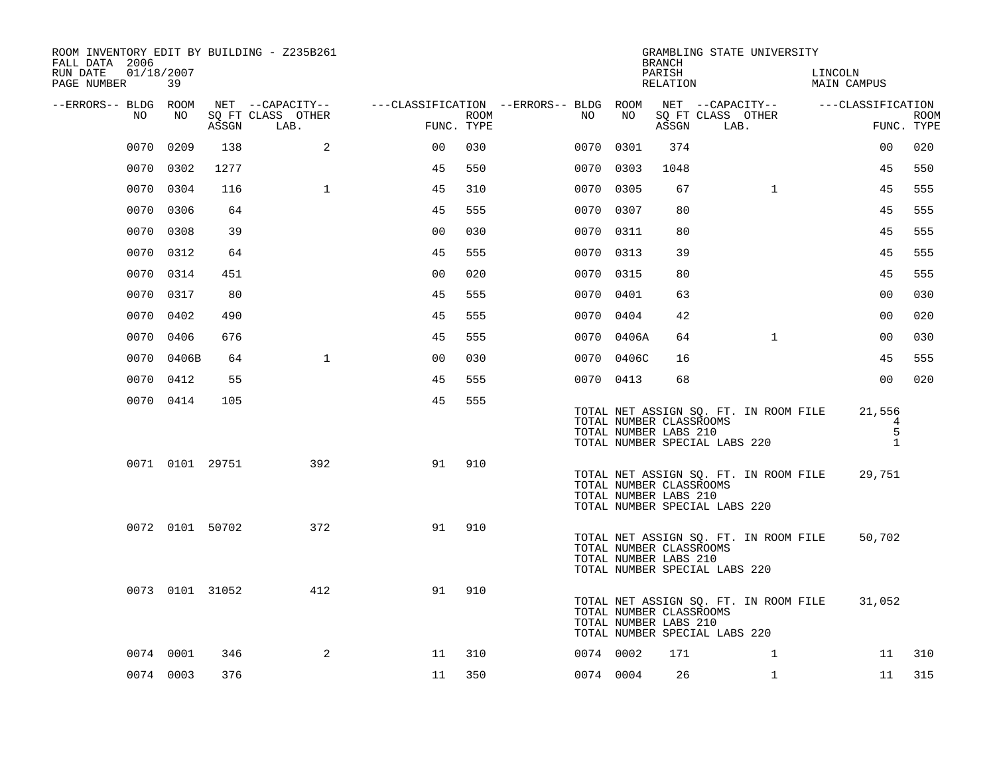| ROOM INVENTORY EDIT BY BUILDING - Z235B261<br>FALL DATA 2006 |            |                 |                           |                                        |      |      |            | <b>BRANCH</b>                                    |                               | GRAMBLING STATE UNIVERSITY            |                                       |                                  |             |
|--------------------------------------------------------------|------------|-----------------|---------------------------|----------------------------------------|------|------|------------|--------------------------------------------------|-------------------------------|---------------------------------------|---------------------------------------|----------------------------------|-------------|
| RUN DATE<br>01/18/2007<br>PAGE NUMBER                        | 39         |                 |                           |                                        |      |      |            | PARISH<br>RELATION                               |                               |                                       | LINCOLN                               | <b>MAIN CAMPUS</b>               |             |
| --ERRORS-- BLDG ROOM                                         |            |                 | NET --CAPACITY--          | ---CLASSIFICATION --ERRORS-- BLDG ROOM |      |      |            |                                                  |                               | NET --CAPACITY--                      |                                       | ---CLASSIFICATION                |             |
| NO                                                           | NO         | ASSGN           | SQ FT CLASS OTHER<br>LAB. | FUNC. TYPE                             | ROOM | NO   | NO         | ASSGN                                            | LAB.                          | SQ FT CLASS OTHER                     |                                       | FUNC. TYPE                       | <b>ROOM</b> |
| 0070                                                         | 0209       | 138             | 2                         | 0 <sup>0</sup>                         | 030  | 0070 | 0301       | 374                                              |                               |                                       |                                       | 00                               | 020         |
|                                                              | 0070 0302  | 1277            |                           | 45                                     | 550  | 0070 | 0303       | 1048                                             |                               |                                       |                                       | 45                               | 550         |
|                                                              | 0070 0304  | 116             | $\mathbf{1}$              | 45                                     | 310  |      | 0070 0305  | 67                                               |                               | $\mathbf{1}$                          |                                       | 45                               | 555         |
|                                                              | 0070 0306  | 64              |                           | 45                                     | 555  |      | 0070 0307  | 80                                               |                               |                                       |                                       | 45                               | 555         |
| 0070                                                         | 0308       | 39              |                           | 0 <sub>0</sub>                         | 030  |      | 0070 0311  | 80                                               |                               |                                       |                                       | 45                               | 555         |
|                                                              | 0070 0312  | 64              |                           | 45                                     | 555  |      | 0070 0313  | 39                                               |                               |                                       |                                       | 45                               | 555         |
|                                                              | 0070 0314  | 451             |                           | 0 <sub>0</sub>                         | 020  |      | 0070 0315  | 80                                               |                               |                                       |                                       | 45                               | 555         |
|                                                              | 0070 0317  | 80              |                           | 45                                     | 555  |      | 0070 0401  | 63                                               |                               |                                       |                                       | 00                               | 030         |
| 0070                                                         | 0402       | 490             |                           | 45                                     | 555  |      | 0070 0404  | 42                                               |                               |                                       |                                       | 0 <sub>0</sub>                   | 020         |
| 0070                                                         | 0406       | 676             |                           | 45                                     | 555  |      | 0070 0406A | 64                                               |                               | $\mathbf{1}$                          |                                       | 0 <sub>0</sub>                   | 030         |
|                                                              | 0070 0406B | 64              | $\mathbf{1}$              | 00                                     | 030  |      | 0070 0406C | 16                                               |                               |                                       |                                       | 45                               | 555         |
|                                                              | 0070 0412  | 55              |                           | 45                                     | 555  |      | 0070 0413  | 68                                               |                               |                                       |                                       | 0 <sub>0</sub>                   | 020         |
|                                                              | 0070 0414  | 105             |                           | 45                                     | 555  |      |            | TOTAL NUMBER CLASSROOMS<br>TOTAL NUMBER LABS 210 | TOTAL NUMBER SPECIAL LABS 220 | TOTAL NET ASSIGN SQ. FT. IN ROOM FILE |                                       | 21,556<br>4<br>5<br>$\mathbf{1}$ |             |
|                                                              |            | 0071 0101 29751 | 392                       | 91                                     | 910  |      |            | TOTAL NUMBER CLASSROOMS<br>TOTAL NUMBER LABS 210 | TOTAL NUMBER SPECIAL LABS 220 | TOTAL NET ASSIGN SQ. FT. IN ROOM FILE |                                       | 29,751                           |             |
|                                                              |            | 0072 0101 50702 | 372                       | 91                                     | 910  |      |            | TOTAL NUMBER CLASSROOMS<br>TOTAL NUMBER LABS 210 | TOTAL NUMBER SPECIAL LABS 220 |                                       | TOTAL NET ASSIGN SQ. FT. IN ROOM FILE | 50,702                           |             |
|                                                              |            | 0073 0101 31052 | 412                       | 91                                     | 910  |      |            | TOTAL NUMBER CLASSROOMS<br>TOTAL NUMBER LABS 210 | TOTAL NUMBER SPECIAL LABS 220 | TOTAL NET ASSIGN SQ. FT. IN ROOM FILE |                                       | 31,052                           |             |
|                                                              | 0074 0001  | 346             | 2                         | 11                                     | 310  |      | 0074 0002  | 171                                              |                               | $\mathbf{1}$                          |                                       | 11                               | 310         |
|                                                              | 0074 0003  | 376             |                           | 11                                     | 350  |      | 0074 0004  | 26                                               |                               | $\mathbf{1}$                          |                                       | 11                               | 315         |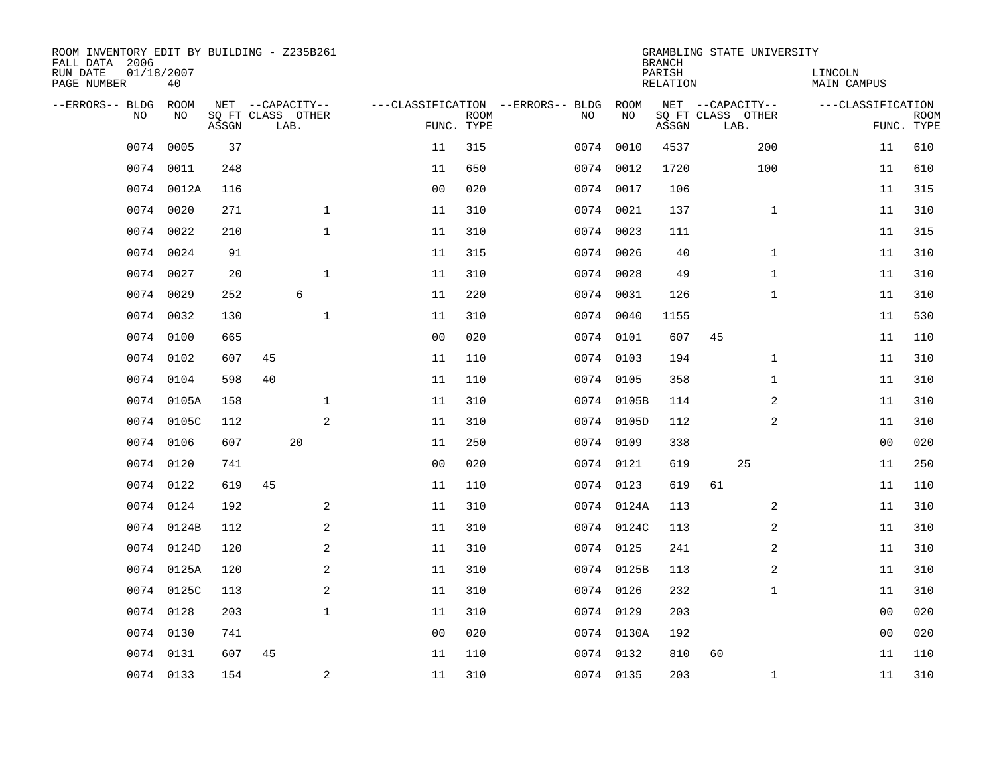| ROOM INVENTORY EDIT BY BUILDING - Z235B261<br>FALL DATA 2006 |            |       |      |                   |                |                           |                                   |            | <b>BRANCH</b>      | GRAMBLING STATE UNIVERSITY |                        |                           |
|--------------------------------------------------------------|------------|-------|------|-------------------|----------------|---------------------------|-----------------------------------|------------|--------------------|----------------------------|------------------------|---------------------------|
| RUN DATE<br>01/18/2007<br>PAGE NUMBER                        | 40         |       |      |                   |                |                           |                                   |            | PARISH<br>RELATION |                            | LINCOLN<br>MAIN CAMPUS |                           |
| --ERRORS-- BLDG                                              | ROOM       |       |      | NET --CAPACITY--  |                |                           | ---CLASSIFICATION --ERRORS-- BLDG | ROOM       |                    | NET --CAPACITY--           | ---CLASSIFICATION      |                           |
| NO                                                           | NO         | ASSGN | LAB. | SQ FT CLASS OTHER |                | <b>ROOM</b><br>FUNC. TYPE | NO                                | NO         | ASSGN              | SQ FT CLASS OTHER<br>LAB.  |                        | <b>ROOM</b><br>FUNC. TYPE |
| 0074                                                         | 0005       | 37    |      |                   | 11             | 315                       |                                   | 0074 0010  | 4537               | 200                        | 11                     | 610                       |
| 0074                                                         | 0011       | 248   |      |                   | 11             | 650                       |                                   | 0074 0012  | 1720               | 100                        | 11                     | 610                       |
| 0074                                                         | 0012A      | 116   |      |                   | 0 <sub>0</sub> | 020                       |                                   | 0074 0017  | 106                |                            | 11                     | 315                       |
| 0074                                                         | 0020       | 271   |      | $\mathbf{1}$      | 11             | 310                       |                                   | 0074 0021  | 137                | $\mathbf{1}$               | 11                     | 310                       |
| 0074                                                         | 0022       | 210   |      | $\mathbf{1}$      | 11             | 310                       |                                   | 0074 0023  | 111                |                            | 11                     | 315                       |
| 0074                                                         | 0024       | 91    |      |                   | 11             | 315                       |                                   | 0074 0026  | 40                 | $\mathbf{1}$               | 11                     | 310                       |
| 0074                                                         | 0027       | 20    |      | $\mathbf{1}$      | 11             | 310                       | 0074                              | 0028       | 49                 | $\mathbf{1}$               | 11                     | 310                       |
| 0074                                                         | 0029       | 252   |      | $\epsilon$        | 11             | 220                       |                                   | 0074 0031  | 126                | $\mathbf{1}$               | 11                     | 310                       |
| 0074                                                         | 0032       | 130   |      | $\mathbf{1}$      | 11             | 310                       |                                   | 0074 0040  | 1155               |                            | 11                     | 530                       |
|                                                              | 0074 0100  | 665   |      |                   | 0 <sub>0</sub> | 020                       |                                   | 0074 0101  | 607                | 45                         | 11                     | 110                       |
| 0074                                                         | 0102       | 607   | 45   |                   | 11             | 110                       |                                   | 0074 0103  | 194                | $\mathbf{1}$               | 11                     | 310                       |
|                                                              | 0074 0104  | 598   | 40   |                   | 11             | 110                       |                                   | 0074 0105  | 358                | $\mathbf{1}$               | 11                     | 310                       |
| 0074                                                         | 0105A      | 158   |      | $\mathbf 1$       | 11             | 310                       |                                   | 0074 0105B | 114                | 2                          | 11                     | 310                       |
| 0074                                                         | 0105C      | 112   |      | 2                 | 11             | 310                       |                                   | 0074 0105D | 112                | 2                          | 11                     | 310                       |
| 0074                                                         | 0106       | 607   |      | 20                | 11             | 250                       |                                   | 0074 0109  | 338                |                            | 0 <sub>0</sub>         | 020                       |
| 0074                                                         | 0120       | 741   |      |                   | 0 <sub>0</sub> | 020                       |                                   | 0074 0121  | 619                | 25                         | 11                     | 250                       |
| 0074                                                         | 0122       | 619   | 45   |                   | 11             | 110                       |                                   | 0074 0123  | 619                | 61                         | 11                     | 110                       |
| 0074                                                         | 0124       | 192   |      | 2                 | 11             | 310                       |                                   | 0074 0124A | 113                | 2                          | 11                     | 310                       |
|                                                              | 0074 0124B | 112   |      | 2                 | 11             | 310                       |                                   | 0074 0124C | 113                | 2                          | 11                     | 310                       |
|                                                              | 0074 0124D | 120   |      | 2                 | 11             | 310                       |                                   | 0074 0125  | 241                | 2                          | 11                     | 310                       |
|                                                              | 0074 0125A | 120   |      | 2                 | 11             | 310                       |                                   | 0074 0125B | 113                | 2                          | 11                     | 310                       |
| 0074                                                         | 0125C      | 113   |      | $\mathbf{2}$      | 11             | 310                       |                                   | 0074 0126  | 232                | $\mathbf{1}$               | 11                     | 310                       |
| 0074                                                         | 0128       | 203   |      | $\mathbf{1}$      | 11             | 310                       |                                   | 0074 0129  | 203                |                            | 0 <sub>0</sub>         | 020                       |
| 0074                                                         | 0130       | 741   |      |                   | 0 <sub>0</sub> | 020                       |                                   | 0074 0130A | 192                |                            | 00                     | 020                       |
| 0074                                                         | 0131       | 607   | 45   |                   | 11             | 110                       |                                   | 0074 0132  | 810                | 60                         | 11                     | 110                       |
|                                                              | 0074 0133  | 154   |      | 2                 | 11             | 310                       |                                   | 0074 0135  | 203                | $\mathbf{1}$               | 11                     | 310                       |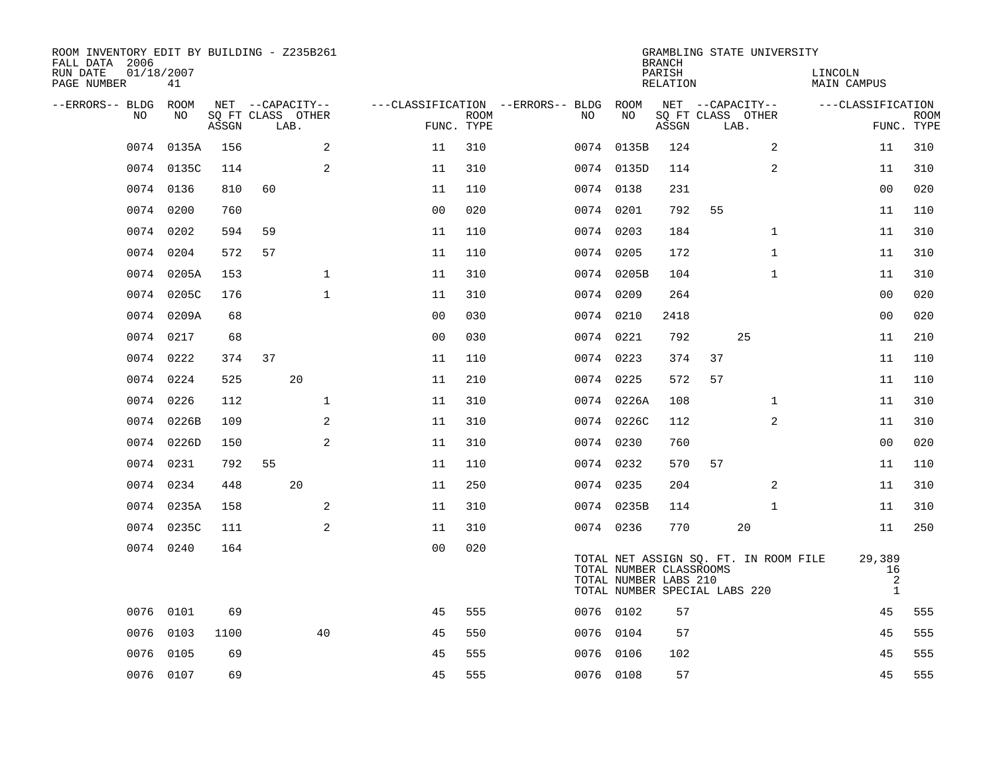| ROOM INVENTORY EDIT BY BUILDING - Z235B261<br>FALL DATA 2006<br>RUN DATE | 01/18/2007 |       |                                       |                |             |                                         |                                                  | <b>BRANCH</b><br>PARISH | GRAMBLING STATE UNIVERSITY                                             | LINCOLN                           |             |
|--------------------------------------------------------------------------|------------|-------|---------------------------------------|----------------|-------------|-----------------------------------------|--------------------------------------------------|-------------------------|------------------------------------------------------------------------|-----------------------------------|-------------|
| PAGE NUMBER                                                              | 41         |       |                                       |                |             |                                         |                                                  | RELATION                |                                                                        | MAIN CAMPUS                       |             |
| --ERRORS-- BLDG<br>NO                                                    | ROOM<br>NO |       | NET --CAPACITY--<br>SQ FT CLASS OTHER |                | <b>ROOM</b> | ---CLASSIFICATION --ERRORS-- BLDG<br>NO | ROOM<br>NO                                       |                         | NET --CAPACITY--<br>SQ FT CLASS OTHER                                  | ---CLASSIFICATION                 | <b>ROOM</b> |
|                                                                          |            | ASSGN | LAB.                                  |                | FUNC. TYPE  |                                         |                                                  | ASSGN                   | LAB.                                                                   |                                   | FUNC. TYPE  |
| 0074                                                                     | 0135A      | 156   | 2                                     | 11             | 310         |                                         | 0074 0135B                                       | 124                     | $\overline{a}$                                                         | 11                                | 310         |
|                                                                          | 0074 0135C | 114   | 2                                     | 11             | 310         |                                         | 0074 0135D                                       | 114                     | 2                                                                      | 11                                | 310         |
| 0074                                                                     | 0136       | 810   | 60                                    | 11             | 110         |                                         | 0074 0138                                        | 231                     |                                                                        | 0 <sub>0</sub>                    | 020         |
| 0074                                                                     | 0200       | 760   |                                       | 0 <sub>0</sub> | 020         |                                         | 0074 0201                                        | 792                     | 55                                                                     | 11                                | 110         |
| 0074                                                                     | 0202       | 594   | 59                                    | 11             | 110         |                                         | 0074 0203                                        | 184                     | $\mathbf{1}$                                                           | 11                                | 310         |
| 0074                                                                     | 0204       | 572   | 57                                    | 11             | 110         |                                         | 0074 0205                                        | 172                     | $\mathbf{1}$                                                           | 11                                | 310         |
| 0074                                                                     | 0205A      | 153   | $\mathbf{1}$                          | 11             | 310         |                                         | 0074 0205B                                       | 104                     | $\mathbf{1}$                                                           | 11                                | 310         |
|                                                                          | 0074 0205C | 176   | $\mathbf{1}$                          | 11             | 310         |                                         | 0074 0209                                        | 264                     |                                                                        | 00                                | 020         |
| 0074                                                                     | 0209A      | 68    |                                       | 0 <sub>0</sub> | 030         |                                         | 0074 0210                                        | 2418                    |                                                                        | 00                                | 020         |
| 0074                                                                     | 0217       | 68    |                                       | 0 <sub>0</sub> | 030         |                                         | 0074 0221                                        | 792                     | 25                                                                     | 11                                | 210         |
| 0074                                                                     | 0222       | 374   | 37                                    | 11             | 110         |                                         | 0074 0223                                        | 374                     | 37                                                                     | 11                                | 110         |
| 0074                                                                     | 0224       | 525   | 20                                    | 11             | 210         |                                         | 0074 0225                                        | 572                     | 57                                                                     | 11                                | 110         |
| 0074                                                                     | 0226       | 112   | $\mathbf 1$                           | 11             | 310         |                                         | 0074 0226A                                       | 108                     | $\mathbf{1}$                                                           | 11                                | 310         |
| 0074                                                                     | 0226B      | 109   | 2                                     | 11             | 310         |                                         | 0074 0226C                                       | 112                     | 2                                                                      | 11                                | 310         |
|                                                                          | 0074 0226D | 150   | 2                                     | 11             | 310         |                                         | 0074 0230                                        | 760                     |                                                                        | 00                                | 020         |
|                                                                          | 0074 0231  | 792   | 55                                    | 11             | 110         |                                         | 0074 0232                                        | 570                     | 57                                                                     | 11                                | 110         |
|                                                                          | 0074 0234  | 448   | 20                                    | 11             | 250         |                                         | 0074 0235                                        | 204                     | 2                                                                      | 11                                | 310         |
| 0074                                                                     | 0235A      | 158   | 2                                     | 11             | 310         |                                         | 0074 0235B                                       | 114                     | $\mathbf{1}$                                                           | 11                                | 310         |
|                                                                          | 0074 0235C | 111   | 2                                     | 11             | 310         |                                         | 0074 0236                                        | 770                     | 20                                                                     | 11                                | 250         |
|                                                                          | 0074 0240  | 164   |                                       | 0 <sub>0</sub> | 020         |                                         | TOTAL NUMBER CLASSROOMS<br>TOTAL NUMBER LABS 210 |                         | TOTAL NET ASSIGN SQ. FT. IN ROOM FILE<br>TOTAL NUMBER SPECIAL LABS 220 | 29,389<br>16<br>2<br>$\mathbf{1}$ |             |
|                                                                          | 0076 0101  | 69    |                                       | 45             | 555         |                                         | 0076 0102                                        | 57                      |                                                                        | 45                                | 555         |
| 0076                                                                     | 0103       | 1100  | 40                                    | 45             | 550         | 0076                                    | 0104                                             | 57                      |                                                                        | 45                                | 555         |
| 0076                                                                     | 0105       | 69    |                                       | 45             | 555         | 0076                                    | 0106                                             | 102                     |                                                                        | 45                                | 555         |
|                                                                          | 0076 0107  | 69    |                                       | 45             | 555         |                                         | 0076 0108                                        | 57                      |                                                                        | 45                                | 555         |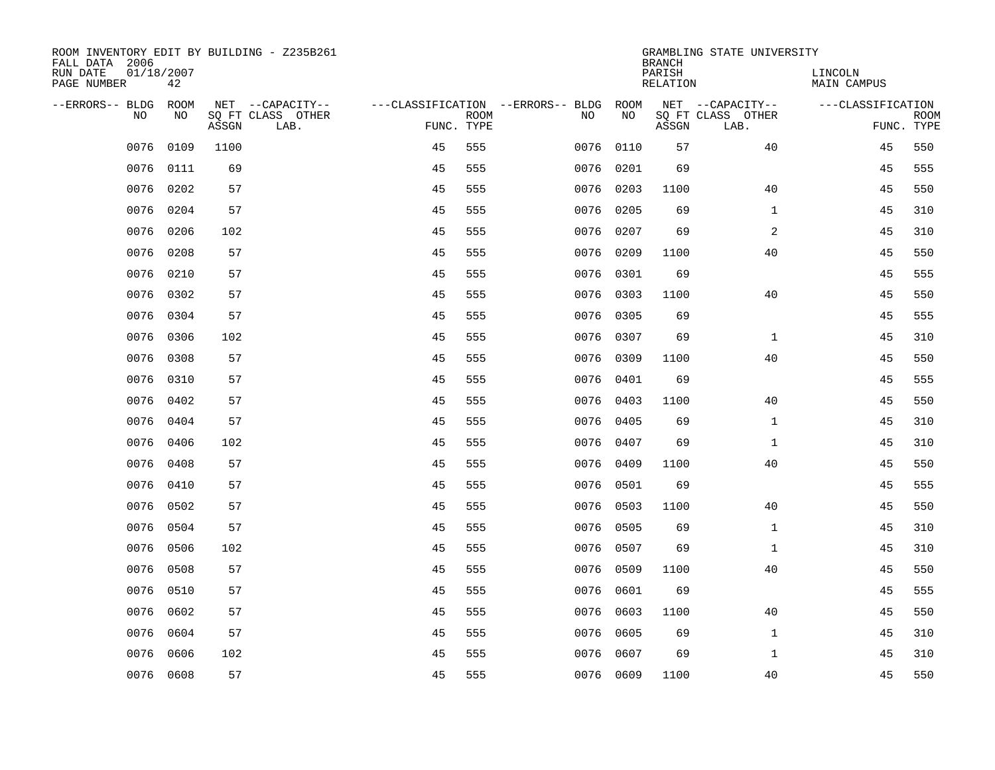| ROOM INVENTORY EDIT BY BUILDING - Z235B261<br>FALL DATA 2006 |                  |       |                           |            |             |                                   |           | <b>BRANCH</b>      | GRAMBLING STATE UNIVERSITY |                        |                           |
|--------------------------------------------------------------|------------------|-------|---------------------------|------------|-------------|-----------------------------------|-----------|--------------------|----------------------------|------------------------|---------------------------|
| RUN DATE<br>PAGE NUMBER                                      | 01/18/2007<br>42 |       |                           |            |             |                                   |           | PARISH<br>RELATION |                            | LINCOLN<br>MAIN CAMPUS |                           |
| --ERRORS-- BLDG                                              | <b>ROOM</b>      |       | NET --CAPACITY--          |            |             | ---CLASSIFICATION --ERRORS-- BLDG | ROOM      |                    | NET --CAPACITY--           | ---CLASSIFICATION      |                           |
| N <sub>O</sub>                                               | NO.              | ASSGN | SO FT CLASS OTHER<br>LAB. | FUNC. TYPE | <b>ROOM</b> | NO.                               | <b>NO</b> | ASSGN              | SQ FT CLASS OTHER<br>LAB.  |                        | <b>ROOM</b><br>FUNC. TYPE |
| 0076                                                         | 0109             | 1100  |                           | 45         | 555         | 0076                              | 0110      | 57                 | 40                         | 45                     | 550                       |
| 0076                                                         | 0111             | 69    |                           | 45         | 555         | 0076                              | 0201      | 69                 |                            | 45                     | 555                       |
| 0076                                                         | 0202             | 57    |                           | 45         | 555         | 0076                              | 0203      | 1100               | 40                         | 45                     | 550                       |
| 0076                                                         | 0204             | 57    |                           | 45         | 555         | 0076                              | 0205      | 69                 | $\mathbf{1}$               | 45                     | 310                       |
| 0076                                                         | 0206             | 102   |                           | 45         | 555         | 0076                              | 0207      | 69                 | 2                          | 45                     | 310                       |
| 0076                                                         | 0208             | 57    |                           | 45         | 555         | 0076                              | 0209      | 1100               | 40                         | 45                     | 550                       |
| 0076                                                         | 0210             | 57    |                           | 45         | 555         | 0076                              | 0301      | 69                 |                            | 45                     | 555                       |
| 0076                                                         | 0302             | 57    |                           | 45         | 555         | 0076                              | 0303      | 1100               | 40                         | 45                     | 550                       |
| 0076                                                         | 0304             | 57    |                           | 45         | 555         | 0076                              | 0305      | 69                 |                            | 45                     | 555                       |
| 0076                                                         | 0306             | 102   |                           | 45         | 555         |                                   | 0076 0307 | 69                 | $\mathbf{1}$               | 45                     | 310                       |
| 0076                                                         | 0308             | 57    |                           | 45         | 555         | 0076                              | 0309      | 1100               | 40                         | 45                     | 550                       |
| 0076                                                         | 0310             | 57    |                           | 45         | 555         | 0076                              | 0401      | 69                 |                            | 45                     | 555                       |
| 0076                                                         | 0402             | 57    |                           | 45         | 555         | 0076                              | 0403      | 1100               | 40                         | 45                     | 550                       |
| 0076                                                         | 0404             | 57    |                           | 45         | 555         | 0076                              | 0405      | 69                 | $\mathbf{1}$               | 45                     | 310                       |
| 0076                                                         | 0406             | 102   |                           | 45         | 555         | 0076                              | 0407      | 69                 | 1                          | 45                     | 310                       |
| 0076                                                         | 0408             | 57    |                           | 45         | 555         | 0076                              | 0409      | 1100               | 40                         | 45                     | 550                       |
| 0076                                                         | 0410             | 57    |                           | 45         | 555         | 0076                              | 0501      | 69                 |                            | 45                     | 555                       |
| 0076                                                         | 0502             | 57    |                           | 45         | 555         | 0076                              | 0503      | 1100               | 40                         | 45                     | 550                       |
| 0076                                                         | 0504             | 57    |                           | 45         | 555         |                                   | 0076 0505 | 69                 | $\mathbf{1}$               | 45                     | 310                       |
| 0076                                                         | 0506             | 102   |                           | 45         | 555         | 0076                              | 0507      | 69                 | $\mathbf{1}$               | 45                     | 310                       |
| 0076                                                         | 0508             | 57    |                           | 45         | 555         | 0076                              | 0509      | 1100               | 40                         | 45                     | 550                       |
| 0076                                                         | 0510             | 57    |                           | 45         | 555         | 0076                              | 0601      | 69                 |                            | 45                     | 555                       |
| 0076                                                         | 0602             | 57    |                           | 45         | 555         | 0076                              | 0603      | 1100               | 40                         | 45                     | 550                       |
| 0076                                                         | 0604             | 57    |                           | 45         | 555         | 0076                              | 0605      | 69                 | $\mathbf{1}$               | 45                     | 310                       |
| 0076                                                         | 0606             | 102   |                           | 45         | 555         | 0076                              | 0607      | 69                 | $\mathbf{1}$               | 45                     | 310                       |
|                                                              | 0076 0608        | 57    |                           | 45         | 555         |                                   | 0076 0609 | 1100               | 40                         | 45                     | 550                       |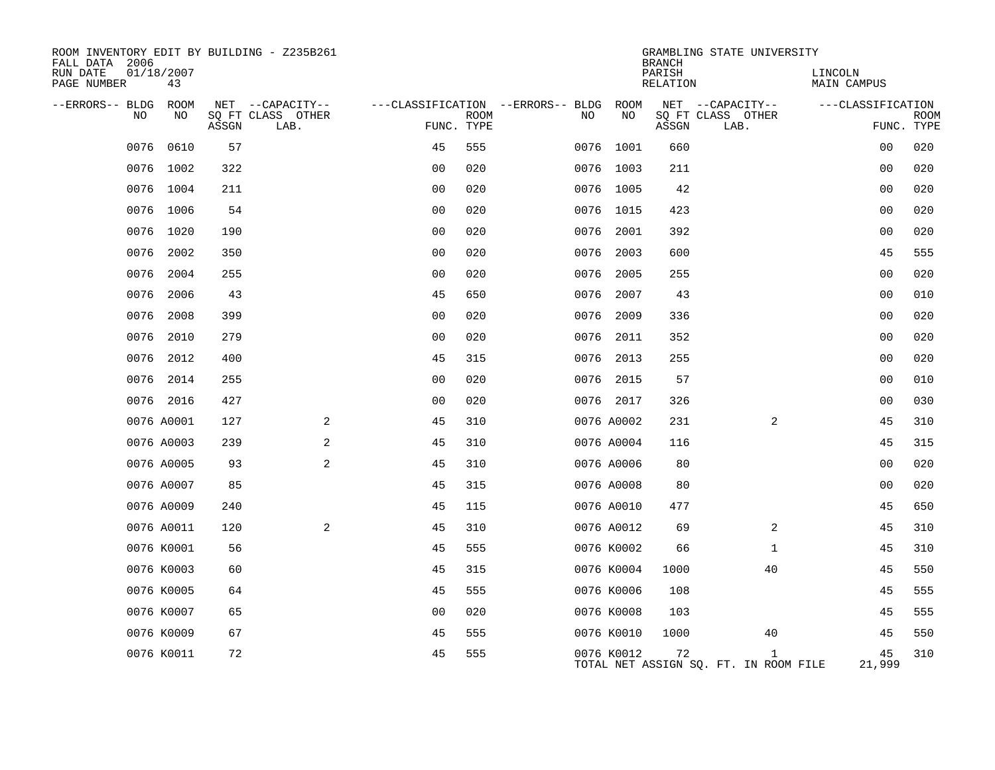| ROOM INVENTORY EDIT BY BUILDING - Z235B261<br>FALL DATA 2006 |                  |       |                           |                |             |                                   |            | <b>BRANCH</b>      | GRAMBLING STATE UNIVERSITY                            |                        |                           |
|--------------------------------------------------------------|------------------|-------|---------------------------|----------------|-------------|-----------------------------------|------------|--------------------|-------------------------------------------------------|------------------------|---------------------------|
| RUN DATE<br>PAGE NUMBER                                      | 01/18/2007<br>43 |       |                           |                |             |                                   |            | PARISH<br>RELATION |                                                       | LINCOLN<br>MAIN CAMPUS |                           |
| --ERRORS-- BLDG                                              | ROOM             |       | NET --CAPACITY--          |                |             | ---CLASSIFICATION --ERRORS-- BLDG | ROOM       |                    | NET --CAPACITY--                                      | ---CLASSIFICATION      |                           |
| NO                                                           | NO               | ASSGN | SQ FT CLASS OTHER<br>LAB. | FUNC. TYPE     | <b>ROOM</b> | NO.                               | NO         | ASSGN              | SQ FT CLASS OTHER<br>LAB.                             |                        | <b>ROOM</b><br>FUNC. TYPE |
| 0076                                                         | 0610             | 57    |                           | 45             | 555         |                                   | 0076 1001  | 660                |                                                       | 00                     | 020                       |
| 0076                                                         | 1002             | 322   |                           | 0 <sub>0</sub> | 020         |                                   | 0076 1003  | 211                |                                                       | 0 <sub>0</sub>         | 020                       |
|                                                              | 0076 1004        | 211   |                           | 0 <sub>0</sub> | 020         |                                   | 0076 1005  | 42                 |                                                       | 00                     | 020                       |
| 0076                                                         | 1006             | 54    |                           | 0 <sub>0</sub> | 020         | 0076                              | 1015       | 423                |                                                       | 00                     | 020                       |
|                                                              | 0076 1020        | 190   |                           | 0 <sub>0</sub> | 020         | 0076                              | 2001       | 392                |                                                       | 0 <sub>0</sub>         | 020                       |
| 0076                                                         | 2002             | 350   |                           | 0 <sub>0</sub> | 020         | 0076                              | 2003       | 600                |                                                       | 45                     | 555                       |
| 0076                                                         | 2004             | 255   |                           | 0 <sub>0</sub> | 020         | 0076                              | 2005       | 255                |                                                       | 00                     | 020                       |
| 0076                                                         | 2006             | 43    |                           | 45             | 650         | 0076                              | 2007       | 43                 |                                                       | 0 <sub>0</sub>         | 010                       |
| 0076                                                         | 2008             | 399   |                           | 0 <sub>0</sub> | 020         | 0076                              | 2009       | 336                |                                                       | 00                     | 020                       |
| 0076                                                         | 2010             | 279   |                           | 0 <sub>0</sub> | 020         | 0076                              | 2011       | 352                |                                                       | 00                     | 020                       |
|                                                              | 0076 2012        | 400   |                           | 45             | 315         |                                   | 0076 2013  | 255                |                                                       | 0 <sub>0</sub>         | 020                       |
| 0076                                                         | 2014             | 255   |                           | 0 <sub>0</sub> | 020         | 0076                              | 2015       | 57                 |                                                       | 0 <sub>0</sub>         | 010                       |
|                                                              | 0076 2016        | 427   |                           | 0 <sub>0</sub> | 020         |                                   | 0076 2017  | 326                |                                                       | 0 <sub>0</sub>         | 030                       |
|                                                              | 0076 A0001       | 127   | 2                         | 45             | 310         |                                   | 0076 A0002 | 231                | 2                                                     | 45                     | 310                       |
|                                                              | 0076 A0003       | 239   | 2                         | 45             | 310         |                                   | 0076 A0004 | 116                |                                                       | 45                     | 315                       |
|                                                              | 0076 A0005       | 93    | $\mathbf{2}$              | 45             | 310         |                                   | 0076 A0006 | 80                 |                                                       | 0 <sub>0</sub>         | 020                       |
|                                                              | 0076 A0007       | 85    |                           | 45             | 315         |                                   | 0076 A0008 | 80                 |                                                       | 00                     | 020                       |
|                                                              | 0076 A0009       | 240   |                           | 45             | 115         |                                   | 0076 A0010 | 477                |                                                       | 45                     | 650                       |
|                                                              | 0076 A0011       | 120   | 2                         | 45             | 310         |                                   | 0076 A0012 | 69                 | 2                                                     | 45                     | 310                       |
|                                                              | 0076 K0001       | 56    |                           | 45             | 555         |                                   | 0076 K0002 | 66                 | $\mathbf{1}$                                          | 45                     | 310                       |
|                                                              | 0076 K0003       | 60    |                           | 45             | 315         |                                   | 0076 K0004 | 1000               | 40                                                    | 45                     | 550                       |
|                                                              | 0076 K0005       | 64    |                           | 45             | 555         |                                   | 0076 K0006 | 108                |                                                       | 45                     | 555                       |
|                                                              | 0076 K0007       | 65    |                           | 0 <sub>0</sub> | 020         |                                   | 0076 K0008 | 103                |                                                       | 45                     | 555                       |
|                                                              | 0076 K0009       | 67    |                           | 45             | 555         |                                   | 0076 K0010 | 1000               | 40                                                    | 45                     | 550                       |
|                                                              | 0076 K0011       | 72    |                           | 45             | 555         |                                   | 0076 K0012 | 72                 | $\mathbf{1}$<br>TOTAL NET ASSIGN SQ. FT. IN ROOM FILE | 45<br>21,999           | 310                       |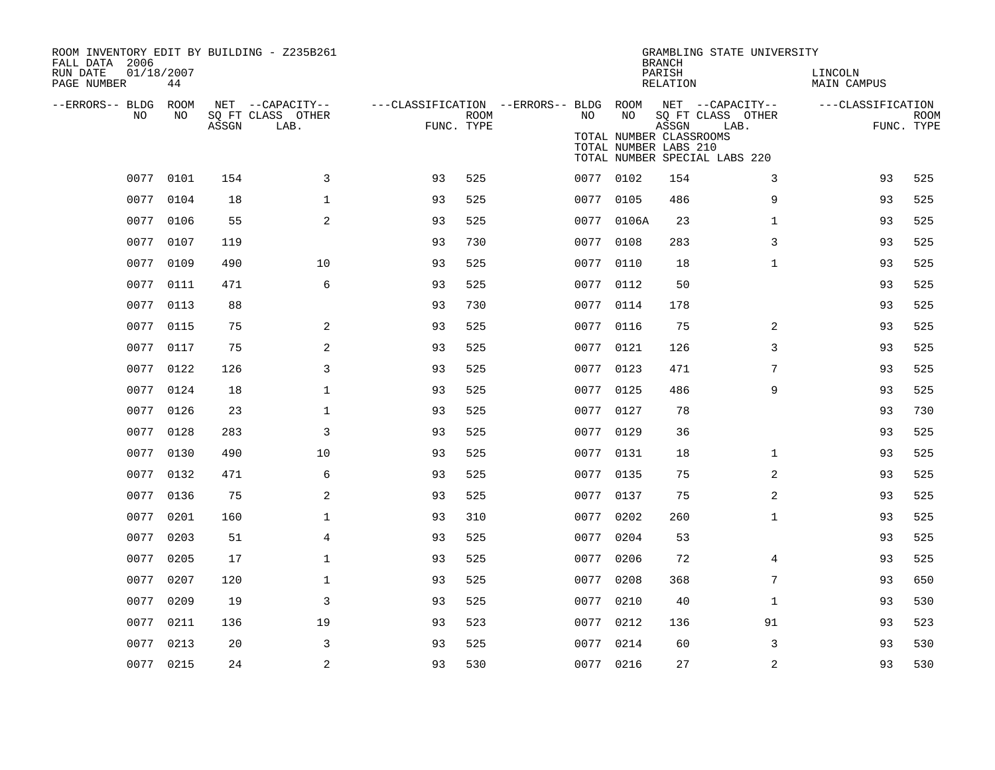| ROOM INVENTORY EDIT BY BUILDING - Z235B261<br>FALL DATA 2006 |                  |       |                           |                                        |                    |      |            | <b>BRANCH</b>                                             | GRAMBLING STATE UNIVERSITY                                 |                        |                           |
|--------------------------------------------------------------|------------------|-------|---------------------------|----------------------------------------|--------------------|------|------------|-----------------------------------------------------------|------------------------------------------------------------|------------------------|---------------------------|
| RUN DATE<br>PAGE NUMBER                                      | 01/18/2007<br>44 |       |                           |                                        |                    |      |            | PARISH<br>RELATION                                        |                                                            | LINCOLN<br>MAIN CAMPUS |                           |
| --ERRORS-- BLDG ROOM                                         |                  |       | NET --CAPACITY--          | ---CLASSIFICATION --ERRORS-- BLDG ROOM |                    |      |            |                                                           | NET --CAPACITY--                                           | ---CLASSIFICATION      |                           |
| NO                                                           | NO               | ASSGN | SQ FT CLASS OTHER<br>LAB. |                                        | ROOM<br>FUNC. TYPE | NO   | NO         | ASSGN<br>TOTAL NUMBER CLASSROOMS<br>TOTAL NUMBER LABS 210 | SQ FT CLASS OTHER<br>LAB.<br>TOTAL NUMBER SPECIAL LABS 220 |                        | <b>ROOM</b><br>FUNC. TYPE |
|                                                              | 0077 0101        | 154   | 3                         | 93                                     | 525                |      | 0077 0102  | 154                                                       | 3                                                          | 93                     | 525                       |
|                                                              | 0077 0104        | 18    | $\mathbf{1}$              | 93                                     | 525                |      | 0077 0105  | 486                                                       | 9                                                          | 93                     | 525                       |
|                                                              | 0077 0106        | 55    | 2                         | 93                                     | 525                |      | 0077 0106A | 23                                                        | $\mathbf{1}$                                               | 93                     | 525                       |
|                                                              | 0077 0107        | 119   |                           | 93                                     | 730                |      | 0077 0108  | 283                                                       | 3                                                          | 93                     | 525                       |
| 0077                                                         | 0109             | 490   | 10                        | 93                                     | 525                |      | 0077 0110  | 18                                                        | $\mathbf{1}$                                               | 93                     | 525                       |
|                                                              | 0077 0111        | 471   | 6                         | 93                                     | 525                |      | 0077 0112  | 50                                                        |                                                            | 93                     | 525                       |
|                                                              | 0077 0113        | 88    |                           | 93                                     | 730                |      | 0077 0114  | 178                                                       |                                                            | 93                     | 525                       |
| 0077                                                         | 0115             | 75    | 2                         | 93                                     | 525                |      | 0077 0116  | 75                                                        | 2                                                          | 93                     | 525                       |
|                                                              | 0077 0117        | 75    | 2                         | 93                                     | 525                |      | 0077 0121  | 126                                                       | 3                                                          | 93                     | 525                       |
|                                                              | 0077 0122        | 126   | 3                         | 93                                     | 525                |      | 0077 0123  | 471                                                       | $7\phantom{.0}$                                            | 93                     | 525                       |
|                                                              | 0077 0124        | 18    | $\mathbf 1$               | 93                                     | 525                |      | 0077 0125  | 486                                                       | 9                                                          | 93                     | 525                       |
|                                                              | 0077 0126        | 23    | $\mathbf{1}$              | 93                                     | 525                |      | 0077 0127  | 78                                                        |                                                            | 93                     | 730                       |
|                                                              | 0077 0128        | 283   | 3                         | 93                                     | 525                |      | 0077 0129  | 36                                                        |                                                            | 93                     | 525                       |
|                                                              | 0077 0130        | 490   | 10                        | 93                                     | 525                |      | 0077 0131  | 18                                                        | $\mathbf{1}$                                               | 93                     | 525                       |
|                                                              | 0077 0132        | 471   | 6                         | 93                                     | 525                |      | 0077 0135  | 75                                                        | 2                                                          | 93                     | 525                       |
|                                                              | 0077 0136        | 75    | 2                         | 93                                     | 525                |      | 0077 0137  | 75                                                        | $\overline{a}$                                             | 93                     | 525                       |
|                                                              | 0077 0201        | 160   | $\mathbf 1$               | 93                                     | 310                |      | 0077 0202  | 260                                                       | $\mathbf{1}$                                               | 93                     | 525                       |
|                                                              | 0077 0203        | 51    | 4                         | 93                                     | 525                | 0077 | 0204       | 53                                                        |                                                            | 93                     | 525                       |
|                                                              | 0077 0205        | 17    | $\mathbf{1}$              | 93                                     | 525                |      | 0077 0206  | 72                                                        | 4                                                          | 93                     | 525                       |
| 0077                                                         | 0207             | 120   | $\mathbf{1}$              | 93                                     | 525                | 0077 | 0208       | 368                                                       | 7                                                          | 93                     | 650                       |
|                                                              | 0077 0209        | 19    | 3                         | 93                                     | 525                |      | 0077 0210  | 40                                                        | $\mathbf{1}$                                               | 93                     | 530                       |
| 0077                                                         | 0211             | 136   | 19                        | 93                                     | 523                | 0077 | 0212       | 136                                                       | 91                                                         | 93                     | 523                       |
|                                                              | 0077 0213        | 20    | 3                         | 93                                     | 525                |      | 0077 0214  | 60                                                        | 3                                                          | 93                     | 530                       |
|                                                              | 0077 0215        | 24    | $\sqrt{2}$                | 93                                     | 530                |      | 0077 0216  | 27                                                        | $\overline{a}$                                             | 93                     | 530                       |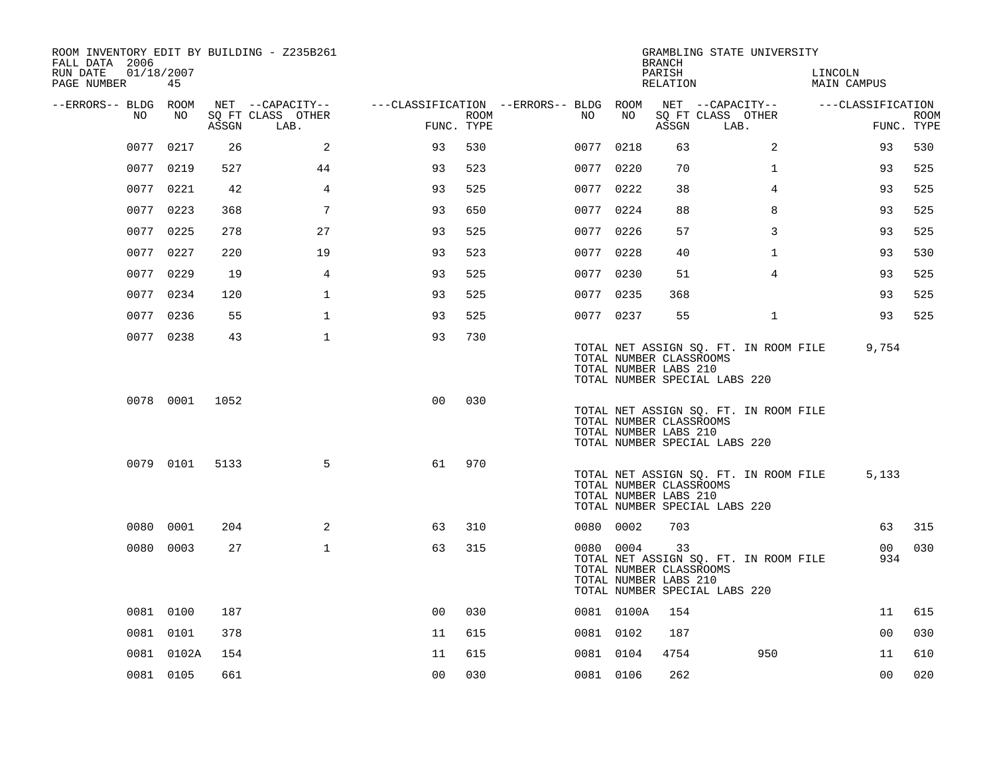| ROOM INVENTORY EDIT BY BUILDING - Z235B261<br>FALL DATA 2006 |            |       |                           |                                        |                    |           |            | <b>BRANCH</b>                                          | GRAMBLING STATE UNIVERSITY                                             |                        |                           |
|--------------------------------------------------------------|------------|-------|---------------------------|----------------------------------------|--------------------|-----------|------------|--------------------------------------------------------|------------------------------------------------------------------------|------------------------|---------------------------|
| RUN DATE<br>01/18/2007<br>PAGE NUMBER                        | 45         |       |                           |                                        |                    |           |            | PARISH<br>RELATION                                     |                                                                        | LINCOLN<br>MAIN CAMPUS |                           |
| --ERRORS-- BLDG ROOM                                         |            |       | NET --CAPACITY--          | ---CLASSIFICATION --ERRORS-- BLDG ROOM |                    |           |            |                                                        | NET --CAPACITY--                                                       | ---CLASSIFICATION      |                           |
| NO.                                                          | NO         | ASSGN | SQ FT CLASS OTHER<br>LAB. |                                        | ROOM<br>FUNC. TYPE | NO.       | NO         | ASSGN                                                  | SQ FT CLASS OTHER<br>LAB.                                              |                        | <b>ROOM</b><br>FUNC. TYPE |
| 0077                                                         | 0217       | 26    | 2                         | 93                                     | 530                | 0077 0218 |            | 63                                                     | 2                                                                      | 93                     | 530                       |
|                                                              | 0077 0219  | 527   | 44                        | 93                                     | 523                | 0077 0220 |            | 70                                                     | $\mathbf{1}$                                                           | 93                     | 525                       |
|                                                              | 0077 0221  | 42    | $\overline{4}$            | 93                                     | 525                | 0077 0222 |            | 38                                                     | $\overline{4}$                                                         | 93                     | 525                       |
|                                                              | 0077 0223  | 368   | 7                         | 93                                     | 650                | 0077 0224 |            | 88                                                     | 8                                                                      | 93                     | 525                       |
|                                                              | 0077 0225  | 278   | 27                        | 93                                     | 525                | 0077 0226 |            | 57                                                     | 3                                                                      | 93                     | 525                       |
|                                                              | 0077 0227  | 220   | 19                        | 93                                     | 523                | 0077 0228 |            | 40                                                     | $\mathbf{1}$                                                           | 93                     | 530                       |
|                                                              | 0077 0229  | 19    | 4                         | 93                                     | 525                | 0077 0230 |            | 51                                                     | 4                                                                      | 93                     | 525                       |
|                                                              | 0077 0234  | 120   | $\mathbf{1}$              | 93                                     | 525                | 0077 0235 |            | 368                                                    |                                                                        | 93                     | 525                       |
|                                                              | 0077 0236  | 55    | $\mathbf{1}$              | 93                                     | 525                | 0077 0237 |            | 55                                                     | $\mathbf{1}$                                                           | 93                     | 525                       |
|                                                              | 0077 0238  | 43    | $\mathbf{1}$              | 93                                     | 730                |           |            | TOTAL NUMBER CLASSROOMS<br>TOTAL NUMBER LABS 210       | TOTAL NET ASSIGN SQ. FT. IN ROOM FILE<br>TOTAL NUMBER SPECIAL LABS 220 | 9,754                  |                           |
|                                                              | 0078 0001  | 1052  |                           | 0 <sup>0</sup>                         | 030                |           |            | TOTAL NUMBER CLASSROOMS<br>TOTAL NUMBER LABS 210       | TOTAL NET ASSIGN SQ. FT. IN ROOM FILE<br>TOTAL NUMBER SPECIAL LABS 220 |                        |                           |
|                                                              | 0079 0101  | 5133  | 5                         | 61                                     | 970                |           |            | TOTAL NUMBER CLASSROOMS<br>TOTAL NUMBER LABS 210       | TOTAL NET ASSIGN SQ. FT. IN ROOM FILE<br>TOTAL NUMBER SPECIAL LABS 220 | 5,133                  |                           |
|                                                              | 0080 0001  | 204   | 2                         | 63                                     | 310                | 0080 0002 |            | 703                                                    |                                                                        | 63                     | 315                       |
|                                                              | 0080 0003  | 27    | $\mathbf{1}$              | 63                                     | 315                | 0080 0004 |            | 33<br>TOTAL NUMBER CLASSROOMS<br>TOTAL NUMBER LABS 210 | TOTAL NET ASSIGN SQ. FT. IN ROOM FILE<br>TOTAL NUMBER SPECIAL LABS 220 | 00 <sub>o</sub><br>934 | 030                       |
|                                                              | 0081 0100  | 187   |                           | 0 <sup>0</sup>                         | 030                |           | 0081 0100A | 154                                                    |                                                                        | 11                     | 615                       |
|                                                              | 0081 0101  | 378   |                           | 11                                     | 615                | 0081 0102 |            | 187                                                    |                                                                        | 0 <sub>0</sub>         | 030                       |
|                                                              | 0081 0102A | 154   |                           | 11                                     | 615                | 0081 0104 |            | 4754                                                   | 950                                                                    | 11                     | 610                       |
|                                                              | 0081 0105  | 661   |                           | 0 <sub>0</sub>                         | 030                | 0081 0106 |            | 262                                                    |                                                                        | 0 <sub>0</sub>         | 020                       |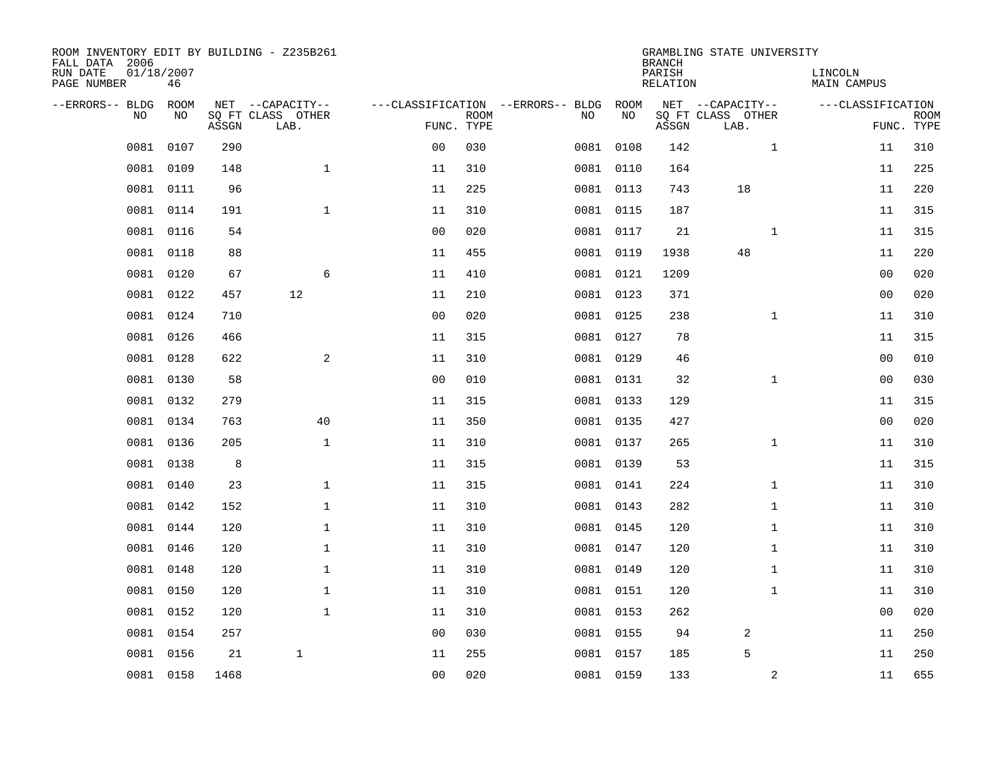| ROOM INVENTORY EDIT BY BUILDING - Z235B261<br>FALL DATA 2006<br>RUN DATE<br>PAGE NUMBER | 01/18/2007<br>46 |       |                                               |                |             |                                         |            | <b>BRANCH</b><br>PARISH<br><b>RELATION</b> | GRAMBLING STATE UNIVERSITY                    | LINCOLN<br><b>MAIN CAMPUS</b> |                           |
|-----------------------------------------------------------------------------------------|------------------|-------|-----------------------------------------------|----------------|-------------|-----------------------------------------|------------|--------------------------------------------|-----------------------------------------------|-------------------------------|---------------------------|
| --ERRORS-- BLDG<br>NO.                                                                  | ROOM<br>NO       | ASSGN | NET --CAPACITY--<br>SQ FT CLASS OTHER<br>LAB. | FUNC. TYPE     | <b>ROOM</b> | ---CLASSIFICATION --ERRORS-- BLDG<br>NO | ROOM<br>NO | ASSGN                                      | NET --CAPACITY--<br>SQ FT CLASS OTHER<br>LAB. | ---CLASSIFICATION             | <b>ROOM</b><br>FUNC. TYPE |
| 0081                                                                                    | 0107             | 290   |                                               | 0 <sub>0</sub> | 030         |                                         | 0081 0108  | 142                                        | $\mathbf{1}$                                  | 11                            | 310                       |
| 0081                                                                                    | 0109             | 148   | $\mathbf{1}$                                  | 11             | 310         |                                         | 0081 0110  | 164                                        |                                               | 11                            | 225                       |
| 0081                                                                                    | 0111             | 96    |                                               | 11             | 225         |                                         | 0081 0113  | 743                                        | 18                                            | 11                            | 220                       |
| 0081                                                                                    | 0114             | 191   | $\mathbf 1$                                   | 11             | 310         |                                         | 0081 0115  | 187                                        |                                               | 11                            | 315                       |
| 0081                                                                                    | 0116             | 54    |                                               | 0 <sub>0</sub> | 020         |                                         | 0081 0117  | 21                                         | $\mathbf{1}$                                  | 11                            | 315                       |
| 0081                                                                                    | 0118             | 88    |                                               | 11             | 455         |                                         | 0081 0119  | 1938                                       | 48                                            | 11                            | 220                       |
| 0081                                                                                    | 0120             | 67    | 6                                             | 11             | 410         |                                         | 0081 0121  | 1209                                       |                                               | 0 <sub>0</sub>                | 020                       |
|                                                                                         | 0081 0122        | 457   | 12                                            | 11             | 210         |                                         | 0081 0123  | 371                                        |                                               | 0 <sub>0</sub>                | 020                       |
| 0081                                                                                    | 0124             | 710   |                                               | 0 <sub>0</sub> | 020         |                                         | 0081 0125  | 238                                        | $\mathbf{1}$                                  | 11                            | 310                       |
|                                                                                         | 0081 0126        | 466   |                                               | 11             | 315         |                                         | 0081 0127  | 78                                         |                                               | 11                            | 315                       |
| 0081                                                                                    | 0128             | 622   | 2                                             | 11             | 310         |                                         | 0081 0129  | 46                                         |                                               | 00                            | 010                       |
|                                                                                         | 0081 0130        | 58    |                                               | 0 <sub>0</sub> | 010         |                                         | 0081 0131  | 32                                         | $\mathbf{1}$                                  | 00                            | 030                       |
| 0081                                                                                    | 0132             | 279   |                                               | 11             | 315         |                                         | 0081 0133  | 129                                        |                                               | 11                            | 315                       |
|                                                                                         | 0081 0134        | 763   | 40                                            | 11             | 350         |                                         | 0081 0135  | 427                                        |                                               | 00                            | 020                       |
| 0081                                                                                    | 0136             | 205   | $\mathbf{1}$                                  | 11             | 310         |                                         | 0081 0137  | 265                                        | $\mathbf{1}$                                  | 11                            | 310                       |
|                                                                                         | 0081 0138        | 8     |                                               | 11             | 315         |                                         | 0081 0139  | 53                                         |                                               | 11                            | 315                       |
| 0081                                                                                    | 0140             | 23    | $\mathbf{1}$                                  | 11             | 315         |                                         | 0081 0141  | 224                                        | $\mathbf{1}$                                  | 11                            | 310                       |
| 0081                                                                                    | 0142             | 152   | $\mathbf 1$                                   | 11             | 310         |                                         | 0081 0143  | 282                                        | $\mathbf{1}$                                  | 11                            | 310                       |
|                                                                                         | 0081 0144        | 120   | $\mathbf 1$                                   | 11             | 310         |                                         | 0081 0145  | 120                                        | $\mathbf{1}$                                  | 11                            | 310                       |
| 0081                                                                                    | 0146             | 120   | $\mathbf 1$                                   | 11             | 310         |                                         | 0081 0147  | 120                                        | $\mathbf{1}$                                  | 11                            | 310                       |
|                                                                                         | 0081 0148        | 120   | $\mathbf{1}$                                  | 11             | 310         |                                         | 0081 0149  | 120                                        | $\mathbf{1}$                                  | 11                            | 310                       |
| 0081                                                                                    | 0150             | 120   | $\mathbf{1}$                                  | 11             | 310         |                                         | 0081 0151  | 120                                        | $\mathbf{1}$                                  | 11                            | 310                       |
|                                                                                         | 0081 0152        | 120   | $\mathbf{1}$                                  | 11             | 310         |                                         | 0081 0153  | 262                                        |                                               | 0 <sub>0</sub>                | 020                       |
| 0081                                                                                    | 0154             | 257   |                                               | 0 <sub>0</sub> | 030         |                                         | 0081 0155  | 94                                         | 2                                             | 11                            | 250                       |
|                                                                                         | 0081 0156        | 21    | $\mathbf{1}$                                  | 11             | 255         |                                         | 0081 0157  | 185                                        | 5                                             | 11                            | 250                       |
|                                                                                         | 0081 0158        | 1468  |                                               | 0 <sub>0</sub> | 020         |                                         | 0081 0159  | 133                                        | 2                                             | 11                            | 655                       |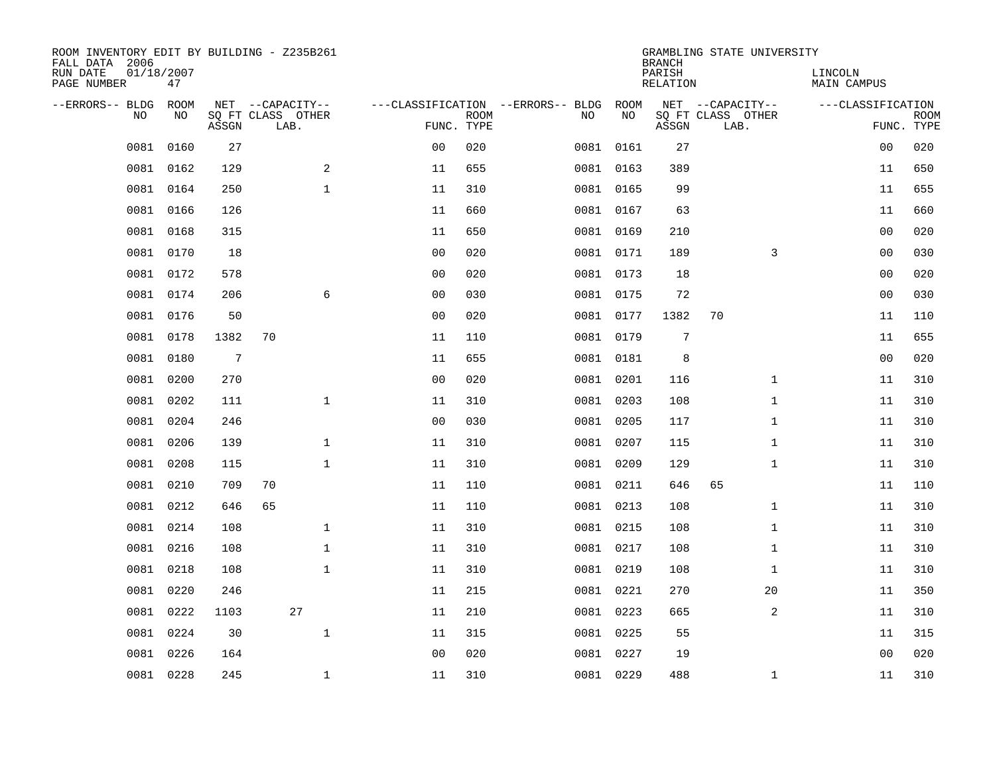| ROOM INVENTORY EDIT BY BUILDING - Z235B261<br>FALL DATA 2006 |                  |                 |                           |                |                           |                                          |            | <b>BRANCH</b>      | GRAMBLING STATE UNIVERSITY |                        |                           |
|--------------------------------------------------------------|------------------|-----------------|---------------------------|----------------|---------------------------|------------------------------------------|------------|--------------------|----------------------------|------------------------|---------------------------|
| RUN DATE<br>PAGE NUMBER                                      | 01/18/2007<br>47 |                 |                           |                |                           |                                          |            | PARISH<br>RELATION |                            | LINCOLN<br>MAIN CAMPUS |                           |
| --ERRORS-- BLDG<br>N <sub>O</sub>                            | ROOM<br>NO.      |                 | NET --CAPACITY--          |                |                           | ---CLASSIFICATION --ERRORS-- BLDG<br>NO. | ROOM<br>NO |                    | NET --CAPACITY--           | ---CLASSIFICATION      |                           |
|                                                              |                  | ASSGN           | SO FT CLASS OTHER<br>LAB. |                | <b>ROOM</b><br>FUNC. TYPE |                                          |            | ASSGN              | SQ FT CLASS OTHER<br>LAB.  |                        | <b>ROOM</b><br>FUNC. TYPE |
| 0081                                                         | 0160             | 27              |                           | 0 <sub>0</sub> | 020                       | 0081                                     | 0161       | 27                 |                            | 00                     | 020                       |
| 0081                                                         | 0162             | 129             | 2                         | 11             | 655                       |                                          | 0081 0163  | 389                |                            | 11                     | 650                       |
| 0081                                                         | 0164             | 250             | $\mathbf{1}$              | 11             | 310                       |                                          | 0081 0165  | 99                 |                            | 11                     | 655                       |
| 0081                                                         | 0166             | 126             |                           | 11             | 660                       |                                          | 0081 0167  | 63                 |                            | 11                     | 660                       |
| 0081                                                         | 0168             | 315             |                           | 11             | 650                       |                                          | 0081 0169  | 210                |                            | 0 <sub>0</sub>         | 020                       |
| 0081                                                         | 0170             | 18              |                           | 0 <sub>0</sub> | 020                       |                                          | 0081 0171  | 189                | 3                          | 0 <sub>0</sub>         | 030                       |
| 0081                                                         | 0172             | 578             |                           | 00             | 020                       |                                          | 0081 0173  | 18                 |                            | 00                     | 020                       |
| 0081                                                         | 0174             | 206             | 6                         | 0 <sub>0</sub> | 030                       |                                          | 0081 0175  | 72                 |                            | 0 <sub>0</sub>         | 030                       |
| 0081                                                         | 0176             | 50              |                           | 0 <sub>0</sub> | 020                       |                                          | 0081 0177  | 1382               | 70                         | 11                     | 110                       |
|                                                              | 0081 0178        | 1382            | 70                        | 11             | 110                       |                                          | 0081 0179  | $\overline{7}$     |                            | 11                     | 655                       |
| 0081                                                         | 0180             | $7\phantom{.0}$ |                           | 11             | 655                       |                                          | 0081 0181  | 8                  |                            | 0 <sub>0</sub>         | 020                       |
| 0081                                                         | 0200             | 270             |                           | 0 <sub>0</sub> | 020                       |                                          | 0081 0201  | 116                | $\mathbf{1}$               | 11                     | 310                       |
| 0081                                                         | 0202             | 111             | $\mathbf{1}$              | 11             | 310                       |                                          | 0081 0203  | 108                | $\mathbf{1}$               | 11                     | 310                       |
| 0081                                                         | 0204             | 246             |                           | 0 <sub>0</sub> | 030                       |                                          | 0081 0205  | 117                | $\mathbf{1}$               | 11                     | 310                       |
| 0081                                                         | 0206             | 139             | 1                         | 11             | 310                       | 0081                                     | 0207       | 115                | $\mathbf{1}$               | 11                     | 310                       |
| 0081                                                         | 0208             | 115             | $\mathbf 1$               | 11             | 310                       |                                          | 0081 0209  | 129                | $\mathbf{1}$               | 11                     | 310                       |
| 0081                                                         | 0210             | 709             | 70                        | 11             | 110                       | 0081                                     | 0211       | 646                | 65                         | 11                     | 110                       |
| 0081                                                         | 0212             | 646             | 65                        | 11             | 110                       |                                          | 0081 0213  | 108                | $\mathbf{1}$               | 11                     | 310                       |
| 0081                                                         | 0214             | 108             | $\mathbf{1}$              | 11             | 310                       |                                          | 0081 0215  | 108                | $\mathbf{1}$               | 11                     | 310                       |
| 0081                                                         | 0216             | 108             | $\mathbf{1}$              | 11             | 310                       |                                          | 0081 0217  | 108                | $\mathbf{1}$               | 11                     | 310                       |
| 0081                                                         | 0218             | 108             | $\mathbf 1$               | 11             | 310                       |                                          | 0081 0219  | 108                | $\mathbf{1}$               | 11                     | 310                       |
| 0081                                                         | 0220             | 246             |                           | 11             | 215                       |                                          | 0081 0221  | 270                | 20                         | 11                     | 350                       |
| 0081                                                         | 0222             | 1103            | 27                        | 11             | 210                       |                                          | 0081 0223  | 665                | 2                          | 11                     | 310                       |
| 0081                                                         | 0224             | 30              | $\mathbf{1}$              | 11             | 315                       |                                          | 0081 0225  | 55                 |                            | 11                     | 315                       |
| 0081                                                         | 0226             | 164             |                           | 0 <sub>0</sub> | 020                       |                                          | 0081 0227  | 19                 |                            | 0 <sub>0</sub>         | 020                       |
|                                                              | 0081 0228        | 245             | $\mathbf{1}$              | 11             | 310                       |                                          | 0081 0229  | 488                | $\mathbf{1}$               | 11                     | 310                       |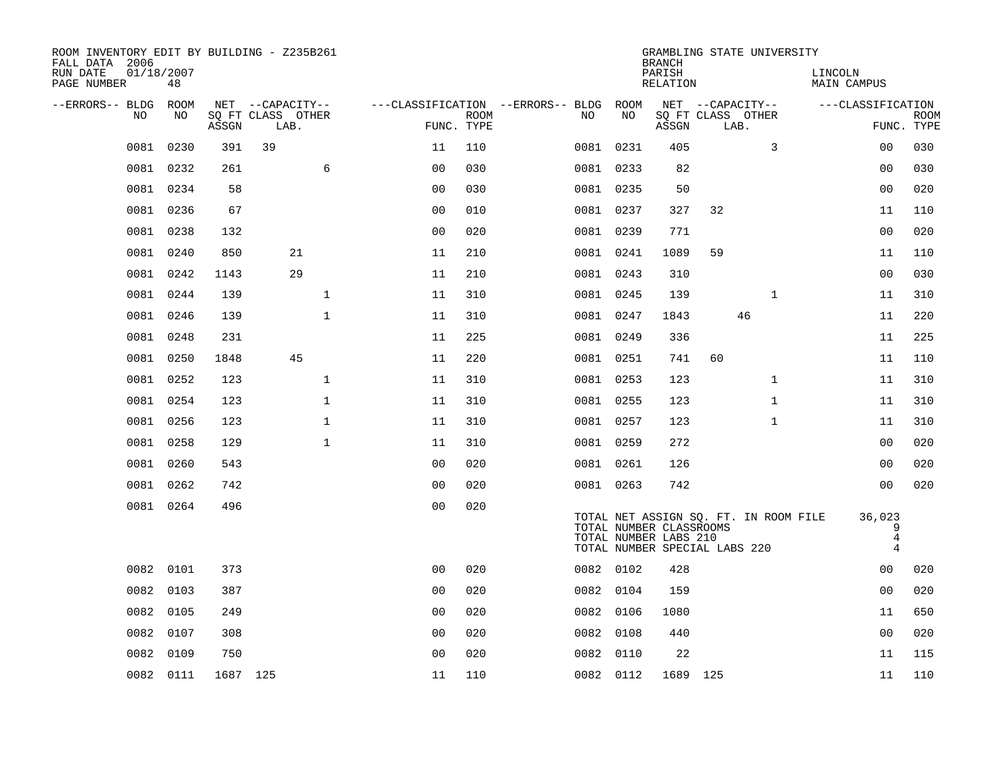| ROOM INVENTORY EDIT BY BUILDING - Z235B261<br>FALL DATA 2006 |                  |          |                           |                |                           |                                        |           | <b>BRANCH</b>                                    | GRAMBLING STATE UNIVERSITY                                             |              |                                          |                           |
|--------------------------------------------------------------|------------------|----------|---------------------------|----------------|---------------------------|----------------------------------------|-----------|--------------------------------------------------|------------------------------------------------------------------------|--------------|------------------------------------------|---------------------------|
| RUN DATE<br>PAGE NUMBER                                      | 01/18/2007<br>48 |          |                           |                |                           |                                        |           | PARISH<br>RELATION                               |                                                                        |              | LINCOLN<br>MAIN CAMPUS                   |                           |
| --ERRORS-- BLDG ROOM                                         | NO               |          | NET --CAPACITY--          |                |                           | ---CLASSIFICATION --ERRORS-- BLDG ROOM | NO        |                                                  | NET --CAPACITY--                                                       |              | ---CLASSIFICATION                        |                           |
| NO                                                           |                  | ASSGN    | SQ FT CLASS OTHER<br>LAB. |                | <b>ROOM</b><br>FUNC. TYPE | NO                                     |           | ASSGN                                            | SQ FT CLASS OTHER<br>LAB.                                              |              |                                          | <b>ROOM</b><br>FUNC. TYPE |
| 0081                                                         | 0230             | 391      | 39                        | 11             | 110                       |                                        | 0081 0231 | 405                                              |                                                                        | 3            | 00                                       | 030                       |
| 0081                                                         | 0232             | 261      | 6                         | 0 <sub>0</sub> | 030                       |                                        | 0081 0233 | 82                                               |                                                                        |              | 00                                       | 030                       |
|                                                              | 0081 0234        | 58       |                           | 0 <sub>0</sub> | 030                       |                                        | 0081 0235 | 50                                               |                                                                        |              | 0 <sub>0</sub>                           | 020                       |
| 0081                                                         | 0236             | 67       |                           | 00             | 010                       |                                        | 0081 0237 | 327                                              | 32                                                                     |              | 11                                       | 110                       |
| 0081                                                         | 0238             | 132      |                           | 0 <sub>0</sub> | 020                       |                                        | 0081 0239 | 771                                              |                                                                        |              | 0 <sub>0</sub>                           | 020                       |
| 0081                                                         | 0240             | 850      | 21                        | 11             | 210                       |                                        | 0081 0241 | 1089                                             | 59                                                                     |              | 11                                       | 110                       |
|                                                              | 0081 0242        | 1143     | 29                        | 11             | 210                       |                                        | 0081 0243 | 310                                              |                                                                        |              | 0 <sub>0</sub>                           | 030                       |
|                                                              | 0081 0244        | 139      | $\mathbf{1}$              | 11             | 310                       |                                        | 0081 0245 | 139                                              |                                                                        | $\mathbf{1}$ | 11                                       | 310                       |
|                                                              | 0081 0246        | 139      | $\mathbf{1}$              | 11             | 310                       |                                        | 0081 0247 | 1843                                             | 46                                                                     |              | 11                                       | 220                       |
|                                                              | 0081 0248        | 231      |                           | 11             | 225                       |                                        | 0081 0249 | 336                                              |                                                                        |              | 11                                       | 225                       |
|                                                              | 0081 0250        | 1848     | 45                        | 11             | 220                       |                                        | 0081 0251 | 741                                              | 60                                                                     |              | 11                                       | 110                       |
|                                                              | 0081 0252        | 123      | $\mathbf 1$               | 11             | 310                       |                                        | 0081 0253 | 123                                              |                                                                        | $\mathbf{1}$ | 11                                       | 310                       |
| 0081                                                         | 0254             | 123      | $\mathbf 1$               | 11             | 310                       |                                        | 0081 0255 | 123                                              |                                                                        | $\mathbf{1}$ | 11                                       | 310                       |
|                                                              | 0081 0256        | 123      | $\mathbf{1}$              | 11             | 310                       |                                        | 0081 0257 | 123                                              |                                                                        | $\mathbf{1}$ | 11                                       | 310                       |
|                                                              | 0081 0258        | 129      | $\mathbf{1}$              | 11             | 310                       |                                        | 0081 0259 | 272                                              |                                                                        |              | 0 <sub>0</sub>                           | 020                       |
|                                                              | 0081 0260        | 543      |                           | 0 <sub>0</sub> | 020                       |                                        | 0081 0261 | 126                                              |                                                                        |              | 00                                       | 020                       |
|                                                              | 0081 0262        | 742      |                           | 0 <sub>0</sub> | 020                       |                                        | 0081 0263 | 742                                              |                                                                        |              | 0 <sub>0</sub>                           | 020                       |
|                                                              | 0081 0264        | 496      |                           | 0 <sub>0</sub> | 020                       |                                        |           | TOTAL NUMBER CLASSROOMS<br>TOTAL NUMBER LABS 210 | TOTAL NET ASSIGN SQ. FT. IN ROOM FILE<br>TOTAL NUMBER SPECIAL LABS 220 |              | 36,023<br>9<br>$\bf 4$<br>$\overline{4}$ |                           |
|                                                              | 0082 0101        | 373      |                           | 0 <sub>0</sub> | 020                       |                                        | 0082 0102 | 428                                              |                                                                        |              | 0 <sub>0</sub>                           | 020                       |
| 0082                                                         | 0103             | 387      |                           | 0 <sub>0</sub> | 020                       |                                        | 0082 0104 | 159                                              |                                                                        |              | 0 <sub>0</sub>                           | 020                       |
|                                                              | 0082 0105        | 249      |                           | 0 <sub>0</sub> | 020                       |                                        | 0082 0106 | 1080                                             |                                                                        |              | 11                                       | 650                       |
| 0082                                                         | 0107             | 308      |                           | 0 <sub>0</sub> | 020                       |                                        | 0082 0108 | 440                                              |                                                                        |              | 00                                       | 020                       |
| 0082                                                         | 0109             | 750      |                           | 0 <sub>0</sub> | 020                       |                                        | 0082 0110 | 22                                               |                                                                        |              | 11                                       | 115                       |
|                                                              | 0082 0111        | 1687 125 |                           | 11             | 110                       |                                        | 0082 0112 | 1689 125                                         |                                                                        |              | 11                                       | 110                       |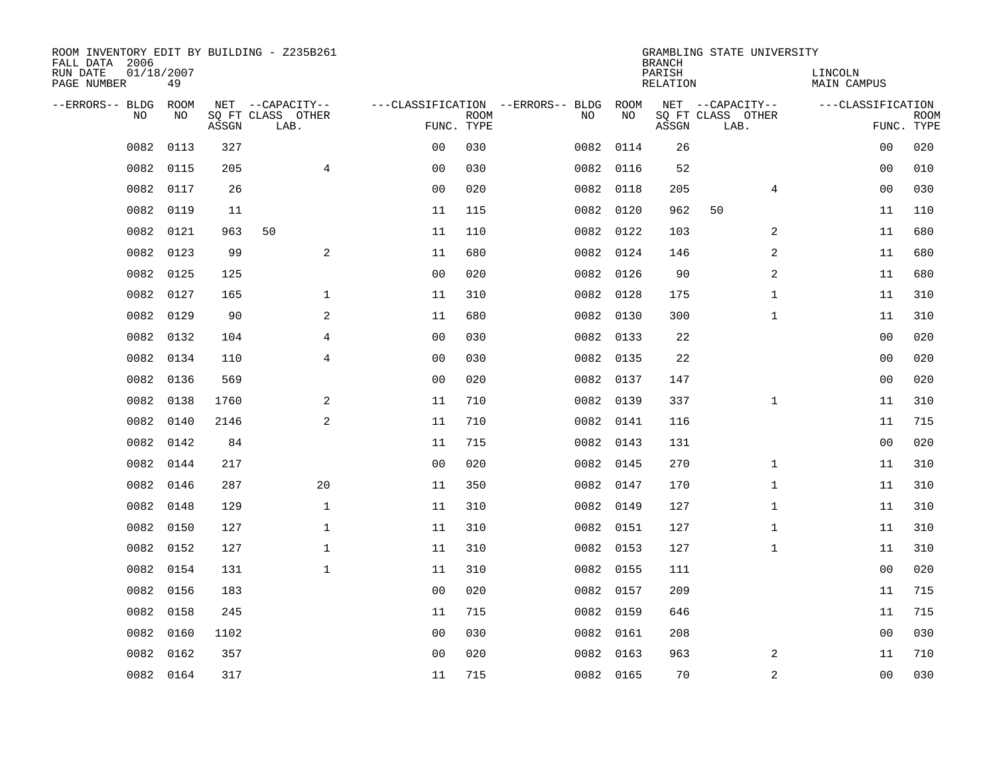| ROOM INVENTORY EDIT BY BUILDING - Z235B261<br>FALL DATA 2006 |                  |       |                           |                |             |                                   |           | <b>BRANCH</b>      | GRAMBLING STATE UNIVERSITY |                        |                           |
|--------------------------------------------------------------|------------------|-------|---------------------------|----------------|-------------|-----------------------------------|-----------|--------------------|----------------------------|------------------------|---------------------------|
| RUN DATE<br>PAGE NUMBER                                      | 01/18/2007<br>49 |       |                           |                |             |                                   |           | PARISH<br>RELATION |                            | LINCOLN<br>MAIN CAMPUS |                           |
| --ERRORS-- BLDG                                              | ROOM             |       | NET --CAPACITY--          |                |             | ---CLASSIFICATION --ERRORS-- BLDG | ROOM      |                    | NET --CAPACITY--           | ---CLASSIFICATION      |                           |
| N <sub>O</sub>                                               | NO.              | ASSGN | SO FT CLASS OTHER<br>LAB. | FUNC. TYPE     | <b>ROOM</b> | NO.                               | NO        | ASSGN              | SQ FT CLASS OTHER<br>LAB.  |                        | <b>ROOM</b><br>FUNC. TYPE |
| 0082                                                         | 0113             | 327   |                           | 0 <sub>0</sub> | 030         | 0082                              | 0114      | 26                 |                            | 00                     | 020                       |
| 0082                                                         | 0115             | 205   | $\overline{4}$            | 0 <sub>0</sub> | 030         |                                   | 0082 0116 | 52                 |                            | 0 <sub>0</sub>         | 010                       |
| 0082                                                         | 0117             | 26    |                           | 0 <sub>0</sub> | 020         |                                   | 0082 0118 | 205                | $\overline{4}$             | 0 <sub>0</sub>         | 030                       |
| 0082                                                         | 0119             | 11    |                           | 11             | 115         |                                   | 0082 0120 | 962                | 50                         | 11                     | 110                       |
| 0082                                                         | 0121             | 963   | 50                        | 11             | 110         | 0082                              | 0122      | 103                | 2                          | 11                     | 680                       |
| 0082                                                         | 0123             | 99    | $\mathbf{2}$              | 11             | 680         |                                   | 0082 0124 | 146                | 2                          | 11                     | 680                       |
| 0082                                                         | 0125             | 125   |                           | 00             | 020         |                                   | 0082 0126 | 90                 | $\overline{a}$             | 11                     | 680                       |
| 0082                                                         | 0127             | 165   | $\mathbf{1}$              | 11             | 310         |                                   | 0082 0128 | 175                | $\mathbf{1}$               | 11                     | 310                       |
| 0082                                                         | 0129             | 90    | 2                         | 11             | 680         | 0082                              | 0130      | 300                | $\mathbf{1}$               | 11                     | 310                       |
| 0082                                                         | 0132             | 104   | 4                         | 0 <sub>0</sub> | 030         |                                   | 0082 0133 | 22                 |                            | 00                     | 020                       |
| 0082                                                         | 0134             | 110   | 4                         | 0 <sub>0</sub> | 030         | 0082                              | 0135      | 22                 |                            | 00                     | 020                       |
| 0082                                                         | 0136             | 569   |                           | 0 <sub>0</sub> | 020         |                                   | 0082 0137 | 147                |                            | 0 <sub>0</sub>         | 020                       |
| 0082                                                         | 0138             | 1760  | 2                         | 11             | 710         |                                   | 0082 0139 | 337                | $\mathbf{1}$               | 11                     | 310                       |
| 0082                                                         | 0140             | 2146  | 2                         | 11             | 710         |                                   | 0082 0141 | 116                |                            | 11                     | 715                       |
| 0082                                                         | 0142             | 84    |                           | 11             | 715         | 0082                              | 0143      | 131                |                            | 00                     | 020                       |
| 0082                                                         | 0144             | 217   |                           | 0 <sub>0</sub> | 020         |                                   | 0082 0145 | 270                | $\mathbf{1}$               | 11                     | 310                       |
| 0082                                                         | 0146             | 287   | 20                        | 11             | 350         |                                   | 0082 0147 | 170                | $\mathbf{1}$               | 11                     | 310                       |
| 0082                                                         | 0148             | 129   | $\mathbf{1}$              | 11             | 310         |                                   | 0082 0149 | 127                | $\mathbf{1}$               | 11                     | 310                       |
| 0082                                                         | 0150             | 127   | $\mathbf 1$               | 11             | 310         |                                   | 0082 0151 | 127                | $\mathbf{1}$               | 11                     | 310                       |
| 0082                                                         | 0152             | 127   | $\mathbf{1}$              | 11             | 310         |                                   | 0082 0153 | 127                | $\mathbf{1}$               | 11                     | 310                       |
| 0082                                                         | 0154             | 131   | $\mathbf 1$               | 11             | 310         |                                   | 0082 0155 | 111                |                            | 00                     | 020                       |
| 0082                                                         | 0156             | 183   |                           | 0 <sub>0</sub> | 020         |                                   | 0082 0157 | 209                |                            | 11                     | 715                       |
| 0082                                                         | 0158             | 245   |                           | 11             | 715         |                                   | 0082 0159 | 646                |                            | 11                     | 715                       |
| 0082                                                         | 0160             | 1102  |                           | 0 <sub>0</sub> | 030         |                                   | 0082 0161 | 208                |                            | 0 <sub>0</sub>         | 030                       |
| 0082                                                         | 0162             | 357   |                           | 0 <sub>0</sub> | 020         |                                   | 0082 0163 | 963                | 2                          | 11                     | 710                       |
|                                                              | 0082 0164        | 317   |                           | 11             | 715         |                                   | 0082 0165 | 70                 | 2                          | 0 <sub>0</sub>         | 030                       |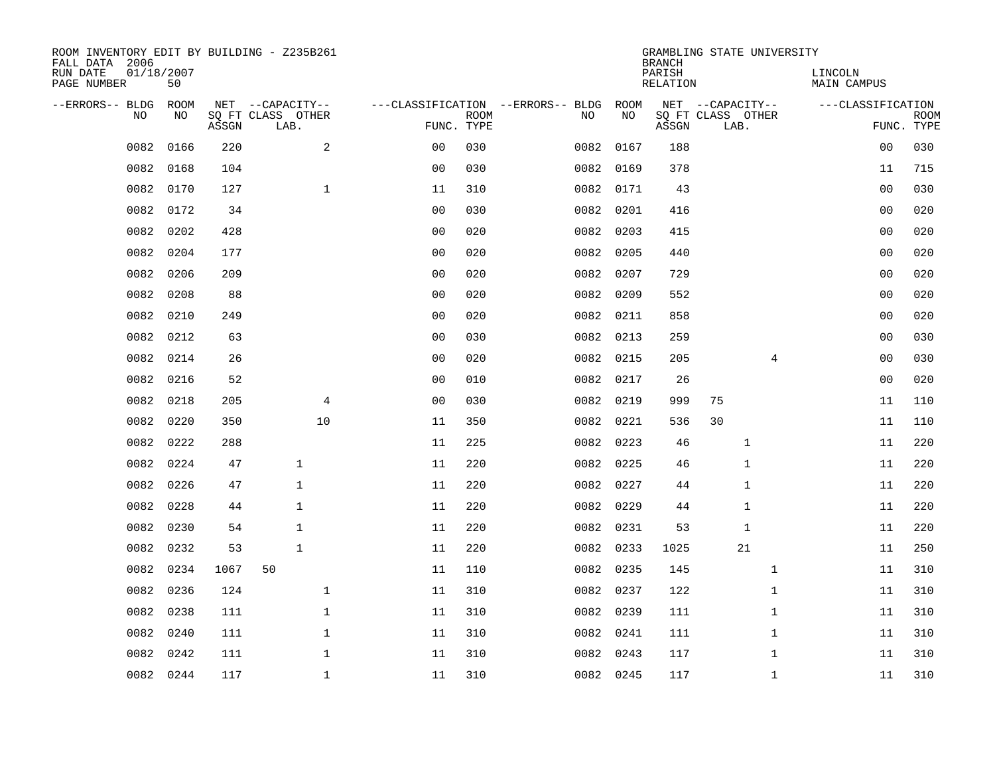| ROOM INVENTORY EDIT BY BUILDING - Z235B261<br>FALL DATA 2006 |                  |       |                           |                |                           |                                        |           | <b>BRANCH</b>             | GRAMBLING STATE UNIVERSITY |                |                               |                           |
|--------------------------------------------------------------|------------------|-------|---------------------------|----------------|---------------------------|----------------------------------------|-----------|---------------------------|----------------------------|----------------|-------------------------------|---------------------------|
| RUN DATE<br>PAGE NUMBER                                      | 01/18/2007<br>50 |       |                           |                |                           |                                        |           | PARISH<br><b>RELATION</b> |                            |                | LINCOLN<br><b>MAIN CAMPUS</b> |                           |
| --ERRORS-- BLDG                                              | ROOM             |       | NET --CAPACITY--          |                |                           | ---CLASSIFICATION --ERRORS-- BLDG ROOM |           |                           | NET --CAPACITY--           |                | ---CLASSIFICATION             |                           |
| NO                                                           | NO               | ASSGN | SQ FT CLASS OTHER<br>LAB. |                | <b>ROOM</b><br>FUNC. TYPE | NO                                     | NO        | ASSGN                     | SQ FT CLASS OTHER<br>LAB.  |                |                               | <b>ROOM</b><br>FUNC. TYPE |
| 0082                                                         | 0166             | 220   | 2                         | 0 <sub>0</sub> | 030                       | 0082                                   | 0167      | 188                       |                            |                | 00                            | 030                       |
| 0082                                                         | 0168             | 104   |                           | 0 <sub>0</sub> | 030                       |                                        | 0082 0169 | 378                       |                            |                | 11                            | 715                       |
| 0082                                                         | 0170             | 127   | $\mathbf{1}$              | 11             | 310                       | 0082                                   | 0171      | 43                        |                            |                | 00                            | 030                       |
| 0082                                                         | 0172             | 34    |                           | 00             | 030                       |                                        | 0082 0201 | 416                       |                            |                | 0 <sub>0</sub>                | 020                       |
| 0082                                                         | 0202             | 428   |                           | 0 <sub>0</sub> | 020                       |                                        | 0082 0203 | 415                       |                            |                | 0 <sub>0</sub>                | 020                       |
| 0082                                                         | 0204             | 177   |                           | 0 <sub>0</sub> | 020                       |                                        | 0082 0205 | 440                       |                            |                | 0 <sub>0</sub>                | 020                       |
| 0082                                                         | 0206             | 209   |                           | 0 <sub>0</sub> | 020                       | 0082                                   | 0207      | 729                       |                            |                | 00                            | 020                       |
| 0082                                                         | 0208             | 88    |                           | 0 <sub>0</sub> | 020                       |                                        | 0082 0209 | 552                       |                            |                | 0 <sub>0</sub>                | 020                       |
| 0082                                                         | 0210             | 249   |                           | 0 <sub>0</sub> | 020                       | 0082                                   | 0211      | 858                       |                            |                | 0 <sub>0</sub>                | 020                       |
| 0082                                                         | 0212             | 63    |                           | 0 <sub>0</sub> | 030                       |                                        | 0082 0213 | 259                       |                            |                | 0 <sub>0</sub>                | 030                       |
| 0082                                                         | 0214             | 26    |                           | 0 <sub>0</sub> | 020                       | 0082                                   | 0215      | 205                       |                            | $\overline{4}$ | 0 <sub>0</sub>                | 030                       |
| 0082                                                         | 0216             | 52    |                           | 0 <sub>0</sub> | 010                       |                                        | 0082 0217 | 26                        |                            |                | 0 <sub>0</sub>                | 020                       |
| 0082                                                         | 0218             | 205   | 4                         | 0 <sub>0</sub> | 030                       | 0082                                   | 0219      | 999                       | 75                         |                | 11                            | 110                       |
| 0082                                                         | 0220             | 350   | 10                        | 11             | 350                       |                                        | 0082 0221 | 536                       | 30                         |                | 11                            | 110                       |
| 0082                                                         | 0222             | 288   |                           | 11             | 225                       | 0082                                   | 0223      | 46                        | $\mathbf{1}$               |                | 11                            | 220                       |
| 0082                                                         | 0224             | 47    | $\mathbf{1}$              | 11             | 220                       |                                        | 0082 0225 | 46                        | $\mathbf{1}$               |                | 11                            | 220                       |
| 0082                                                         | 0226             | 47    | $\mathbf 1$               | 11             | 220                       | 0082                                   | 0227      | 44                        | $\mathbf{1}$               |                | 11                            | 220                       |
| 0082                                                         | 0228             | 44    | $\mathbf{1}$              | 11             | 220                       |                                        | 0082 0229 | 44                        | $\mathbf{1}$               |                | 11                            | 220                       |
| 0082                                                         | 0230             | 54    | $\mathbf{1}$              | 11             | 220                       |                                        | 0082 0231 | 53                        | $\mathbf{1}$               |                | 11                            | 220                       |
| 0082                                                         | 0232             | 53    | $\mathbf{1}$              | 11             | 220                       |                                        | 0082 0233 | 1025                      | 21                         |                | 11                            | 250                       |
| 0082                                                         | 0234             | 1067  | 50                        | 11             | 110                       |                                        | 0082 0235 | 145                       |                            | $\mathbf{1}$   | 11                            | 310                       |
| 0082                                                         | 0236             | 124   | $\mathbf 1$               | 11             | 310                       |                                        | 0082 0237 | 122                       |                            | $\mathbf{1}$   | 11                            | 310                       |
| 0082                                                         | 0238             | 111   | $\mathbf{1}$              | 11             | 310                       |                                        | 0082 0239 | 111                       |                            | $\mathbf{1}$   | 11                            | 310                       |
| 0082                                                         | 0240             | 111   | $\mathbf 1$               | 11             | 310                       |                                        | 0082 0241 | 111                       |                            | $\mathbf{1}$   | 11                            | 310                       |
| 0082                                                         | 0242             | 111   | $\mathbf 1$               | 11             | 310                       |                                        | 0082 0243 | 117                       |                            | $\mathbf{1}$   | 11                            | 310                       |
|                                                              | 0082 0244        | 117   | $\mathbf{1}$              | 11             | 310                       |                                        | 0082 0245 | 117                       |                            | $\mathbf{1}$   | 11                            | 310                       |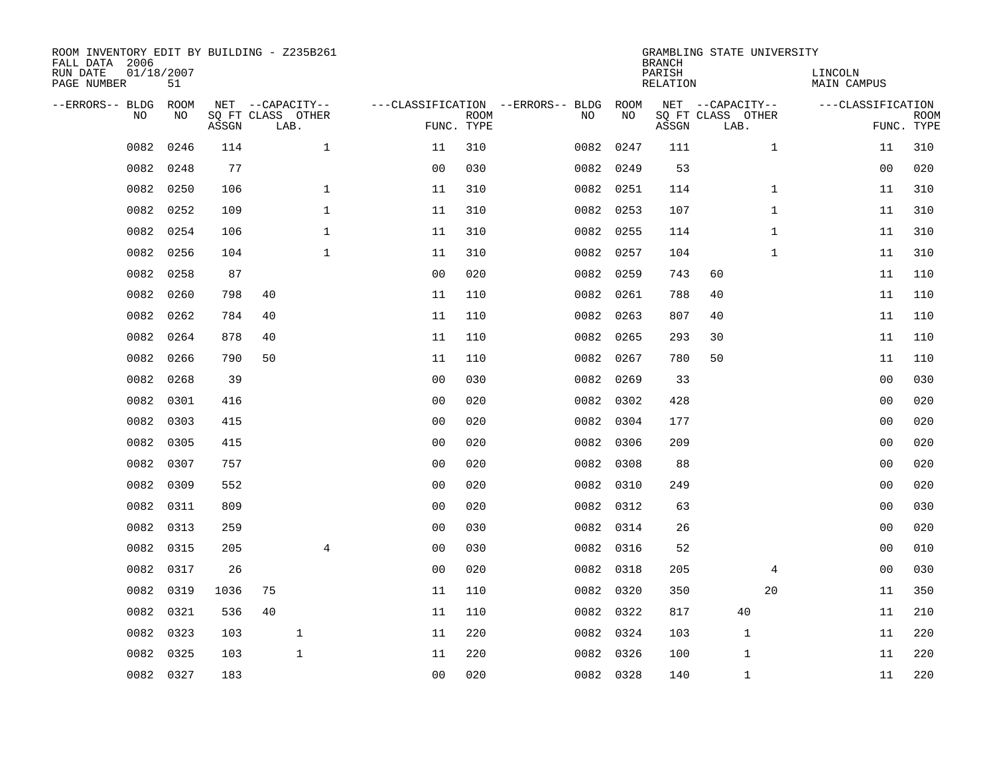| ROOM INVENTORY EDIT BY BUILDING - Z235B261<br>FALL DATA 2006<br>RUN DATE<br>PAGE NUMBER | 01/18/2007<br>51 |       |                                               |                |                |                           |                                         |            | <b>BRANCH</b><br>PARISH<br><b>RELATION</b> | GRAMBLING STATE UNIVERSITY                    | LINCOLN<br><b>MAIN CAMPUS</b> |                   |                           |
|-----------------------------------------------------------------------------------------|------------------|-------|-----------------------------------------------|----------------|----------------|---------------------------|-----------------------------------------|------------|--------------------------------------------|-----------------------------------------------|-------------------------------|-------------------|---------------------------|
| --ERRORS-- BLDG<br>NO                                                                   | ROOM<br>NO       | ASSGN | NET --CAPACITY--<br>SQ FT CLASS OTHER<br>LAB. |                |                | <b>ROOM</b><br>FUNC. TYPE | ---CLASSIFICATION --ERRORS-- BLDG<br>NO | ROOM<br>NO | ASSGN                                      | NET --CAPACITY--<br>SQ FT CLASS OTHER<br>LAB. |                               | ---CLASSIFICATION | <b>ROOM</b><br>FUNC. TYPE |
| 0082                                                                                    | 0246             | 114   |                                               | $\mathbf 1$    | 11             | 310                       |                                         | 0082 0247  | 111                                        |                                               | $\mathbf{1}$                  | 11                | 310                       |
| 0082                                                                                    | 0248             | 77    |                                               |                | 0 <sub>0</sub> | 030                       |                                         | 0082 0249  | 53                                         |                                               |                               | 00                | 020                       |
| 0082                                                                                    | 0250             | 106   |                                               | $\mathbf 1$    | 11             | 310                       |                                         | 0082 0251  | 114                                        |                                               | $\mathbf{1}$                  | 11                | 310                       |
| 0082                                                                                    | 0252             | 109   |                                               | $\mathbf 1$    | 11             | 310                       |                                         | 0082 0253  | 107                                        |                                               | $\mathbf{1}$                  | 11                | 310                       |
| 0082                                                                                    | 0254             | 106   |                                               | $\mathbf{1}$   | 11             | 310                       |                                         | 0082 0255  | 114                                        |                                               | $\mathbf{1}$                  | 11                | 310                       |
| 0082                                                                                    | 0256             | 104   |                                               | $\mathbf 1$    | 11             | 310                       |                                         | 0082 0257  | 104                                        |                                               | $\mathbf{1}$                  | 11                | 310                       |
| 0082                                                                                    | 0258             | 87    |                                               |                | 0 <sub>0</sub> | 020                       |                                         | 0082 0259  | 743                                        | 60                                            |                               | 11                | 110                       |
| 0082                                                                                    | 0260             | 798   | 40                                            |                | 11             | 110                       |                                         | 0082 0261  | 788                                        | 40                                            |                               | 11                | 110                       |
| 0082                                                                                    | 0262             | 784   | 40                                            |                | 11             | 110                       | 0082                                    | 0263       | 807                                        | 40                                            |                               | 11                | 110                       |
| 0082                                                                                    | 0264             | 878   | 40                                            |                | 11             | 110                       |                                         | 0082 0265  | 293                                        | 30                                            |                               | 11                | 110                       |
| 0082                                                                                    | 0266             | 790   | 50                                            |                | 11             | 110                       | 0082                                    | 0267       | 780                                        | 50                                            |                               | 11                | 110                       |
| 0082                                                                                    | 0268             | 39    |                                               |                | 0 <sub>0</sub> | 030                       |                                         | 0082 0269  | 33                                         |                                               |                               | 0 <sub>0</sub>    | 030                       |
| 0082                                                                                    | 0301             | 416   |                                               |                | 0 <sub>0</sub> | 020                       | 0082                                    | 0302       | 428                                        |                                               |                               | 0 <sub>0</sub>    | 020                       |
| 0082                                                                                    | 0303             | 415   |                                               |                | 0 <sub>0</sub> | 020                       |                                         | 0082 0304  | 177                                        |                                               |                               | 00                | 020                       |
| 0082                                                                                    | 0305             | 415   |                                               |                | 0 <sub>0</sub> | 020                       |                                         | 0082 0306  | 209                                        |                                               |                               | 0 <sub>0</sub>    | 020                       |
| 0082                                                                                    | 0307             | 757   |                                               |                | 00             | 020                       |                                         | 0082 0308  | 88                                         |                                               |                               | 00                | 020                       |
| 0082                                                                                    | 0309             | 552   |                                               |                | 0 <sub>0</sub> | 020                       | 0082                                    | 0310       | 249                                        |                                               |                               | 0 <sub>0</sub>    | 020                       |
| 0082                                                                                    | 0311             | 809   |                                               |                | 0 <sub>0</sub> | 020                       |                                         | 0082 0312  | 63                                         |                                               |                               | 00                | 030                       |
| 0082                                                                                    | 0313             | 259   |                                               |                | 0 <sub>0</sub> | 030                       |                                         | 0082 0314  | 26                                         |                                               |                               | 00                | 020                       |
| 0082                                                                                    | 0315             | 205   |                                               | $\overline{4}$ | 0 <sub>0</sub> | 030                       |                                         | 0082 0316  | 52                                         |                                               |                               | 00                | 010                       |
| 0082                                                                                    | 0317             | 26    |                                               |                | 0 <sub>0</sub> | 020                       |                                         | 0082 0318  | 205                                        |                                               | 4                             | 0 <sub>0</sub>    | 030                       |
| 0082                                                                                    | 0319             | 1036  | 75                                            |                | 11             | 110                       |                                         | 0082 0320  | 350                                        |                                               | 20                            | 11                | 350                       |
| 0082                                                                                    | 0321             | 536   | 40                                            |                | 11             | 110                       |                                         | 0082 0322  | 817                                        | 40                                            |                               | 11                | 210                       |
| 0082                                                                                    | 0323             | 103   |                                               | $\mathbf{1}$   | 11             | 220                       |                                         | 0082 0324  | 103                                        | $\mathbf 1$                                   |                               | 11                | 220                       |
| 0082                                                                                    | 0325             | 103   |                                               | $\mathbf{1}$   | 11             | 220                       |                                         | 0082 0326  | 100                                        | $\mathbf{1}$                                  |                               | 11                | 220                       |
|                                                                                         | 0082 0327        | 183   |                                               |                | 00             | 020                       |                                         | 0082 0328  | 140                                        | 1                                             |                               | 11                | 220                       |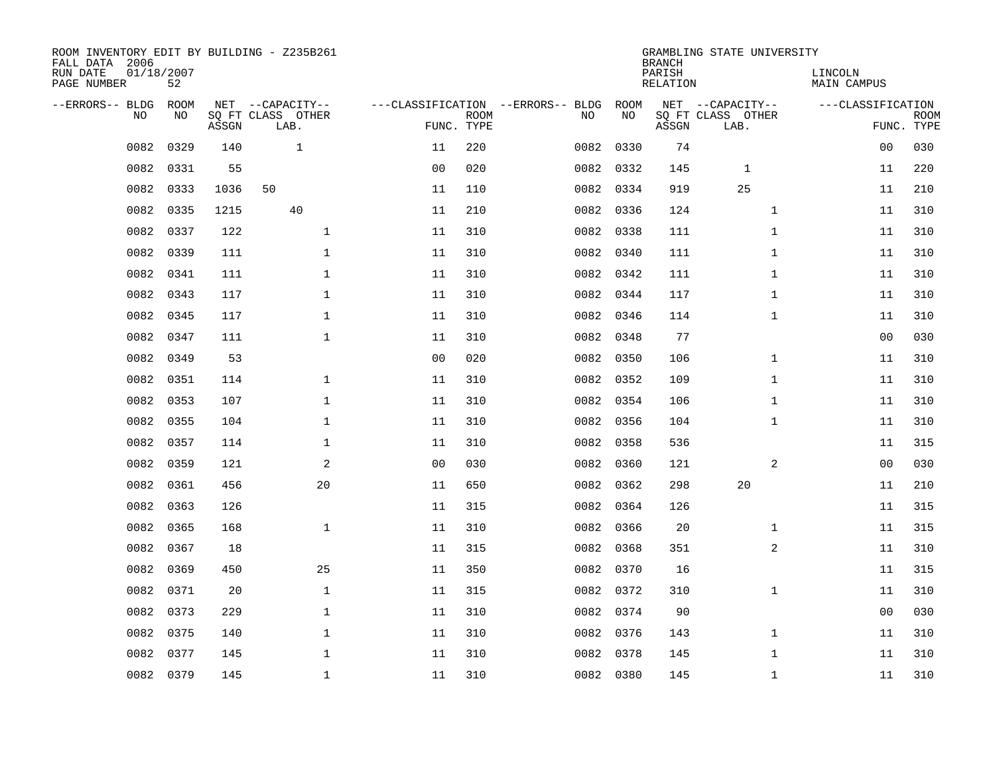| ROOM INVENTORY EDIT BY BUILDING - Z235B261<br>FALL DATA 2006<br>RUN DATE | 01/18/2007 |       |                           |                |             |                                   |           | <b>BRANCH</b><br>PARISH | GRAMBLING STATE UNIVERSITY | LINCOLN            |                           |
|--------------------------------------------------------------------------|------------|-------|---------------------------|----------------|-------------|-----------------------------------|-----------|-------------------------|----------------------------|--------------------|---------------------------|
| PAGE NUMBER                                                              | 52         |       |                           |                |             |                                   |           | <b>RELATION</b>         |                            | <b>MAIN CAMPUS</b> |                           |
| --ERRORS-- BLDG                                                          | ROOM       |       | NET --CAPACITY--          |                |             | ---CLASSIFICATION --ERRORS-- BLDG | ROOM      |                         | NET --CAPACITY--           | ---CLASSIFICATION  |                           |
| NO                                                                       | NO         | ASSGN | SQ FT CLASS OTHER<br>LAB. | FUNC. TYPE     | <b>ROOM</b> | NO                                | NO        | ASSGN                   | SQ FT CLASS OTHER<br>LAB.  |                    | <b>ROOM</b><br>FUNC. TYPE |
| 0082                                                                     | 0329       | 140   | $\mathbf{1}$              | 11             | 220         | 0082                              | 0330      | 74                      |                            | 0 <sub>0</sub>     | 030                       |
| 0082                                                                     | 0331       | 55    |                           | 0 <sub>0</sub> | 020         |                                   | 0082 0332 | 145                     | $\mathbf 1$                | 11                 | 220                       |
| 0082                                                                     | 0333       | 1036  | 50                        | 11             | 110         |                                   | 0082 0334 | 919                     | 25                         | 11                 | 210                       |
| 0082                                                                     | 0335       | 1215  | 40                        | 11             | 210         |                                   | 0082 0336 | 124                     | $\mathbf{1}$               | 11                 | 310                       |
| 0082                                                                     | 0337       | 122   | $\mathbf{1}$              | 11             | 310         |                                   | 0082 0338 | 111                     | $\mathbf{1}$               | 11                 | 310                       |
| 0082                                                                     | 0339       | 111   | $\mathbf 1$               | 11             | 310         |                                   | 0082 0340 | 111                     | $\mathbf{1}$               | 11                 | 310                       |
| 0082                                                                     | 0341       | 111   | $\mathbf{1}$              | 11             | 310         |                                   | 0082 0342 | 111                     | $\mathbf{1}$               | 11                 | 310                       |
| 0082                                                                     | 0343       | 117   | $\mathbf{1}$              | 11             | 310         |                                   | 0082 0344 | 117                     | $\mathbf{1}$               | 11                 | 310                       |
| 0082                                                                     | 0345       | 117   | $\mathbf{1}$              | 11             | 310         | 0082                              | 0346      | 114                     | $\mathbf{1}$               | 11                 | 310                       |
| 0082                                                                     | 0347       | 111   | $\mathbf{1}$              | 11             | 310         |                                   | 0082 0348 | 77                      |                            | 00                 | 030                       |
| 0082                                                                     | 0349       | 53    |                           | 0 <sub>0</sub> | 020         | 0082                              | 0350      | 106                     | $\mathbf{1}$               | 11                 | 310                       |
| 0082                                                                     | 0351       | 114   | $\mathbf 1$               | 11             | 310         |                                   | 0082 0352 | 109                     | $\mathbf{1}$               | 11                 | 310                       |
| 0082                                                                     | 0353       | 107   | $\mathbf{1}$              | 11             | 310         | 0082                              | 0354      | 106                     | $\mathbf{1}$               | 11                 | 310                       |
| 0082                                                                     | 0355       | 104   | $\mathbf 1$               | 11             | 310         |                                   | 0082 0356 | 104                     | $\mathbf{1}$               | 11                 | 310                       |
| 0082                                                                     | 0357       | 114   | $\mathbf 1$               | 11             | 310         | 0082                              | 0358      | 536                     |                            | 11                 | 315                       |
| 0082                                                                     | 0359       | 121   | 2                         | 00             | 030         |                                   | 0082 0360 | 121                     | 2                          | 00                 | 030                       |
| 0082                                                                     | 0361       | 456   | 20                        | 11             | 650         | 0082                              | 0362      | 298                     | 20                         | 11                 | 210                       |
| 0082                                                                     | 0363       | 126   |                           | 11             | 315         |                                   | 0082 0364 | 126                     |                            | 11                 | 315                       |
| 0082                                                                     | 0365       | 168   | $\mathbf{1}$              | 11             | 310         |                                   | 0082 0366 | 20                      | $\mathbf{1}$               | 11                 | 315                       |
| 0082                                                                     | 0367       | 18    |                           | 11             | 315         |                                   | 0082 0368 | 351                     | 2                          | 11                 | 310                       |
| 0082                                                                     | 0369       | 450   | 25                        | 11             | 350         |                                   | 0082 0370 | 16                      |                            | 11                 | 315                       |
| 0082                                                                     | 0371       | 20    | $\mathbf{1}$              | 11             | 315         |                                   | 0082 0372 | 310                     | $\mathbf{1}$               | 11                 | 310                       |
| 0082                                                                     | 0373       | 229   | $\mathbf{1}$              | 11             | 310         |                                   | 0082 0374 | 90                      |                            | 0 <sub>0</sub>     | 030                       |
| 0082                                                                     | 0375       | 140   | $\mathbf 1$               | 11             | 310         |                                   | 0082 0376 | 143                     | $\mathbf{1}$               | 11                 | 310                       |
| 0082                                                                     | 0377       | 145   | $\mathbf{1}$              | 11             | 310         |                                   | 0082 0378 | 145                     | $\mathbf{1}$               | 11                 | 310                       |
|                                                                          | 0082 0379  | 145   | $\mathbf 1$               | 11             | 310         |                                   | 0082 0380 | 145                     | $\mathbf{1}$               | 11                 | 310                       |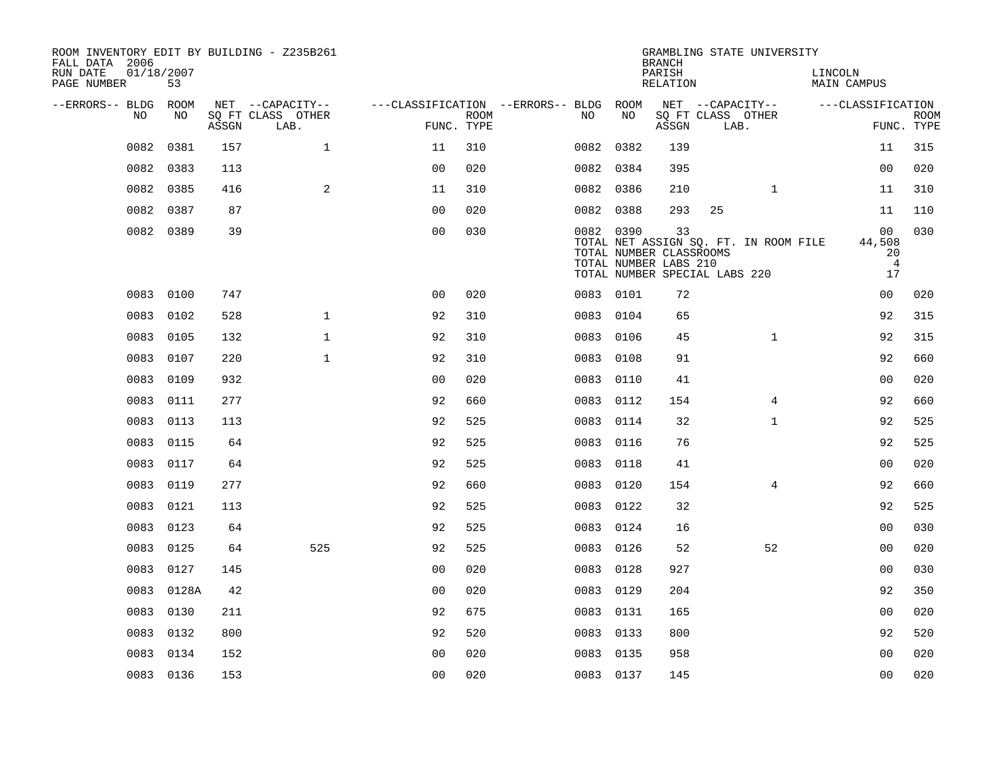| ROOM INVENTORY EDIT BY BUILDING - Z235B261<br>FALL DATA 2006 |                  |       |                           |                                        |                    |           |      | <b>BRANCH</b>                                          |                               | GRAMBLING STATE UNIVERSITY            |         |                                                        |                           |
|--------------------------------------------------------------|------------------|-------|---------------------------|----------------------------------------|--------------------|-----------|------|--------------------------------------------------------|-------------------------------|---------------------------------------|---------|--------------------------------------------------------|---------------------------|
| RUN DATE<br>PAGE NUMBER                                      | 01/18/2007<br>53 |       |                           |                                        |                    |           |      | PARISH<br>RELATION                                     |                               |                                       | LINCOLN | MAIN CAMPUS                                            |                           |
| --ERRORS-- BLDG ROOM                                         |                  |       | NET --CAPACITY--          | ---CLASSIFICATION --ERRORS-- BLDG ROOM |                    |           |      |                                                        |                               | NET --CAPACITY--                      |         | ---CLASSIFICATION                                      |                           |
| NO.                                                          | NO.              | ASSGN | SO FT CLASS OTHER<br>LAB. |                                        | ROOM<br>FUNC. TYPE | NO.       | NO   | ASSGN                                                  | SQ FT CLASS OTHER<br>LAB.     |                                       |         |                                                        | <b>ROOM</b><br>FUNC. TYPE |
| 0082                                                         | 0381             | 157   | $\mathbf{1}$              | 11                                     | 310                | 0082 0382 |      | 139                                                    |                               |                                       |         | 11                                                     | 315                       |
| 0082                                                         | 0383             | 113   |                           | 0 <sub>0</sub>                         | 020                | 0082 0384 |      | 395                                                    |                               |                                       |         | 0 <sub>0</sub>                                         | 020                       |
| 0082                                                         | 0385             | 416   | 2                         | 11                                     | 310                | 0082 0386 |      | 210                                                    |                               | $\mathbf{1}$                          |         | 11                                                     | 310                       |
| 0082                                                         | 0387             | 87    |                           | 0 <sub>0</sub>                         | 020                | 0082 0388 |      | 293                                                    | 25                            |                                       |         | 11                                                     | 110                       |
| 0082                                                         | 0389             | 39    |                           | 00                                     | 030                | 0082 0390 |      | 33<br>TOTAL NUMBER CLASSROOMS<br>TOTAL NUMBER LABS 210 | TOTAL NUMBER SPECIAL LABS 220 | TOTAL NET ASSIGN SQ. FT. IN ROOM FILE |         | 0 <sub>0</sub><br>44,508<br>20<br>$\overline{4}$<br>17 | 030                       |
|                                                              | 0083 0100        | 747   |                           | 0 <sub>0</sub>                         | 020                | 0083 0101 |      | 72                                                     |                               |                                       |         | 0 <sub>0</sub>                                         | 020                       |
| 0083                                                         | 0102             | 528   | $\mathbf{1}$              | 92                                     | 310                | 0083      | 0104 | 65                                                     |                               |                                       |         | 92                                                     | 315                       |
| 0083                                                         | 0105             | 132   | $\mathbf{1}$              | 92                                     | 310                | 0083 0106 |      | 45                                                     |                               | $\mathbf{1}$                          |         | 92                                                     | 315                       |
| 0083                                                         | 0107             | 220   | $\mathbf{1}$              | 92                                     | 310                | 0083      | 0108 | 91                                                     |                               |                                       |         | 92                                                     | 660                       |
| 0083                                                         | 0109             | 932   |                           | 0 <sub>0</sub>                         | 020                | 0083 0110 |      | 41                                                     |                               |                                       |         | 0 <sub>0</sub>                                         | 020                       |
| 0083                                                         | 0111             | 277   |                           | 92                                     | 660                | 0083      | 0112 | 154                                                    |                               | $\overline{4}$                        |         | 92                                                     | 660                       |
| 0083                                                         | 0113             | 113   |                           | 92                                     | 525                | 0083      | 0114 | 32                                                     |                               | $\mathbf{1}$                          |         | 92                                                     | 525                       |
| 0083                                                         | 0115             | 64    |                           | 92                                     | 525                | 0083      | 0116 | 76                                                     |                               |                                       |         | 92                                                     | 525                       |
| 0083                                                         | 0117             | 64    |                           | 92                                     | 525                | 0083      | 0118 | 41                                                     |                               |                                       |         | 00                                                     | 020                       |
| 0083                                                         | 0119             | 277   |                           | 92                                     | 660                | 0083      | 0120 | 154                                                    |                               | $\overline{4}$                        |         | 92                                                     | 660                       |
| 0083                                                         | 0121             | 113   |                           | 92                                     | 525                | 0083      | 0122 | 32                                                     |                               |                                       |         | 92                                                     | 525                       |
|                                                              | 0083 0123        | 64    |                           | 92                                     | 525                | 0083 0124 |      | 16                                                     |                               |                                       |         | 0 <sub>0</sub>                                         | 030                       |
| 0083                                                         | 0125             | 64    | 525                       | 92                                     | 525                | 0083 0126 |      | 52                                                     |                               | 52                                    |         | 0 <sub>0</sub>                                         | 020                       |
| 0083                                                         | 0127             | 145   |                           | 0 <sub>0</sub>                         | 020                | 0083      | 0128 | 927                                                    |                               |                                       |         | 00                                                     | 030                       |
| 0083                                                         | 0128A            | 42    |                           | 0 <sub>0</sub>                         | 020                | 0083      | 0129 | 204                                                    |                               |                                       |         | 92                                                     | 350                       |
| 0083                                                         | 0130             | 211   |                           | 92                                     | 675                | 0083 0131 |      | 165                                                    |                               |                                       |         | 0 <sub>0</sub>                                         | 020                       |
| 0083                                                         | 0132             | 800   |                           | 92                                     | 520                | 0083 0133 |      | 800                                                    |                               |                                       |         | 92                                                     | 520                       |
| 0083                                                         | 0134             | 152   |                           | 0 <sub>0</sub>                         | 020                | 0083 0135 |      | 958                                                    |                               |                                       |         | 0 <sub>0</sub>                                         | 020                       |
|                                                              | 0083 0136        | 153   |                           | 0 <sub>0</sub>                         | 020                | 0083 0137 |      | 145                                                    |                               |                                       |         | 0 <sub>0</sub>                                         | 020                       |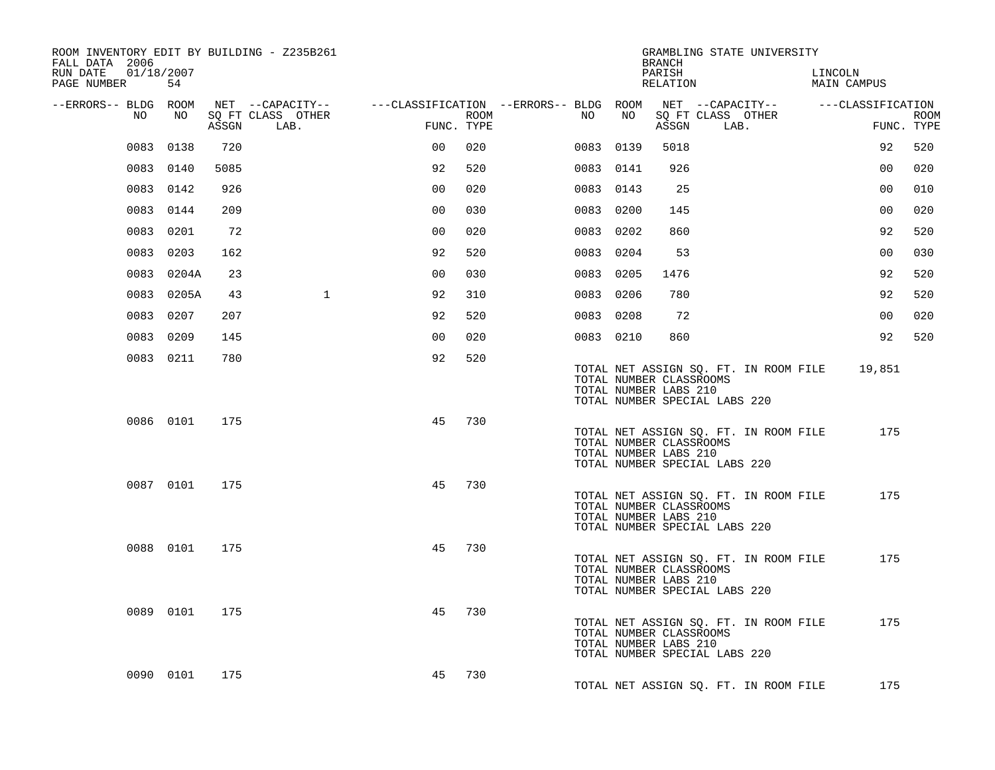| ROOM INVENTORY EDIT BY BUILDING - Z235B261<br>FALL DATA 2006 |            |       |                           |                |      |                                        |           |      | BRANCH                                           | GRAMBLING STATE UNIVERSITY                                             |                        |                |             |
|--------------------------------------------------------------|------------|-------|---------------------------|----------------|------|----------------------------------------|-----------|------|--------------------------------------------------|------------------------------------------------------------------------|------------------------|----------------|-------------|
| RUN DATE<br>01/18/2007<br>PAGE NUMBER                        | 54         |       |                           |                |      |                                        |           |      | PARISH<br>RELATION                               |                                                                        | LINCOLN<br>MAIN CAMPUS |                |             |
| --ERRORS-- BLDG ROOM                                         |            |       | NET --CAPACITY--          |                |      | ---CLASSIFICATION --ERRORS-- BLDG ROOM |           |      |                                                  | NET --CAPACITY-- ---CLASSIFICATION                                     |                        |                |             |
| NO                                                           | NO         | ASSGN | SQ FT CLASS OTHER<br>LAB. | FUNC. TYPE     | ROOM | NO                                     |           | NO   | ASSGN                                            | SQ FT CLASS OTHER<br>LAB.                                              |                        | FUNC. TYPE     | <b>ROOM</b> |
|                                                              | 0083 0138  | 720   |                           | 00             | 020  | 0083                                   |           | 0139 | 5018                                             |                                                                        |                        | 92             | 520         |
|                                                              | 0083 0140  | 5085  |                           | 92             | 520  |                                        | 0083 0141 |      | 926                                              |                                                                        |                        | 0 <sub>0</sub> | 020         |
|                                                              | 0083 0142  | 926   |                           | 0 <sub>0</sub> | 020  |                                        | 0083 0143 |      | 25                                               |                                                                        |                        | 0 <sub>0</sub> | 010         |
|                                                              | 0083 0144  | 209   |                           | 0 <sub>0</sub> | 030  |                                        | 0083 0200 |      | 145                                              |                                                                        |                        | 0 <sub>0</sub> | 020         |
|                                                              | 0083 0201  | 72    |                           | 0 <sub>0</sub> | 020  |                                        | 0083 0202 |      | 860                                              |                                                                        |                        | 92             | 520         |
|                                                              | 0083 0203  | 162   |                           | 92             | 520  |                                        | 0083 0204 |      | 53                                               |                                                                        |                        | 0 <sub>0</sub> | 030         |
|                                                              | 0083 0204A | 23    |                           | 0 <sub>0</sub> | 030  |                                        | 0083 0205 |      | 1476                                             |                                                                        |                        | 92             | 520         |
|                                                              | 0083 0205A | 43    | $\mathbf{1}$              | 92             | 310  |                                        | 0083 0206 |      | 780                                              |                                                                        |                        | 92             | 520         |
|                                                              | 0083 0207  | 207   |                           | 92             | 520  |                                        | 0083 0208 |      | 72                                               |                                                                        |                        | 00             | 020         |
|                                                              | 0083 0209  | 145   |                           | 00             | 020  |                                        | 0083 0210 |      | 860                                              |                                                                        |                        | 92             | 520         |
|                                                              | 0083 0211  | 780   |                           | 92             | 520  |                                        |           |      | TOTAL NUMBER CLASSROOMS<br>TOTAL NUMBER LABS 210 | TOTAL NET ASSIGN SQ. FT. IN ROOM FILE<br>TOTAL NUMBER SPECIAL LABS 220 |                        | 19,851         |             |
|                                                              | 0086 0101  | 175   |                           | 45             | 730  |                                        |           |      | TOTAL NUMBER CLASSROOMS<br>TOTAL NUMBER LABS 210 | TOTAL NET ASSIGN SQ. FT. IN ROOM FILE<br>TOTAL NUMBER SPECIAL LABS 220 |                        | 175            |             |
|                                                              | 0087 0101  | 175   |                           | 45             | 730  |                                        |           |      | TOTAL NUMBER CLASSROOMS<br>TOTAL NUMBER LABS 210 | TOTAL NET ASSIGN SQ. FT. IN ROOM FILE<br>TOTAL NUMBER SPECIAL LABS 220 |                        | 175            |             |
|                                                              | 0088 0101  | 175   |                           | 45             | 730  |                                        |           |      | TOTAL NUMBER CLASSROOMS<br>TOTAL NUMBER LABS 210 | TOTAL NET ASSIGN SQ. FT. IN ROOM FILE<br>TOTAL NUMBER SPECIAL LABS 220 |                        | 175            |             |
|                                                              | 0089 0101  | 175   |                           | 45             | 730  |                                        |           |      | TOTAL NUMBER CLASSROOMS<br>TOTAL NUMBER LABS 210 | TOTAL NET ASSIGN SQ. FT. IN ROOM FILE<br>TOTAL NUMBER SPECIAL LABS 220 |                        | 175            |             |
|                                                              | 0090 0101  | 175   |                           | 45             | 730  |                                        |           |      |                                                  | TOTAL NET ASSIGN SQ. FT. IN ROOM FILE                                  |                        | 175            |             |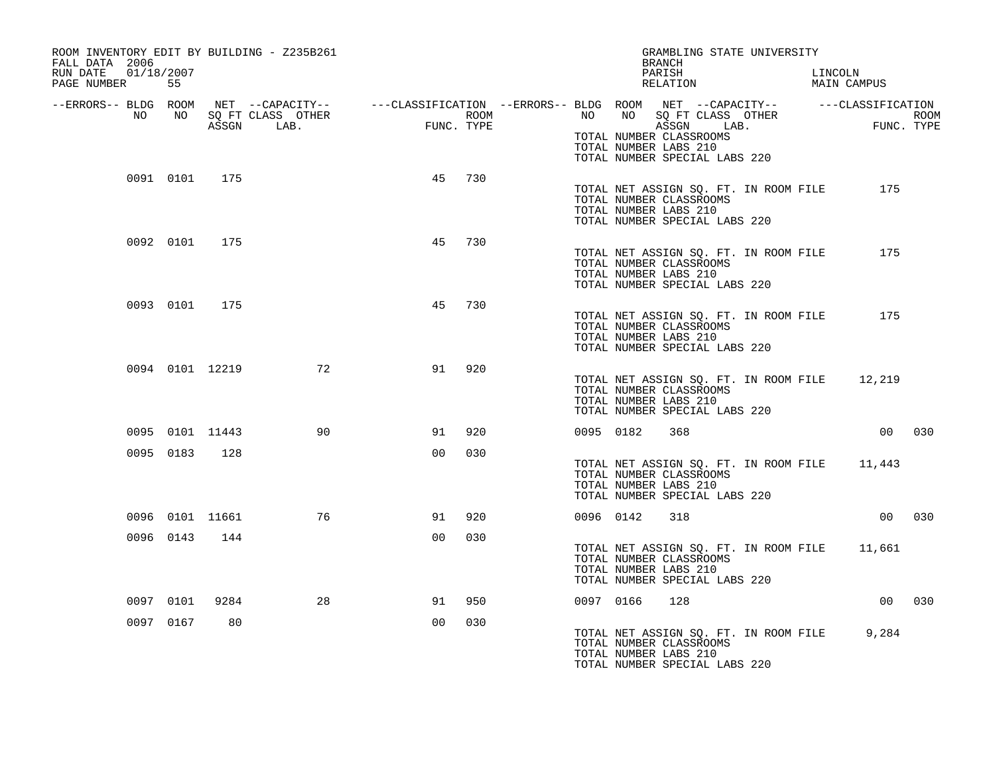| ROOM INVENTORY EDIT BY BUILDING - Z235B261<br>FALL DATA 2006<br>RUN DATE<br>01/18/2007 |           |                 |                   |                                             |      | GRAMBLING STATE UNIVERSITY<br>BRANCH<br>PARISH<br>LINCOLN                                                                                |  |
|----------------------------------------------------------------------------------------|-----------|-----------------|-------------------|---------------------------------------------|------|------------------------------------------------------------------------------------------------------------------------------------------|--|
| PAGE NUMBER                                                                            | 55        |                 |                   |                                             |      | RELATION<br>MAIN CAMPUS                                                                                                                  |  |
| --ERRORS-- BLDG ROOM<br>NO                                                             | NO 1      |                 | SQ FT CLASS OTHER | $\begin{aligned} \text{FUNC} \end{aligned}$ | ROOM | NET --CAPACITY-- - ---CLASSIFICATION --ERRORS-- BLDG ROOM NET --CAPACITY-- - ---CLASSIFICATION<br>NO NO SQ FT CLASS OTHER<br>ROOM<br>FUN |  |
|                                                                                        |           |                 | ASSGN LAB.        | FUNC. TYPE                                  |      | FUNC. TYPE<br>ASSGN LAB.<br>TOTAL NUMBER CLASSROOMS<br>TOTAL NUMBER LABS 210<br>TOTAL NUMBER SPECIAL LABS 220                            |  |
|                                                                                        | 0091 0101 | 175             |                   | 45                                          | 730  | 175<br>TOTAL NET ASSIGN SQ. FT. IN ROOM FILE<br>TOTAL NUMBER CLASSROOMS<br>TOTAL NUMBER LABS 210<br>TOTAL NUMBER SPECIAL LABS 220        |  |
|                                                                                        | 0092 0101 | 175             |                   | 45                                          | 730  | TOTAL NET ASSIGN SQ. FT. IN ROOM FILE<br>175<br>TOTAL NUMBER CLASSROOMS<br>TOTAL NUMBER LABS 210<br>TOTAL NUMBER SPECIAL LABS 220        |  |
|                                                                                        | 0093 0101 | 175             |                   | 45                                          | 730  | TOTAL NET ASSIGN SQ. FT. IN ROOM FILE<br>175<br>TOTAL NUMBER CLASSROOMS<br>TOTAL NUMBER LABS 210<br>TOTAL NUMBER SPECIAL LABS 220        |  |
|                                                                                        |           | 0094 0101 12219 | 72                | 91                                          | 920  | TOTAL NET ASSIGN SQ. FT. IN ROOM FILE 12,219<br>TOTAL NUMBER CLASSROOMS<br>TOTAL NUMBER LABS 210<br>TOTAL NUMBER SPECIAL LABS 220        |  |
|                                                                                        |           | 0095 0101 11443 | 90                | 91                                          | 920  | 00 030<br>0095 0182<br>368                                                                                                               |  |
|                                                                                        | 0095 0183 | 128             |                   | 0 <sub>0</sub>                              | 030  | TOTAL NET ASSIGN SQ. FT. IN ROOM FILE 11,443<br>TOTAL NUMBER CLASSROOMS<br>TOTAL NUMBER LABS 210<br>TOTAL NUMBER SPECIAL LABS 220        |  |
|                                                                                        |           | 0096 0101 11661 | 76                | 91                                          | 920  | 318<br>00 030<br>0096 0142                                                                                                               |  |
|                                                                                        | 0096 0143 | 144             |                   | 0 <sub>0</sub>                              | 030  | TOTAL NET ASSIGN SQ. FT. IN ROOM FILE 11,661<br>TOTAL NUMBER CLASSROOMS<br>TOTAL NUMBER LABS 210<br>TOTAL NUMBER SPECIAL LABS 220        |  |
|                                                                                        | 0097 0101 | 9284            | 28                | 91                                          | 950  | 0097 0166<br>128<br>00 030                                                                                                               |  |
|                                                                                        | 0097 0167 | 80              |                   | 0 <sub>0</sub>                              | 030  | TOTAL NET ASSIGN SQ. FT. IN ROOM FILE<br>9,284<br>TOTAL NUMBER CLASSROOMS<br>TOTAL NUMBER LABS 210<br>TOTAL NUMBER SPECIAL LABS 220      |  |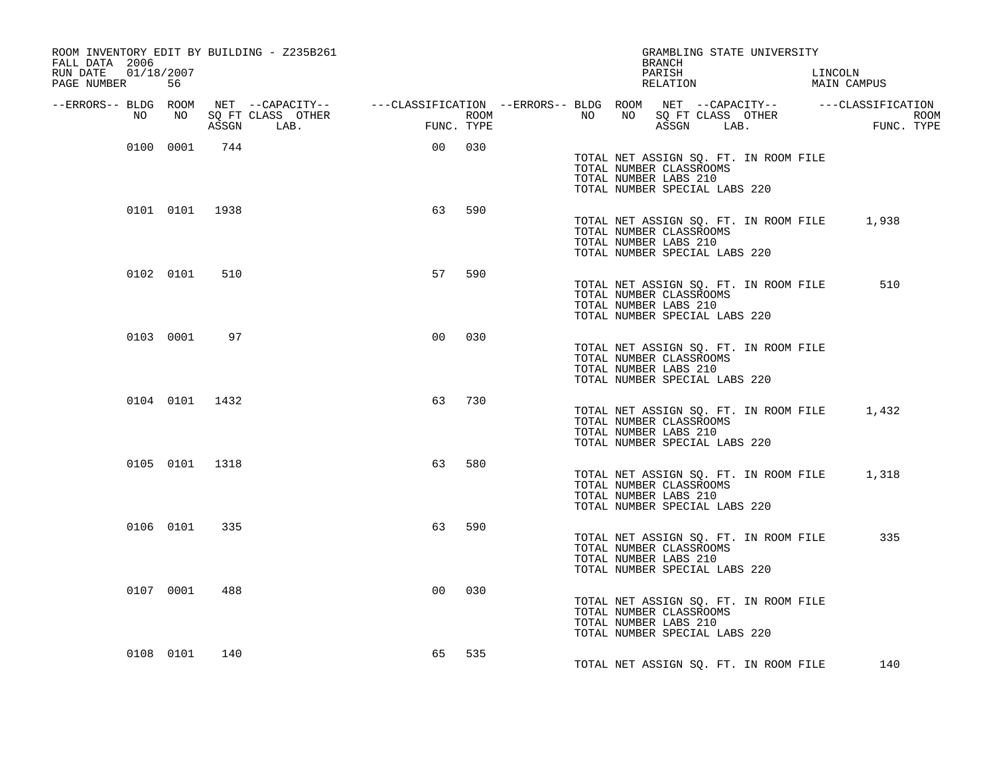| ROOM INVENTORY EDIT BY BUILDING - Z235B261<br>FALL DATA 2006 |                |     |                                                                                                                        |                |                   |                  |    |                       | <b>BRANCH</b>      |                                                          | GRAMBLING STATE UNIVERSITY            |                                             |
|--------------------------------------------------------------|----------------|-----|------------------------------------------------------------------------------------------------------------------------|----------------|-------------------|------------------|----|-----------------------|--------------------|----------------------------------------------------------|---------------------------------------|---------------------------------------------|
| RUN DATE<br>01/18/2007<br>PAGE NUMBER                        | 56             |     |                                                                                                                        |                |                   |                  |    |                       | PARISH<br>RELATION |                                                          |                                       | LINCOLN<br>MAIN CAMPUS                      |
| --ERRORS-- BLDG ROOM<br>NO                                   | NO             |     | NET --CAPACITY--     ---CLASSIFICATION --ERRORS-- BLDG ROOM NET --CAPACITY--    ---CLASSIFICATION<br>SQ FT CLASS OTHER |                |                   | ROOM <b>ROOM</b> | NO | NO                    |                    |                                                          | SQ FT CLASS OTHER                     | <b>ROOM</b>                                 |
|                                                              | 0100 0001      | 744 | ASSGN LAB.                                                                                                             | 00             | FUNC. TYPE<br>030 |                  |    |                       |                    | ASSGN LAB.                                               |                                       | FUNC. TYPE                                  |
|                                                              |                |     |                                                                                                                        |                |                   |                  |    | TOTAL NUMBER LABS 210 |                    | TOTAL NUMBER CLASSROOMS<br>TOTAL NUMBER SPECIAL LABS 220 | TOTAL NET ASSIGN SQ. FT. IN ROOM FILE |                                             |
|                                                              | 0101 0101 1938 |     |                                                                                                                        | 63             | 590               |                  |    | TOTAL NUMBER LABS 210 |                    | TOTAL NUMBER CLASSROOMS<br>TOTAL NUMBER SPECIAL LABS 220 |                                       | TOTAL NET ASSIGN SQ. FT. IN ROOM FILE 1,938 |
|                                                              | 0102 0101      | 510 |                                                                                                                        | 57             | 590               |                  |    | TOTAL NUMBER LABS 210 |                    | TOTAL NUMBER CLASSROOMS<br>TOTAL NUMBER SPECIAL LABS 220 | TOTAL NET ASSIGN SQ. FT. IN ROOM FILE | 510                                         |
|                                                              | 0103 0001      | 97  |                                                                                                                        | 0 <sub>0</sub> | 030               |                  |    | TOTAL NUMBER LABS 210 |                    | TOTAL NUMBER CLASSROOMS<br>TOTAL NUMBER SPECIAL LABS 220 | TOTAL NET ASSIGN SQ. FT. IN ROOM FILE |                                             |
|                                                              | 0104 0101 1432 |     |                                                                                                                        | 63             | 730               |                  |    | TOTAL NUMBER LABS 210 |                    | TOTAL NUMBER CLASSROOMS<br>TOTAL NUMBER SPECIAL LABS 220 | TOTAL NET ASSIGN SQ. FT. IN ROOM FILE | 1,432                                       |
|                                                              | 0105 0101 1318 |     |                                                                                                                        | 63             | 580               |                  |    | TOTAL NUMBER LABS 210 |                    | TOTAL NUMBER CLASSROOMS<br>TOTAL NUMBER SPECIAL LABS 220 | TOTAL NET ASSIGN SQ. FT. IN ROOM FILE | 1,318                                       |
|                                                              | 0106 0101      | 335 |                                                                                                                        | 63             | 590               |                  |    | TOTAL NUMBER LABS 210 |                    | TOTAL NUMBER CLASSROOMS<br>TOTAL NUMBER SPECIAL LABS 220 | TOTAL NET ASSIGN SQ. FT. IN ROOM FILE | 335                                         |
|                                                              | 0107 0001      | 488 |                                                                                                                        | 0 <sub>0</sub> | 030               |                  |    | TOTAL NUMBER LABS 210 |                    | TOTAL NUMBER CLASSROOMS<br>TOTAL NUMBER SPECIAL LABS 220 | TOTAL NET ASSIGN SQ. FT. IN ROOM FILE |                                             |
|                                                              | 0108 0101      | 140 |                                                                                                                        | 65             | 535               |                  |    |                       |                    |                                                          | TOTAL NET ASSIGN SQ. FT. IN ROOM FILE | 140                                         |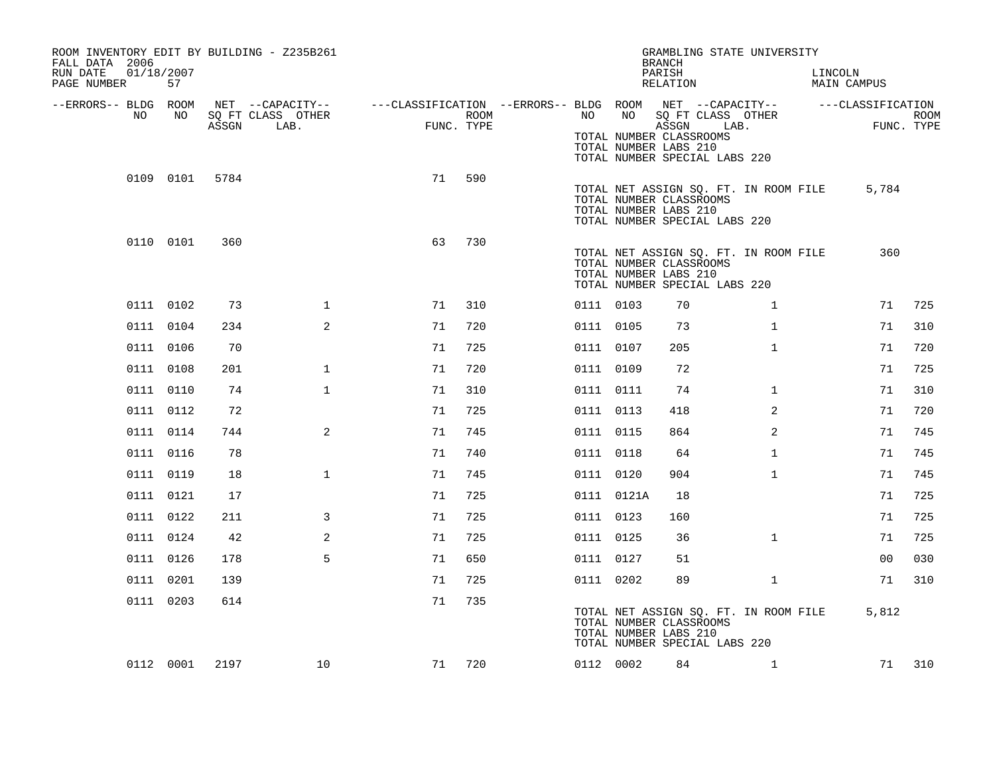| ROOM INVENTORY EDIT BY BUILDING - Z235B261<br>FALL DATA 2006<br>RUN DATE<br>PAGE NUMBER | 01/18/2007<br>57 |       |                                               |                                                         |                           |           |            | GRAMBLING STATE UNIVERSITY<br><b>BRANCH</b><br>PARISH<br>RELATION                                                                                           |                | LINCOLN<br><b>MAIN CAMPUS</b> |                                 |      |
|-----------------------------------------------------------------------------------------|------------------|-------|-----------------------------------------------|---------------------------------------------------------|---------------------------|-----------|------------|-------------------------------------------------------------------------------------------------------------------------------------------------------------|----------------|-------------------------------|---------------------------------|------|
| --ERRORS-- BLDG ROOM<br>NO                                                              | NO               | ASSGN | NET --CAPACITY--<br>SQ FT CLASS OTHER<br>LAB. | ---CLASSIFICATION --ERRORS-- BLDG ROOM NET --CAPACITY-- | <b>ROOM</b><br>FUNC. TYPE | NO        | NO         | SQ FT CLASS OTHER<br>ASSGN<br>TOTAL NUMBER CLASSROOMS<br>TOTAL NUMBER LABS 210                                                                              | LAB.           |                               | ---CLASSIFICATION<br>FUNC. TYPE | ROOM |
|                                                                                         | 0109 0101        | 5784  |                                               | 71                                                      | 590                       |           |            | TOTAL NUMBER SPECIAL LABS 220<br>TOTAL NET ASSIGN SQ. FT. IN ROOM FILE<br>TOTAL NUMBER CLASSROOMS<br>TOTAL NUMBER LABS 210                                  |                |                               | 5,784                           |      |
|                                                                                         | 0110 0101        | 360   |                                               | 63                                                      | 730                       |           |            | TOTAL NUMBER SPECIAL LABS 220<br>TOTAL NET ASSIGN SQ. FT. IN ROOM FILE<br>TOTAL NUMBER CLASSROOMS<br>TOTAL NUMBER LABS 210<br>TOTAL NUMBER SPECIAL LABS 220 |                |                               | 360                             |      |
|                                                                                         | 0111 0102        | 73    | $\mathbf{1}$                                  | 71                                                      | 310                       | 0111 0103 |            | 70                                                                                                                                                          | $\mathbf{1}$   |                               | 71                              | 725  |
|                                                                                         | 0111 0104        | 234   | 2                                             | 71                                                      | 720                       | 0111 0105 |            | 73                                                                                                                                                          | $\mathbf{1}$   |                               | 71                              | 310  |
|                                                                                         | 0111 0106        | 70    |                                               | 71                                                      | 725                       | 0111 0107 |            | 205                                                                                                                                                         | $\mathbf{1}$   |                               | 71                              | 720  |
|                                                                                         | 0111 0108        | 201   | $\mathbf{1}$                                  | 71                                                      | 720                       | 0111 0109 |            | 72                                                                                                                                                          |                |                               | 71                              | 725  |
|                                                                                         | 0111 0110        | 74    | $\mathbf{1}$                                  | 71                                                      | 310                       | 0111 0111 |            | 74                                                                                                                                                          | $\mathbf{1}$   |                               | 71                              | 310  |
|                                                                                         | 0111 0112        | 72    |                                               | 71                                                      | 725                       | 0111 0113 |            | 418                                                                                                                                                         | $\overline{a}$ |                               | 71                              | 720  |
|                                                                                         | 0111 0114        | 744   | $\mathbf{2}$                                  | 71                                                      | 745                       | 0111 0115 |            | 864                                                                                                                                                         | 2              |                               | 71                              | 745  |
|                                                                                         | 0111 0116        | 78    |                                               | 71                                                      | 740                       | 0111 0118 |            | 64                                                                                                                                                          | $\mathbf{1}$   |                               | 71                              | 745  |
|                                                                                         | 0111 0119        | 18    | $\mathbf{1}$                                  | 71                                                      | 745                       | 0111 0120 |            | 904                                                                                                                                                         | $\mathbf{1}$   |                               | 71                              | 745  |
|                                                                                         | 0111 0121        | 17    |                                               | 71                                                      | 725                       |           | 0111 0121A | 18                                                                                                                                                          |                |                               | 71                              | 725  |
|                                                                                         | 0111 0122        | 211   | 3                                             | 71                                                      | 725                       | 0111 0123 |            | 160                                                                                                                                                         |                |                               | 71                              | 725  |
|                                                                                         | 0111 0124        | 42    | 2                                             | 71                                                      | 725                       | 0111 0125 |            | 36                                                                                                                                                          | $\mathbf{1}$   |                               | 71                              | 725  |
|                                                                                         | 0111 0126        | 178   | 5                                             | 71                                                      | 650                       | 0111 0127 |            | 51                                                                                                                                                          |                |                               | 00                              | 030  |
|                                                                                         | 0111 0201        | 139   |                                               | 71                                                      | 725                       | 0111 0202 |            | 89                                                                                                                                                          | $\mathbf{1}$   |                               | 71                              | 310  |
|                                                                                         | 0111 0203        | 614   |                                               | 71                                                      | 735                       |           |            | TOTAL NET ASSIGN SQ. FT. IN ROOM FILE<br>TOTAL NUMBER CLASSROOMS<br>TOTAL NUMBER LABS 210<br>TOTAL NUMBER SPECIAL LABS 220                                  |                |                               | 5,812                           |      |
|                                                                                         | 0112 0001        | 2197  | 10                                            | 71                                                      | 720                       | 0112 0002 |            | 84                                                                                                                                                          | $\mathbf{1}$   |                               | 71                              | 310  |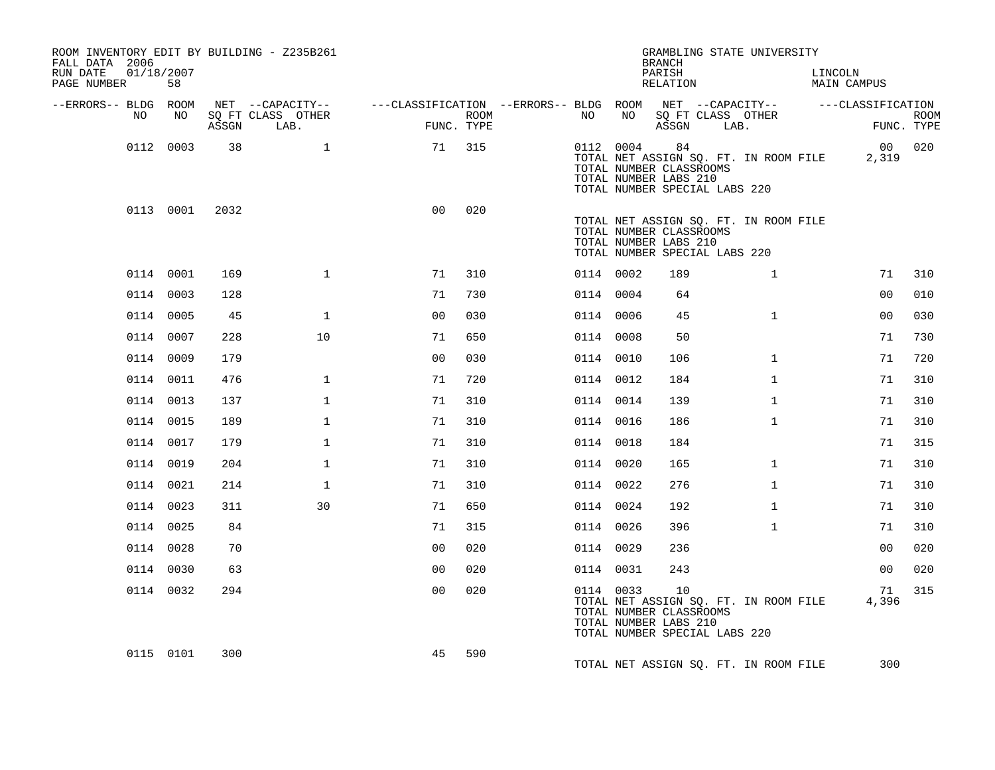| ROOM INVENTORY EDIT BY BUILDING - Z235B261<br>FALL DATA 2006<br>RUN DATE | 01/18/2007 |       |                                       |                                                         |            |           |    | <b>BRANCH</b><br>PARISH                                                                 |      | GRAMBLING STATE UNIVERSITY            | LINCOLN            |             |
|--------------------------------------------------------------------------|------------|-------|---------------------------------------|---------------------------------------------------------|------------|-----------|----|-----------------------------------------------------------------------------------------|------|---------------------------------------|--------------------|-------------|
| PAGE NUMBER                                                              | 58         |       |                                       |                                                         |            |           |    | RELATION                                                                                |      |                                       | <b>MAIN CAMPUS</b> |             |
| --ERRORS-- BLDG ROOM<br>NO                                               | NO         |       | NET --CAPACITY--<br>SQ FT CLASS OTHER | ---CLASSIFICATION --ERRORS-- BLDG ROOM NET --CAPACITY-- | ROOM       | NO        | NO | SQ FT CLASS OTHER                                                                       |      |                                       | ---CLASSIFICATION  | <b>ROOM</b> |
|                                                                          |            | ASSGN | LAB.                                  |                                                         | FUNC. TYPE |           |    | ASSGN                                                                                   | LAB. |                                       |                    | FUNC. TYPE  |
|                                                                          | 0112 0003  | 38    | $\mathbf{1}$                          | 71                                                      | 315        | 0112 0004 |    | 84<br>TOTAL NUMBER CLASSROOMS<br>TOTAL NUMBER LABS 210<br>TOTAL NUMBER SPECIAL LABS 220 |      | TOTAL NET ASSIGN SQ. FT. IN ROOM FILE | 2,319              | 00 020      |
|                                                                          | 0113 0001  | 2032  |                                       | 0 <sub>0</sub>                                          | 020        |           |    | TOTAL NUMBER CLASSROOMS<br>TOTAL NUMBER LABS 210<br>TOTAL NUMBER SPECIAL LABS 220       |      | TOTAL NET ASSIGN SQ. FT. IN ROOM FILE |                    |             |
|                                                                          | 0114 0001  | 169   | $\mathbf{1}$                          | 71                                                      | 310        | 0114 0002 |    | 189                                                                                     |      | $\mathbf{1}$                          | 71                 | 310         |
|                                                                          | 0114 0003  | 128   |                                       | 71                                                      | 730        | 0114 0004 |    | 64                                                                                      |      |                                       | 0 <sub>0</sub>     | 010         |
|                                                                          | 0114 0005  | 45    | $\mathbf{1}$                          | 0 <sub>0</sub>                                          | 030        | 0114 0006 |    | 45                                                                                      |      | $\mathbf{1}$                          | 0 <sub>0</sub>     | 030         |
|                                                                          | 0114 0007  | 228   | 10                                    | 71                                                      | 650        | 0114 0008 |    | 50                                                                                      |      |                                       | 71                 | 730         |
|                                                                          | 0114 0009  | 179   |                                       | 0 <sub>0</sub>                                          | 030        | 0114 0010 |    | 106                                                                                     |      | $\mathbf{1}$                          | 71                 | 720         |
|                                                                          | 0114 0011  | 476   | $\mathbf{1}$                          | 71                                                      | 720        | 0114 0012 |    | 184                                                                                     |      | $\mathbf{1}$                          | 71                 | 310         |
|                                                                          | 0114 0013  | 137   | $\mathbf{1}$                          | 71                                                      | 310        | 0114 0014 |    | 139                                                                                     |      | $\mathbf{1}$                          | 71                 | 310         |
|                                                                          | 0114 0015  | 189   | $\mathbf{1}$                          | 71                                                      | 310        | 0114 0016 |    | 186                                                                                     |      | $\mathbf{1}$                          | 71                 | 310         |
|                                                                          | 0114 0017  | 179   | $\mathbf{1}$                          | 71                                                      | 310        | 0114 0018 |    | 184                                                                                     |      |                                       | 71                 | 315         |
|                                                                          | 0114 0019  | 204   | $\mathbf{1}$                          | 71                                                      | 310        | 0114 0020 |    | 165                                                                                     |      | $\mathbf{1}$                          | 71                 | 310         |
|                                                                          | 0114 0021  | 214   | $\mathbf{1}$                          | 71                                                      | 310        | 0114 0022 |    | 276                                                                                     |      | $\mathbf{1}$                          | 71                 | 310         |
|                                                                          | 0114 0023  | 311   | 30                                    | 71                                                      | 650        | 0114 0024 |    | 192                                                                                     |      | $\mathbf{1}$                          | 71                 | 310         |
|                                                                          | 0114 0025  | 84    |                                       | 71                                                      | 315        | 0114 0026 |    | 396                                                                                     |      | $\mathbf{1}$                          | 71                 | 310         |
|                                                                          | 0114 0028  | 70    |                                       | 0 <sub>0</sub>                                          | 020        | 0114 0029 |    | 236                                                                                     |      |                                       | 0 <sub>0</sub>     | 020         |
|                                                                          | 0114 0030  | 63    |                                       | 0 <sub>0</sub>                                          | 020        | 0114 0031 |    | 243                                                                                     |      |                                       | 0 <sub>0</sub>     | 020         |
|                                                                          | 0114 0032  | 294   |                                       | 0 <sub>0</sub>                                          | 020        | 0114 0033 |    | 10<br>TOTAL NUMBER CLASSROOMS<br>TOTAL NUMBER LABS 210<br>TOTAL NUMBER SPECIAL LABS 220 |      | TOTAL NET ASSIGN SQ. FT. IN ROOM FILE | 71<br>4,396        | 315         |
|                                                                          | 0115 0101  | 300   |                                       | 45                                                      | 590        |           |    |                                                                                         |      | TOTAL NET ASSIGN SQ. FT. IN ROOM FILE | 300                |             |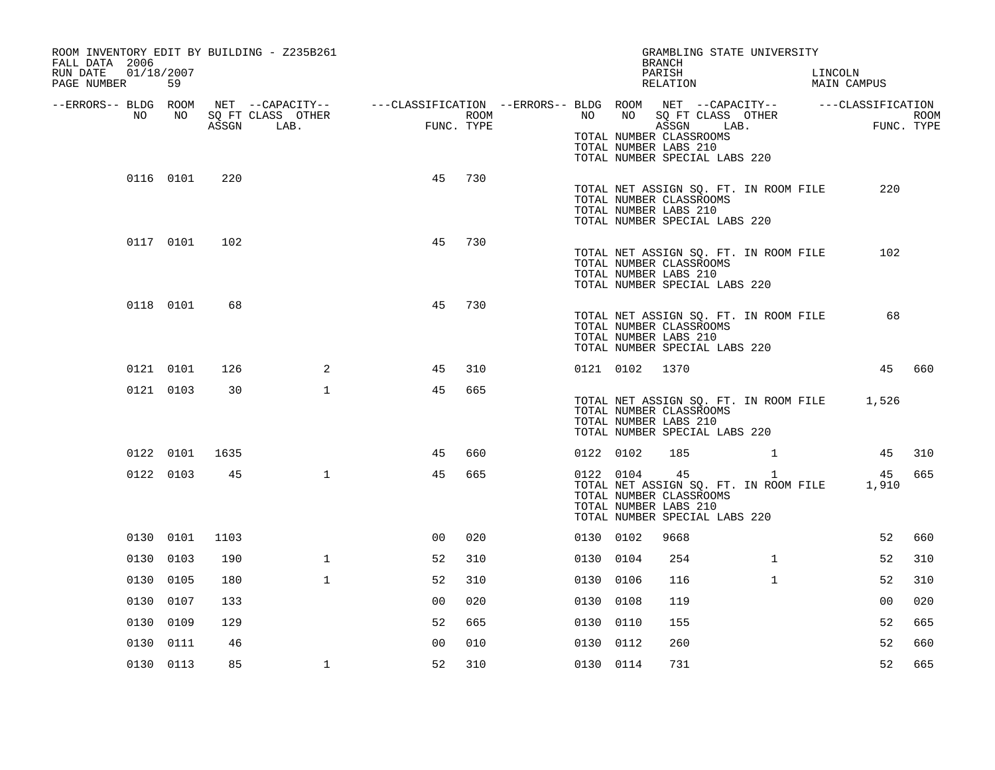| ROOM INVENTORY EDIT BY BUILDING - Z235B261<br>FALL DATA 2006 |           |       |                           |                                                                               |      |           |                | GRAMBLING STATE UNIVERSITY<br><b>BRANCH</b>                                                                                      |              |         |                |                           |
|--------------------------------------------------------------|-----------|-------|---------------------------|-------------------------------------------------------------------------------|------|-----------|----------------|----------------------------------------------------------------------------------------------------------------------------------|--------------|---------|----------------|---------------------------|
| RUN DATE<br>01/18/2007<br>PAGE NUMBER                        | 59        |       |                           |                                                                               |      |           |                | PARISH<br>RELATION                                                                                                               |              | LINCOLN | MAIN CAMPUS    |                           |
| --ERRORS-- BLDG ROOM                                         |           |       | NET --CAPACITY--          | ---CLASSIFICATION --ERRORS-- BLDG ROOM NET --CAPACITY--     ---CLASSIFICATION |      |           | NO             |                                                                                                                                  |              |         |                |                           |
| NO                                                           | NO        | ASSGN | SQ FT CLASS OTHER<br>LAB. | FUNC. TYPE                                                                    | ROOM | NO        |                | SQ FT CLASS OTHER<br>ASSGN<br>LAB.<br>TOTAL NUMBER CLASSROOMS<br>TOTAL NUMBER LABS 210<br>TOTAL NUMBER SPECIAL LABS 220          |              |         |                | <b>ROOM</b><br>FUNC. TYPE |
|                                                              | 0116 0101 | 220   |                           | 45<br>730                                                                     |      |           |                | TOTAL NET ASSIGN SQ. FT. IN ROOM FILE<br>TOTAL NUMBER CLASSROOMS<br>TOTAL NUMBER LABS 210<br>TOTAL NUMBER SPECIAL LABS 220       |              |         | 220            |                           |
|                                                              | 0117 0101 | 102   |                           | 45<br>730                                                                     |      |           |                | TOTAL NET ASSIGN SQ. FT. IN ROOM FILE<br>TOTAL NUMBER CLASSROOMS<br>TOTAL NUMBER LABS 210<br>TOTAL NUMBER SPECIAL LABS 220       |              |         | 102            |                           |
|                                                              | 0118 0101 | 68    |                           | 730<br>45                                                                     |      |           |                | TOTAL NET ASSIGN SQ. FT. IN ROOM FILE<br>TOTAL NUMBER CLASSROOMS<br>TOTAL NUMBER LABS 210<br>TOTAL NUMBER SPECIAL LABS 220       |              |         | 68             |                           |
|                                                              | 0121 0101 | 126   | 2                         | 310<br>45                                                                     |      |           | 0121 0102 1370 |                                                                                                                                  |              |         | 45             | 660                       |
|                                                              | 0121 0103 | 30    | $\mathbf{1}$              | 45<br>665                                                                     |      |           |                | TOTAL NET ASSIGN SQ. FT. IN ROOM FILE<br>TOTAL NUMBER CLASSROOMS<br>TOTAL NUMBER LABS 210<br>TOTAL NUMBER SPECIAL LABS 220       |              |         | 1,526          |                           |
|                                                              | 0122 0101 | 1635  |                           | 660<br>45                                                                     |      | 0122 0102 |                | 185                                                                                                                              | $\mathbf{1}$ |         | 45             | 310                       |
|                                                              | 0122 0103 | 45    | $\mathbf{1}$              | 45<br>665                                                                     |      | 0122 0104 |                | 45<br>TOTAL NET ASSIGN SQ. FT. IN ROOM FILE<br>TOTAL NUMBER CLASSROOMS<br>TOTAL NUMBER LABS 210<br>TOTAL NUMBER SPECIAL LABS 220 | $\mathbf{1}$ |         | 45<br>1,910    | 665                       |
|                                                              | 0130 0101 | 1103  |                           | 0 <sub>0</sub><br>020                                                         |      | 0130 0102 |                | 9668                                                                                                                             |              |         | 52             | 660                       |
|                                                              | 0130 0103 | 190   | $\mathbf{1}$              | 52<br>310                                                                     |      | 0130 0104 |                | 254                                                                                                                              | $\mathbf{1}$ |         | 52             | 310                       |
|                                                              | 0130 0105 | 180   | $\mathbf{1}$              | 52<br>310                                                                     |      | 0130 0106 |                | 116                                                                                                                              | $\mathbf{1}$ |         | 52             | 310                       |
|                                                              | 0130 0107 | 133   |                           | 0 <sub>0</sub><br>020                                                         |      | 0130 0108 |                | 119                                                                                                                              |              |         | 0 <sub>0</sub> | 020                       |
|                                                              | 0130 0109 | 129   |                           | 52<br>665                                                                     |      | 0130 0110 |                | 155                                                                                                                              |              |         | 52             | 665                       |
|                                                              | 0130 0111 | 46    |                           | 0 <sub>0</sub><br>010                                                         |      | 0130 0112 |                | 260                                                                                                                              |              |         | 52             | 660                       |
|                                                              | 0130 0113 | 85    | $\mathbf{1}$              | 52<br>310                                                                     |      | 0130 0114 |                | 731                                                                                                                              |              |         | 52             | 665                       |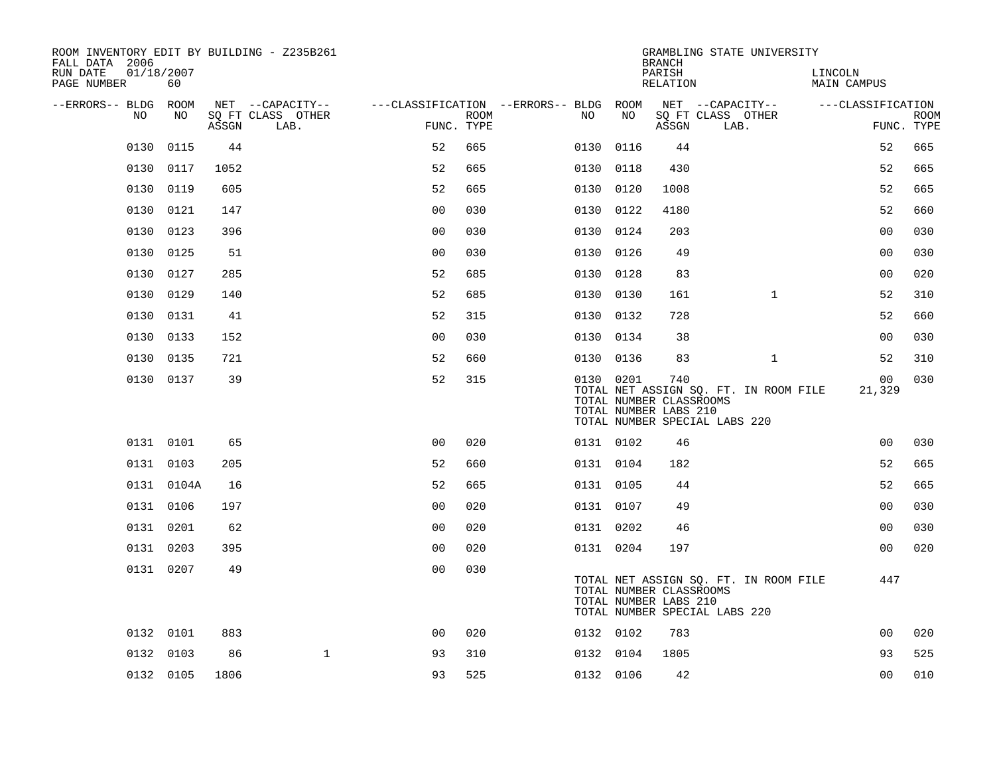| ROOM INVENTORY EDIT BY BUILDING - Z235B261<br>FALL DATA 2006 |            |       |                           |                                        |             |           |      | <b>BRANCH</b>                                           | GRAMBLING STATE UNIVERSITY                                             |                        |                           |
|--------------------------------------------------------------|------------|-------|---------------------------|----------------------------------------|-------------|-----------|------|---------------------------------------------------------|------------------------------------------------------------------------|------------------------|---------------------------|
| RUN DATE<br>01/18/2007<br>PAGE NUMBER                        | 60         |       |                           |                                        |             |           |      | PARISH<br>RELATION                                      |                                                                        | LINCOLN<br>MAIN CAMPUS |                           |
| --ERRORS-- BLDG ROOM                                         |            |       | NET --CAPACITY--          | ---CLASSIFICATION --ERRORS-- BLDG ROOM |             |           |      |                                                         | NET --CAPACITY--                                                       | ---CLASSIFICATION      |                           |
| NO                                                           | NO         | ASSGN | SQ FT CLASS OTHER<br>LAB. | FUNC. TYPE                             | <b>ROOM</b> | NO        | NO   | ASSGN                                                   | SQ FT CLASS OTHER<br>LAB.                                              |                        | <b>ROOM</b><br>FUNC. TYPE |
| 0130                                                         | 0115       | 44    |                           | 52                                     | 665         | 0130      | 0116 | 44                                                      |                                                                        | 52                     | 665                       |
| 0130                                                         | 0117       | 1052  |                           | 52                                     | 665         | 0130      | 0118 | 430                                                     |                                                                        | 52                     | 665                       |
| 0130                                                         | 0119       | 605   |                           | 52                                     | 665         | 0130 0120 |      | 1008                                                    |                                                                        | 52                     | 665                       |
| 0130                                                         | 0121       | 147   |                           | 0 <sub>0</sub>                         | 030         | 0130 0122 |      | 4180                                                    |                                                                        | 52                     | 660                       |
| 0130                                                         | 0123       | 396   |                           | 00                                     | 030         | 0130      | 0124 | 203                                                     |                                                                        | 0 <sub>0</sub>         | 030                       |
| 0130                                                         | 0125       | 51    |                           | 0 <sub>0</sub>                         | 030         | 0130 0126 |      | 49                                                      |                                                                        | 0 <sub>0</sub>         | 030                       |
| 0130                                                         | 0127       | 285   |                           | 52                                     | 685         | 0130 0128 |      | 83                                                      |                                                                        | 0 <sub>0</sub>         | 020                       |
|                                                              | 0130 0129  | 140   |                           | 52                                     | 685         | 0130 0130 |      | 161                                                     | $\mathbf{1}$                                                           | 52                     | 310                       |
| 0130                                                         | 0131       | 41    |                           | 52                                     | 315         | 0130      | 0132 | 728                                                     |                                                                        | 52                     | 660                       |
|                                                              | 0130 0133  | 152   |                           | 0 <sub>0</sub>                         | 030         | 0130 0134 |      | 38                                                      |                                                                        | 00                     | 030                       |
|                                                              | 0130 0135  | 721   |                           | 52                                     | 660         | 0130 0136 |      | 83                                                      | $\mathbf{1}$                                                           | 52                     | 310                       |
|                                                              | 0130 0137  | 39    |                           | 52                                     | 315         | 0130 0201 |      | 740<br>TOTAL NUMBER CLASSROOMS<br>TOTAL NUMBER LABS 210 | TOTAL NET ASSIGN SQ. FT. IN ROOM FILE<br>TOTAL NUMBER SPECIAL LABS 220 | 00<br>21,329           | 030                       |
|                                                              | 0131 0101  | 65    |                           | 0 <sub>0</sub>                         | 020         | 0131 0102 |      | 46                                                      |                                                                        | 0 <sub>0</sub>         | 030                       |
|                                                              | 0131 0103  | 205   |                           | 52                                     | 660         | 0131 0104 |      | 182                                                     |                                                                        | 52                     | 665                       |
|                                                              | 0131 0104A | 16    |                           | 52                                     | 665         | 0131 0105 |      | 44                                                      |                                                                        | 52                     | 665                       |
|                                                              | 0131 0106  | 197   |                           | 0 <sub>0</sub>                         | 020         | 0131 0107 |      | 49                                                      |                                                                        | 0 <sub>0</sub>         | 030                       |
|                                                              | 0131 0201  | 62    |                           | 0 <sub>0</sub>                         | 020         | 0131 0202 |      | 46                                                      |                                                                        | 00                     | 030                       |
|                                                              | 0131 0203  | 395   |                           | 0 <sub>0</sub>                         | 020         | 0131 0204 |      | 197                                                     |                                                                        | 0 <sub>0</sub>         | 020                       |
|                                                              | 0131 0207  | 49    |                           | 0 <sub>0</sub>                         | 030         |           |      | TOTAL NUMBER CLASSROOMS<br>TOTAL NUMBER LABS 210        | TOTAL NET ASSIGN SQ. FT. IN ROOM FILE<br>TOTAL NUMBER SPECIAL LABS 220 | 447                    |                           |
|                                                              | 0132 0101  | 883   |                           | 0 <sub>0</sub>                         | 020         | 0132 0102 |      | 783                                                     |                                                                        | 0 <sub>0</sub>         | 020                       |
|                                                              | 0132 0103  | 86    | $\mathbf 1$               | 93                                     | 310         | 0132 0104 |      | 1805                                                    |                                                                        | 93                     | 525                       |
|                                                              | 0132 0105  | 1806  |                           | 93                                     | 525         | 0132 0106 |      | 42                                                      |                                                                        | 00                     | 010                       |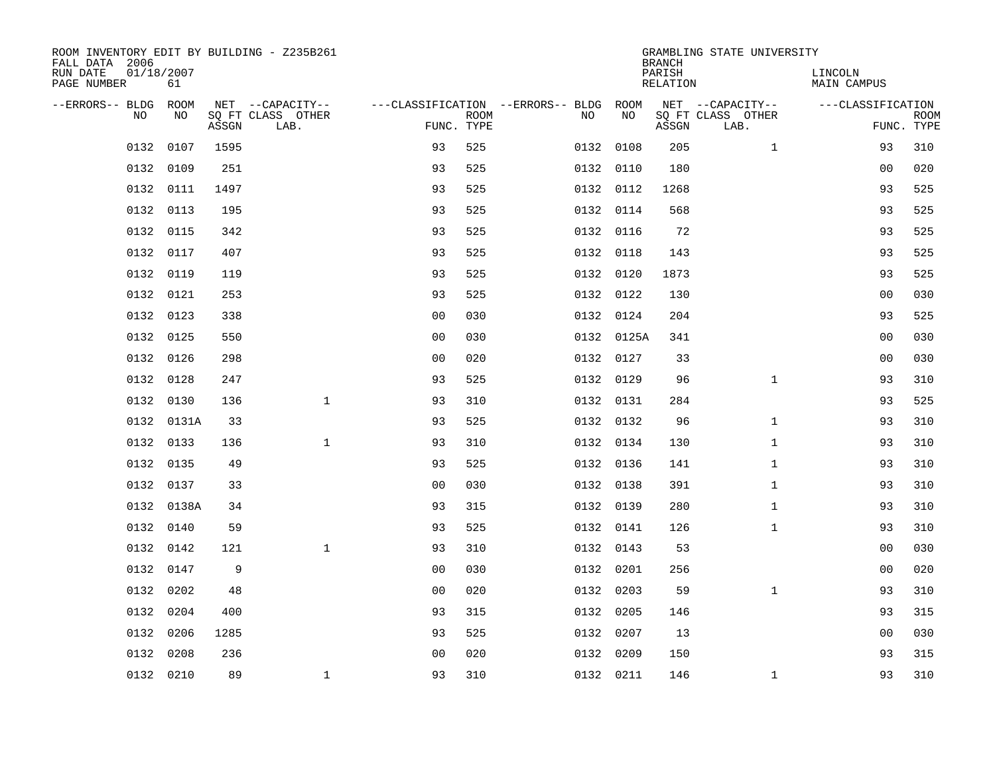| ROOM INVENTORY EDIT BY BUILDING - Z235B261<br>FALL DATA 2006 |                  |       | GRAMBLING STATE UNIVERSITY<br><b>BRANCH</b><br>PARISH |                |             |                                        |                 |       |                               |                   |                           |  |  |
|--------------------------------------------------------------|------------------|-------|-------------------------------------------------------|----------------|-------------|----------------------------------------|-----------------|-------|-------------------------------|-------------------|---------------------------|--|--|
| RUN DATE<br>PAGE NUMBER                                      | 01/18/2007<br>61 |       |                                                       |                |             |                                        | <b>RELATION</b> |       | LINCOLN<br><b>MAIN CAMPUS</b> |                   |                           |  |  |
| --ERRORS-- BLDG ROOM                                         |                  |       | NET --CAPACITY--                                      |                |             | ---CLASSIFICATION --ERRORS-- BLDG ROOM |                 |       | NET --CAPACITY--              | ---CLASSIFICATION |                           |  |  |
| NO                                                           | NO               | ASSGN | SQ FT CLASS OTHER<br>LAB.                             | FUNC. TYPE     | <b>ROOM</b> | NO                                     | NO              | ASSGN | SQ FT CLASS OTHER<br>LAB.     |                   | <b>ROOM</b><br>FUNC. TYPE |  |  |
| 0132                                                         | 0107             | 1595  |                                                       | 93             | 525         |                                        | 0132 0108       | 205   | $\mathbf{1}$                  | 93                | 310                       |  |  |
|                                                              | 0132 0109        | 251   |                                                       | 93             | 525         |                                        | 0132 0110       | 180   |                               | 00                | 020                       |  |  |
| 0132                                                         | 0111             | 1497  |                                                       | 93             | 525         |                                        | 0132 0112       | 1268  |                               | 93                | 525                       |  |  |
| 0132                                                         | 0113             | 195   |                                                       | 93             | 525         |                                        | 0132 0114       | 568   |                               | 93                | 525                       |  |  |
| 0132                                                         | 0115             | 342   |                                                       | 93             | 525         |                                        | 0132 0116       | 72    |                               | 93                | 525                       |  |  |
|                                                              | 0132 0117        | 407   |                                                       | 93             | 525         |                                        | 0132 0118       | 143   |                               | 93                | 525                       |  |  |
| 0132                                                         | 0119             | 119   |                                                       | 93             | 525         |                                        | 0132 0120       | 1873  |                               | 93                | 525                       |  |  |
|                                                              | 0132 0121        | 253   |                                                       | 93             | 525         |                                        | 0132 0122       | 130   |                               | 0 <sub>0</sub>    | 030                       |  |  |
| 0132                                                         | 0123             | 338   |                                                       | 0 <sub>0</sub> | 030         |                                        | 0132 0124       | 204   |                               | 93                | 525                       |  |  |
|                                                              | 0132 0125        | 550   |                                                       | 0 <sub>0</sub> | 030         |                                        | 0132 0125A      | 341   |                               | 0 <sub>0</sub>    | 030                       |  |  |
|                                                              | 0132 0126        | 298   |                                                       | 0 <sub>0</sub> | 020         |                                        | 0132 0127       | 33    |                               | 0 <sub>0</sub>    | 030                       |  |  |
|                                                              | 0132 0128        | 247   |                                                       | 93             | 525         |                                        | 0132 0129       | 96    | $\mathbf{1}$                  | 93                | 310                       |  |  |
| 0132                                                         | 0130             | 136   | $\mathbf 1$                                           | 93             | 310         |                                        | 0132 0131       | 284   |                               | 93                | 525                       |  |  |
|                                                              | 0132 0131A       | 33    |                                                       | 93             | 525         |                                        | 0132 0132       | 96    | $\mathbf{1}$                  | 93                | 310                       |  |  |
| 0132                                                         | 0133             | 136   | $\mathbf{1}$                                          | 93             | 310         |                                        | 0132 0134       | 130   | $\mathbf{1}$                  | 93                | 310                       |  |  |
|                                                              | 0132 0135        | 49    |                                                       | 93             | 525         |                                        | 0132 0136       | 141   | $\mathbf{1}$                  | 93                | 310                       |  |  |
|                                                              | 0132 0137        | 33    |                                                       | 0 <sub>0</sub> | 030         |                                        | 0132 0138       | 391   | $\mathbf{1}$                  | 93                | 310                       |  |  |
|                                                              | 0132 0138A       | 34    |                                                       | 93             | 315         |                                        | 0132 0139       | 280   | $\mathbf{1}$                  | 93                | 310                       |  |  |
|                                                              | 0132 0140        | 59    |                                                       | 93             | 525         |                                        | 0132 0141       | 126   | $\mathbf{1}$                  | 93                | 310                       |  |  |
|                                                              | 0132 0142        | 121   | $\mathbf 1$                                           | 93             | 310         |                                        | 0132 0143       | 53    |                               | 0 <sub>0</sub>    | 030                       |  |  |
|                                                              | 0132 0147        | 9     |                                                       | 0 <sub>0</sub> | 030         |                                        | 0132 0201       | 256   |                               | 00                | 020                       |  |  |
| 0132                                                         | 0202             | 48    |                                                       | 0 <sub>0</sub> | 020         |                                        | 0132 0203       | 59    | $\mathbf{1}$                  | 93                | 310                       |  |  |
|                                                              | 0132 0204        | 400   |                                                       | 93             | 315         |                                        | 0132 0205       | 146   |                               | 93                | 315                       |  |  |
| 0132                                                         | 0206             | 1285  |                                                       | 93             | 525         |                                        | 0132 0207       | 13    |                               | 0 <sub>0</sub>    | 030                       |  |  |
| 0132                                                         | 0208             | 236   |                                                       | 0 <sub>0</sub> | 020         |                                        | 0132 0209       | 150   |                               | 93                | 315                       |  |  |
|                                                              | 0132 0210        | 89    | $\mathbf{1}$                                          | 93             | 310         |                                        | 0132 0211       | 146   | $\mathbf{1}$                  | 93                | 310                       |  |  |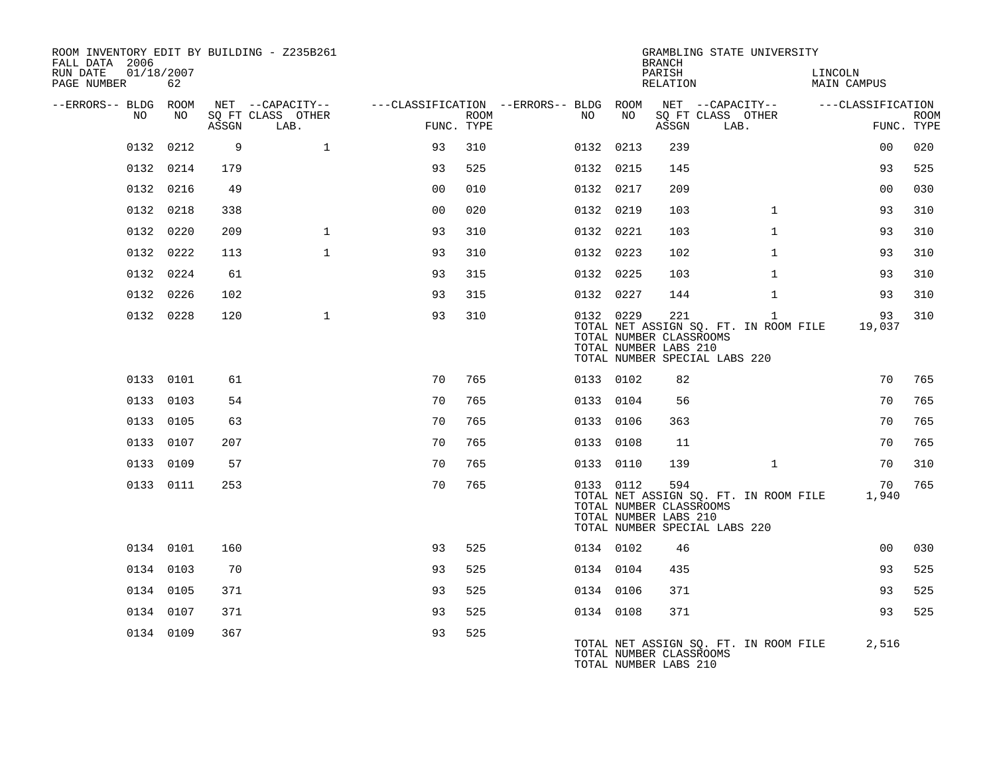| ROOM INVENTORY EDIT BY BUILDING - Z235B261<br>FALL DATA 2006 |           |       |                           |                |             |                                        |           | <b>BRANCH</b>                                           | GRAMBLING STATE UNIVERSITY                                                             |                        |                           |
|--------------------------------------------------------------|-----------|-------|---------------------------|----------------|-------------|----------------------------------------|-----------|---------------------------------------------------------|----------------------------------------------------------------------------------------|------------------------|---------------------------|
| RUN DATE<br>01/18/2007<br>PAGE NUMBER                        | 62        |       |                           |                |             |                                        |           | PARISH<br>RELATION                                      |                                                                                        | LINCOLN<br>MAIN CAMPUS |                           |
| --ERRORS-- BLDG ROOM                                         |           |       | NET --CAPACITY--          |                |             | ---CLASSIFICATION --ERRORS-- BLDG ROOM |           |                                                         | NET --CAPACITY-- ---CLASSIFICATION                                                     |                        |                           |
| NO.                                                          | NO        | ASSGN | SO FT CLASS OTHER<br>LAB. | FUNC. TYPE     | <b>ROOM</b> | NO                                     | NO        | ASSGN                                                   | SO FT CLASS OTHER<br>LAB.                                                              |                        | <b>ROOM</b><br>FUNC. TYPE |
|                                                              | 0132 0212 | 9     | $\mathbf{1}$              | 93             | 310         |                                        | 0132 0213 | 239                                                     |                                                                                        | 0 <sub>0</sub>         | 020                       |
|                                                              | 0132 0214 | 179   |                           | 93             | 525         |                                        | 0132 0215 | 145                                                     |                                                                                        | 93                     | 525                       |
|                                                              | 0132 0216 | 49    |                           | 0 <sub>0</sub> | 010         |                                        | 0132 0217 | 209                                                     |                                                                                        | 0 <sub>0</sub>         | 030                       |
|                                                              | 0132 0218 | 338   |                           | 0 <sub>0</sub> | 020         |                                        | 0132 0219 | 103                                                     | $\mathbf{1}$                                                                           | 93                     | 310                       |
|                                                              | 0132 0220 | 209   | $\mathbf{1}$              | 93             | 310         |                                        | 0132 0221 | 103                                                     | $\mathbf{1}$                                                                           | 93                     | 310                       |
|                                                              | 0132 0222 | 113   | $\mathbf{1}$              | 93             | 310         |                                        | 0132 0223 | 102                                                     | $\mathbf{1}$                                                                           | 93                     | 310                       |
|                                                              | 0132 0224 | 61    |                           | 93             | 315         |                                        | 0132 0225 | 103                                                     | $\mathbf{1}$                                                                           | 93                     | 310                       |
|                                                              | 0132 0226 | 102   |                           | 93             | 315         |                                        | 0132 0227 | 144                                                     | $\mathbf{1}$                                                                           | 93                     | 310                       |
|                                                              | 0132 0228 | 120   | $\mathbf{1}$              | 93             | 310         |                                        | 0132 0229 | 221<br>TOTAL NUMBER CLASSROOMS<br>TOTAL NUMBER LABS 210 | $\mathbf{1}$<br>TOTAL NET ASSIGN SQ. FT. IN ROOM FILE<br>TOTAL NUMBER SPECIAL LABS 220 | 93<br>19,037           | 310                       |
|                                                              | 0133 0101 | 61    |                           | 70             | 765         |                                        | 0133 0102 | 82                                                      |                                                                                        | 70                     | 765                       |
|                                                              | 0133 0103 | 54    |                           | 70             | 765         |                                        | 0133 0104 | 56                                                      |                                                                                        | 70                     | 765                       |
|                                                              | 0133 0105 | 63    |                           | 70             | 765         |                                        | 0133 0106 | 363                                                     |                                                                                        | 70                     | 765                       |
|                                                              | 0133 0107 | 207   |                           | 70             | 765         |                                        | 0133 0108 | 11                                                      |                                                                                        | 70                     | 765                       |
|                                                              | 0133 0109 | 57    |                           | 70             | 765         |                                        | 0133 0110 | 139                                                     | $\mathbf{1}$                                                                           | 70                     | 310                       |
|                                                              | 0133 0111 | 253   |                           | 70             | 765         |                                        | 0133 0112 | 594<br>TOTAL NUMBER CLASSROOMS<br>TOTAL NUMBER LABS 210 | TOTAL NET ASSIGN SQ. FT. IN ROOM FILE<br>TOTAL NUMBER SPECIAL LABS 220                 | 70<br>1,940            | 765                       |
|                                                              | 0134 0101 | 160   |                           | 93             | 525         |                                        | 0134 0102 | 46                                                      |                                                                                        | 00                     | 030                       |
|                                                              | 0134 0103 | 70    |                           | 93             | 525         |                                        | 0134 0104 | 435                                                     |                                                                                        | 93                     | 525                       |
|                                                              | 0134 0105 | 371   |                           | 93             | 525         |                                        | 0134 0106 | 371                                                     |                                                                                        | 93                     | 525                       |
|                                                              | 0134 0107 | 371   |                           | 93             | 525         |                                        | 0134 0108 | 371                                                     |                                                                                        | 93                     | 525                       |
|                                                              | 0134 0109 | 367   |                           | 93             | 525         |                                        |           | TOTAL NUMBER CLASSROOMS<br>TOTAL NUMBER LABS 210        | TOTAL NET ASSIGN SQ. FT. IN ROOM FILE                                                  | 2,516                  |                           |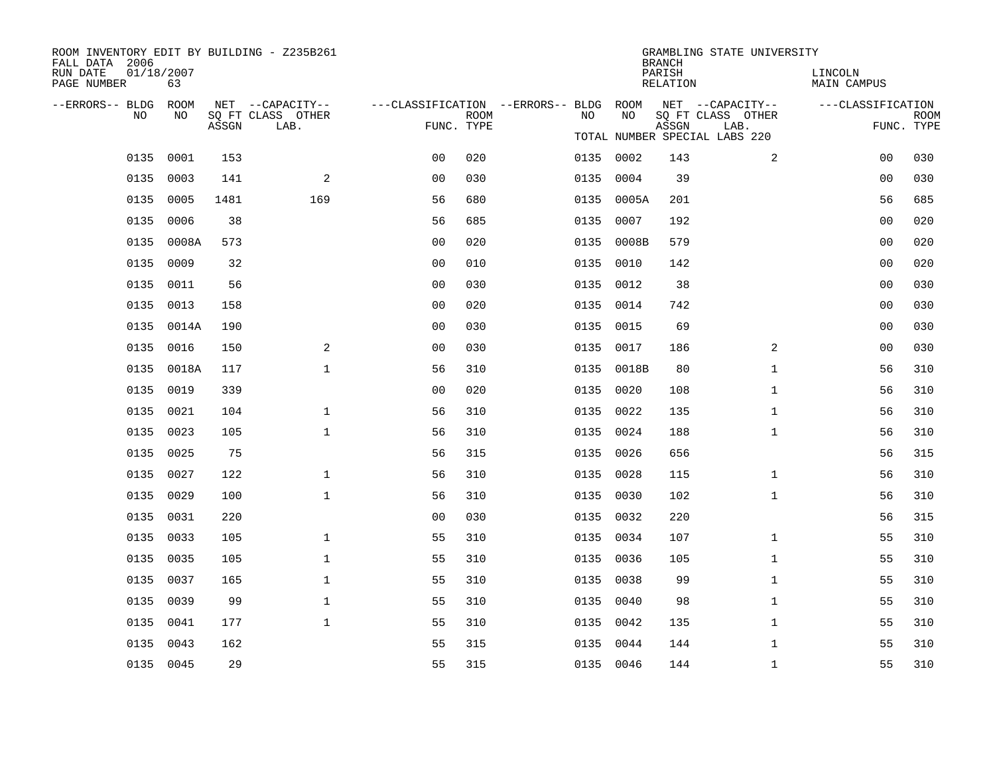| ROOM INVENTORY EDIT BY BUILDING - Z235B261<br>FALL DATA 2006 |                  |       |                           |                                        |             |      |                    | <b>BRANCH</b> | GRAMBLING STATE UNIVERSITY    |                   |                           |  |
|--------------------------------------------------------------|------------------|-------|---------------------------|----------------------------------------|-------------|------|--------------------|---------------|-------------------------------|-------------------|---------------------------|--|
| RUN DATE<br>PAGE NUMBER                                      | 01/18/2007<br>63 |       |                           |                                        |             |      | PARISH<br>RELATION |               | LINCOLN<br><b>MAIN CAMPUS</b> |                   |                           |  |
| --ERRORS-- BLDG ROOM                                         |                  |       | NET --CAPACITY--          | ---CLASSIFICATION --ERRORS-- BLDG ROOM |             |      |                    |               | NET --CAPACITY--              | ---CLASSIFICATION |                           |  |
| NO                                                           | NO               | ASSGN | SQ FT CLASS OTHER<br>LAB. | FUNC. TYPE                             | <b>ROOM</b> | NO   | NO                 | ASSGN         | SQ FT CLASS OTHER<br>LAB.     |                   | <b>ROOM</b><br>FUNC. TYPE |  |
|                                                              |                  |       |                           |                                        |             |      |                    |               | TOTAL NUMBER SPECIAL LABS 220 |                   |                           |  |
|                                                              | 0135 0001        | 153   |                           | 0 <sub>0</sub>                         | 020         |      | 0135 0002          | 143           | 2                             | 0 <sub>0</sub>    | 030                       |  |
| 0135                                                         | 0003             | 141   | 2                         | 0 <sub>0</sub>                         | 030         |      | 0135 0004          | 39            |                               | 0 <sub>0</sub>    | 030                       |  |
|                                                              | 0135 0005        | 1481  | 169                       | 56                                     | 680         |      | 0135 0005A         | 201           |                               | 56                | 685                       |  |
|                                                              | 0135 0006        | 38    |                           | 56                                     | 685         |      | 0135 0007          | 192           |                               | 0 <sub>0</sub>    | 020                       |  |
| 0135                                                         | 0008A            | 573   |                           | 0 <sub>0</sub>                         | 020         | 0135 | 0008B              | 579           |                               | 0 <sub>0</sub>    | 020                       |  |
|                                                              | 0135 0009        | 32    |                           | 0 <sub>0</sub>                         | 010         |      | 0135 0010          | 142           |                               | 00                | 020                       |  |
|                                                              | 0135 0011        | 56    |                           | 0 <sub>0</sub>                         | 030         |      | 0135 0012          | 38            |                               | 0 <sub>0</sub>    | 030                       |  |
|                                                              | 0135 0013        | 158   |                           | 0 <sub>0</sub>                         | 020         |      | 0135 0014          | 742           |                               | 0 <sub>0</sub>    | 030                       |  |
|                                                              | 0135 0014A       | 190   |                           | 0 <sub>0</sub>                         | 030         | 0135 | 0015               | 69            |                               | 0 <sub>0</sub>    | 030                       |  |
|                                                              | 0135 0016        | 150   | 2                         | 0 <sub>0</sub>                         | 030         |      | 0135 0017          | 186           | 2                             | 00                | 030                       |  |
|                                                              | 0135 0018A       | 117   | $\mathbf{1}$              | 56                                     | 310         |      | 0135 0018B         | 80            | $\mathbf{1}$                  | 56                | 310                       |  |
|                                                              | 0135 0019        | 339   |                           | 0 <sub>0</sub>                         | 020         |      | 0135 0020          | 108           | $\mathbf{1}$                  | 56                | 310                       |  |
| 0135                                                         | 0021             | 104   | $\mathbf 1$               | 56                                     | 310         | 0135 | 0022               | 135           | $\mathbf{1}$                  | 56                | 310                       |  |
|                                                              | 0135 0023        | 105   | $\mathbf{1}$              | 56                                     | 310         |      | 0135 0024          | 188           | $\mathbf{1}$                  | 56                | 310                       |  |
|                                                              | 0135 0025        | 75    |                           | 56                                     | 315         |      | 0135 0026          | 656           |                               | 56                | 315                       |  |
|                                                              | 0135 0027        | 122   | $\mathbf 1$               | 56                                     | 310         |      | 0135 0028          | 115           | $\mathbf{1}$                  | 56                | 310                       |  |
| 0135                                                         | 0029             | 100   | $\mathbf{1}$              | 56                                     | 310         | 0135 | 0030               | 102           | $\mathbf{1}$                  | 56                | 310                       |  |
|                                                              | 0135 0031        | 220   |                           | 0 <sub>0</sub>                         | 030         |      | 0135 0032          | 220           |                               | 56                | 315                       |  |
| 0135                                                         | 0033             | 105   | $\mathbf{1}$              | 55                                     | 310         |      | 0135 0034          | 107           | $\mathbf{1}$                  | 55                | 310                       |  |
|                                                              | 0135 0035        | 105   | $\mathbf{1}$              | 55                                     | 310         |      | 0135 0036          | 105           | $\mathbf{1}$                  | 55                | 310                       |  |
| 0135                                                         | 0037             | 165   | $\mathbf{1}$              | 55                                     | 310         |      | 0135 0038          | 99            | $\mathbf{1}$                  | 55                | 310                       |  |
|                                                              | 0135 0039        | 99    | $\mathbf{1}$              | 55                                     | 310         |      | 0135 0040          | 98            | $\mathbf{1}$                  | 55                | 310                       |  |
| 0135                                                         | 0041             | 177   | $\mathbf{1}$              | 55                                     | 310         |      | 0135 0042          | 135           | $\mathbf{1}$                  | 55                | 310                       |  |
| 0135                                                         | 0043             | 162   |                           | 55                                     | 315         |      | 0135 0044          | 144           | $\mathbf{1}$                  | 55                | 310                       |  |
|                                                              | 0135 0045        | 29    |                           | 55                                     | 315         |      | 0135 0046          | 144           | $\mathbf{1}$                  | 55                | 310                       |  |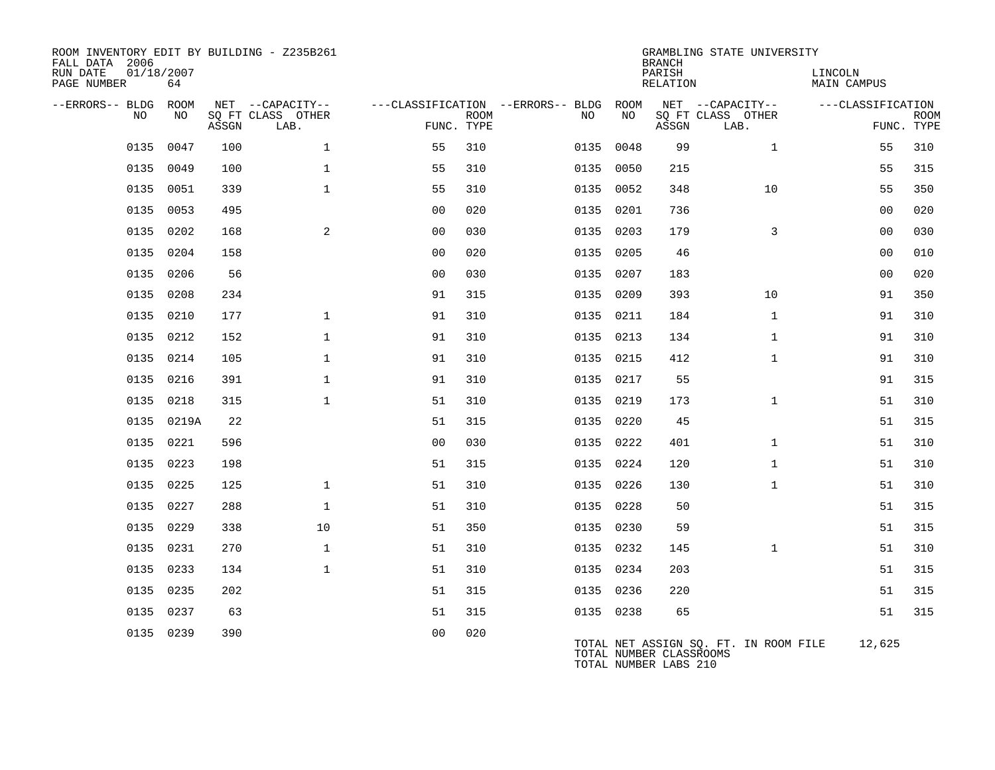| ROOM INVENTORY EDIT BY BUILDING - Z235B261<br>FALL DATA 2006 |            |       |                           |                |             |                                        |           | <b>BRANCH</b>                                    | GRAMBLING STATE UNIVERSITY            |                               |                           |
|--------------------------------------------------------------|------------|-------|---------------------------|----------------|-------------|----------------------------------------|-----------|--------------------------------------------------|---------------------------------------|-------------------------------|---------------------------|
| 01/18/2007<br>RUN DATE<br>PAGE NUMBER                        | 64         |       |                           |                |             |                                        |           | PARISH<br>RELATION                               |                                       | LINCOLN<br><b>MAIN CAMPUS</b> |                           |
| --ERRORS-- BLDG ROOM                                         |            |       | NET --CAPACITY--          |                |             | ---CLASSIFICATION --ERRORS-- BLDG ROOM |           |                                                  | NET --CAPACITY--                      | ---CLASSIFICATION             |                           |
| NO.                                                          | NO.        | ASSGN | SQ FT CLASS OTHER<br>LAB. | FUNC. TYPE     | <b>ROOM</b> | NO                                     | NO        | ASSGN                                            | SQ FT CLASS OTHER<br>LAB.             |                               | <b>ROOM</b><br>FUNC. TYPE |
| 0135                                                         | 0047       | 100   | $\mathbf{1}$              | 55             | 310         |                                        | 0135 0048 | 99                                               | $\mathbf{1}$                          | 55                            | 310                       |
| 0135                                                         | 0049       | 100   | $\mathbf{1}$              | 55             | 310         |                                        | 0135 0050 | 215                                              |                                       | 55                            | 315                       |
| 0135                                                         | 0051       | 339   | $\mathbf{1}$              | 55             | 310         |                                        | 0135 0052 | 348                                              | 10                                    | 55                            | 350                       |
| 0135                                                         | 0053       | 495   |                           | 00             | 020         | 0135                                   | 0201      | 736                                              |                                       | 0 <sub>0</sub>                | 020                       |
| 0135                                                         | 0202       | 168   | $\mathbf{2}$              | 0 <sub>0</sub> | 030         |                                        | 0135 0203 | 179                                              | 3                                     | 00                            | 030                       |
|                                                              | 0135 0204  | 158   |                           | 0 <sub>0</sub> | 020         |                                        | 0135 0205 | 46                                               |                                       | 0 <sub>0</sub>                | 010                       |
|                                                              | 0135 0206  | 56    |                           | 0 <sub>0</sub> | 030         |                                        | 0135 0207 | 183                                              |                                       | 0 <sub>0</sub>                | 020                       |
|                                                              | 0135 0208  | 234   |                           | 91             | 315         |                                        | 0135 0209 | 393                                              | 10                                    | 91                            | 350                       |
|                                                              | 0135 0210  | 177   | $\mathbf{1}$              | 91             | 310         |                                        | 0135 0211 | 184                                              | $\mathbf{1}$                          | 91                            | 310                       |
|                                                              | 0135 0212  | 152   | $\mathbf{1}$              | 91             | 310         |                                        | 0135 0213 | 134                                              | $\mathbf{1}$                          | 91                            | 310                       |
|                                                              | 0135 0214  | 105   | $\mathbf{1}$              | 91             | 310         |                                        | 0135 0215 | 412                                              | $\mathbf{1}$                          | 91                            | 310                       |
|                                                              | 0135 0216  | 391   | $\mathbf{1}$              | 91             | 310         |                                        | 0135 0217 | 55                                               |                                       | 91                            | 315                       |
|                                                              | 0135 0218  | 315   | $\mathbf{1}$              | 51             | 310         |                                        | 0135 0219 | 173                                              | $\mathbf{1}$                          | 51                            | 310                       |
|                                                              | 0135 0219A | 22    |                           | 51             | 315         |                                        | 0135 0220 | 45                                               |                                       | 51                            | 315                       |
|                                                              | 0135 0221  | 596   |                           | 0 <sub>0</sub> | 030         |                                        | 0135 0222 | 401                                              | $\mathbf{1}$                          | 51                            | 310                       |
|                                                              | 0135 0223  | 198   |                           | 51             | 315         |                                        | 0135 0224 | 120                                              | $\mathbf{1}$                          | 51                            | 310                       |
|                                                              | 0135 0225  | 125   | $\mathbf{1}$              | 51             | 310         |                                        | 0135 0226 | 130                                              | $\mathbf{1}$                          | 51                            | 310                       |
|                                                              | 0135 0227  | 288   | $\mathbf{1}$              | 51             | 310         |                                        | 0135 0228 | 50                                               |                                       | 51                            | 315                       |
| 0135                                                         | 0229       | 338   | 10                        | 51             | 350         |                                        | 0135 0230 | 59                                               |                                       | 51                            | 315                       |
|                                                              | 0135 0231  | 270   | $\mathbf{1}$              | 51             | 310         |                                        | 0135 0232 | 145                                              | $\mathbf{1}$                          | 51                            | 310                       |
|                                                              | 0135 0233  | 134   | $\mathbf{1}$              | 51             | 310         |                                        | 0135 0234 | 203                                              |                                       | 51                            | 315                       |
|                                                              | 0135 0235  | 202   |                           | 51             | 315         |                                        | 0135 0236 | 220                                              |                                       | 51                            | 315                       |
|                                                              | 0135 0237  | 63    |                           | 51             | 315         |                                        | 0135 0238 | 65                                               |                                       | 51                            | 315                       |
|                                                              | 0135 0239  | 390   |                           | 0 <sub>0</sub> | 020         |                                        |           | TOTAL NUMBER CLASSROOMS<br>TOTAL NUMBER LABS 210 | TOTAL NET ASSIGN SQ. FT. IN ROOM FILE | 12,625                        |                           |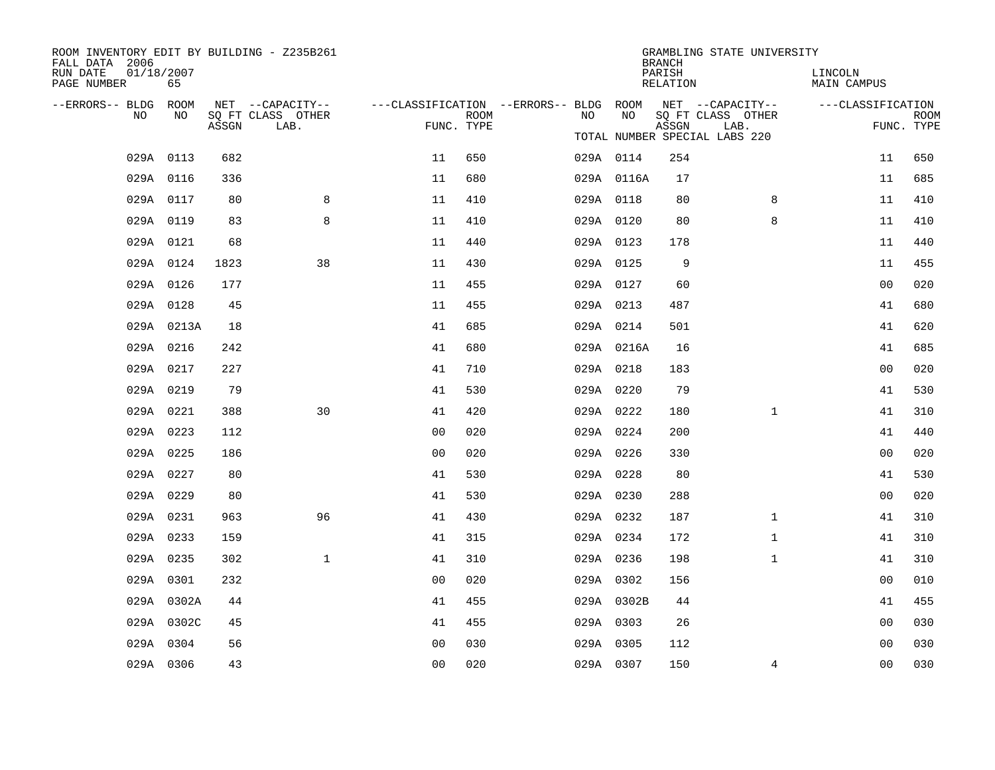| ROOM INVENTORY EDIT BY BUILDING - Z235B261<br>FALL DATA 2006 |                  |       |                                       |                                                         |             |    |            | <b>BRANCH</b>      | GRAMBLING STATE UNIVERSITY            |                               |             |
|--------------------------------------------------------------|------------------|-------|---------------------------------------|---------------------------------------------------------|-------------|----|------------|--------------------|---------------------------------------|-------------------------------|-------------|
| RUN DATE<br>PAGE NUMBER                                      | 01/18/2007<br>65 |       |                                       |                                                         |             |    |            | PARISH<br>RELATION |                                       | LINCOLN<br><b>MAIN CAMPUS</b> |             |
| --ERRORS-- BLDG ROOM<br>NO.                                  | NO.              |       | NET --CAPACITY--<br>SQ FT CLASS OTHER | ---CLASSIFICATION --ERRORS-- BLDG ROOM NET --CAPACITY-- | <b>ROOM</b> | NO | NO         |                    | SQ FT CLASS OTHER                     | ---CLASSIFICATION             | <b>ROOM</b> |
|                                                              |                  | ASSGN | LAB.                                  | FUNC. TYPE                                              |             |    |            | ASSGN              | LAB.<br>TOTAL NUMBER SPECIAL LABS 220 |                               | FUNC. TYPE  |
|                                                              | 029A 0113        | 682   |                                       | 11                                                      | 650         |    | 029A 0114  | 254                |                                       | 11                            | 650         |
|                                                              | 029A 0116        | 336   |                                       | 11                                                      | 680         |    | 029A 0116A | 17                 |                                       | 11                            | 685         |
|                                                              | 029A 0117        | 80    | 8                                     | 11                                                      | 410         |    | 029A 0118  | 80                 | 8                                     | 11                            | 410         |
|                                                              | 029A 0119        | 83    | 8                                     | 11                                                      | 410         |    | 029A 0120  | 80                 | 8                                     | 11                            | 410         |
|                                                              | 029A 0121        | 68    |                                       | 11                                                      | 440         |    | 029A 0123  | 178                |                                       | 11                            | 440         |
|                                                              | 029A 0124        | 1823  | 38                                    | 11                                                      | 430         |    | 029A 0125  | 9                  |                                       | 11                            | 455         |
|                                                              | 029A 0126        | 177   |                                       | 11                                                      | 455         |    | 029A 0127  | 60                 |                                       | 0 <sub>0</sub>                | 020         |
|                                                              | 029A 0128        | 45    |                                       | 11                                                      | 455         |    | 029A 0213  | 487                |                                       | 41                            | 680         |
|                                                              | 029A 0213A       | 18    |                                       | 41                                                      | 685         |    | 029A 0214  | 501                |                                       | 41                            | 620         |
|                                                              | 029A 0216        | 242   |                                       | 41                                                      | 680         |    | 029A 0216A | 16                 |                                       | 41                            | 685         |
|                                                              | 029A 0217        | 227   |                                       | 41                                                      | 710         |    | 029A 0218  | 183                |                                       | 00                            | 020         |
|                                                              | 029A 0219        | 79    |                                       | 41                                                      | 530         |    | 029A 0220  | 79                 |                                       | 41                            | 530         |
|                                                              | 029A 0221        | 388   | 30                                    | 41                                                      | 420         |    | 029A 0222  | 180                | $\mathbf{1}$                          | 41                            | 310         |
|                                                              | 029A 0223        | 112   |                                       | 0 <sub>0</sub>                                          | 020         |    | 029A 0224  | 200                |                                       | 41                            | 440         |
|                                                              | 029A 0225        | 186   |                                       | 0 <sub>0</sub>                                          | 020         |    | 029A 0226  | 330                |                                       | 0 <sub>0</sub>                | 020         |
|                                                              | 029A 0227        | 80    |                                       | 41                                                      | 530         |    | 029A 0228  | 80                 |                                       | 41                            | 530         |
|                                                              | 029A 0229        | 80    |                                       | 41                                                      | 530         |    | 029A 0230  | 288                |                                       | 0 <sub>0</sub>                | 020         |
|                                                              | 029A 0231        | 963   | 96                                    | 41                                                      | 430         |    | 029A 0232  | 187                | $\mathbf{1}$                          | 41                            | 310         |
|                                                              | 029A 0233        | 159   |                                       | 41                                                      | 315         |    | 029A 0234  | 172                | $\mathbf{1}$                          | 41                            | 310         |
|                                                              | 029A 0235        | 302   | $\mathbf{1}$                          | 41                                                      | 310         |    | 029A 0236  | 198                | $\mathbf{1}$                          | 41                            | 310         |
|                                                              | 029A 0301        | 232   |                                       | 0 <sub>0</sub>                                          | 020         |    | 029A 0302  | 156                |                                       | 0 <sub>0</sub>                | 010         |
|                                                              | 029A 0302A       | 44    |                                       | 41                                                      | 455         |    | 029A 0302B | 44                 |                                       | 41                            | 455         |
|                                                              | 029A 0302C       | 45    |                                       | 41                                                      | 455         |    | 029A 0303  | 26                 |                                       | 0 <sub>0</sub>                | 030         |
|                                                              | 029A 0304        | 56    |                                       | 0 <sub>0</sub>                                          | 030         |    | 029A 0305  | 112                |                                       | 00                            | 030         |
|                                                              | 029A 0306        | 43    |                                       | 0 <sub>0</sub>                                          | 020         |    | 029A 0307  | 150                | 4                                     | 0 <sub>0</sub>                | 030         |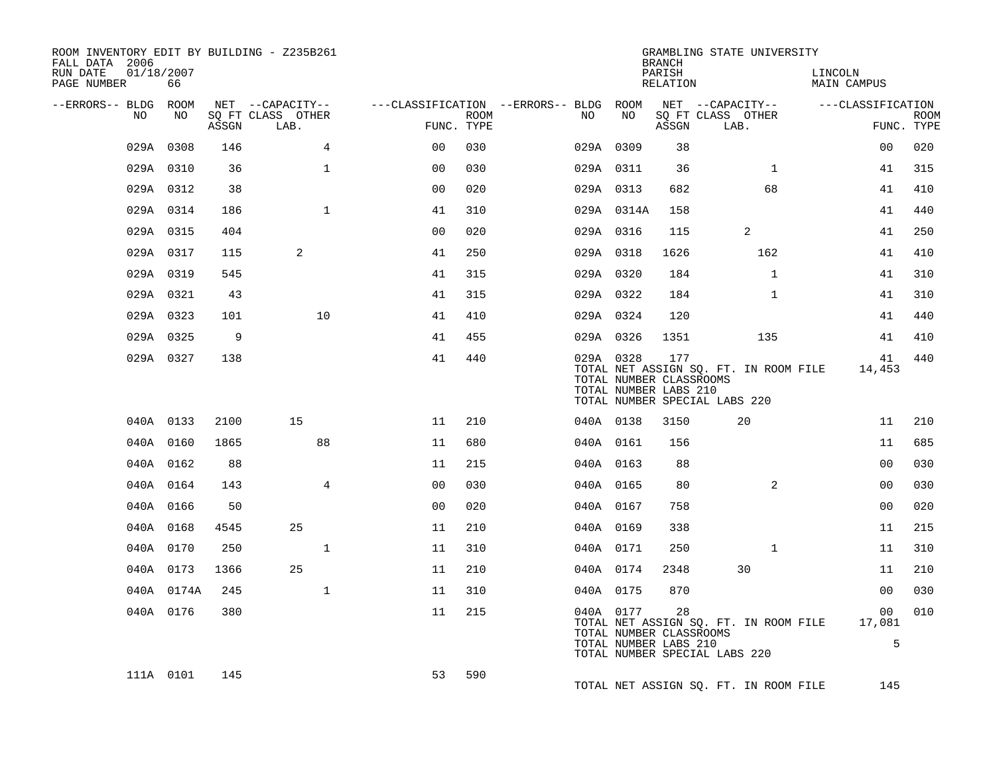| ROOM INVENTORY EDIT BY BUILDING - Z235B261<br>FALL DATA 2006 |            |       |                                       |                |                    |                                               |                                                               | <b>BRANCH</b>      | GRAMBLING STATE UNIVERSITY                                             |                        |                           |
|--------------------------------------------------------------|------------|-------|---------------------------------------|----------------|--------------------|-----------------------------------------------|---------------------------------------------------------------|--------------------|------------------------------------------------------------------------|------------------------|---------------------------|
| RUN DATE<br>01/18/2007<br>PAGE NUMBER                        | 66         |       |                                       |                |                    |                                               |                                                               | PARISH<br>RELATION |                                                                        | LINCOLN<br>MAIN CAMPUS |                           |
| --ERRORS-- BLDG ROOM<br>NO.                                  | NO         |       | NET --CAPACITY--<br>SO FT CLASS OTHER |                |                    | ---CLASSIFICATION --ERRORS-- BLDG ROOM<br>NO. | NO                                                            |                    | NET --CAPACITY-- ---CLASSIFICATION<br>SQ FT CLASS OTHER                |                        |                           |
|                                                              |            | ASSGN | LAB.                                  |                | ROOM<br>FUNC. TYPE |                                               |                                                               | ASSGN              | LAB.                                                                   |                        | <b>ROOM</b><br>FUNC. TYPE |
|                                                              | 029A 0308  | 146   | $\overline{4}$                        | 0 <sub>0</sub> | 030                |                                               | 029A 0309                                                     | 38                 |                                                                        | 00                     | 020                       |
|                                                              | 029A 0310  | 36    | $\mathbf{1}$                          | 0 <sub>0</sub> | 0.30               |                                               | 029A 0311                                                     | 36                 | $\mathbf{1}$                                                           | 41                     | 315                       |
|                                                              | 029A 0312  | 38    |                                       | 0 <sub>0</sub> | 020                |                                               | 029A 0313                                                     | 682                | 68                                                                     | 41                     | 410                       |
|                                                              | 029A 0314  | 186   | $\mathbf{1}$                          | 41             | 310                |                                               | 029A 0314A                                                    | 158                |                                                                        | 41                     | 440                       |
|                                                              | 029A 0315  | 404   |                                       | 0 <sub>0</sub> | 020                |                                               | 029A 0316                                                     | 115                | 2                                                                      | 41                     | 250                       |
|                                                              | 029A 0317  | 115   | 2                                     | 41             | 250                |                                               | 029A 0318                                                     | 1626               | 162                                                                    | 41                     | 410                       |
|                                                              | 029A 0319  | 545   |                                       | 41             | 315                |                                               | 029A 0320                                                     | 184                | $\mathbf{1}$                                                           | 41                     | 310                       |
|                                                              | 029A 0321  | 43    |                                       | 41             | 315                |                                               | 029A 0322                                                     | 184                | $\mathbf{1}$                                                           | 41                     | 310                       |
|                                                              | 029A 0323  | 101   | 10                                    | 41             | 410                |                                               | 029A 0324                                                     | 120                |                                                                        | 41                     | 440                       |
|                                                              | 029A 0325  | 9     |                                       | 41             | 455                |                                               | 029A 0326                                                     | 1351               | 135                                                                    | 41                     | 410                       |
|                                                              | 029A 0327  | 138   |                                       | 41             | 440                |                                               | 029A 0328<br>TOTAL NUMBER CLASSROOMS<br>TOTAL NUMBER LABS 210 | 177                | TOTAL NET ASSIGN SQ. FT. IN ROOM FILE<br>TOTAL NUMBER SPECIAL LABS 220 | 41<br>14,453           | 440                       |
|                                                              | 040A 0133  | 2100  | 15                                    | 11             | 210                |                                               | 040A 0138                                                     | 3150               | 20                                                                     | 11                     | 210                       |
|                                                              | 040A 0160  | 1865  | 88                                    | 11             | 680                |                                               | 040A 0161                                                     | 156                |                                                                        | 11                     | 685                       |
|                                                              | 040A 0162  | 88    |                                       | 11             | 215                |                                               | 040A 0163                                                     | 88                 |                                                                        | 00                     | 030                       |
|                                                              | 040A 0164  | 143   | $\overline{4}$                        | 0 <sub>0</sub> | 030                |                                               | 040A 0165                                                     | 80                 | 2                                                                      | 00                     | 030                       |
|                                                              | 040A 0166  | 50    |                                       | 0 <sub>0</sub> | 020                |                                               | 040A 0167                                                     | 758                |                                                                        | 0 <sub>0</sub>         | 020                       |
|                                                              | 040A 0168  | 4545  | 25                                    | 11             | 210                |                                               | 040A 0169                                                     | 338                |                                                                        | 11                     | 215                       |
|                                                              | 040A 0170  | 250   | $\mathbf{1}$                          | 11             | 310                |                                               | 040A 0171                                                     | 250                | $\mathbf{1}$                                                           | 11                     | 310                       |
|                                                              | 040A 0173  | 1366  | 25                                    | 11             | 210                |                                               | 040A 0174                                                     | 2348               | 30                                                                     | 11                     | 210                       |
|                                                              | 040A 0174A | 245   | $\mathbf{1}$                          | 11             | 310                |                                               | 040A 0175                                                     | 870                |                                                                        | 0 <sub>0</sub>         | 030                       |
|                                                              | 040A 0176  | 380   |                                       | 11             | 215                |                                               | 040A 0177<br>TOTAL NUMBER CLASSROOMS<br>TOTAL NUMBER LABS 210 | 28                 | TOTAL NET ASSIGN SQ. FT. IN ROOM FILE<br>TOTAL NUMBER SPECIAL LABS 220 | 00<br>17,081<br>5      | 010                       |
|                                                              | 111A 0101  | 145   |                                       | 53             | 590                |                                               |                                                               |                    | TOTAL NET ASSIGN SQ. FT. IN ROOM FILE                                  | 145                    |                           |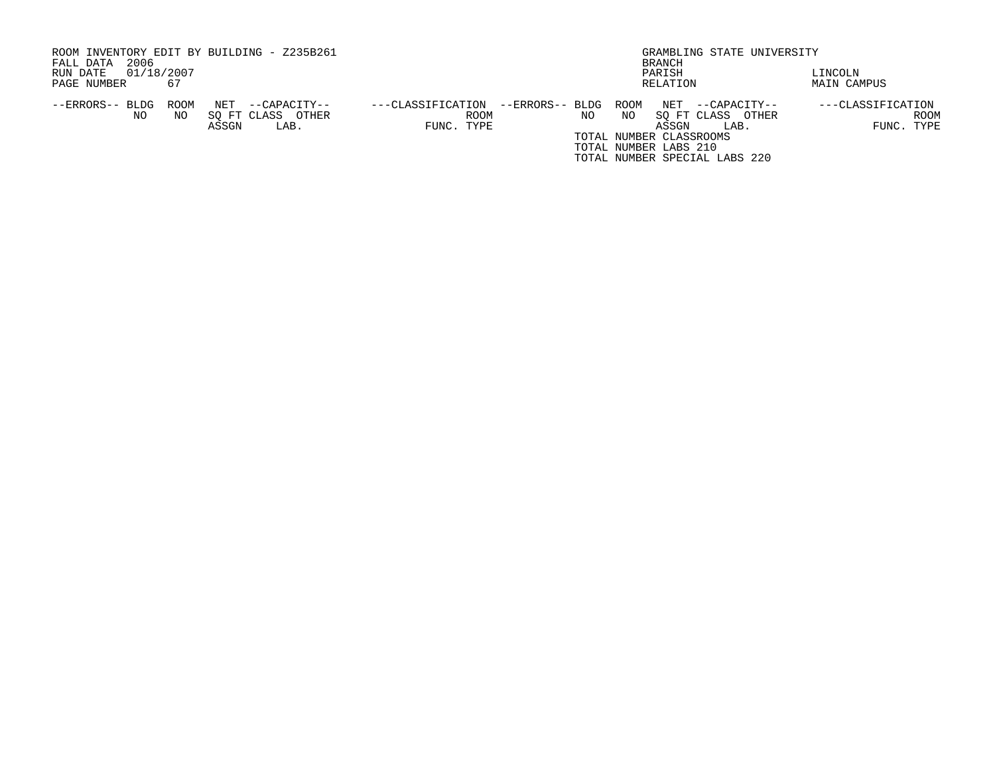| ROOM INVENTORY EDIT BY BUILDING - Z235B261<br>2006<br>FALL DATA | BRANCH                                                         | GRAMBLING STATE UNIVERSITY          |
|-----------------------------------------------------------------|----------------------------------------------------------------|-------------------------------------|
| 01/18/2007<br>RUN DATE                                          | PARISH                                                         | LINCOLN                             |
| 67<br>PAGE NUMBER                                               | RELATION                                                       | MAIN CAMPUS                         |
| ROOM<br>NET<br>--ERRORS-- BLDG<br>--CAPACITY--                  | --ERRORS-- BLDG ROOM<br>NET<br>---CLASSIFICATION               | ---CLASSIFICATION<br>--CAPACITY--   |
| SO FT CLASS<br>OTHER<br>NO<br>NO.<br>ASSGN<br>LAB.              | SO FT CLASS<br>NO.<br>ΝO<br><b>ROOM</b><br>FUNC. TYPE<br>ASSGN | ROOM<br>OTHER<br>FUNC. TYPE<br>LAB. |
|                                                                 | TOTAL NUMBER CLASSROOMS                                        |                                     |
|                                                                 | TOTAL NUMBER LABS 210                                          |                                     |
|                                                                 | TOTAL NUMBER SPECIAL LABS 220                                  |                                     |